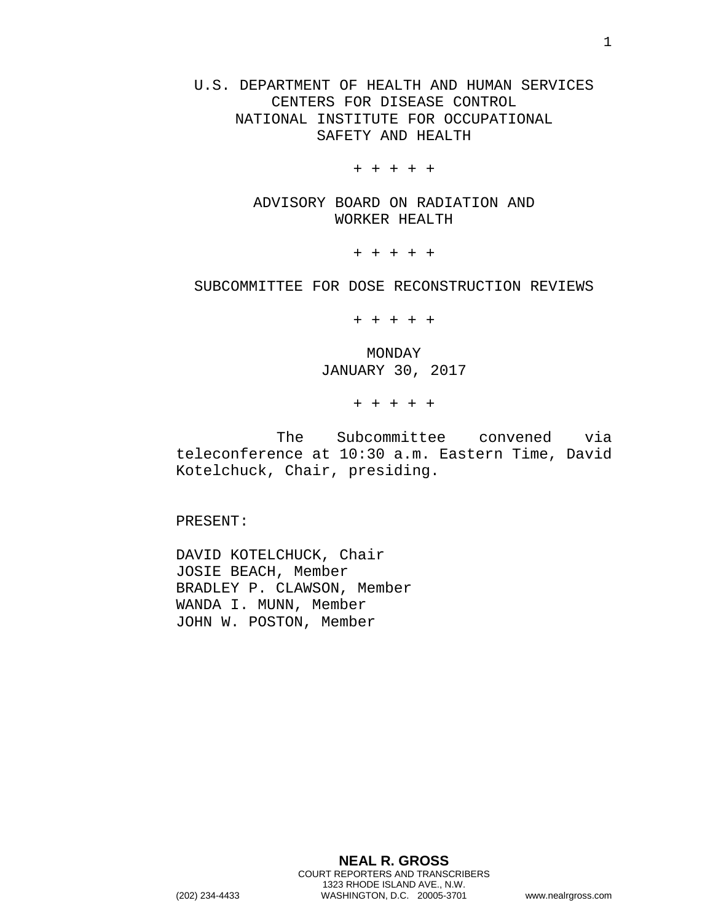U.S. DEPARTMENT OF HEALTH AND HUMAN SERVICES CENTERS FOR DISEASE CONTROL NATIONAL INSTITUTE FOR OCCUPATIONAL SAFETY AND HEALTH

+ + + + +

ADVISORY BOARD ON RADIATION AND WORKER HEALTH

+ + + + +

SUBCOMMITTEE FOR DOSE RECONSTRUCTION REVIEWS

+ + + + +

MONDAY JANUARY 30, 2017

+ + + + +

The Subcommittee convened via teleconference at 10:30 a.m. Eastern Time, David Kotelchuck, Chair, presiding.

PRESENT:

DAVID KOTELCHUCK, Chair JOSIE BEACH, Member BRADLEY P. CLAWSON, Member WANDA I. MUNN, Member JOHN W. POSTON, Member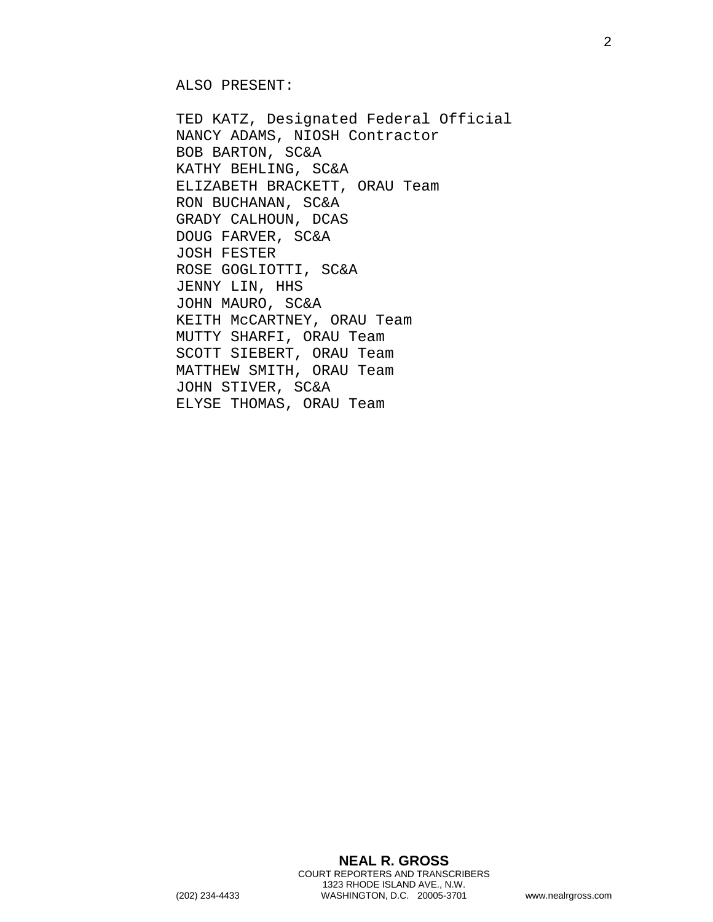ALSO PRESENT:

TED KATZ, Designated Federal Official NANCY ADAMS, NIOSH Contractor BOB BARTON, SC&A KATHY BEHLING, SC&A ELIZABETH BRACKETT, ORAU Team RON BUCHANAN, SC&A GRADY CALHOUN, DCAS DOUG FARVER, SC&A JOSH FESTER ROSE GOGLIOTTI, SC&A JENNY LIN, HHS JOHN MAURO, SC&A KEITH McCARTNEY, ORAU Team MUTTY SHARFI, ORAU Team SCOTT SIEBERT, ORAU Team MATTHEW SMITH, ORAU Team JOHN STIVER, SC&A ELYSE THOMAS, ORAU Team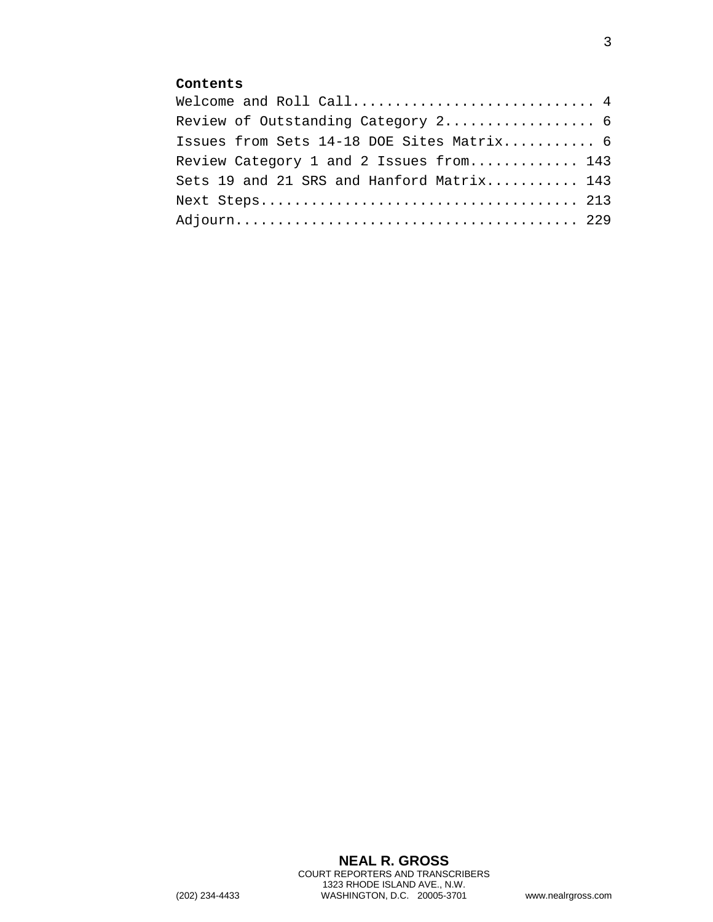## **Contents**

| Welcome and Roll Call 4                   |  |
|-------------------------------------------|--|
| Review of Outstanding Category 2 6        |  |
| Issues from Sets 14-18 DOE Sites Matrix 6 |  |
| Review Category 1 and 2 Issues from 143   |  |
| Sets 19 and 21 SRS and Hanford Matrix 143 |  |
|                                           |  |
|                                           |  |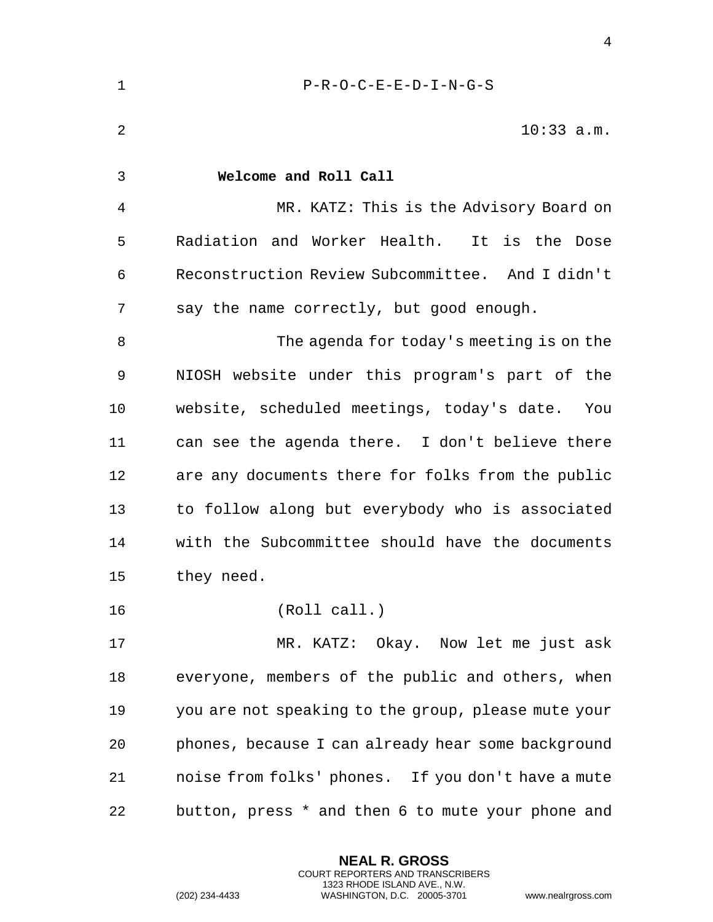<span id="page-3-0"></span>

| $\mathbf 1$    | $P-R-O-C-E-E-D-I-N-G-S$                             |
|----------------|-----------------------------------------------------|
| $\overline{2}$ | $10:33$ a.m.                                        |
| 3              | Welcome and Roll Call                               |
| 4              | MR. KATZ: This is the Advisory Board on             |
| 5              | Radiation and Worker Health. It is the Dose         |
| 6              | Reconstruction Review Subcommittee. And I didn't    |
| 7              | say the name correctly, but good enough.            |
| 8              | The agenda for today's meeting is on the            |
| 9              | NIOSH website under this program's part of the      |
| 10             | website, scheduled meetings, today's date.<br>You   |
| 11             | can see the agenda there. I don't believe there     |
| 12             | are any documents there for folks from the public   |
| 13             | to follow along but everybody who is associated     |
| 14             | with the Subcommittee should have the documents     |
| 15             | they need.                                          |
| 16             | (Roll call.)                                        |
| 17             | MR. KATZ: Okay. Now let me just ask                 |
| 18             | everyone, members of the public and others, when    |
| 19             | you are not speaking to the group, please mute your |
| 20             | phones, because I can already hear some background  |
| 21             | noise from folks' phones. If you don't have a mute  |
| 22             | button, press * and then 6 to mute your phone and   |

**NEAL R. GROSS** COURT REPORTERS AND TRANSCRIBERS 1323 RHODE ISLAND AVE., N.W.

(202) 234-4433 WASHINGTON, D.C. 20005-3701 www.nealrgross.com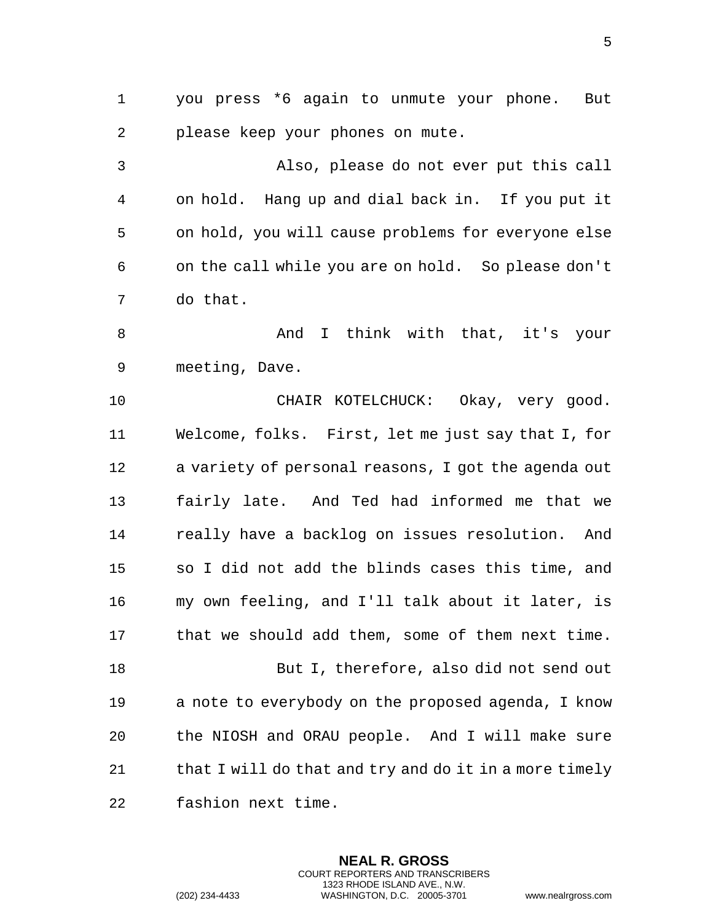you press \*6 again to unmute your phone. But please keep your phones on mute.

 Also, please do not ever put this call on hold. Hang up and dial back in. If you put it on hold, you will cause problems for everyone else on the call while you are on hold. So please don't do that.

 And I think with that, it's your meeting, Dave.

 CHAIR KOTELCHUCK: Okay, very good. Welcome, folks. First, let me just say that I, for a variety of personal reasons, I got the agenda out fairly late. And Ted had informed me that we really have a backlog on issues resolution. And so I did not add the blinds cases this time, and my own feeling, and I'll talk about it later, is that we should add them, some of them next time. But I, therefore, also did not send out a note to everybody on the proposed agenda, I know

21 that I will do that and try and do it in a more timely fashion next time.

the NIOSH and ORAU people. And I will make sure

**NEAL R. GROSS** COURT REPORTERS AND TRANSCRIBERS 1323 RHODE ISLAND AVE., N.W.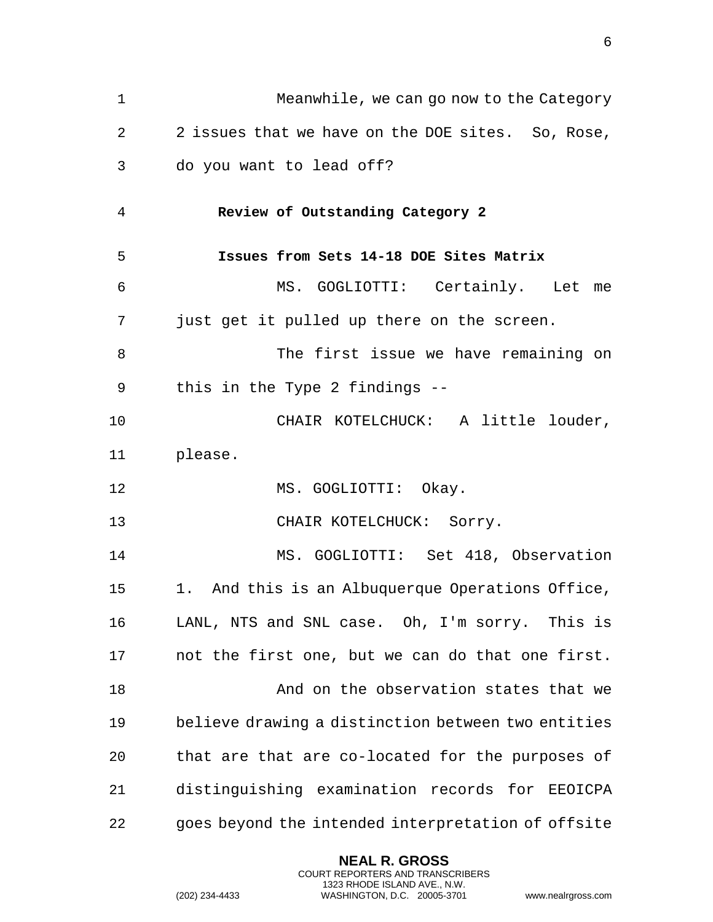<span id="page-5-1"></span><span id="page-5-0"></span>

| $\mathbf 1$ | Meanwhile, we can go now to the Category           |
|-------------|----------------------------------------------------|
| 2           | 2 issues that we have on the DOE sites. So, Rose,  |
| 3           | do you want to lead off?                           |
| 4           | Review of Outstanding Category 2                   |
| 5           | Issues from Sets 14-18 DOE Sites Matrix            |
| 6           | MS. GOGLIOTTI: Certainly. Let me                   |
| 7           | just get it pulled up there on the screen.         |
| 8           | The first issue we have remaining on               |
| 9           | this in the Type 2 findings $-$ -                  |
| 10          | CHAIR KOTELCHUCK: A little louder,                 |
| 11          | please.                                            |
| 12          | MS. GOGLIOTTI: Okay.                               |
| 13          | CHAIR KOTELCHUCK: Sorry.                           |
| 14          | MS. GOGLIOTTI: Set 418, Observation                |
| 15          | 1. And this is an Albuquerque Operations Office,   |
| 16          | LANL, NTS and SNL case. Oh, I'm sorry. This is     |
| 17          | not the first one, but we can do that one first.   |
| 18          | And on the observation states that we              |
| 19          | believe drawing a distinction between two entities |
| 20          | that are that are co-located for the purposes of   |
| 21          | distinguishing examination records for EEOICPA     |
| 22          | goes beyond the intended interpretation of offsite |

**NEAL R. GROSS** COURT REPORTERS AND TRANSCRIBERS 1323 RHODE ISLAND AVE., N.W.

(202) 234-4433 WASHINGTON, D.C. 20005-3701 www.nealrgross.com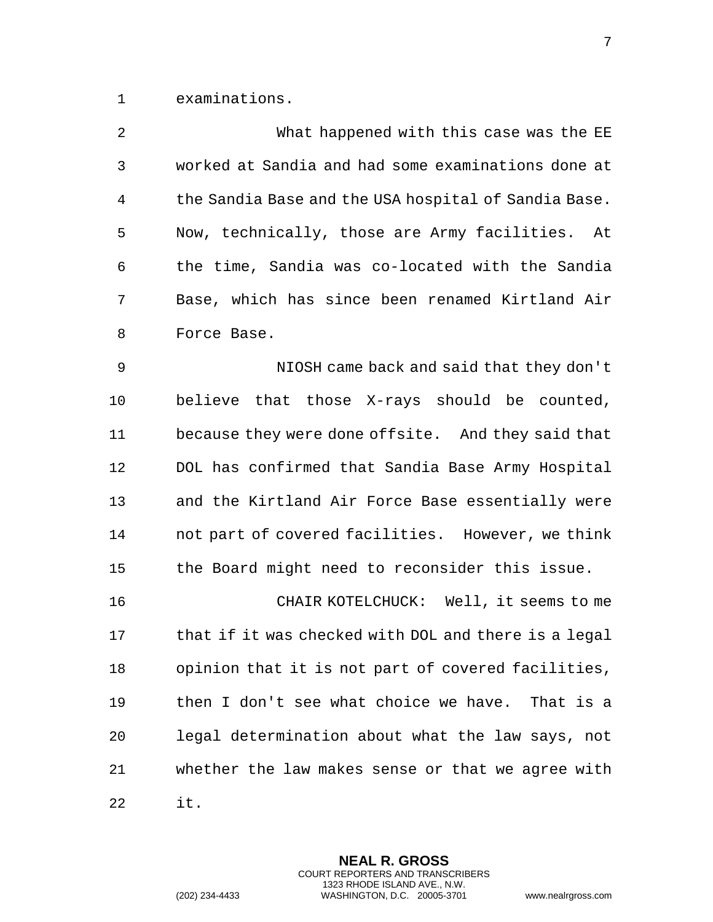examinations.

| $\overline{2}$ | What happened with this case was the EE              |
|----------------|------------------------------------------------------|
| 3              | worked at Sandia and had some examinations done at   |
| 4              | the Sandia Base and the USA hospital of Sandia Base. |
| 5              | Now, technically, those are Army facilities. At      |
| 6              | the time, Sandia was co-located with the Sandia      |
| 7              | Base, which has since been renamed Kirtland Air      |
| 8              | Force Base.                                          |
| $\mathsf 9$    | NIOSH came back and said that they don't             |
| 10             | believe that those X-rays should be counted,         |
| 11             | because they were done offsite. And they said that   |
| 12             | DOL has confirmed that Sandia Base Army Hospital     |
| 13             | and the Kirtland Air Force Base essentially were     |
| 14             | not part of covered facilities. However, we think    |
| 15             | the Board might need to reconsider this issue.       |
| 16             | CHAIR KOTELCHUCK: Well, it seems to me               |
| 17             | that if it was checked with DOL and there is a legal |
| 18             | opinion that it is not part of covered facilities,   |
| 19             | then I don't see what choice we have. That is a      |
| 20             | legal determination about what the law says, not     |
| 21             | whether the law makes sense or that we agree with    |
| 22             | it.                                                  |

**NEAL R. GROSS** COURT REPORTERS AND TRANSCRIBERS 1323 RHODE ISLAND AVE., N.W.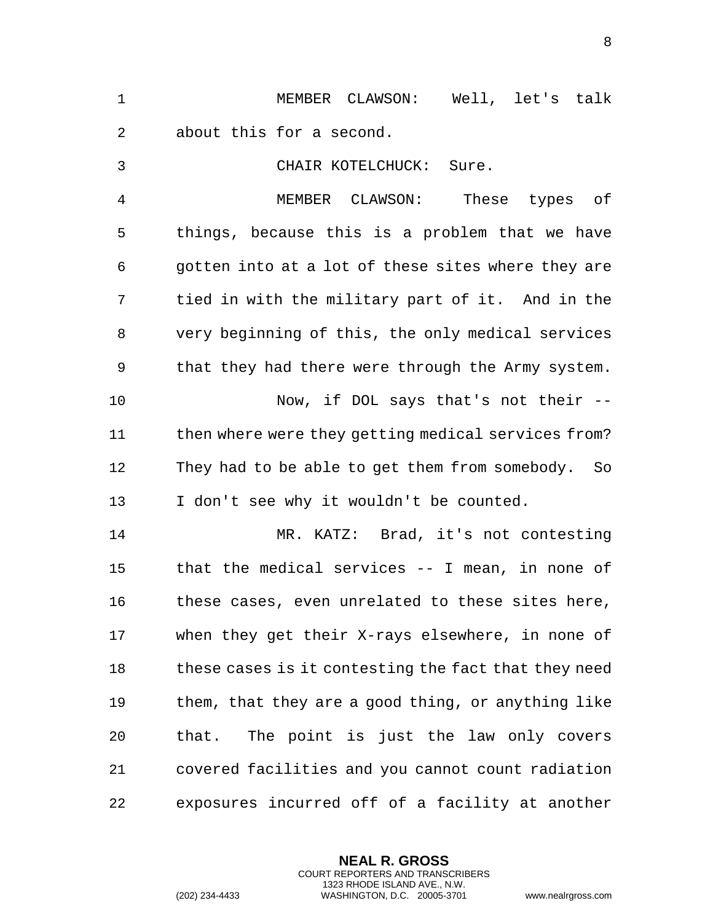|  |  | MEMBER CLAWSON: Well, let's talk |  |  |
|--|--|----------------------------------|--|--|
|  |  | about this for a second.         |  |  |

CHAIR KOTELCHUCK: Sure.

 MEMBER CLAWSON: These types of things, because this is a problem that we have gotten into at a lot of these sites where they are tied in with the military part of it. And in the very beginning of this, the only medical services that they had there were through the Army system. Now, if DOL says that's not their -- 11 then where were they getting medical services from? They had to be able to get them from somebody. So I don't see why it wouldn't be counted.

 MR. KATZ: Brad, it's not contesting that the medical services -- I mean, in none of these cases, even unrelated to these sites here, when they get their X-rays elsewhere, in none of these cases is it contesting the fact that they need them, that they are a good thing, or anything like that. The point is just the law only covers covered facilities and you cannot count radiation exposures incurred off of a facility at another

> **NEAL R. GROSS** COURT REPORTERS AND TRANSCRIBERS 1323 RHODE ISLAND AVE., N.W.

(202) 234-4433 WASHINGTON, D.C. 20005-3701 www.nealrgross.com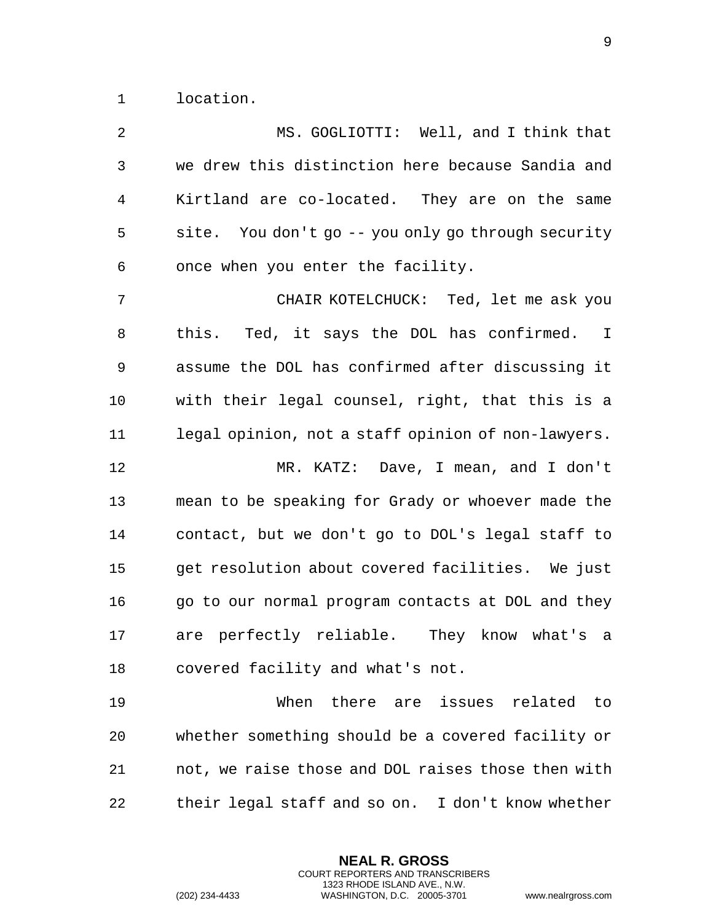location.

| $\overline{a}$ | MS. GOGLIOTTI: Well, and I think that                     |
|----------------|-----------------------------------------------------------|
| $\mathbf{3}$   | we drew this distinction here because Sandia and          |
| 4              | Kirtland are co-located. They are on the same             |
| 5              | site. You don't go -- you only go through security        |
| 6              | once when you enter the facility.                         |
| 7              | CHAIR KOTELCHUCK: Ted, let me ask you                     |
| 8              | this. Ted, it says the DOL has confirmed.<br>$\mathbb{I}$ |
| 9              | assume the DOL has confirmed after discussing it          |
| 10             | with their legal counsel, right, that this is a           |
| 11             | legal opinion, not a staff opinion of non-lawyers.        |
| 12             | MR. KATZ: Dave, I mean, and I don't                       |
| 13             | mean to be speaking for Grady or whoever made the         |
| 14             | contact, but we don't go to DOL's legal staff to          |
| 15             | get resolution about covered facilities. We just          |
| 16             | go to our normal program contacts at DOL and they         |
| 17             | are perfectly reliable. They know what's a                |
| 18             | covered facility and what's not.                          |
| 19             | When<br>there are issues related<br>to to                 |
| 20             | whether something should be a covered facility or         |
| 21             | not, we raise those and DOL raises those then with        |
| 22             | their legal staff and so on. I don't know whether         |

**NEAL R. GROSS** COURT REPORTERS AND TRANSCRIBERS 1323 RHODE ISLAND AVE., N.W.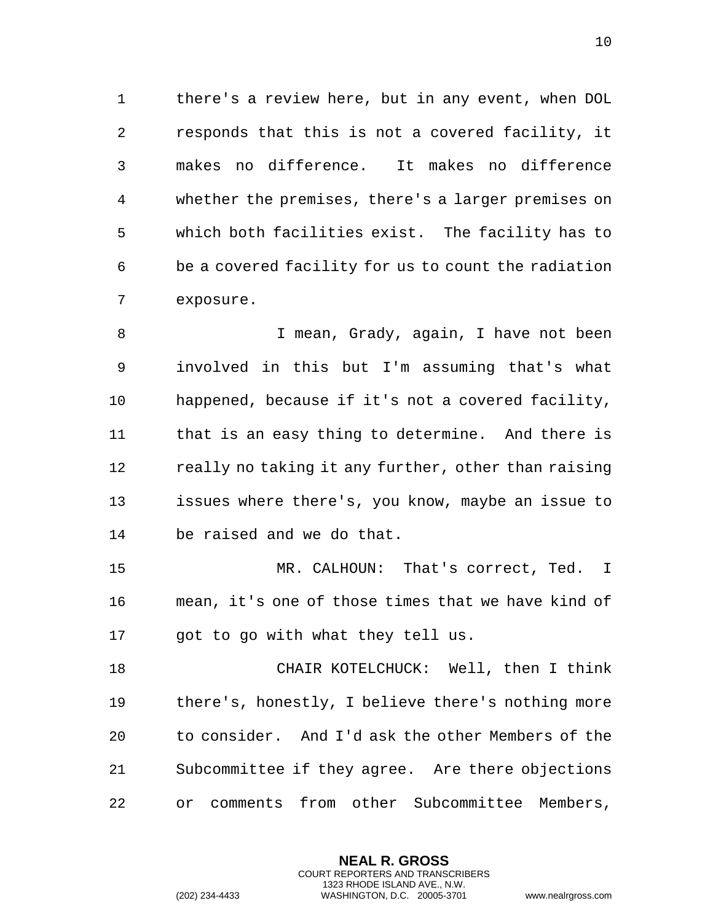there's a review here, but in any event, when DOL responds that this is not a covered facility, it makes no difference. It makes no difference whether the premises, there's a larger premises on which both facilities exist. The facility has to be a covered facility for us to count the radiation exposure.

 I mean, Grady, again, I have not been involved in this but I'm assuming that's what happened, because if it's not a covered facility, that is an easy thing to determine. And there is 12 really no taking it any further, other than raising issues where there's, you know, maybe an issue to be raised and we do that.

 MR. CALHOUN: That's correct, Ted. I mean, it's one of those times that we have kind of 17 got to go with what they tell us.

 CHAIR KOTELCHUCK: Well, then I think there's, honestly, I believe there's nothing more to consider. And I'd ask the other Members of the Subcommittee if they agree. Are there objections or comments from other Subcommittee Members,

> **NEAL R. GROSS** COURT REPORTERS AND TRANSCRIBERS 1323 RHODE ISLAND AVE., N.W.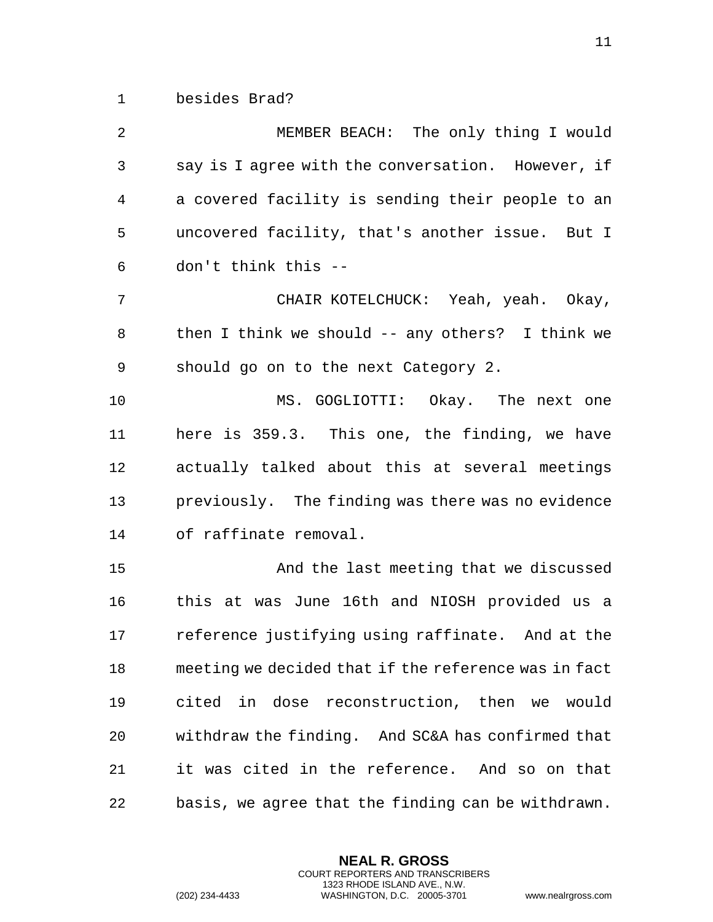besides Brad?

| $\overline{2}$ | MEMBER BEACH: The only thing I would                 |
|----------------|------------------------------------------------------|
| 3              | say is I agree with the conversation. However, if    |
| 4              | a covered facility is sending their people to an     |
| 5              | uncovered facility, that's another issue. But I      |
| 6              | don't think this --                                  |
| 7              | CHAIR KOTELCHUCK: Yeah, yeah. Okay,                  |
| 8              | then I think we should $--$ any others? I think we   |
| 9              | should go on to the next Category 2.                 |
| 10             | MS. GOGLIOTTI: Okay. The next one                    |
| 11             | here is 359.3. This one, the finding, we have        |
| 12             | actually talked about this at several meetings       |
| 13             | previously. The finding was there was no evidence    |
| 14             | of raffinate removal.                                |
| 15             | And the last meeting that we discussed               |
| 16             | this at was June 16th and NIOSH provided us a        |
| 17             | reference justifying using raffinate. And at the     |
| 18             | meeting we decided that if the reference was in fact |
| 19             | cited in dose reconstruction, then we would          |
| 20             | withdraw the finding. And SC&A has confirmed that    |
| 21             | it was cited in the reference. And so on that        |
| 22             | basis, we agree that the finding can be withdrawn.   |

**NEAL R. GROSS** COURT REPORTERS AND TRANSCRIBERS 1323 RHODE ISLAND AVE., N.W.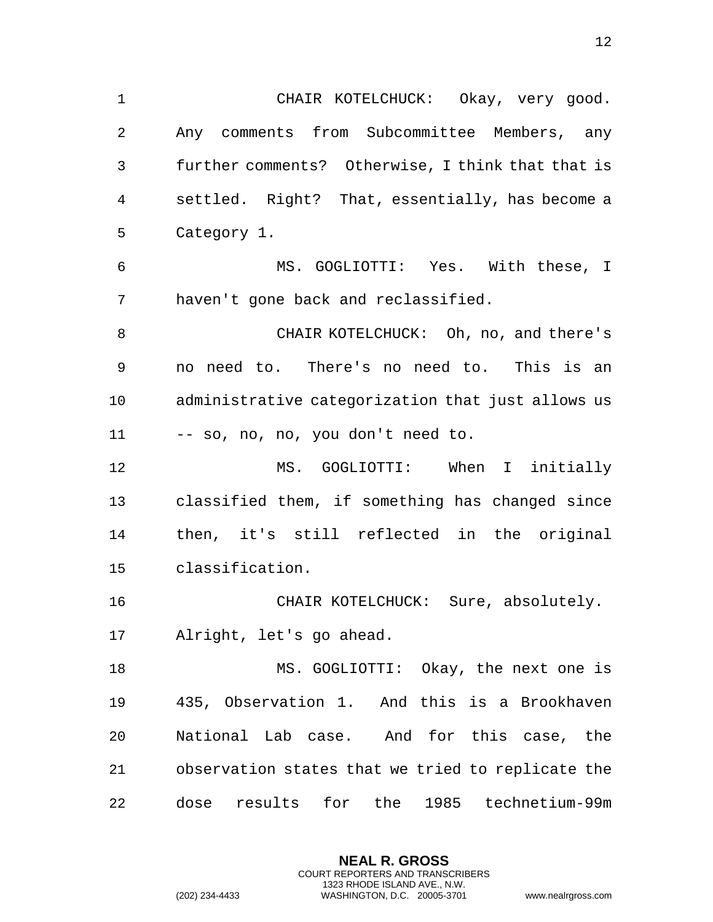CHAIR KOTELCHUCK: Okay, very good. Any comments from Subcommittee Members, any further comments? Otherwise, I think that that is settled. Right? That, essentially, has become a Category 1. MS. GOGLIOTTI: Yes. With these, I haven't gone back and reclassified. CHAIR KOTELCHUCK: Oh, no, and there's no need to. There's no need to. This is an administrative categorization that just allows us -- so, no, no, you don't need to. MS. GOGLIOTTI: When I initially classified them, if something has changed since then, it's still reflected in the original classification. CHAIR KOTELCHUCK: Sure, absolutely. Alright, let's go ahead. MS. GOGLIOTTI: Okay, the next one is 435, Observation 1. And this is a Brookhaven National Lab case. And for this case, the observation states that we tried to replicate the dose results for the 1985 technetium-99m

> **NEAL R. GROSS** COURT REPORTERS AND TRANSCRIBERS 1323 RHODE ISLAND AVE., N.W.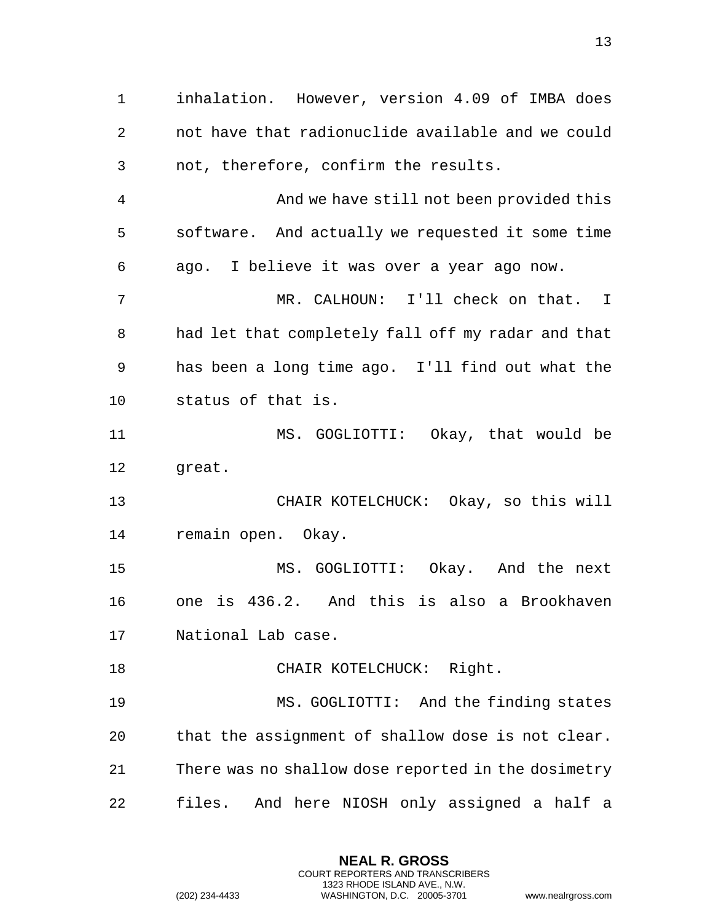inhalation. However, version 4.09 of IMBA does not have that radionuclide available and we could not, therefore, confirm the results. And we have still not been provided this software. And actually we requested it some time ago. I believe it was over a year ago now. MR. CALHOUN: I'll check on that. I had let that completely fall off my radar and that has been a long time ago. I'll find out what the status of that is. MS. GOGLIOTTI: Okay, that would be great. CHAIR KOTELCHUCK: Okay, so this will remain open. Okay. MS. GOGLIOTTI: Okay. And the next one is 436.2. And this is also a Brookhaven National Lab case. 18 CHAIR KOTELCHUCK: Right. MS. GOGLIOTTI: And the finding states that the assignment of shallow dose is not clear. There was no shallow dose reported in the dosimetry files. And here NIOSH only assigned a half a

> **NEAL R. GROSS** COURT REPORTERS AND TRANSCRIBERS 1323 RHODE ISLAND AVE., N.W.

(202) 234-4433 WASHINGTON, D.C. 20005-3701 www.nealrgross.com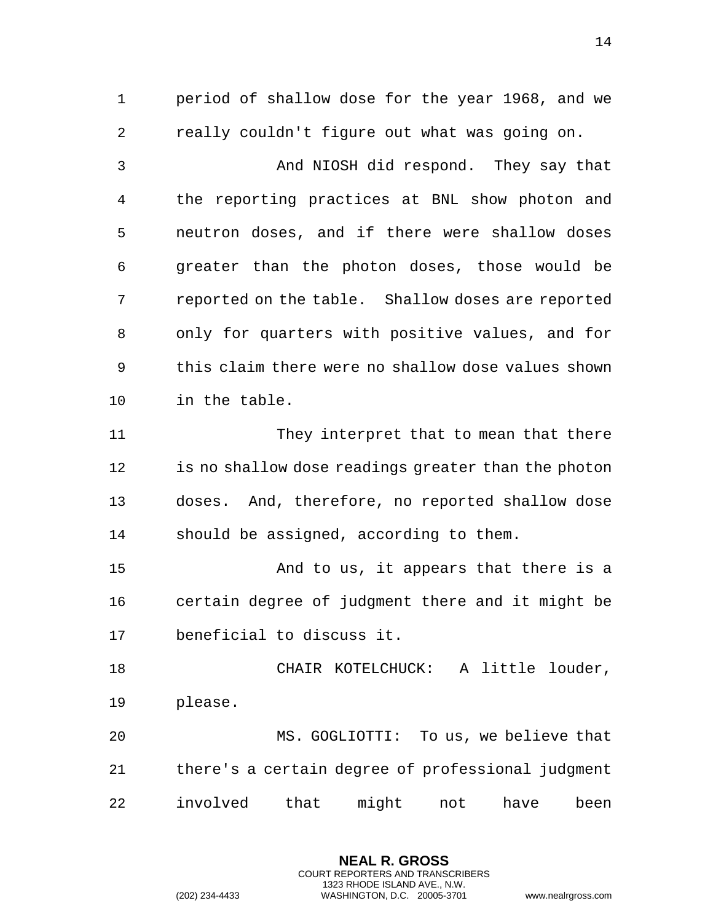period of shallow dose for the year 1968, and we really couldn't figure out what was going on.

 And NIOSH did respond. They say that the reporting practices at BNL show photon and neutron doses, and if there were shallow doses greater than the photon doses, those would be reported on the table. Shallow doses are reported only for quarters with positive values, and for this claim there were no shallow dose values shown in the table.

11 They interpret that to mean that there is no shallow dose readings greater than the photon doses. And, therefore, no reported shallow dose should be assigned, according to them.

 And to us, it appears that there is a certain degree of judgment there and it might be beneficial to discuss it.

 CHAIR KOTELCHUCK: A little louder, please.

 MS. GOGLIOTTI: To us, we believe that there's a certain degree of professional judgment involved that might not have been

> **NEAL R. GROSS** COURT REPORTERS AND TRANSCRIBERS 1323 RHODE ISLAND AVE., N.W.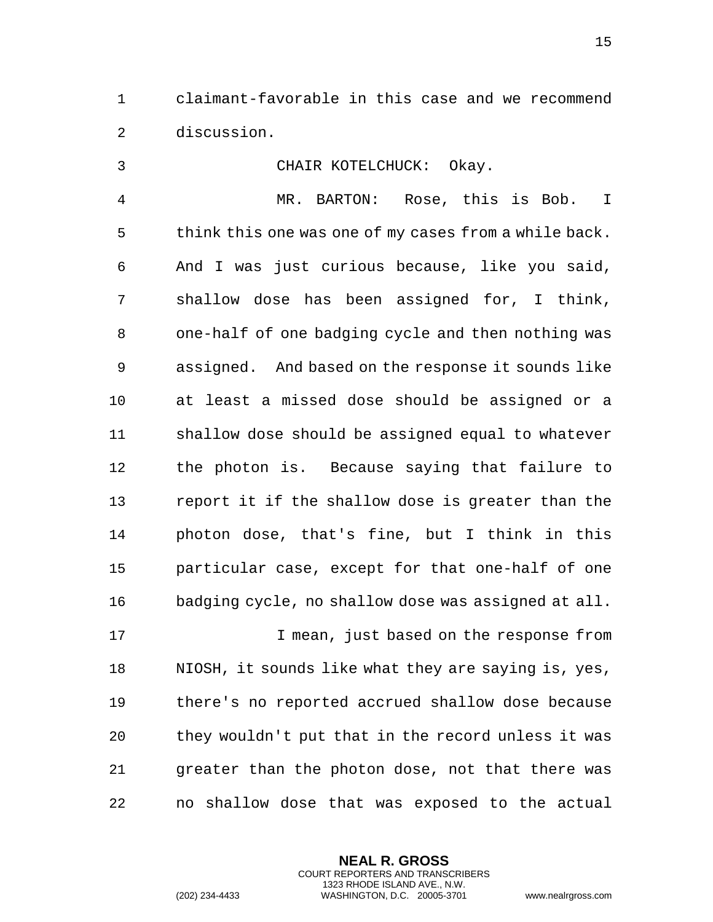claimant-favorable in this case and we recommend discussion.

 CHAIR KOTELCHUCK: Okay. MR. BARTON: Rose, this is Bob. I think this one was one of my cases from a while back. And I was just curious because, like you said, shallow dose has been assigned for, I think, one-half of one badging cycle and then nothing was assigned. And based on the response it sounds like at least a missed dose should be assigned or a shallow dose should be assigned equal to whatever the photon is. Because saying that failure to report it if the shallow dose is greater than the photon dose, that's fine, but I think in this particular case, except for that one-half of one badging cycle, no shallow dose was assigned at all. I mean, just based on the response from NIOSH, it sounds like what they are saying is, yes, there's no reported accrued shallow dose because they wouldn't put that in the record unless it was greater than the photon dose, not that there was no shallow dose that was exposed to the actual

> **NEAL R. GROSS** COURT REPORTERS AND TRANSCRIBERS 1323 RHODE ISLAND AVE., N.W. (202) 234-4433 WASHINGTON, D.C. 20005-3701 www.nealrgross.com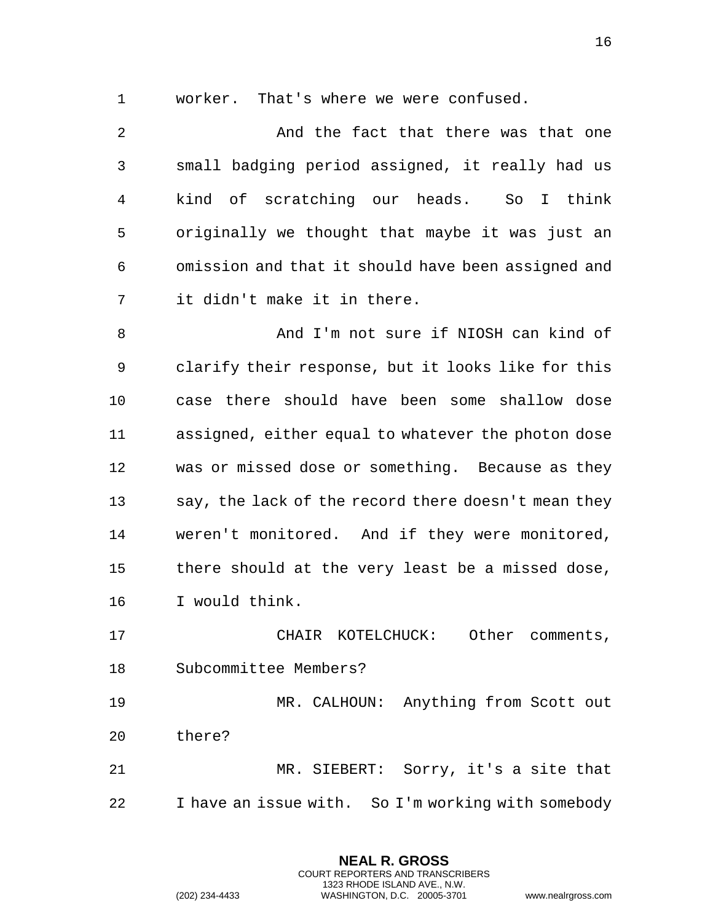worker. That's where we were confused.

2 And the fact that there was that one small badging period assigned, it really had us kind of scratching our heads. So I think originally we thought that maybe it was just an omission and that it should have been assigned and it didn't make it in there.

 And I'm not sure if NIOSH can kind of clarify their response, but it looks like for this case there should have been some shallow dose assigned, either equal to whatever the photon dose was or missed dose or something. Because as they say, the lack of the record there doesn't mean they weren't monitored. And if they were monitored, there should at the very least be a missed dose, I would think.

17 CHAIR KOTELCHUCK: Other comments, Subcommittee Members?

 MR. CALHOUN: Anything from Scott out there?

 MR. SIEBERT: Sorry, it's a site that I have an issue with. So I'm working with somebody

> **NEAL R. GROSS** COURT REPORTERS AND TRANSCRIBERS 1323 RHODE ISLAND AVE., N.W.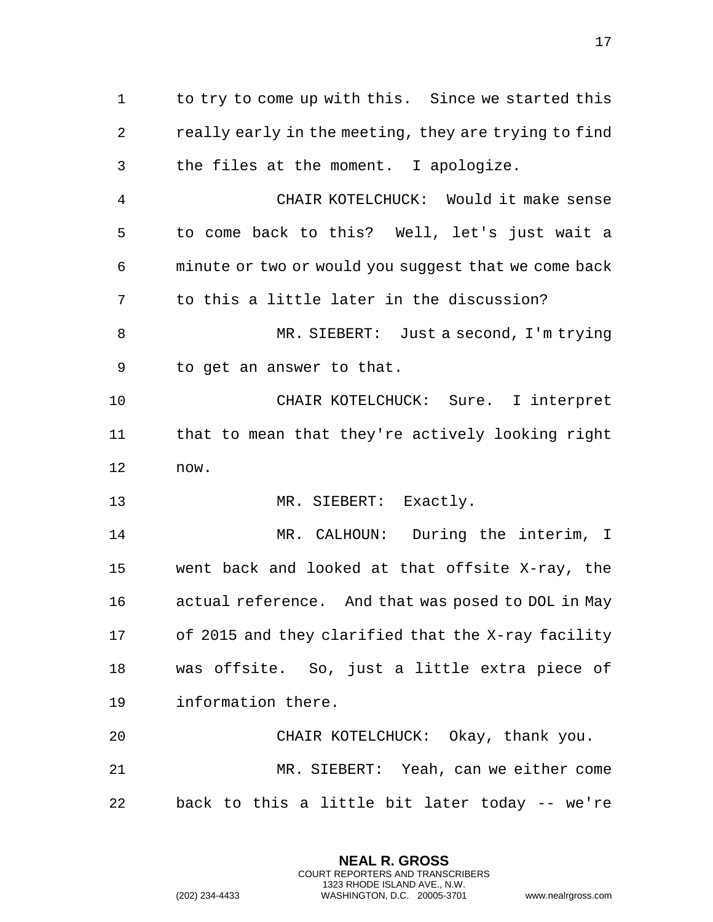to try to come up with this. Since we started this really early in the meeting, they are trying to find the files at the moment. I apologize. CHAIR KOTELCHUCK: Would it make sense to come back to this? Well, let's just wait a minute or two or would you suggest that we come back to this a little later in the discussion? MR. SIEBERT: Just a second, I'm trying to get an answer to that. CHAIR KOTELCHUCK: Sure. I interpret that to mean that they're actively looking right now. 13 MR. SIEBERT: Exactly. 14 MR. CALHOUN: During the interim, I went back and looked at that offsite X-ray, the actual reference. And that was posed to DOL in May of 2015 and they clarified that the X-ray facility was offsite. So, just a little extra piece of information there. CHAIR KOTELCHUCK: Okay, thank you. MR. SIEBERT: Yeah, can we either come

back to this a little bit later today -- we're

**NEAL R. GROSS** COURT REPORTERS AND TRANSCRIBERS 1323 RHODE ISLAND AVE., N.W.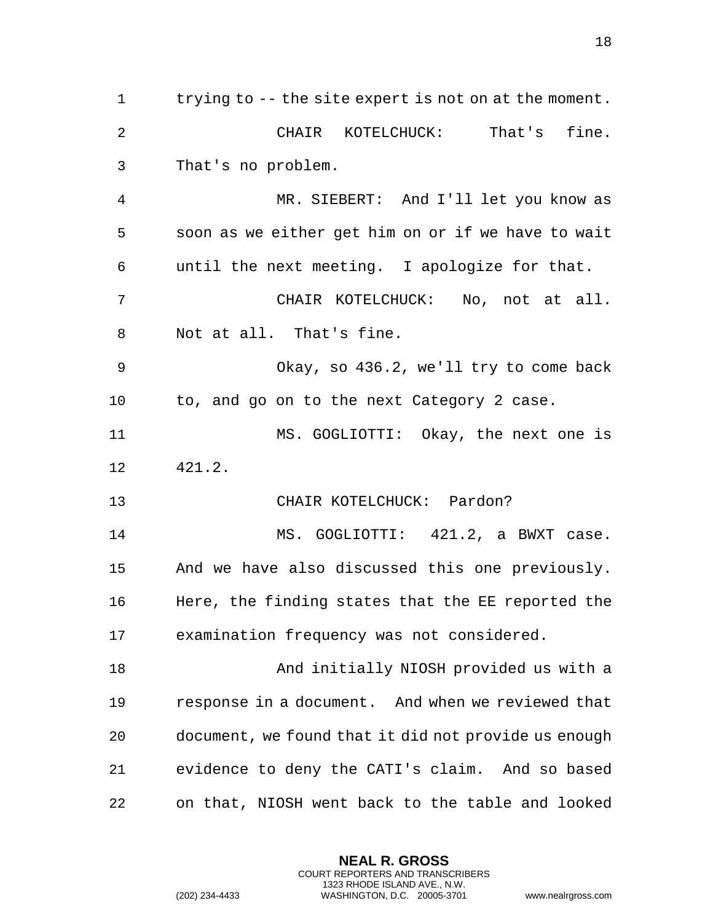trying to -- the site expert is not on at the moment. CHAIR KOTELCHUCK: That's fine. That's no problem. MR. SIEBERT: And I'll let you know as soon as we either get him on or if we have to wait until the next meeting. I apologize for that. CHAIR KOTELCHUCK: No, not at all. Not at all. That's fine. Okay, so 436.2, we'll try to come back to, and go on to the next Category 2 case. MS. GOGLIOTTI: Okay, the next one is 421.2. CHAIR KOTELCHUCK: Pardon? 14 MS. GOGLIOTTI: 421.2, a BWXT case. And we have also discussed this one previously. Here, the finding states that the EE reported the examination frequency was not considered. And initially NIOSH provided us with a response in a document. And when we reviewed that document, we found that it did not provide us enough evidence to deny the CATI's claim. And so based on that, NIOSH went back to the table and looked

> **NEAL R. GROSS** COURT REPORTERS AND TRANSCRIBERS 1323 RHODE ISLAND AVE., N.W.

(202) 234-4433 WASHINGTON, D.C. 20005-3701 www.nealrgross.com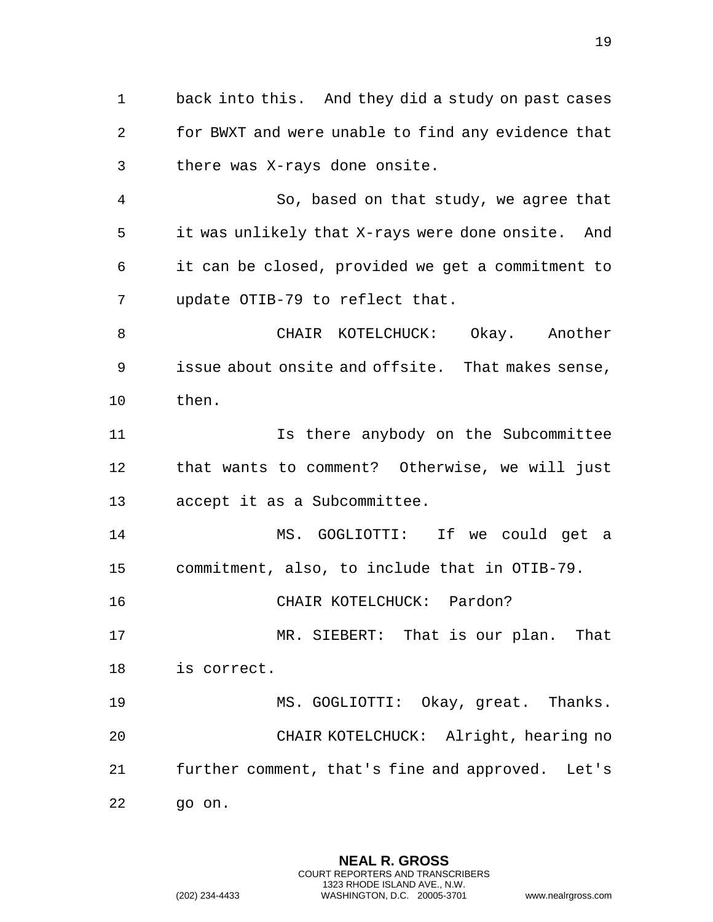back into this. And they did a study on past cases for BWXT and were unable to find any evidence that there was X-rays done onsite. So, based on that study, we agree that it was unlikely that X-rays were done onsite. And it can be closed, provided we get a commitment to update OTIB-79 to reflect that. CHAIR KOTELCHUCK: Okay. Another issue about onsite and offsite. That makes sense, then. 11 11 Is there anybody on the Subcommittee

 that wants to comment? Otherwise, we will just accept it as a Subcommittee.

 MS. GOGLIOTTI: If we could get a commitment, also, to include that in OTIB-79.

CHAIR KOTELCHUCK: Pardon?

 MR. SIEBERT: That is our plan. That is correct.

 MS. GOGLIOTTI: Okay, great. Thanks. CHAIR KOTELCHUCK: Alright, hearing no further comment, that's fine and approved. Let's go on.

> **NEAL R. GROSS** COURT REPORTERS AND TRANSCRIBERS 1323 RHODE ISLAND AVE., N.W.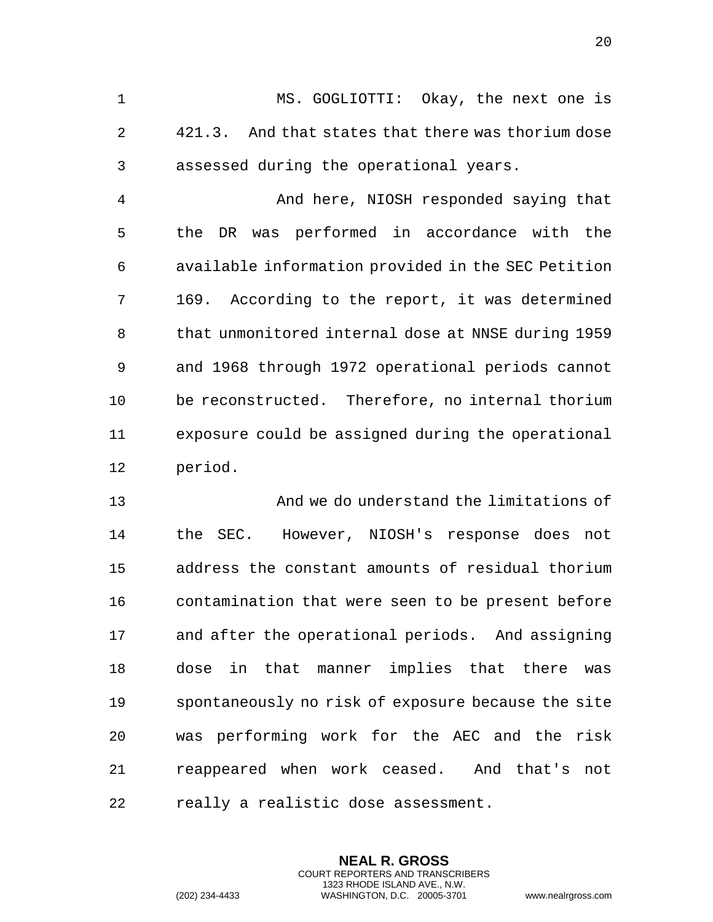MS. GOGLIOTTI: Okay, the next one is 421.3. And that states that there was thorium dose assessed during the operational years.

 And here, NIOSH responded saying that the DR was performed in accordance with the available information provided in the SEC Petition 169. According to the report, it was determined that unmonitored internal dose at NNSE during 1959 and 1968 through 1972 operational periods cannot be reconstructed. Therefore, no internal thorium exposure could be assigned during the operational period.

 And we do understand the limitations of the SEC. However, NIOSH's response does not address the constant amounts of residual thorium contamination that were seen to be present before and after the operational periods. And assigning dose in that manner implies that there was spontaneously no risk of exposure because the site was performing work for the AEC and the risk reappeared when work ceased. And that's not really a realistic dose assessment.

> **NEAL R. GROSS** COURT REPORTERS AND TRANSCRIBERS 1323 RHODE ISLAND AVE., N.W.

(202) 234-4433 WASHINGTON, D.C. 20005-3701 www.nealrgross.com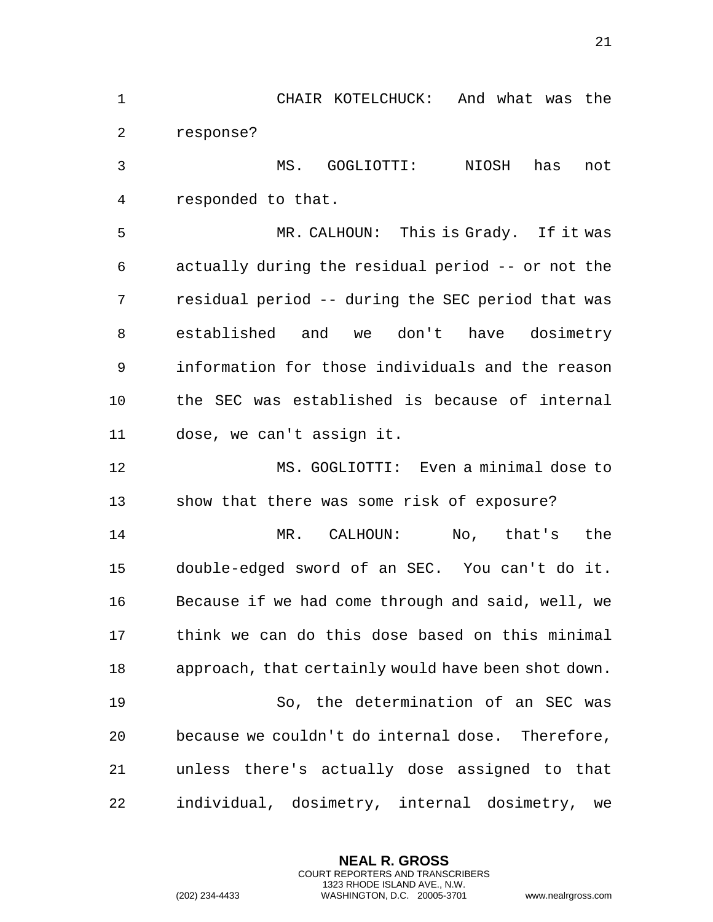CHAIR KOTELCHUCK: And what was the response? MS. GOGLIOTTI: NIOSH has not responded to that. MR. CALHOUN: This is Grady. If it was actually during the residual period -- or not the residual period -- during the SEC period that was established and we don't have dosimetry information for those individuals and the reason the SEC was established is because of internal dose, we can't assign it. MS. GOGLIOTTI: Even a minimal dose to show that there was some risk of exposure? MR. CALHOUN: No, that's the double-edged sword of an SEC. You can't do it. Because if we had come through and said, well, we think we can do this dose based on this minimal approach, that certainly would have been shot down. So, the determination of an SEC was because we couldn't do internal dose. Therefore, unless there's actually dose assigned to that individual, dosimetry, internal dosimetry, we

> **NEAL R. GROSS** COURT REPORTERS AND TRANSCRIBERS 1323 RHODE ISLAND AVE., N.W.

(202) 234-4433 WASHINGTON, D.C. 20005-3701 www.nealrgross.com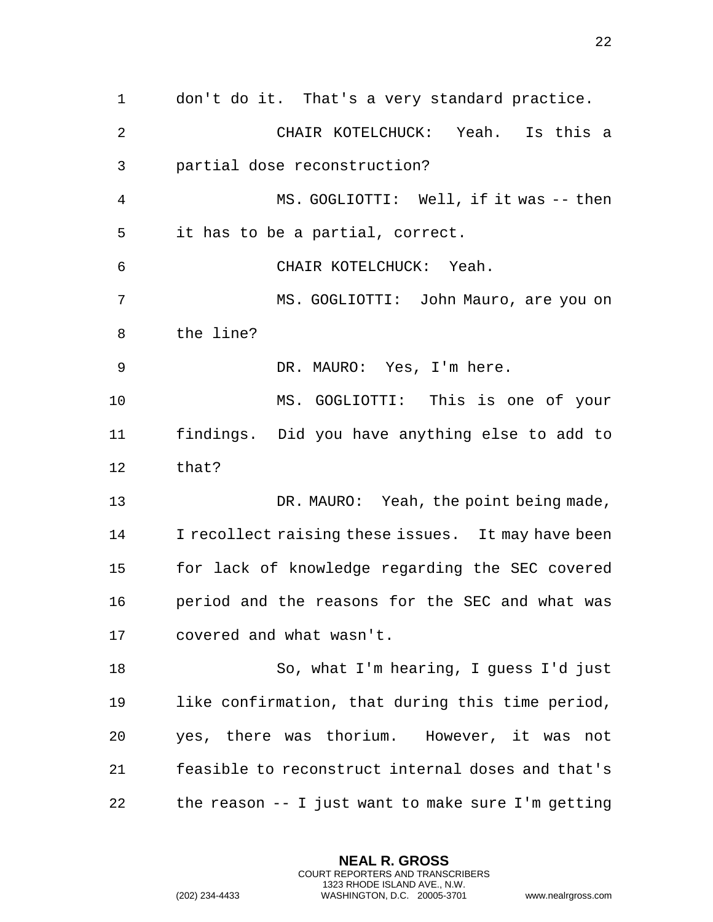don't do it. That's a very standard practice. CHAIR KOTELCHUCK: Yeah. Is this a partial dose reconstruction? MS. GOGLIOTTI: Well, if it was -- then it has to be a partial, correct. CHAIR KOTELCHUCK: Yeah. MS. GOGLIOTTI: John Mauro, are you on the line? DR. MAURO: Yes, I'm here. MS. GOGLIOTTI: This is one of your findings. Did you have anything else to add to that? 13 DR. MAURO: Yeah, the point being made, I recollect raising these issues. It may have been for lack of knowledge regarding the SEC covered period and the reasons for the SEC and what was covered and what wasn't. So, what I'm hearing, I guess I'd just like confirmation, that during this time period, yes, there was thorium. However, it was not feasible to reconstruct internal doses and that's the reason -- I just want to make sure I'm getting

> **NEAL R. GROSS** COURT REPORTERS AND TRANSCRIBERS 1323 RHODE ISLAND AVE., N.W.

(202) 234-4433 WASHINGTON, D.C. 20005-3701 www.nealrgross.com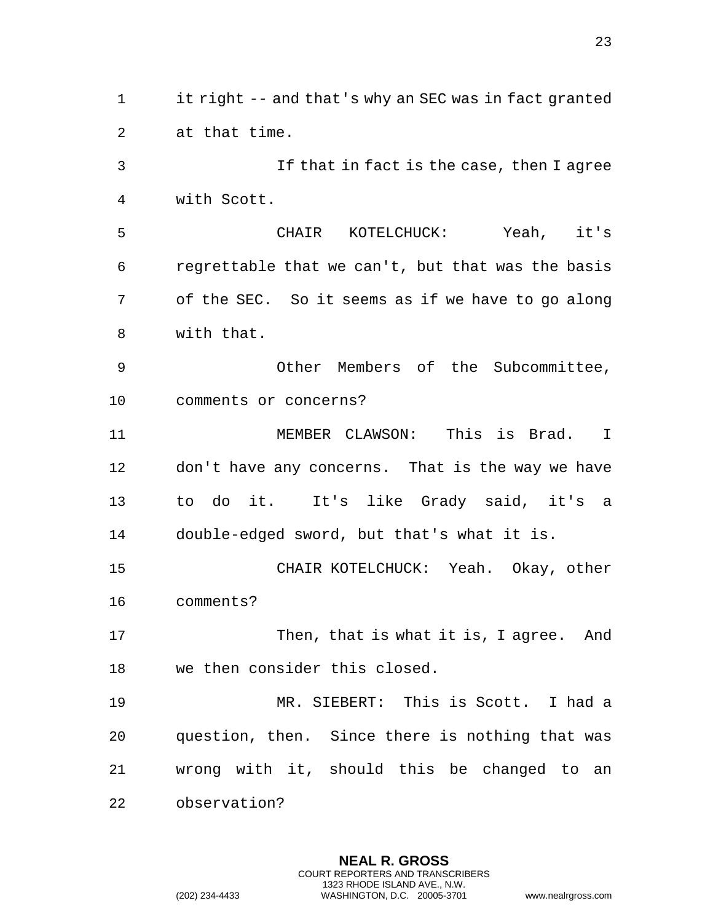it right -- and that's why an SEC was in fact granted at that time. If that in fact is the case, then I agree with Scott. CHAIR KOTELCHUCK: Yeah, it's regrettable that we can't, but that was the basis of the SEC. So it seems as if we have to go along with that. Other Members of the Subcommittee, comments or concerns? MEMBER CLAWSON: This is Brad. I don't have any concerns. That is the way we have to do it. It's like Grady said, it's a double-edged sword, but that's what it is. CHAIR KOTELCHUCK: Yeah. Okay, other comments? Then, that is what it is, I agree. And we then consider this closed. MR. SIEBERT: This is Scott. I had a question, then. Since there is nothing that was wrong with it, should this be changed to an observation?

> **NEAL R. GROSS** COURT REPORTERS AND TRANSCRIBERS 1323 RHODE ISLAND AVE., N.W.

(202) 234-4433 WASHINGTON, D.C. 20005-3701 www.nealrgross.com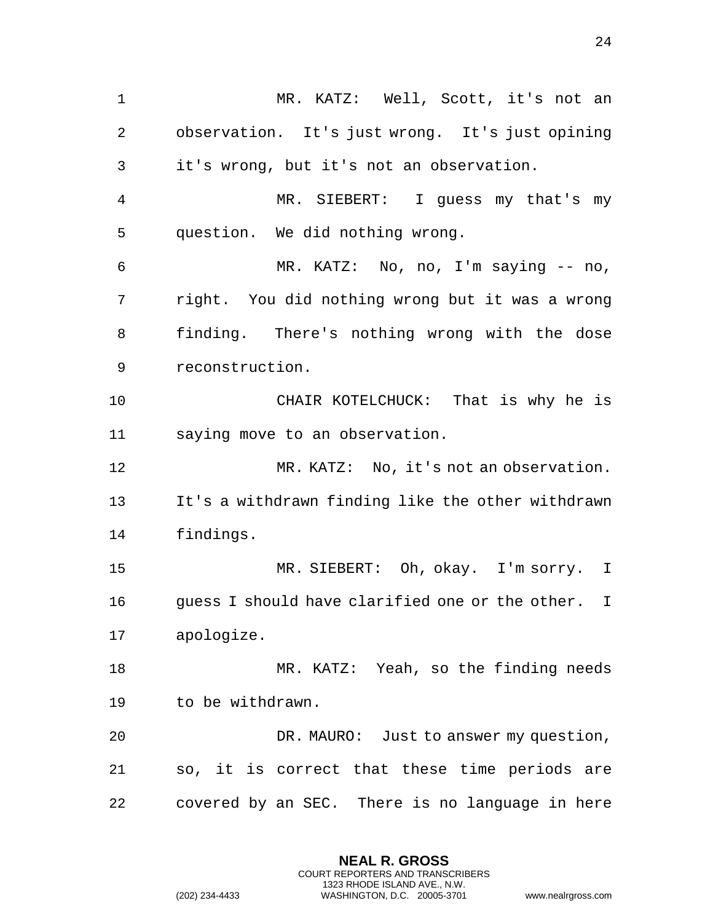MR. KATZ: Well, Scott, it's not an observation. It's just wrong. It's just opining it's wrong, but it's not an observation. MR. SIEBERT: I guess my that's my question. We did nothing wrong. MR. KATZ: No, no, I'm saying -- no, right. You did nothing wrong but it was a wrong finding. There's nothing wrong with the dose reconstruction. CHAIR KOTELCHUCK: That is why he is saying move to an observation. MR. KATZ: No, it's not an observation. It's a withdrawn finding like the other withdrawn findings. MR. SIEBERT: Oh, okay. I'm sorry. I guess I should have clarified one or the other. I apologize. MR. KATZ: Yeah, so the finding needs to be withdrawn. DR. MAURO: Just to answer my question, so, it is correct that these time periods are covered by an SEC. There is no language in here

> **NEAL R. GROSS** COURT REPORTERS AND TRANSCRIBERS 1323 RHODE ISLAND AVE., N.W.

(202) 234-4433 WASHINGTON, D.C. 20005-3701 www.nealrgross.com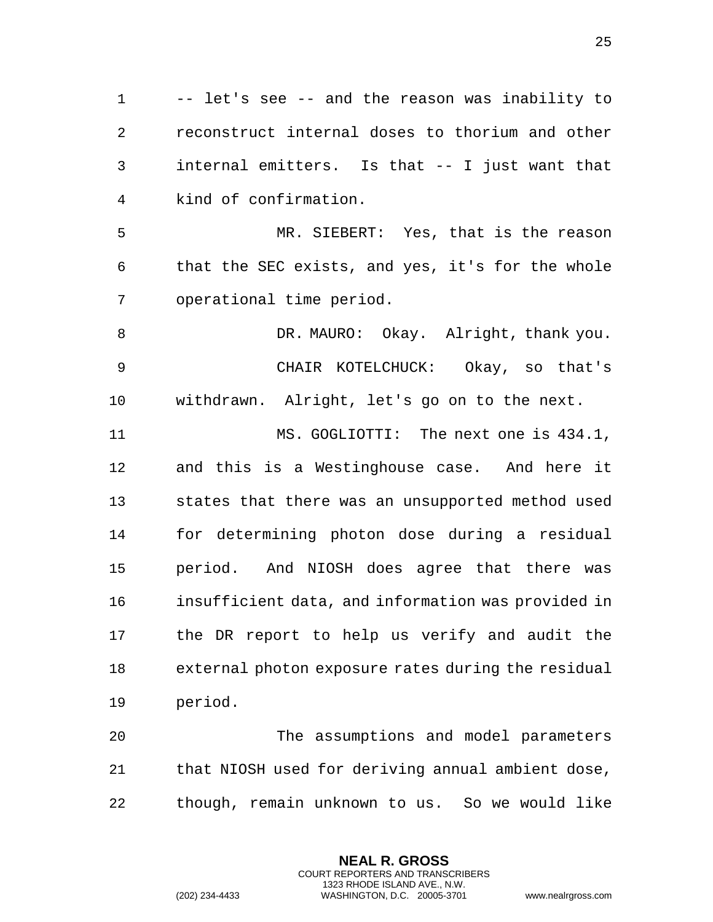-- let's see -- and the reason was inability to reconstruct internal doses to thorium and other internal emitters. Is that -- I just want that kind of confirmation.

 MR. SIEBERT: Yes, that is the reason that the SEC exists, and yes, it's for the whole operational time period.

 DR. MAURO: Okay. Alright, thank you. CHAIR KOTELCHUCK: Okay, so that's withdrawn. Alright, let's go on to the next.

11 MS. GOGLIOTTI: The next one is  $434.1$ , and this is a Westinghouse case. And here it states that there was an unsupported method used for determining photon dose during a residual period. And NIOSH does agree that there was insufficient data, and information was provided in the DR report to help us verify and audit the external photon exposure rates during the residual period.

 The assumptions and model parameters that NIOSH used for deriving annual ambient dose, though, remain unknown to us. So we would like

> **NEAL R. GROSS** COURT REPORTERS AND TRANSCRIBERS 1323 RHODE ISLAND AVE., N.W.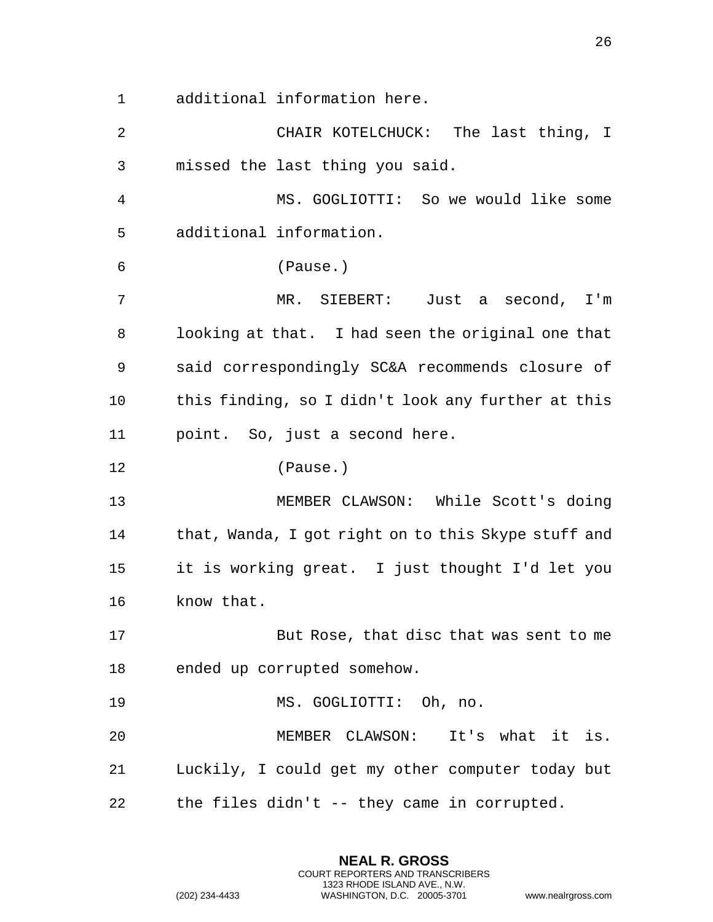additional information here.

 CHAIR KOTELCHUCK: The last thing, I missed the last thing you said. MS. GOGLIOTTI: So we would like some additional information. (Pause.) MR. SIEBERT: Just a second, I'm looking at that. I had seen the original one that said correspondingly SC&A recommends closure of this finding, so I didn't look any further at this point. So, just a second here. (Pause.) MEMBER CLAWSON: While Scott's doing 14 that, Wanda, I got right on to this Skype stuff and it is working great. I just thought I'd let you know that. But Rose, that disc that was sent to me ended up corrupted somehow. MS. GOGLIOTTI: Oh, no. MEMBER CLAWSON: It's what it is. Luckily, I could get my other computer today but the files didn't -- they came in corrupted.

> **NEAL R. GROSS** COURT REPORTERS AND TRANSCRIBERS 1323 RHODE ISLAND AVE., N.W.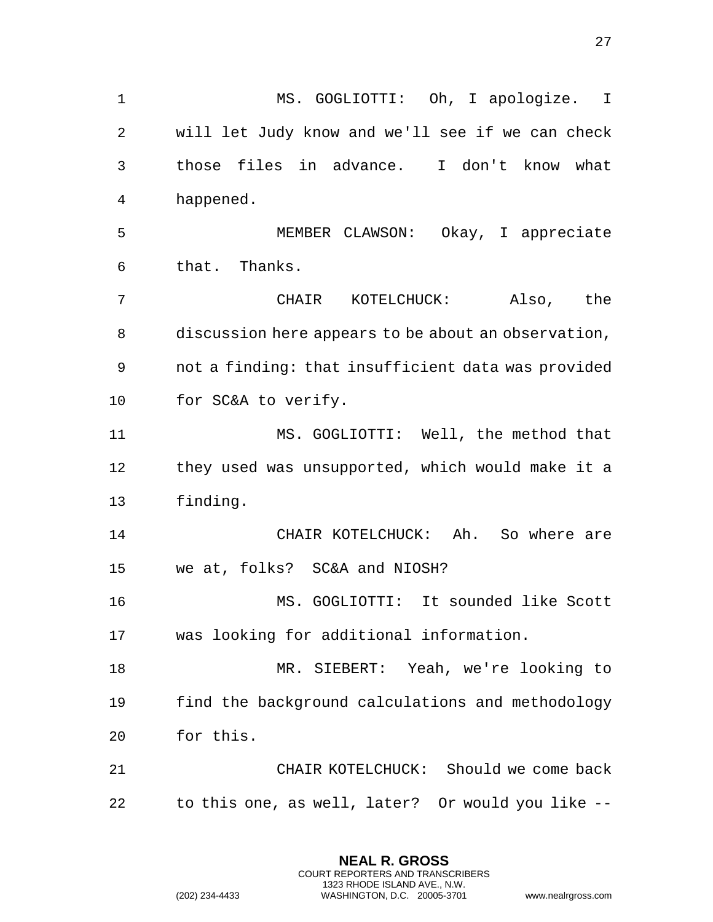MS. GOGLIOTTI: Oh, I apologize. I will let Judy know and we'll see if we can check those files in advance. I don't know what happened. MEMBER CLAWSON: Okay, I appreciate that. Thanks. CHAIR KOTELCHUCK: Also, the discussion here appears to be about an observation, not a finding: that insufficient data was provided for SC&A to verify. MS. GOGLIOTTI: Well, the method that they used was unsupported, which would make it a finding. CHAIR KOTELCHUCK: Ah. So where are we at, folks? SC&A and NIOSH? MS. GOGLIOTTI: It sounded like Scott was looking for additional information. MR. SIEBERT: Yeah, we're looking to find the background calculations and methodology for this. CHAIR KOTELCHUCK: Should we come back to this one, as well, later? Or would you like --

> **NEAL R. GROSS** COURT REPORTERS AND TRANSCRIBERS 1323 RHODE ISLAND AVE., N.W.

(202) 234-4433 WASHINGTON, D.C. 20005-3701 www.nealrgross.com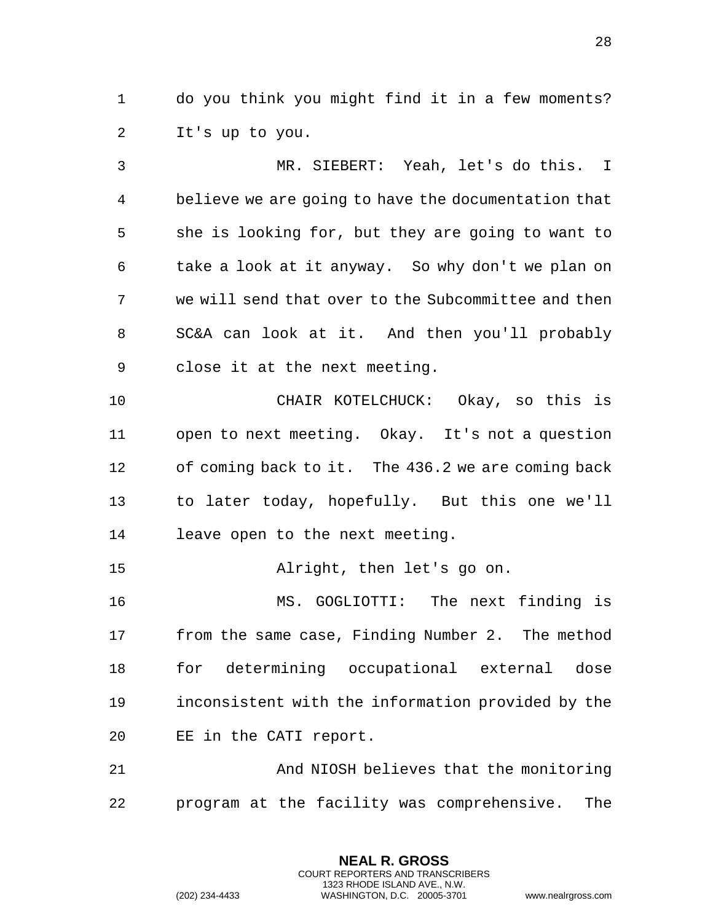do you think you might find it in a few moments? It's up to you.

 MR. SIEBERT: Yeah, let's do this. I believe we are going to have the documentation that she is looking for, but they are going to want to take a look at it anyway. So why don't we plan on we will send that over to the Subcommittee and then SC&A can look at it. And then you'll probably close it at the next meeting. CHAIR KOTELCHUCK: Okay, so this is open to next meeting. Okay. It's not a question of coming back to it. The 436.2 we are coming back to later today, hopefully. But this one we'll leave open to the next meeting. Alright, then let's go on. MS. GOGLIOTTI: The next finding is from the same case, Finding Number 2. The method for determining occupational external dose inconsistent with the information provided by the EE in the CATI report. And NIOSH believes that the monitoring

program at the facility was comprehensive. The

**NEAL R. GROSS** COURT REPORTERS AND TRANSCRIBERS 1323 RHODE ISLAND AVE., N.W.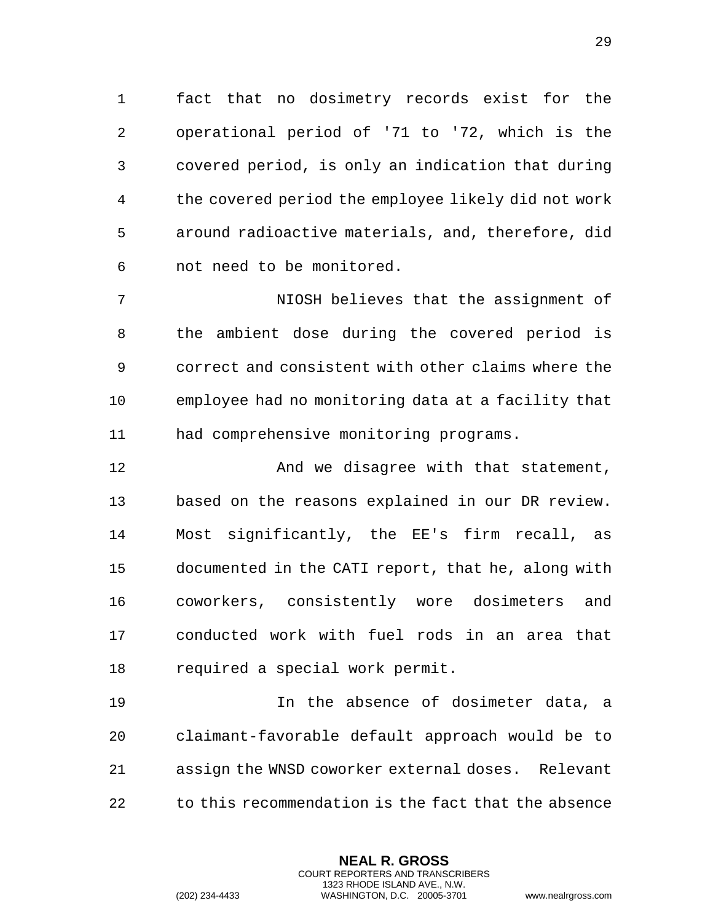fact that no dosimetry records exist for the operational period of '71 to '72, which is the covered period, is only an indication that during the covered period the employee likely did not work around radioactive materials, and, therefore, did not need to be monitored.

 NIOSH believes that the assignment of the ambient dose during the covered period is correct and consistent with other claims where the employee had no monitoring data at a facility that had comprehensive monitoring programs.

**And we disagree with that statement,**  based on the reasons explained in our DR review. Most significantly, the EE's firm recall, as documented in the CATI report, that he, along with coworkers, consistently wore dosimeters and conducted work with fuel rods in an area that required a special work permit.

 In the absence of dosimeter data, a claimant-favorable default approach would be to assign the WNSD coworker external doses. Relevant to this recommendation is the fact that the absence

> **NEAL R. GROSS** COURT REPORTERS AND TRANSCRIBERS 1323 RHODE ISLAND AVE., N.W.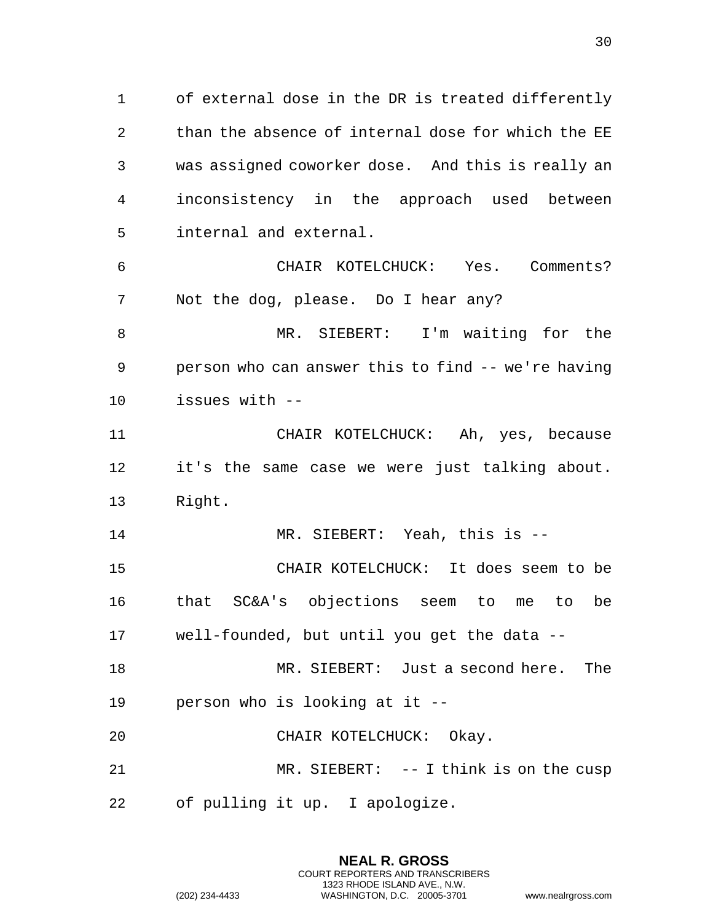of external dose in the DR is treated differently than the absence of internal dose for which the EE was assigned coworker dose. And this is really an inconsistency in the approach used between internal and external.

 CHAIR KOTELCHUCK: Yes. Comments? Not the dog, please. Do I hear any?

 MR. SIEBERT: I'm waiting for the person who can answer this to find -- we're having issues with --

 CHAIR KOTELCHUCK: Ah, yes, because it's the same case we were just talking about. Right.

MR. SIEBERT: Yeah, this is --

 CHAIR KOTELCHUCK: It does seem to be that SC&A's objections seem to me to be well-founded, but until you get the data --

 MR. SIEBERT: Just a second here. The person who is looking at it --

CHAIR KOTELCHUCK: Okay.

 MR. SIEBERT: -- I think is on the cusp of pulling it up. I apologize.

> **NEAL R. GROSS** COURT REPORTERS AND TRANSCRIBERS 1323 RHODE ISLAND AVE., N.W.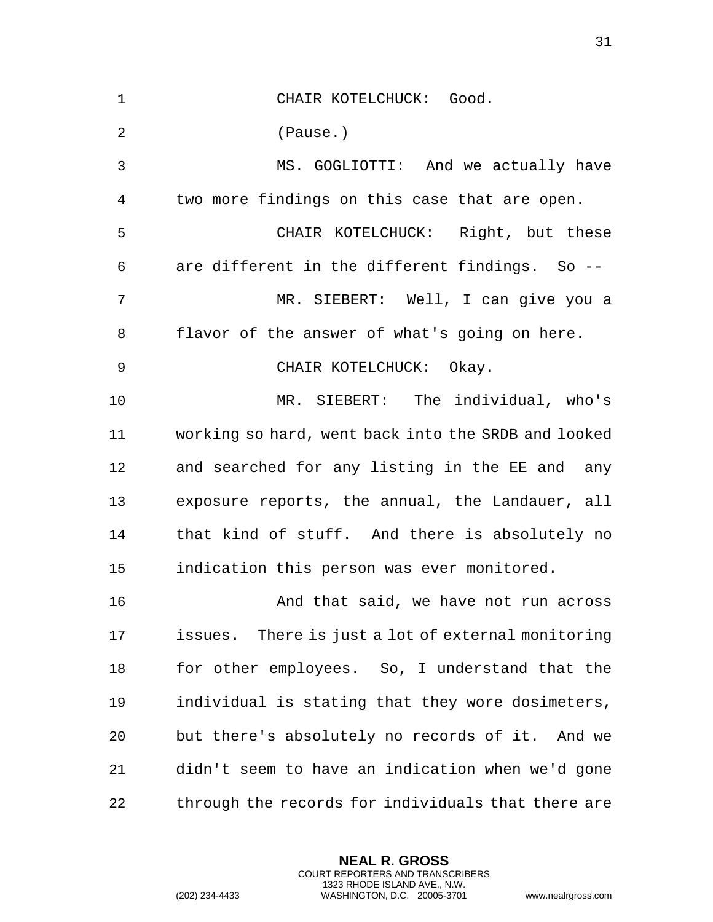| $\mathbf{1}$   | CHAIR KOTELCHUCK: Good.                             |
|----------------|-----------------------------------------------------|
| $\overline{2}$ | (Pause.)                                            |
| 3              | MS. GOGLIOTTI: And we actually have                 |
| 4              | two more findings on this case that are open.       |
| 5              | CHAIR KOTELCHUCK: Right, but these                  |
| 6              | are different in the different findings. So --      |
| 7              | MR. SIEBERT: Well, I can give you a                 |
| 8              | flavor of the answer of what's going on here.       |
| 9              | CHAIR KOTELCHUCK: Okay.                             |
| 10             | MR. SIEBERT: The individual, who's                  |
| 11             | working so hard, went back into the SRDB and looked |
| 12             | and searched for any listing in the EE and any      |
| 13             | exposure reports, the annual, the Landauer, all     |
| 14             | that kind of stuff. And there is absolutely no      |
| 15             | indication this person was ever monitored.          |
| 16             | And that said, we have not run across               |
| 17             | issues. There is just a lot of external monitoring  |
| 18             | for other employees. So, I understand that the      |
| 19             | individual is stating that they wore dosimeters,    |
| 20             | but there's absolutely no records of it. And we     |
| 21             | didn't seem to have an indication when we'd gone    |
| 22             | through the records for individuals that there are  |

**NEAL R. GROSS** COURT REPORTERS AND TRANSCRIBERS 1323 RHODE ISLAND AVE., N.W.

(202) 234-4433 WASHINGTON, D.C. 20005-3701 www.nealrgross.com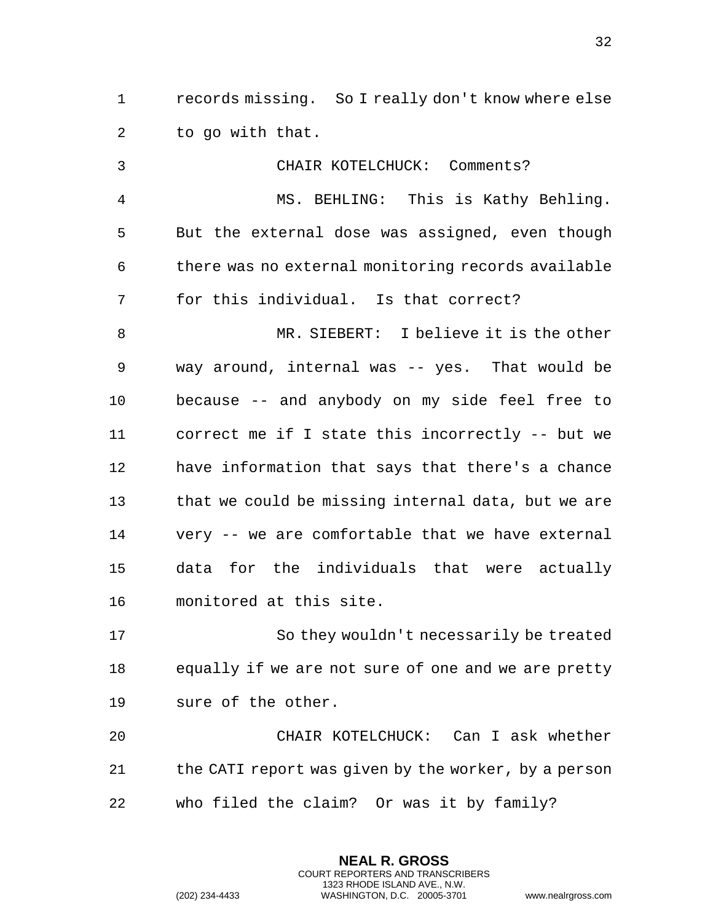records missing. So I really don't know where else to go with that.

 CHAIR KOTELCHUCK: Comments? MS. BEHLING: This is Kathy Behling. But the external dose was assigned, even though there was no external monitoring records available for this individual. Is that correct? MR. SIEBERT: I believe it is the other way around, internal was -- yes. That would be because -- and anybody on my side feel free to correct me if I state this incorrectly -- but we have information that says that there's a chance that we could be missing internal data, but we are very -- we are comfortable that we have external data for the individuals that were actually monitored at this site. So they wouldn't necessarily be treated equally if we are not sure of one and we are pretty sure of the other. CHAIR KOTELCHUCK: Can I ask whether

 the CATI report was given by the worker, by a person who filed the claim? Or was it by family?

> **NEAL R. GROSS** COURT REPORTERS AND TRANSCRIBERS 1323 RHODE ISLAND AVE., N.W.

(202) 234-4433 WASHINGTON, D.C. 20005-3701 www.nealrgross.com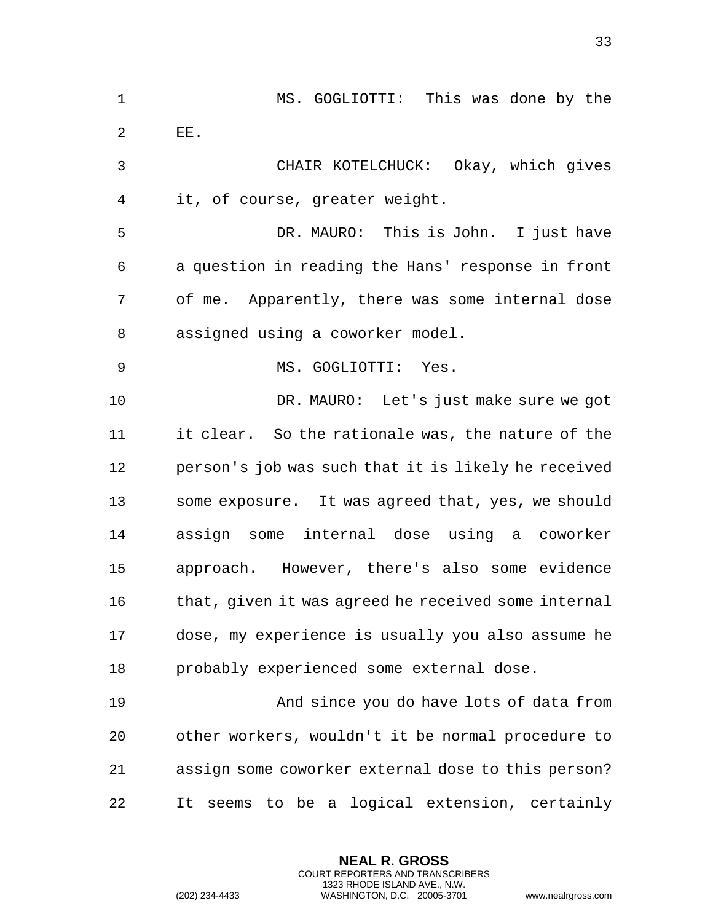MS. GOGLIOTTI: This was done by the EE. CHAIR KOTELCHUCK: Okay, which gives it, of course, greater weight. DR. MAURO: This is John. I just have a question in reading the Hans' response in front of me. Apparently, there was some internal dose assigned using a coworker model. MS. GOGLIOTTI: Yes. DR. MAURO: Let's just make sure we got it clear. So the rationale was, the nature of the person's job was such that it is likely he received some exposure. It was agreed that, yes, we should assign some internal dose using a coworker approach. However, there's also some evidence 16 that, given it was agreed he received some internal dose, my experience is usually you also assume he probably experienced some external dose. And since you do have lots of data from other workers, wouldn't it be normal procedure to assign some coworker external dose to this person? It seems to be a logical extension, certainly

> **NEAL R. GROSS** COURT REPORTERS AND TRANSCRIBERS 1323 RHODE ISLAND AVE., N.W.

(202) 234-4433 WASHINGTON, D.C. 20005-3701 www.nealrgross.com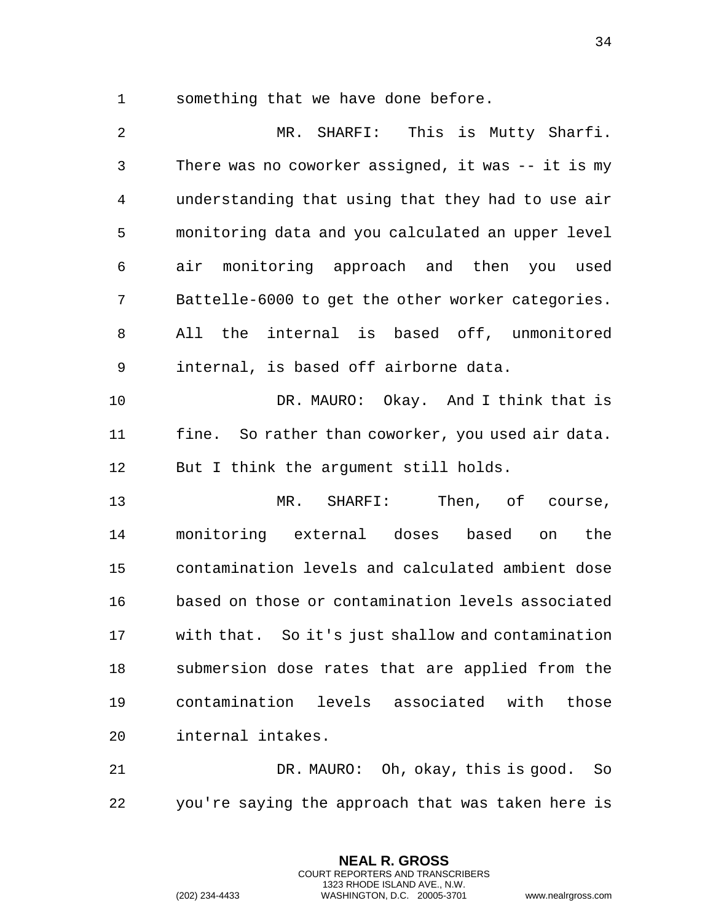something that we have done before.

 MR. SHARFI: This is Mutty Sharfi. There was no coworker assigned, it was -- it is my understanding that using that they had to use air monitoring data and you calculated an upper level air monitoring approach and then you used Battelle-6000 to get the other worker categories. All the internal is based off, unmonitored internal, is based off airborne data.

 DR. MAURO: Okay. And I think that is fine. So rather than coworker, you used air data. But I think the argument still holds.

 MR. SHARFI: Then, of course, monitoring external doses based on the contamination levels and calculated ambient dose based on those or contamination levels associated with that. So it's just shallow and contamination submersion dose rates that are applied from the contamination levels associated with those internal intakes.

 DR. MAURO: Oh, okay, this is good. So you're saying the approach that was taken here is

> **NEAL R. GROSS** COURT REPORTERS AND TRANSCRIBERS 1323 RHODE ISLAND AVE., N.W.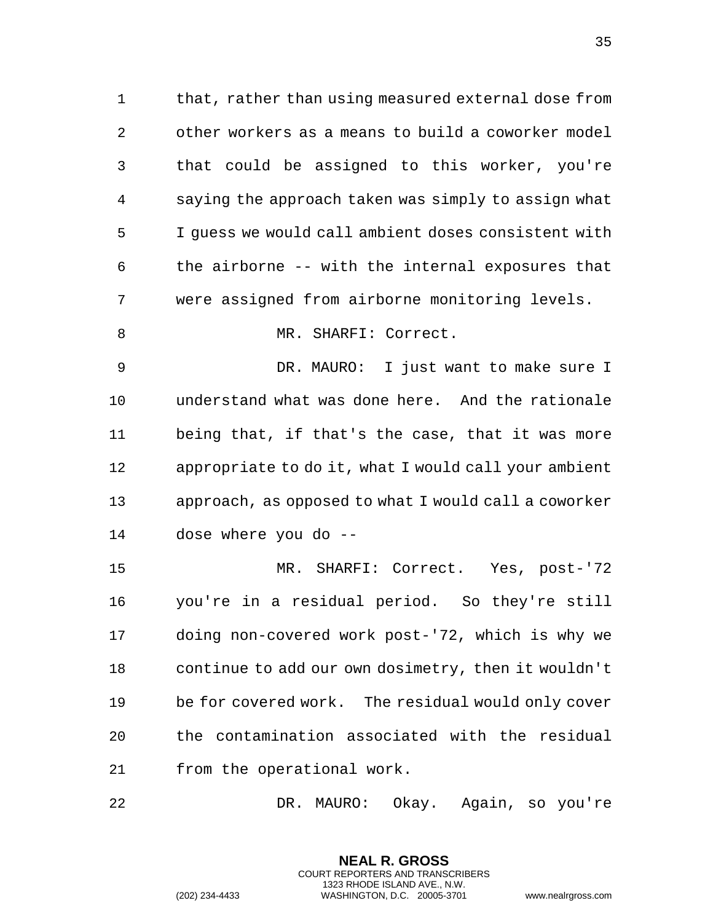that, rather than using measured external dose from other workers as a means to build a coworker model that could be assigned to this worker, you're saying the approach taken was simply to assign what I guess we would call ambient doses consistent with the airborne -- with the internal exposures that were assigned from airborne monitoring levels.

8 MR. SHARFI: Correct.

 DR. MAURO: I just want to make sure I understand what was done here. And the rationale being that, if that's the case, that it was more appropriate to do it, what I would call your ambient approach, as opposed to what I would call a coworker dose where you do --

 MR. SHARFI: Correct. Yes, post-'72 you're in a residual period. So they're still doing non-covered work post-'72, which is why we continue to add our own dosimetry, then it wouldn't be for covered work. The residual would only cover the contamination associated with the residual from the operational work.

DR. MAURO: Okay. Again, so you're

**NEAL R. GROSS** COURT REPORTERS AND TRANSCRIBERS 1323 RHODE ISLAND AVE., N.W.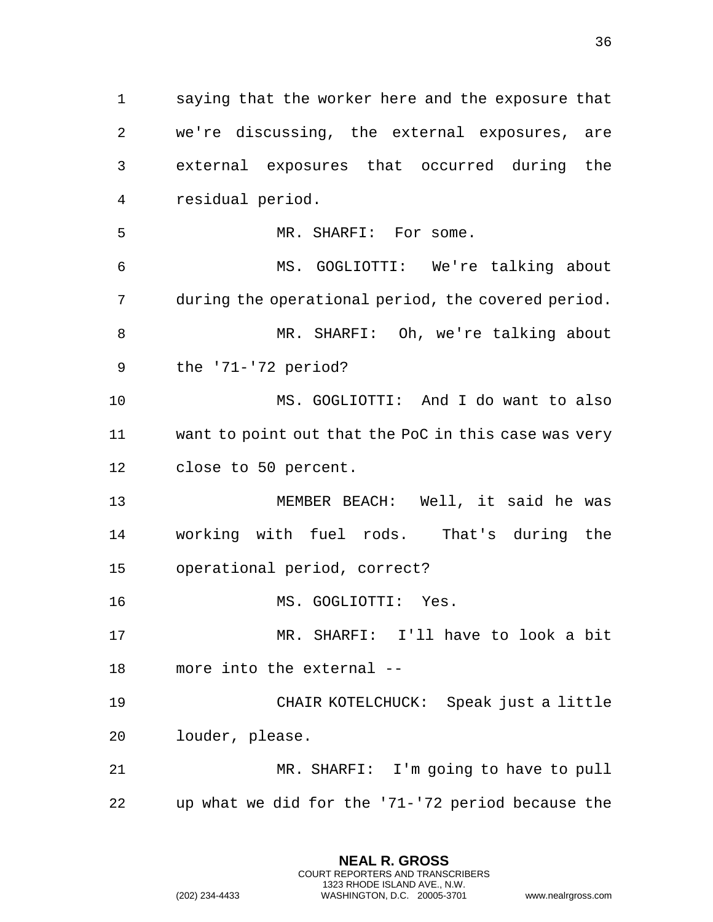saying that the worker here and the exposure that

 we're discussing, the external exposures, are external exposures that occurred during the residual period. MR. SHARFI: For some. MS. GOGLIOTTI: We're talking about during the operational period, the covered period. MR. SHARFI: Oh, we're talking about the '71-'72 period? MS. GOGLIOTTI: And I do want to also want to point out that the PoC in this case was very close to 50 percent. MEMBER BEACH: Well, it said he was working with fuel rods. That's during the operational period, correct? MS. GOGLIOTTI: Yes. MR. SHARFI: I'll have to look a bit more into the external -- CHAIR KOTELCHUCK: Speak just a little louder, please. MR. SHARFI: I'm going to have to pull up what we did for the '71-'72 period because the

> **NEAL R. GROSS** COURT REPORTERS AND TRANSCRIBERS 1323 RHODE ISLAND AVE., N.W.

(202) 234-4433 WASHINGTON, D.C. 20005-3701 www.nealrgross.com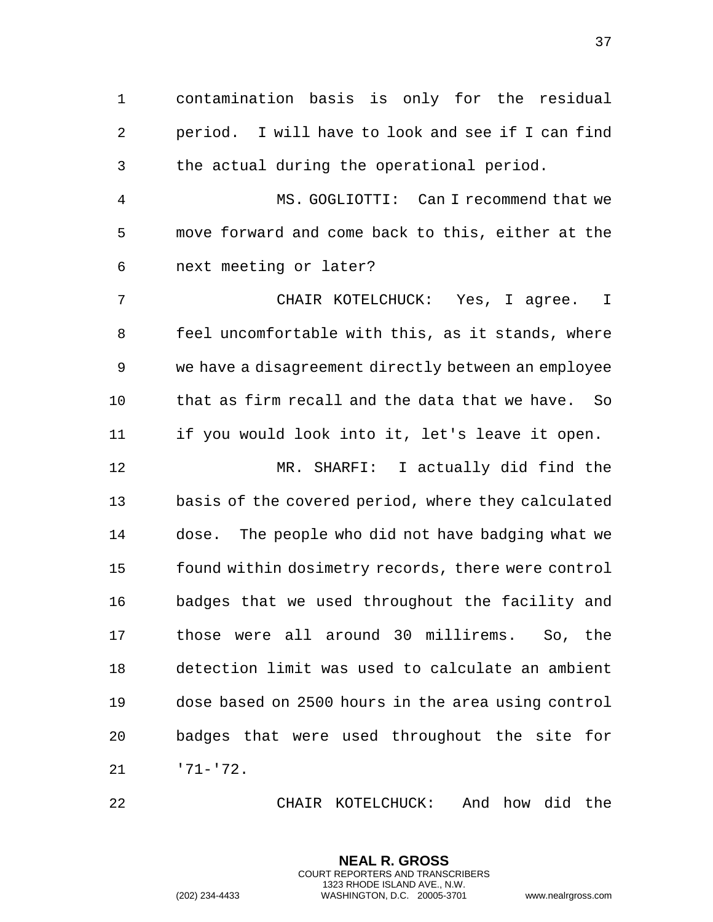contamination basis is only for the residual period. I will have to look and see if I can find the actual during the operational period. MS. GOGLIOTTI: Can I recommend that we move forward and come back to this, either at the next meeting or later? CHAIR KOTELCHUCK: Yes, I agree. I feel uncomfortable with this, as it stands, where we have a disagreement directly between an employee that as firm recall and the data that we have. So if you would look into it, let's leave it open. MR. SHARFI: I actually did find the basis of the covered period, where they calculated dose. The people who did not have badging what we found within dosimetry records, there were control badges that we used throughout the facility and those were all around 30 millirems. So, the detection limit was used to calculate an ambient dose based on 2500 hours in the area using control badges that were used throughout the site for

'71-'72.

CHAIR KOTELCHUCK: And how did the

**NEAL R. GROSS** COURT REPORTERS AND TRANSCRIBERS 1323 RHODE ISLAND AVE., N.W.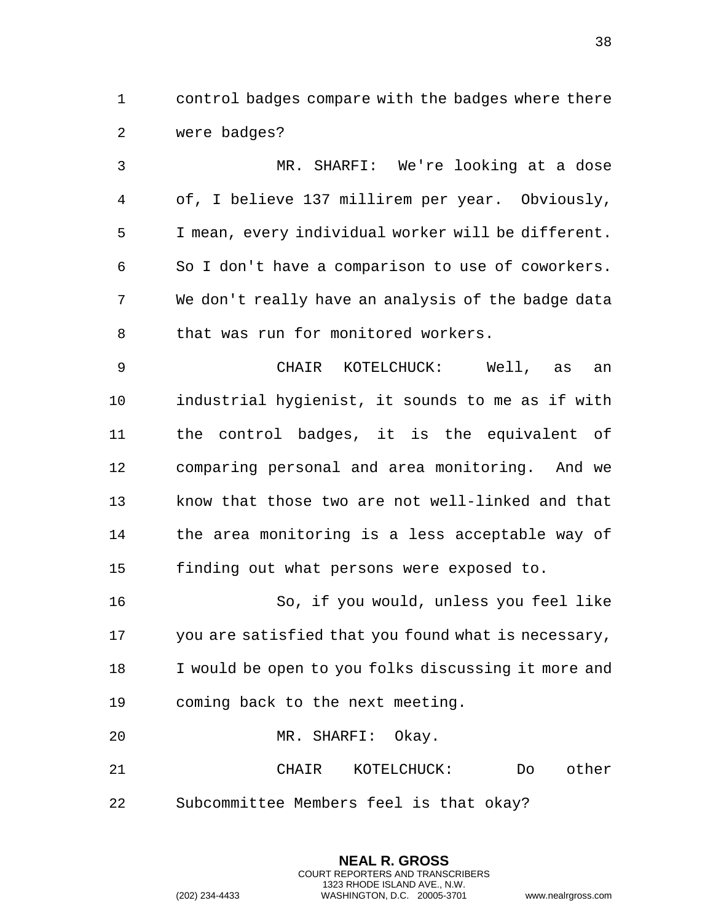control badges compare with the badges where there were badges?

 MR. SHARFI: We're looking at a dose of, I believe 137 millirem per year. Obviously, I mean, every individual worker will be different. So I don't have a comparison to use of coworkers. We don't really have an analysis of the badge data 8 that was run for monitored workers. CHAIR KOTELCHUCK: Well, as an

 industrial hygienist, it sounds to me as if with the control badges, it is the equivalent of comparing personal and area monitoring. And we know that those two are not well-linked and that the area monitoring is a less acceptable way of finding out what persons were exposed to.

 So, if you would, unless you feel like you are satisfied that you found what is necessary, I would be open to you folks discussing it more and coming back to the next meeting.

MR. SHARFI: Okay.

 CHAIR KOTELCHUCK: Do other Subcommittee Members feel is that okay?

> **NEAL R. GROSS** COURT REPORTERS AND TRANSCRIBERS 1323 RHODE ISLAND AVE., N.W.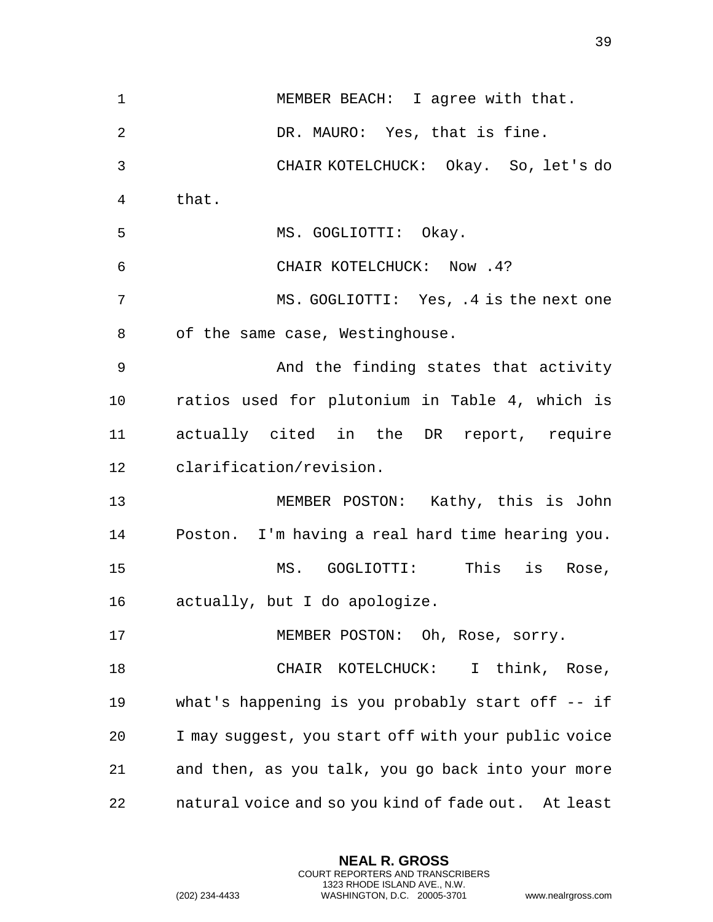| $\mathbf 1$     | MEMBER BEACH: I agree with that.                    |
|-----------------|-----------------------------------------------------|
| 2               | DR. MAURO: Yes, that is fine.                       |
| 3               | CHAIR KOTELCHUCK: Okay. So, let's do                |
| 4               | that.                                               |
| 5               | MS. GOGLIOTTI: Okay.                                |
| 6               | CHAIR KOTELCHUCK: Now .4?                           |
| 7               | MS. GOGLIOTTI: Yes, .4 is the next one              |
| 8               | of the same case, Westinghouse.                     |
| 9               | And the finding states that activity                |
| 10              | ratios used for plutonium in Table 4, which is      |
| 11              | actually cited in the DR report, require            |
| 12 <sub>1</sub> | clarification/revision.                             |
| 13              | MEMBER POSTON: Kathy, this is John                  |
| 14              | Poston. I'm having a real hard time hearing you.    |
| 15              | This<br>is<br>MS. GOGLIOTTI:<br>Rose,               |
| 16              | actually, but I do apologize.                       |
| 17              | MEMBER POSTON: Oh, Rose, sorry.                     |
| 18              | CHAIR KOTELCHUCK: I think, Rose,                    |
| 19              | what's happening is you probably start off $-$ if   |
| 20              | I may suggest, you start off with your public voice |
| 21              | and then, as you talk, you go back into your more   |
| 22              | natural voice and so you kind of fade out. At least |

**NEAL R. GROSS** COURT REPORTERS AND TRANSCRIBERS 1323 RHODE ISLAND AVE., N.W.

(202) 234-4433 WASHINGTON, D.C. 20005-3701 www.nealrgross.com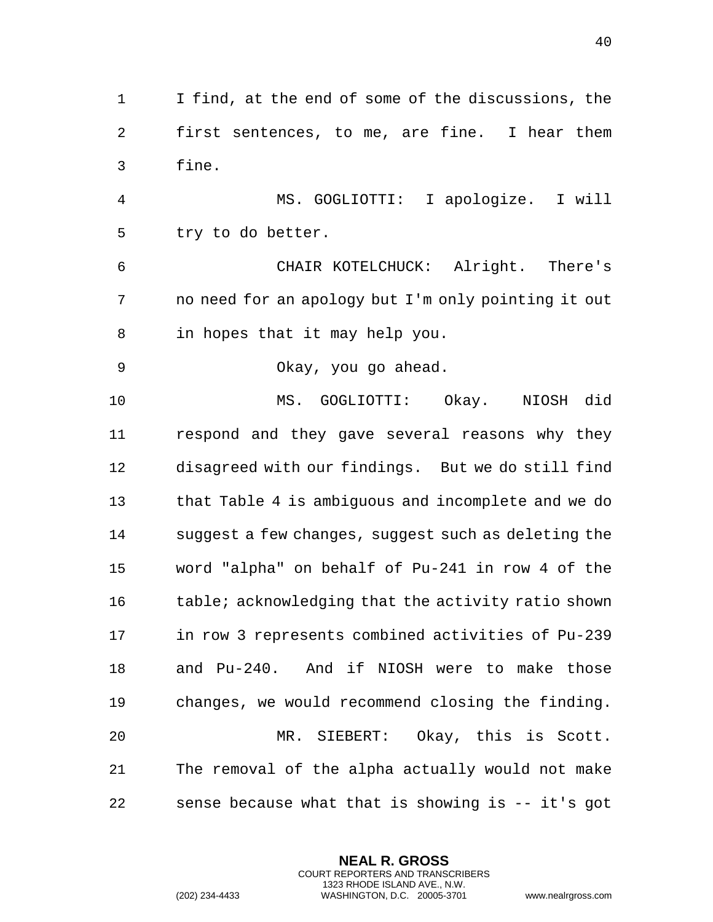I find, at the end of some of the discussions, the first sentences, to me, are fine. I hear them fine.

 MS. GOGLIOTTI: I apologize. I will try to do better.

 CHAIR KOTELCHUCK: Alright. There's no need for an apology but I'm only pointing it out in hopes that it may help you.

Okay, you go ahead.

 MS. GOGLIOTTI: Okay. NIOSH did respond and they gave several reasons why they disagreed with our findings. But we do still find that Table 4 is ambiguous and incomplete and we do suggest a few changes, suggest such as deleting the word "alpha" on behalf of Pu-241 in row 4 of the 16 table; acknowledging that the activity ratio shown in row 3 represents combined activities of Pu-239 and Pu-240. And if NIOSH were to make those changes, we would recommend closing the finding. MR. SIEBERT: Okay, this is Scott. The removal of the alpha actually would not make sense because what that is showing is -- it's got

> **NEAL R. GROSS** COURT REPORTERS AND TRANSCRIBERS 1323 RHODE ISLAND AVE., N.W.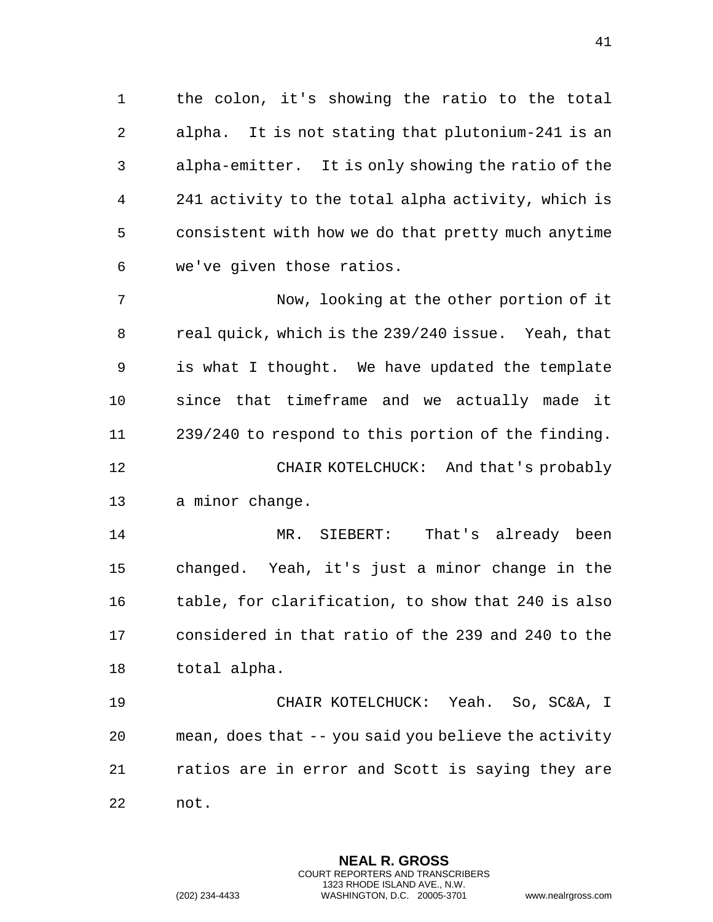the colon, it's showing the ratio to the total alpha. It is not stating that plutonium-241 is an alpha-emitter. It is only showing the ratio of the 241 activity to the total alpha activity, which is consistent with how we do that pretty much anytime we've given those ratios.

 Now, looking at the other portion of it real quick, which is the 239/240 issue. Yeah, that is what I thought. We have updated the template since that timeframe and we actually made it 239/240 to respond to this portion of the finding. CHAIR KOTELCHUCK: And that's probably a minor change.

 MR. SIEBERT: That's already been changed. Yeah, it's just a minor change in the table, for clarification, to show that 240 is also considered in that ratio of the 239 and 240 to the total alpha.

 CHAIR KOTELCHUCK: Yeah. So, SC&A, I mean, does that -- you said you believe the activity ratios are in error and Scott is saying they are not.

> **NEAL R. GROSS** COURT REPORTERS AND TRANSCRIBERS 1323 RHODE ISLAND AVE., N.W.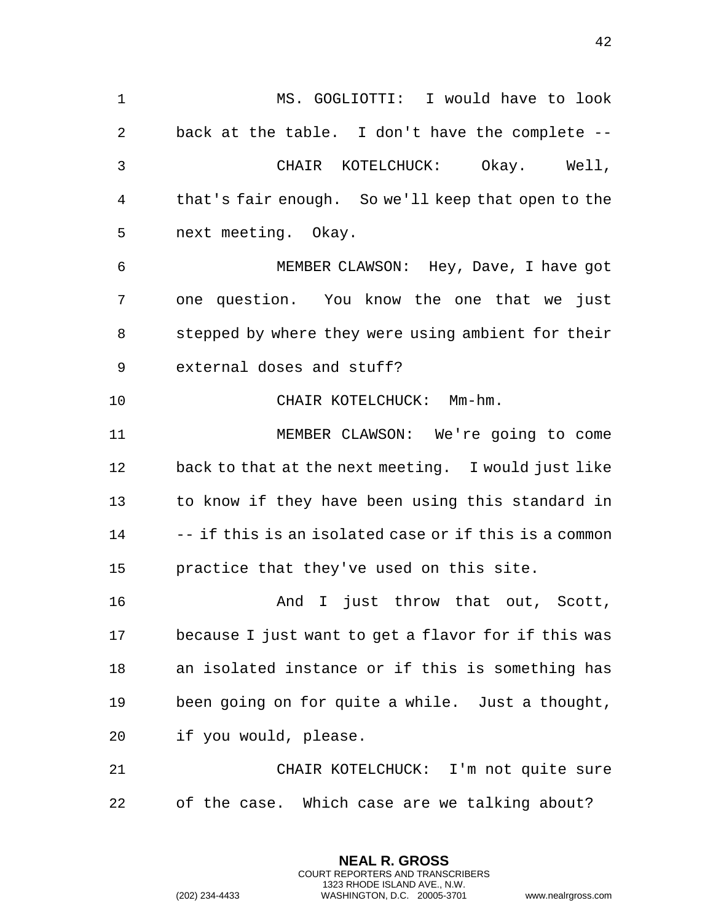MS. GOGLIOTTI: I would have to look back at the table. I don't have the complete -- CHAIR KOTELCHUCK: Okay. Well, that's fair enough. So we'll keep that open to the next meeting. Okay. MEMBER CLAWSON: Hey, Dave, I have got one question. You know the one that we just stepped by where they were using ambient for their external doses and stuff? CHAIR KOTELCHUCK: Mm-hm. MEMBER CLAWSON: We're going to come back to that at the next meeting. I would just like to know if they have been using this standard in -- if this is an isolated case or if this is a common practice that they've used on this site. **And I** just throw that out, Scott, because I just want to get a flavor for if this was an isolated instance or if this is something has been going on for quite a while. Just a thought, if you would, please. CHAIR KOTELCHUCK: I'm not quite sure

of the case. Which case are we talking about?

**NEAL R. GROSS** COURT REPORTERS AND TRANSCRIBERS 1323 RHODE ISLAND AVE., N.W.

(202) 234-4433 WASHINGTON, D.C. 20005-3701 www.nealrgross.com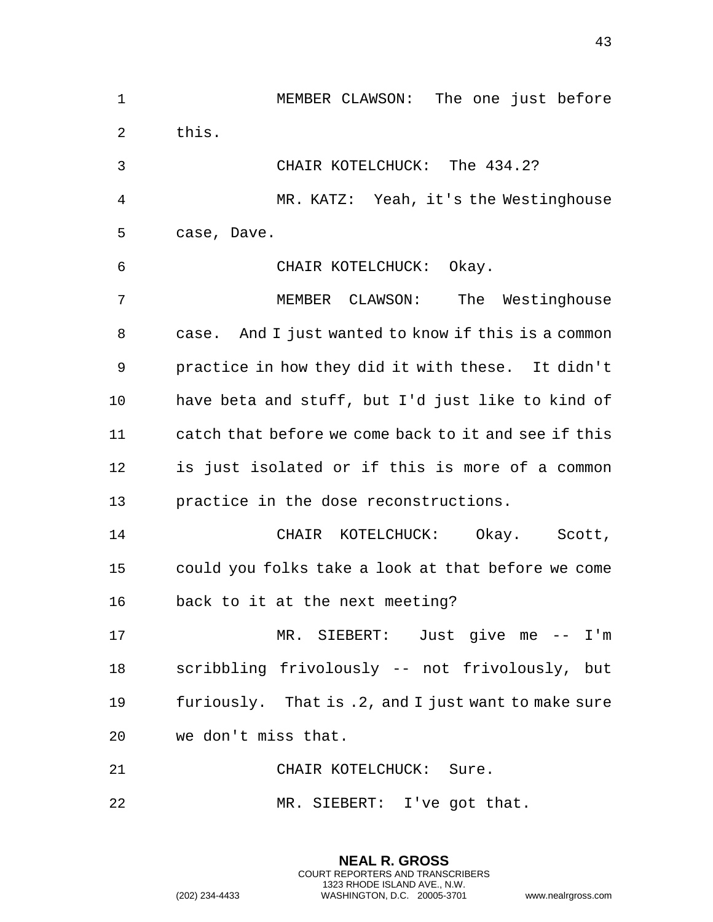| $\mathbf{1}$ | MEMBER CLAWSON: The one just before                  |
|--------------|------------------------------------------------------|
| 2            | this.                                                |
| 3            | CHAIR KOTELCHUCK: The 434.2?                         |
| 4            | MR. KATZ: Yeah, it's the Westinghouse                |
| 5            | case, Dave.                                          |
| 6            | CHAIR KOTELCHUCK: Okay.                              |
| 7            | MEMBER CLAWSON: The Westinghouse                     |
| 8            | case. And I just wanted to know if this is a common  |
| 9            | practice in how they did it with these. It didn't    |
| 10           | have beta and stuff, but I'd just like to kind of    |
| 11           | catch that before we come back to it and see if this |
| 12           | is just isolated or if this is more of a common      |
| 13           | practice in the dose reconstructions.                |
| 14           | CHAIR KOTELCHUCK: Okay. Scott,                       |
| 15           | could you folks take a look at that before we come   |
| 16           | back to it at the next meeting?                      |
| 17           | MR. SIEBERT: Just give me -- I'm                     |
| 18           | scribbling frivolously -- not frivolously, but       |
| 19           | furiously. That is .2, and I just want to make sure  |
| 20           | we don't miss that.                                  |
| 21           | CHAIR KOTELCHUCK: Sure.                              |
| 22           | MR. SIEBERT: I've got that.                          |

**NEAL R. GROSS** COURT REPORTERS AND TRANSCRIBERS 1323 RHODE ISLAND AVE., N.W.

(202) 234-4433 WASHINGTON, D.C. 20005-3701 www.nealrgross.com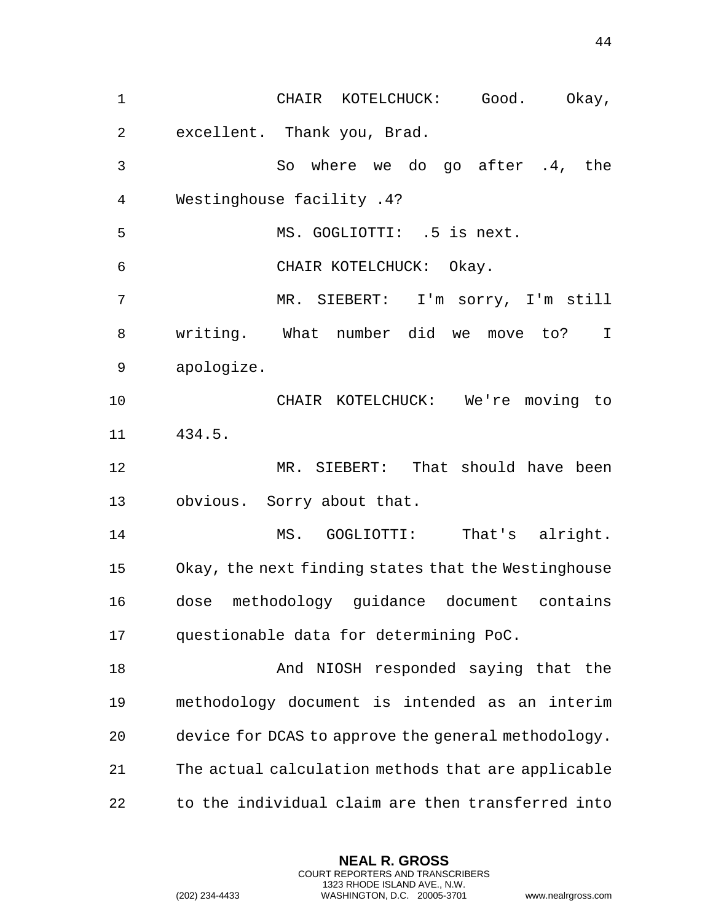CHAIR KOTELCHUCK: Good. Okay, excellent. Thank you, Brad. So where we do go after .4, the Westinghouse facility .4? MS. GOGLIOTTI: .5 is next. CHAIR KOTELCHUCK: Okay. MR. SIEBERT: I'm sorry, I'm still writing. What number did we move to? I apologize. CHAIR KOTELCHUCK: We're moving to 434.5. MR. SIEBERT: That should have been obvious. Sorry about that. MS. GOGLIOTTI: That's alright. Okay, the next finding states that the Westinghouse dose methodology guidance document contains questionable data for determining PoC. And NIOSH responded saying that the methodology document is intended as an interim device for DCAS to approve the general methodology. The actual calculation methods that are applicable to the individual claim are then transferred into

> **NEAL R. GROSS** COURT REPORTERS AND TRANSCRIBERS 1323 RHODE ISLAND AVE., N.W.

(202) 234-4433 WASHINGTON, D.C. 20005-3701 www.nealrgross.com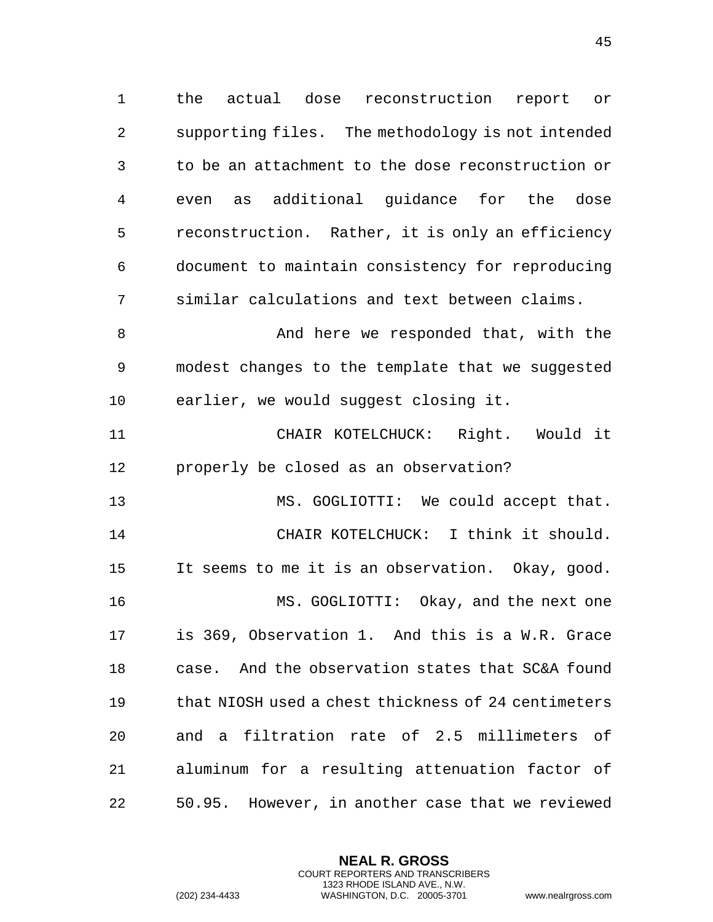the actual dose reconstruction report or supporting files. The methodology is not intended to be an attachment to the dose reconstruction or even as additional guidance for the dose reconstruction. Rather, it is only an efficiency document to maintain consistency for reproducing similar calculations and text between claims.

 And here we responded that, with the modest changes to the template that we suggested earlier, we would suggest closing it.

 CHAIR KOTELCHUCK: Right. Would it properly be closed as an observation?

 MS. GOGLIOTTI: We could accept that. CHAIR KOTELCHUCK: I think it should. It seems to me it is an observation. Okay, good. MS. GOGLIOTTI: Okay, and the next one is 369, Observation 1. And this is a W.R. Grace case. And the observation states that SC&A found that NIOSH used a chest thickness of 24 centimeters and a filtration rate of 2.5 millimeters of aluminum for a resulting attenuation factor of 50.95. However, in another case that we reviewed

> **NEAL R. GROSS** COURT REPORTERS AND TRANSCRIBERS 1323 RHODE ISLAND AVE., N.W.

(202) 234-4433 WASHINGTON, D.C. 20005-3701 www.nealrgross.com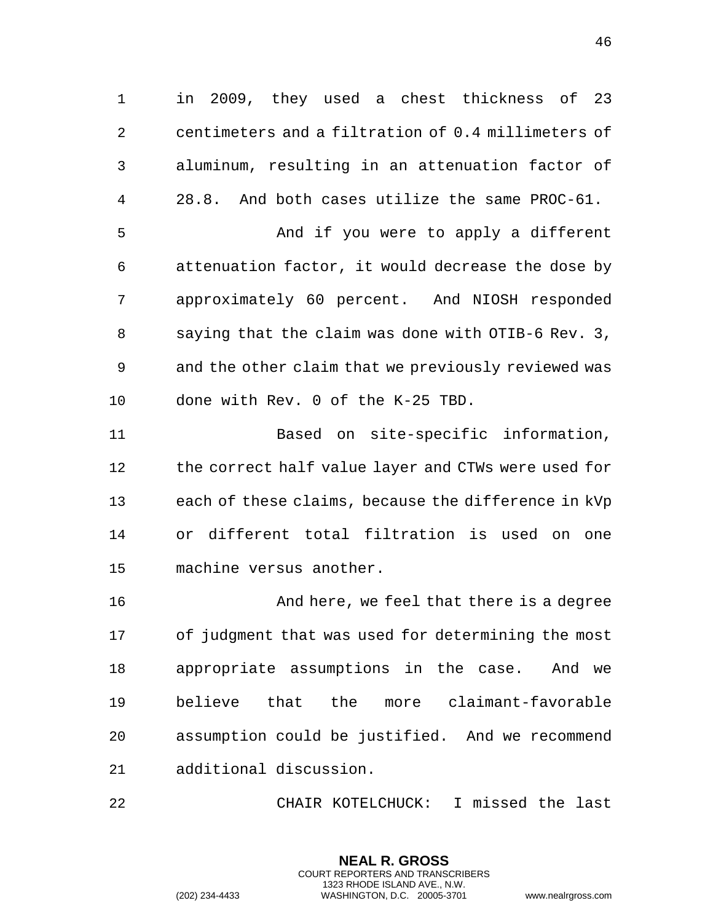in 2009, they used a chest thickness of 23 centimeters and a filtration of 0.4 millimeters of aluminum, resulting in an attenuation factor of 28.8. And both cases utilize the same PROC-61.

 And if you were to apply a different attenuation factor, it would decrease the dose by approximately 60 percent. And NIOSH responded saying that the claim was done with OTIB-6 Rev. 3, and the other claim that we previously reviewed was done with Rev. 0 of the K-25 TBD.

 Based on site-specific information, 12 the correct half value layer and CTWs were used for each of these claims, because the difference in kVp or different total filtration is used on one machine versus another.

 And here, we feel that there is a degree of judgment that was used for determining the most appropriate assumptions in the case. And we believe that the more claimant-favorable assumption could be justified. And we recommend additional discussion.

CHAIR KOTELCHUCK: I missed the last

**NEAL R. GROSS** COURT REPORTERS AND TRANSCRIBERS 1323 RHODE ISLAND AVE., N.W.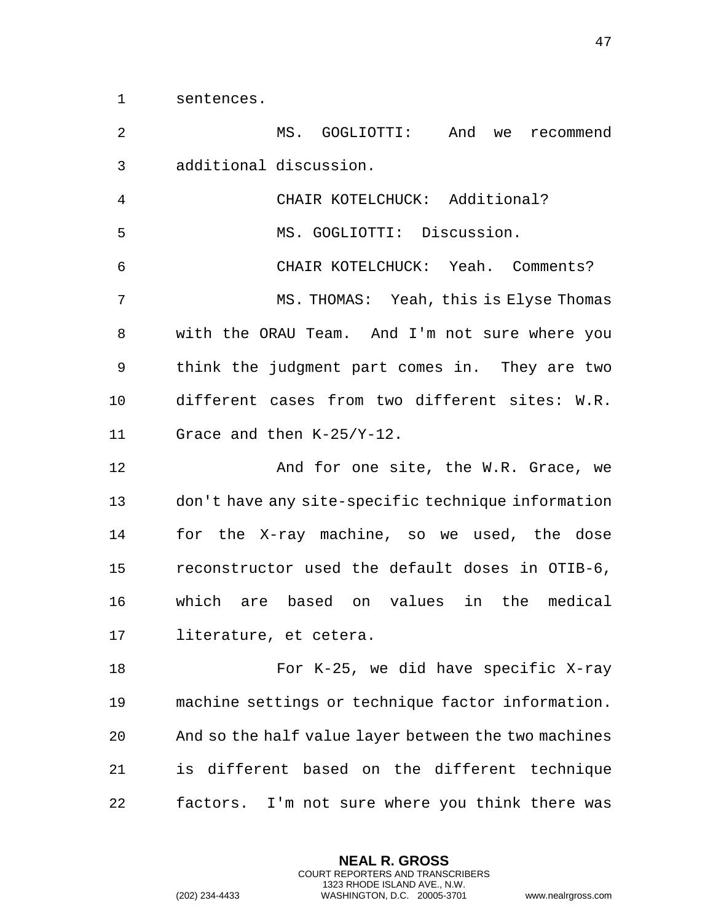sentences.

 MS. GOGLIOTTI: And we recommend additional discussion.

 CHAIR KOTELCHUCK: Additional? MS. GOGLIOTTI: Discussion. CHAIR KOTELCHUCK: Yeah. Comments? MS. THOMAS: Yeah, this is Elyse Thomas with the ORAU Team. And I'm not sure where you think the judgment part comes in. They are two different cases from two different sites: W.R. Grace and then K-25/Y-12.

**And for one site, the W.R. Grace, we**  don't have any site-specific technique information for the X-ray machine, so we used, the dose reconstructor used the default doses in OTIB-6, which are based on values in the medical literature, et cetera.

 For K-25, we did have specific X-ray machine settings or technique factor information. And so the half value layer between the two machines is different based on the different technique factors. I'm not sure where you think there was

> **NEAL R. GROSS** COURT REPORTERS AND TRANSCRIBERS 1323 RHODE ISLAND AVE., N.W.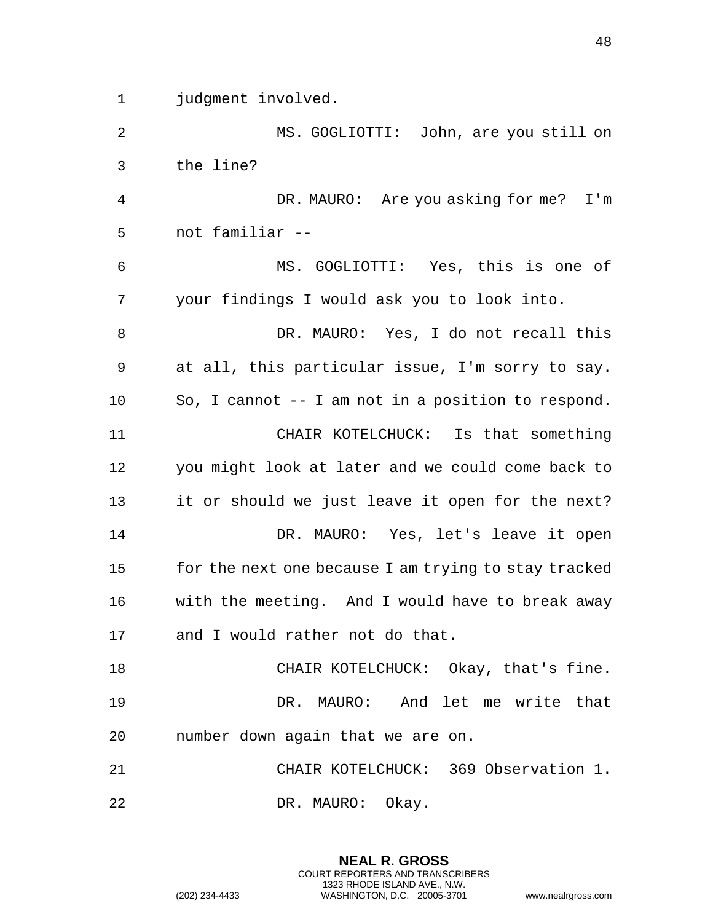judgment involved.

 MS. GOGLIOTTI: John, are you still on the line?

 DR. MAURO: Are you asking for me? I'm not familiar --

 MS. GOGLIOTTI: Yes, this is one of your findings I would ask you to look into.

 DR. MAURO: Yes, I do not recall this at all, this particular issue, I'm sorry to say. So, I cannot -- I am not in a position to respond. CHAIR KOTELCHUCK: Is that something you might look at later and we could come back to it or should we just leave it open for the next? DR. MAURO: Yes, let's leave it open for the next one because I am trying to stay tracked with the meeting. And I would have to break away and I would rather not do that.

 CHAIR KOTELCHUCK: Okay, that's fine. DR. MAURO: And let me write that number down again that we are on.

 CHAIR KOTELCHUCK: 369 Observation 1. DR. MAURO: Okay.

> **NEAL R. GROSS** COURT REPORTERS AND TRANSCRIBERS 1323 RHODE ISLAND AVE., N.W.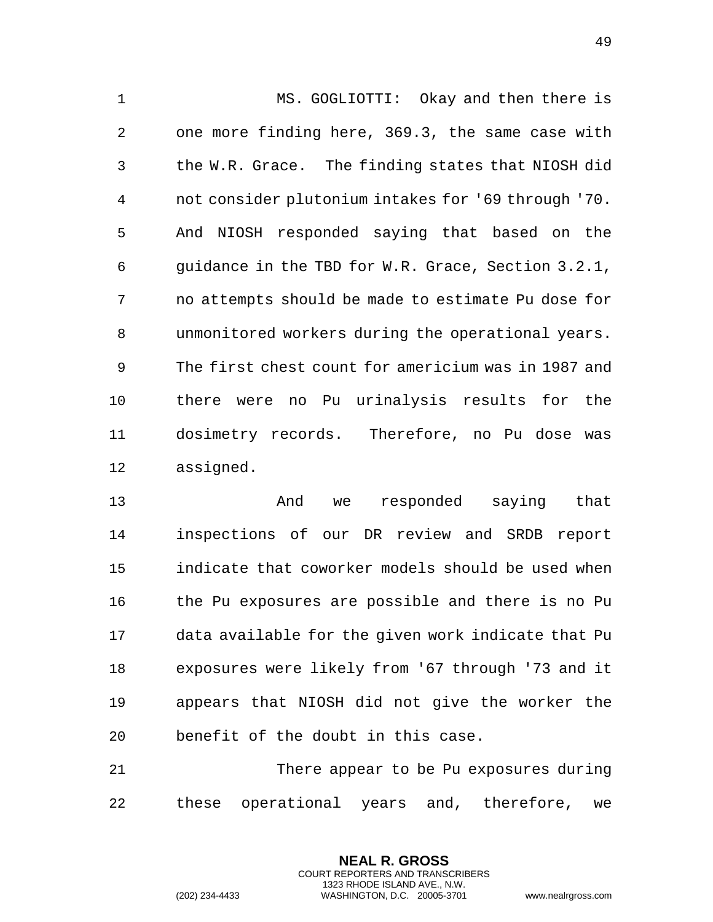MS. GOGLIOTTI: Okay and then there is one more finding here, 369.3, the same case with the W.R. Grace. The finding states that NIOSH did not consider plutonium intakes for '69 through '70. And NIOSH responded saying that based on the guidance in the TBD for W.R. Grace, Section 3.2.1, no attempts should be made to estimate Pu dose for unmonitored workers during the operational years. The first chest count for americium was in 1987 and there were no Pu urinalysis results for the dosimetry records. Therefore, no Pu dose was assigned.

 And we responded saying that inspections of our DR review and SRDB report indicate that coworker models should be used when the Pu exposures are possible and there is no Pu data available for the given work indicate that Pu exposures were likely from '67 through '73 and it appears that NIOSH did not give the worker the benefit of the doubt in this case.

 There appear to be Pu exposures during these operational years and, therefore, we

> **NEAL R. GROSS** COURT REPORTERS AND TRANSCRIBERS 1323 RHODE ISLAND AVE., N.W.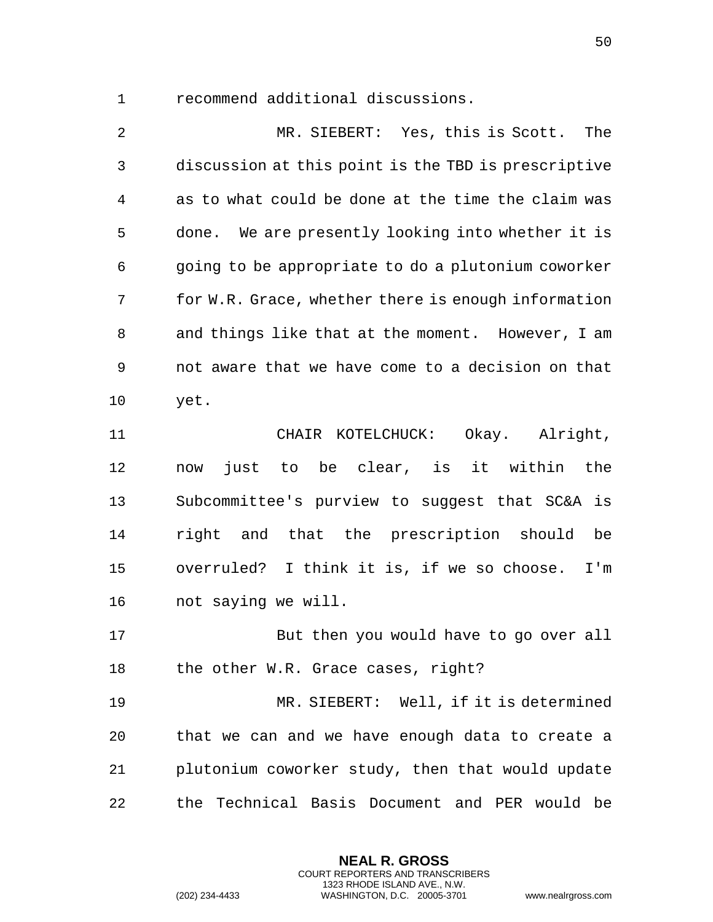recommend additional discussions.

 MR. SIEBERT: Yes, this is Scott. The discussion at this point is the TBD is prescriptive as to what could be done at the time the claim was done. We are presently looking into whether it is going to be appropriate to do a plutonium coworker for W.R. Grace, whether there is enough information and things like that at the moment. However, I am not aware that we have come to a decision on that yet.

 CHAIR KOTELCHUCK: Okay. Alright, now just to be clear, is it within the Subcommittee's purview to suggest that SC&A is right and that the prescription should be overruled? I think it is, if we so choose. I'm not saying we will.

 But then you would have to go over all the other W.R. Grace cases, right?

 MR. SIEBERT: Well, if it is determined that we can and we have enough data to create a plutonium coworker study, then that would update the Technical Basis Document and PER would be

> **NEAL R. GROSS** COURT REPORTERS AND TRANSCRIBERS 1323 RHODE ISLAND AVE., N.W.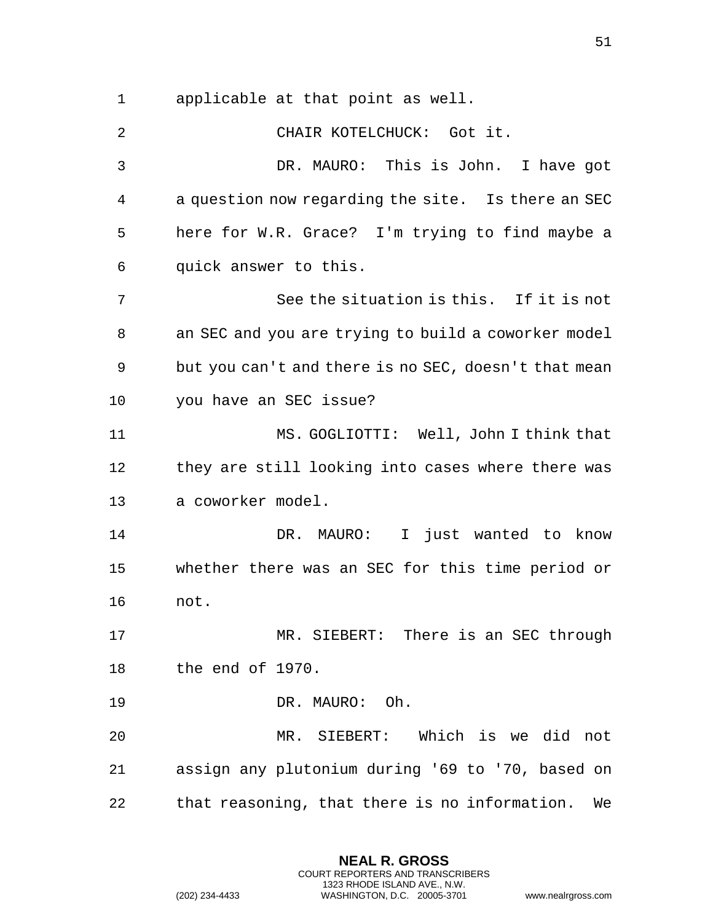applicable at that point as well.

 CHAIR KOTELCHUCK: Got it. DR. MAURO: This is John. I have got a question now regarding the site. Is there an SEC here for W.R. Grace? I'm trying to find maybe a quick answer to this. See the situation is this. If it is not an SEC and you are trying to build a coworker model but you can't and there is no SEC, doesn't that mean you have an SEC issue? MS. GOGLIOTTI: Well, John I think that they are still looking into cases where there was a coworker model. DR. MAURO: I just wanted to know whether there was an SEC for this time period or not. MR. SIEBERT: There is an SEC through the end of 1970. DR. MAURO: Oh. MR. SIEBERT: Which is we did not assign any plutonium during '69 to '70, based on that reasoning, that there is no information. We

> **NEAL R. GROSS** COURT REPORTERS AND TRANSCRIBERS 1323 RHODE ISLAND AVE., N.W.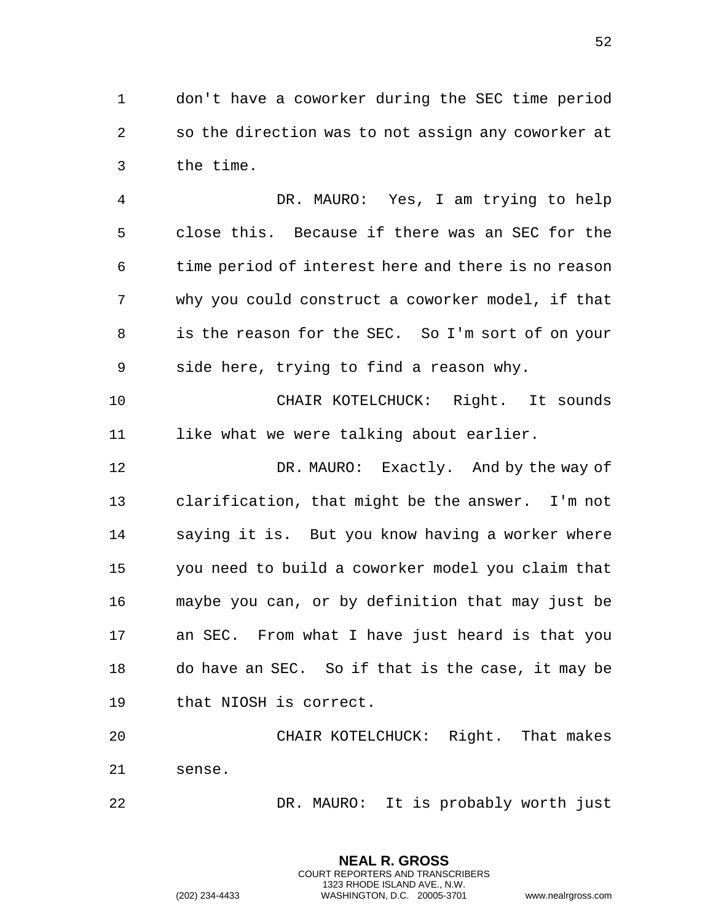don't have a coworker during the SEC time period so the direction was to not assign any coworker at the time.

 DR. MAURO: Yes, I am trying to help close this. Because if there was an SEC for the time period of interest here and there is no reason why you could construct a coworker model, if that is the reason for the SEC. So I'm sort of on your side here, trying to find a reason why.

 CHAIR KOTELCHUCK: Right. It sounds like what we were talking about earlier.

 DR. MAURO: Exactly. And by the way of clarification, that might be the answer. I'm not saying it is. But you know having a worker where you need to build a coworker model you claim that maybe you can, or by definition that may just be an SEC. From what I have just heard is that you do have an SEC. So if that is the case, it may be that NIOSH is correct.

 CHAIR KOTELCHUCK: Right. That makes sense.

> **NEAL R. GROSS** COURT REPORTERS AND TRANSCRIBERS 1323 RHODE ISLAND AVE., N.W.

DR. MAURO: It is probably worth just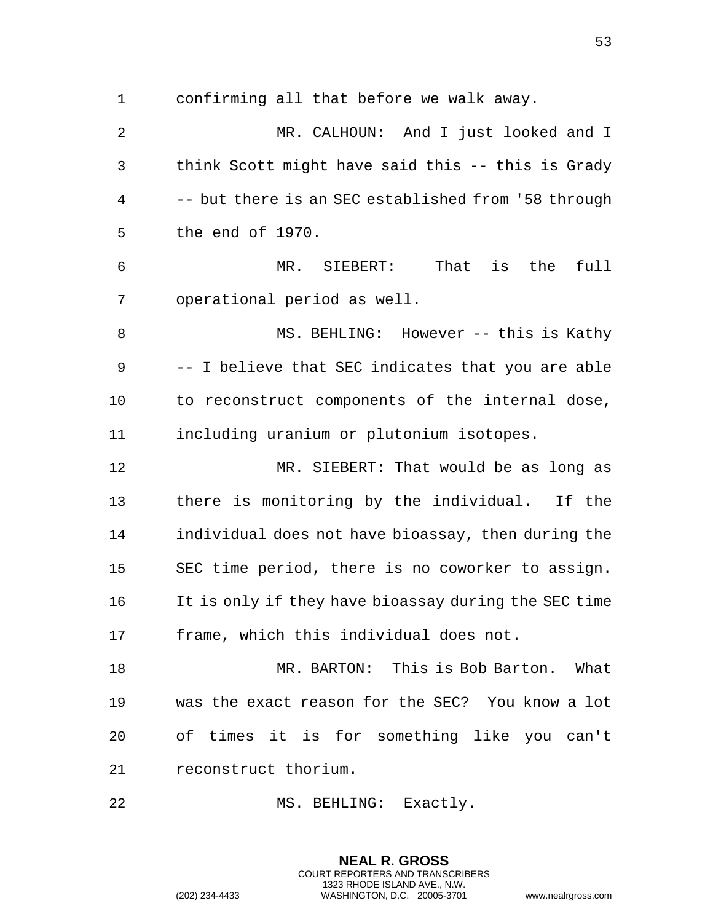confirming all that before we walk away.

 MR. CALHOUN: And I just looked and I think Scott might have said this -- this is Grady -- but there is an SEC established from '58 through the end of 1970. MR. SIEBERT: That is the full operational period as well. MS. BEHLING: However -- this is Kathy -- I believe that SEC indicates that you are able to reconstruct components of the internal dose, including uranium or plutonium isotopes. MR. SIEBERT: That would be as long as there is monitoring by the individual. If the individual does not have bioassay, then during the SEC time period, there is no coworker to assign. It is only if they have bioassay during the SEC time frame, which this individual does not. MR. BARTON: This is Bob Barton. What was the exact reason for the SEC? You know a lot of times it is for something like you can't reconstruct thorium.

MS. BEHLING: Exactly.

**NEAL R. GROSS** COURT REPORTERS AND TRANSCRIBERS 1323 RHODE ISLAND AVE., N.W.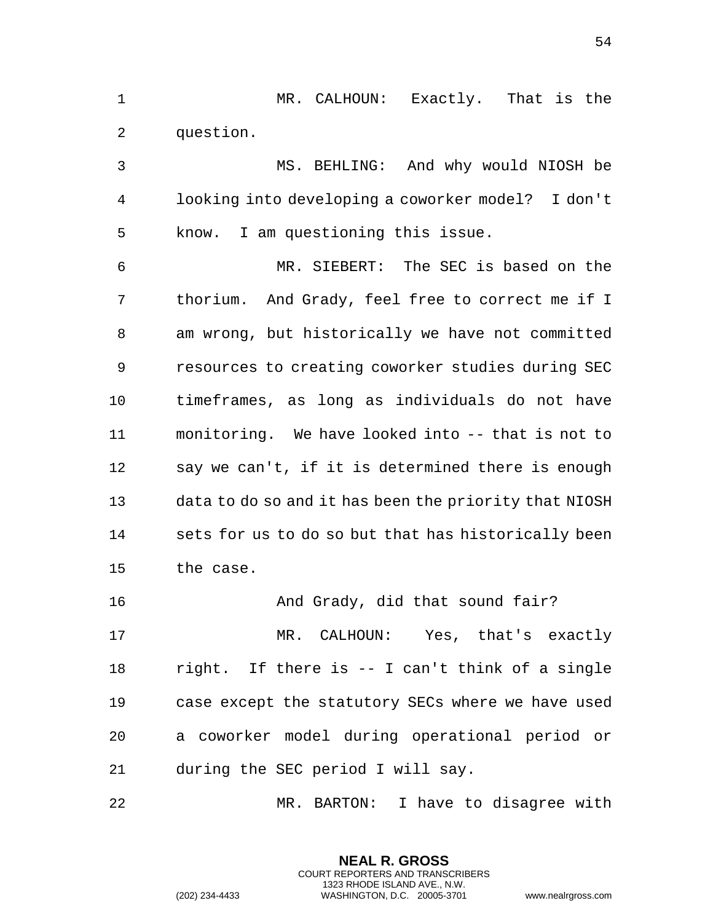MR. CALHOUN: Exactly. That is the question.

 MS. BEHLING: And why would NIOSH be looking into developing a coworker model? I don't know. I am questioning this issue. MR. SIEBERT: The SEC is based on the thorium. And Grady, feel free to correct me if I am wrong, but historically we have not committed resources to creating coworker studies during SEC timeframes, as long as individuals do not have monitoring. We have looked into -- that is not to say we can't, if it is determined there is enough data to do so and it has been the priority that NIOSH sets for us to do so but that has historically been the case. And Grady, did that sound fair?

 MR. CALHOUN: Yes, that's exactly right. If there is -- I can't think of a single case except the statutory SECs where we have used a coworker model during operational period or during the SEC period I will say.

MR. BARTON: I have to disagree with

**NEAL R. GROSS** COURT REPORTERS AND TRANSCRIBERS 1323 RHODE ISLAND AVE., N.W.

(202) 234-4433 WASHINGTON, D.C. 20005-3701 www.nealrgross.com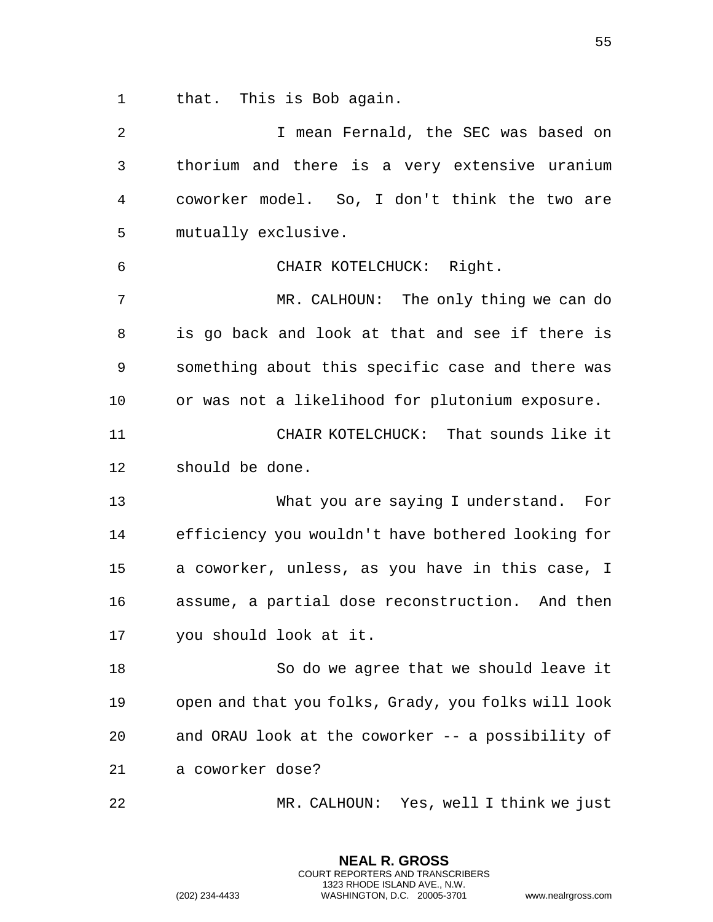that. This is Bob again.

 I mean Fernald, the SEC was based on thorium and there is a very extensive uranium coworker model. So, I don't think the two are mutually exclusive. CHAIR KOTELCHUCK: Right. MR. CALHOUN: The only thing we can do is go back and look at that and see if there is something about this specific case and there was or was not a likelihood for plutonium exposure. CHAIR KOTELCHUCK: That sounds like it should be done. What you are saying I understand. For efficiency you wouldn't have bothered looking for a coworker, unless, as you have in this case, I assume, a partial dose reconstruction. And then you should look at it. So do we agree that we should leave it open and that you folks, Grady, you folks will look and ORAU look at the coworker -- a possibility of a coworker dose? MR. CALHOUN: Yes, well I think we just

> **NEAL R. GROSS** COURT REPORTERS AND TRANSCRIBERS 1323 RHODE ISLAND AVE., N.W.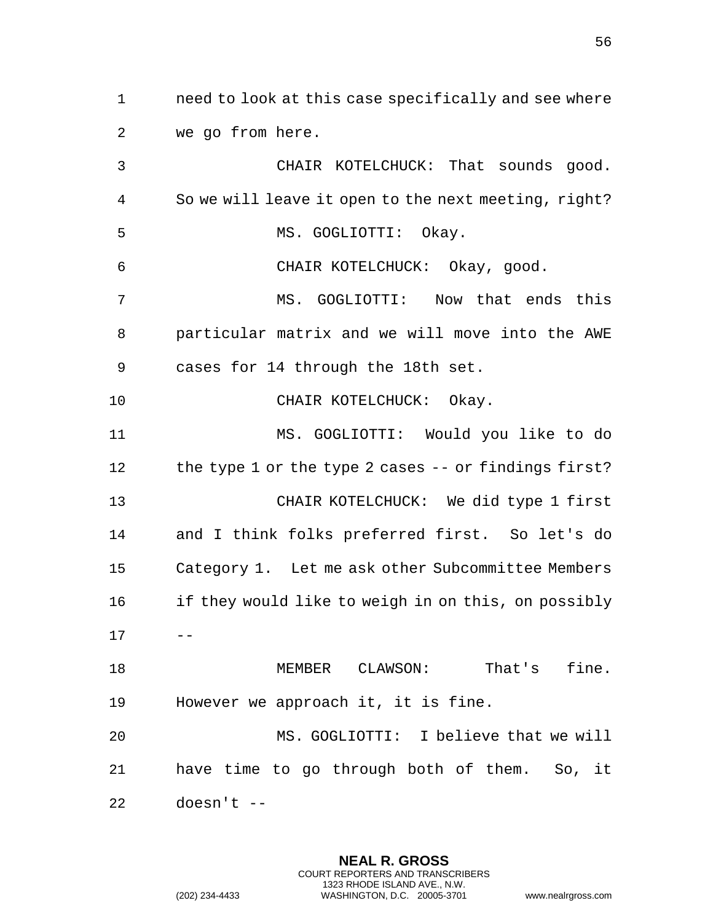need to look at this case specifically and see where we go from here.

 CHAIR KOTELCHUCK: That sounds good. So we will leave it open to the next meeting, right? MS. GOGLIOTTI: Okay. CHAIR KOTELCHUCK: Okay, good. MS. GOGLIOTTI: Now that ends this particular matrix and we will move into the AWE cases for 14 through the 18th set. 10 CHAIR KOTELCHUCK: Okay. MS. GOGLIOTTI: Would you like to do 12 the type 1 or the type 2 cases -- or findings first? CHAIR KOTELCHUCK: We did type 1 first and I think folks preferred first. So let's do Category 1. Let me ask other Subcommittee Members 16 if they would like to weigh in on this, on possibly  $17 - -$  MEMBER CLAWSON: That's fine. However we approach it, it is fine. MS. GOGLIOTTI: I believe that we will have time to go through both of them. So, it doesn't --

> **NEAL R. GROSS** COURT REPORTERS AND TRANSCRIBERS 1323 RHODE ISLAND AVE., N.W.

(202) 234-4433 WASHINGTON, D.C. 20005-3701 www.nealrgross.com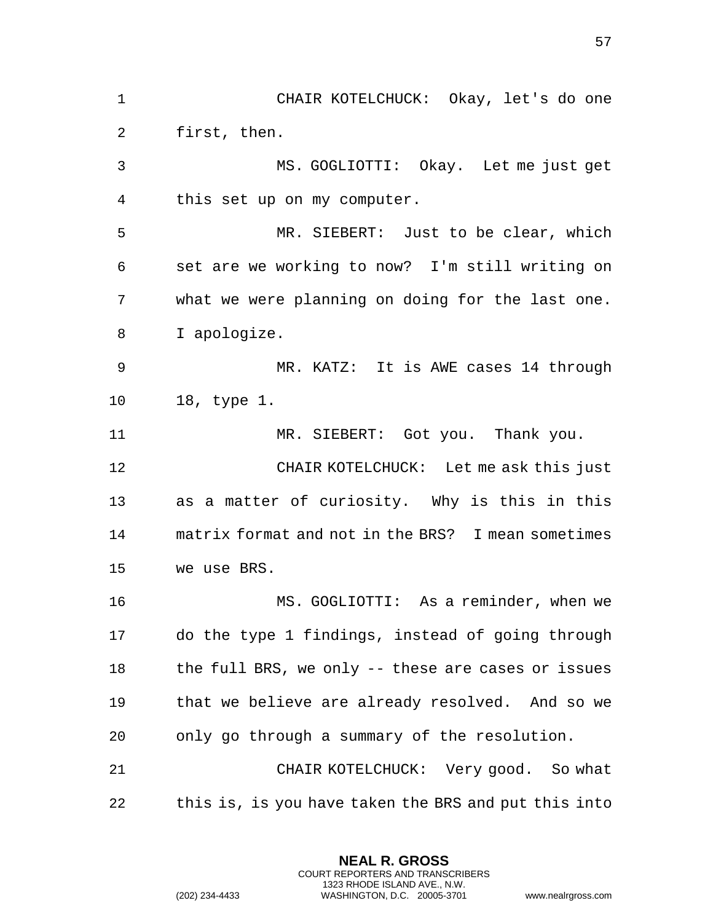CHAIR KOTELCHUCK: Okay, let's do one first, then. MS. GOGLIOTTI: Okay. Let me just get this set up on my computer. MR. SIEBERT: Just to be clear, which set are we working to now? I'm still writing on what we were planning on doing for the last one. I apologize. MR. KATZ: It is AWE cases 14 through 18, type 1. MR. SIEBERT: Got you. Thank you. CHAIR KOTELCHUCK: Let me ask this just as a matter of curiosity. Why is this in this matrix format and not in the BRS? I mean sometimes we use BRS. MS. GOGLIOTTI: As a reminder, when we do the type 1 findings, instead of going through 18 the full BRS, we only -- these are cases or issues that we believe are already resolved. And so we only go through a summary of the resolution. CHAIR KOTELCHUCK: Very good. So what this is, is you have taken the BRS and put this into

> **NEAL R. GROSS** COURT REPORTERS AND TRANSCRIBERS 1323 RHODE ISLAND AVE., N.W.

(202) 234-4433 WASHINGTON, D.C. 20005-3701 www.nealrgross.com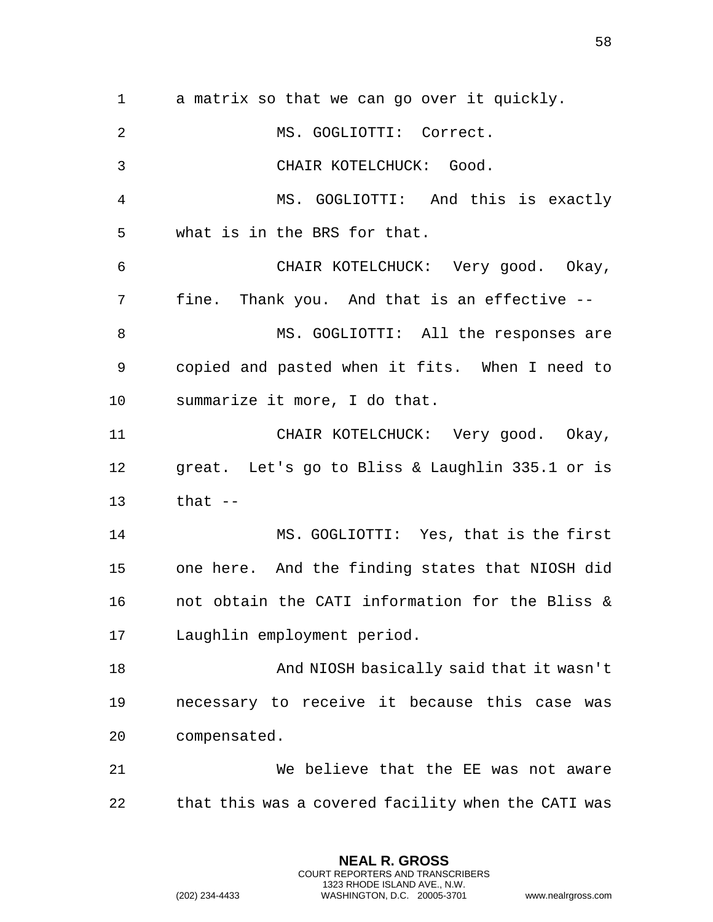a matrix so that we can go over it quickly. MS. GOGLIOTTI: Correct. CHAIR KOTELCHUCK: Good. MS. GOGLIOTTI: And this is exactly what is in the BRS for that. CHAIR KOTELCHUCK: Very good. Okay, fine. Thank you. And that is an effective -- 8 MS. GOGLIOTTI: All the responses are copied and pasted when it fits. When I need to summarize it more, I do that. CHAIR KOTELCHUCK: Very good. Okay, great. Let's go to Bliss & Laughlin 335.1 or is that -- MS. GOGLIOTTI: Yes, that is the first one here. And the finding states that NIOSH did not obtain the CATI information for the Bliss & Laughlin employment period. And NIOSH basically said that it wasn't necessary to receive it because this case was compensated. We believe that the EE was not aware that this was a covered facility when the CATI was

> **NEAL R. GROSS** COURT REPORTERS AND TRANSCRIBERS 1323 RHODE ISLAND AVE., N.W.

(202) 234-4433 WASHINGTON, D.C. 20005-3701 www.nealrgross.com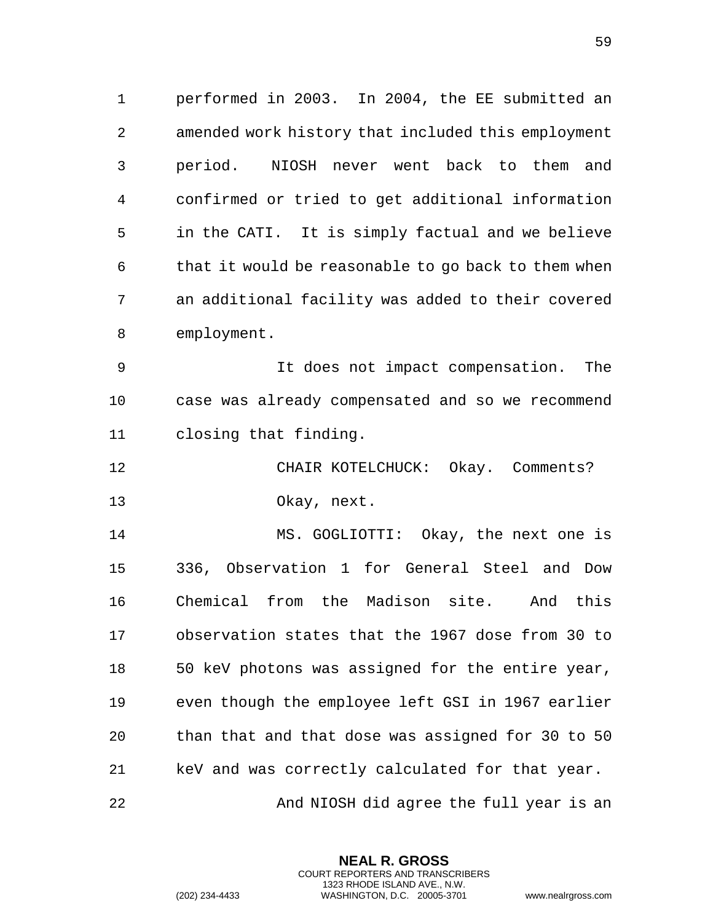performed in 2003. In 2004, the EE submitted an amended work history that included this employment period. NIOSH never went back to them and confirmed or tried to get additional information in the CATI. It is simply factual and we believe that it would be reasonable to go back to them when an additional facility was added to their covered employment.

 It does not impact compensation. The case was already compensated and so we recommend closing that finding.

 CHAIR KOTELCHUCK: Okay. Comments? Okay, next.

 MS. GOGLIOTTI: Okay, the next one is 336, Observation 1 for General Steel and Dow Chemical from the Madison site. And this observation states that the 1967 dose from 30 to 50 keV photons was assigned for the entire year, even though the employee left GSI in 1967 earlier than that and that dose was assigned for 30 to 50 keV and was correctly calculated for that year. 22 And NIOSH did agree the full year is an

> **NEAL R. GROSS** COURT REPORTERS AND TRANSCRIBERS 1323 RHODE ISLAND AVE., N.W.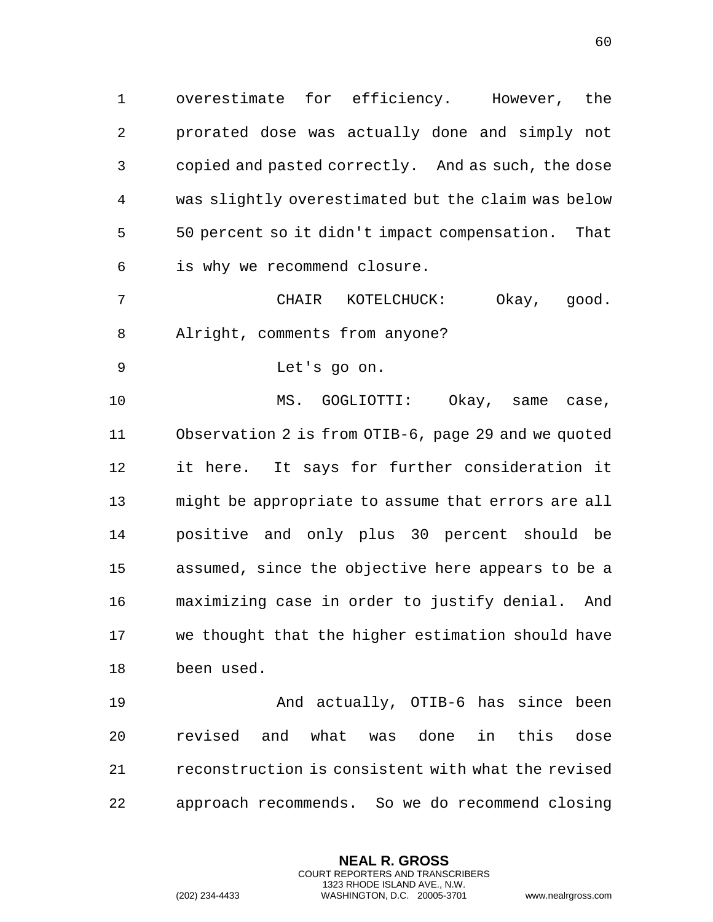overestimate for efficiency. However, the prorated dose was actually done and simply not copied and pasted correctly. And as such, the dose was slightly overestimated but the claim was below 50 percent so it didn't impact compensation. That is why we recommend closure.

 CHAIR KOTELCHUCK: Okay, good. Alright, comments from anyone?

Let's go on.

10 MS. GOGLIOTTI: Okay, same case, Observation 2 is from OTIB-6, page 29 and we quoted it here. It says for further consideration it might be appropriate to assume that errors are all positive and only plus 30 percent should be assumed, since the objective here appears to be a maximizing case in order to justify denial. And we thought that the higher estimation should have been used.

 And actually, OTIB-6 has since been revised and what was done in this dose reconstruction is consistent with what the revised approach recommends. So we do recommend closing

> **NEAL R. GROSS** COURT REPORTERS AND TRANSCRIBERS 1323 RHODE ISLAND AVE., N.W.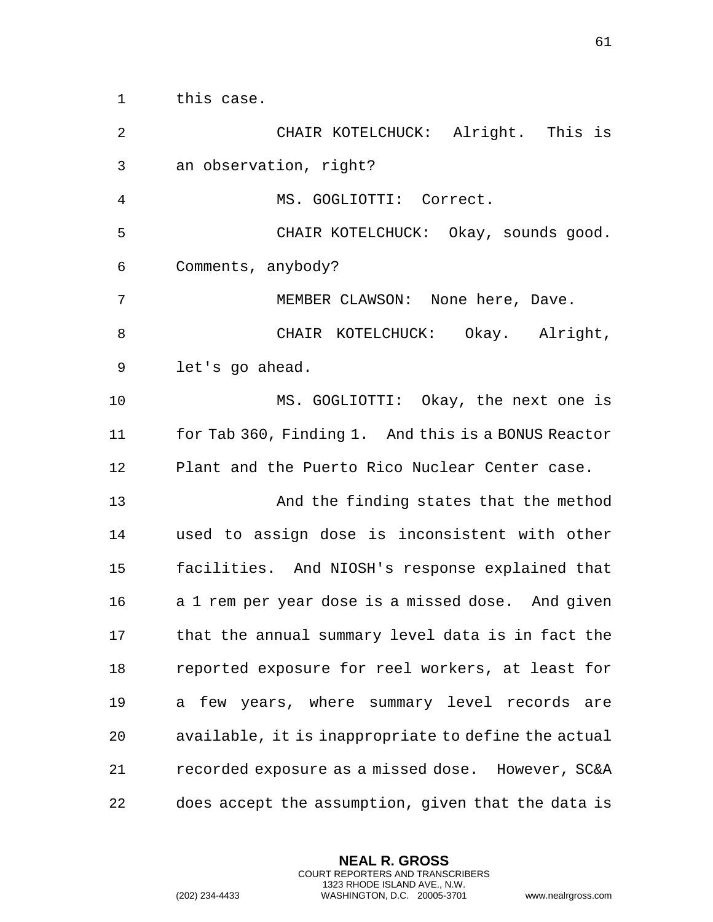|                        | CHAIR KOTEI |
|------------------------|-------------|
| an observation, right? |             |

this case.

MS. GOGLIOTTI: Correct.

 CHAIR KOTELCHUCK: Okay, sounds good. Comments, anybody?

KOTELCHUCK: Alright. This is

MEMBER CLAWSON: None here, Dave.

8 CHAIR KOTELCHUCK: Okay. Alright, let's go ahead.

 MS. GOGLIOTTI: Okay, the next one is for Tab 360, Finding 1. And this is a BONUS Reactor Plant and the Puerto Rico Nuclear Center case.

 And the finding states that the method used to assign dose is inconsistent with other facilities. And NIOSH's response explained that a 1 rem per year dose is a missed dose. And given that the annual summary level data is in fact the reported exposure for reel workers, at least for a few years, where summary level records are available, it is inappropriate to define the actual recorded exposure as a missed dose. However, SC&A does accept the assumption, given that the data is

> **NEAL R. GROSS** COURT REPORTERS AND TRANSCRIBERS 1323 RHODE ISLAND AVE., N.W.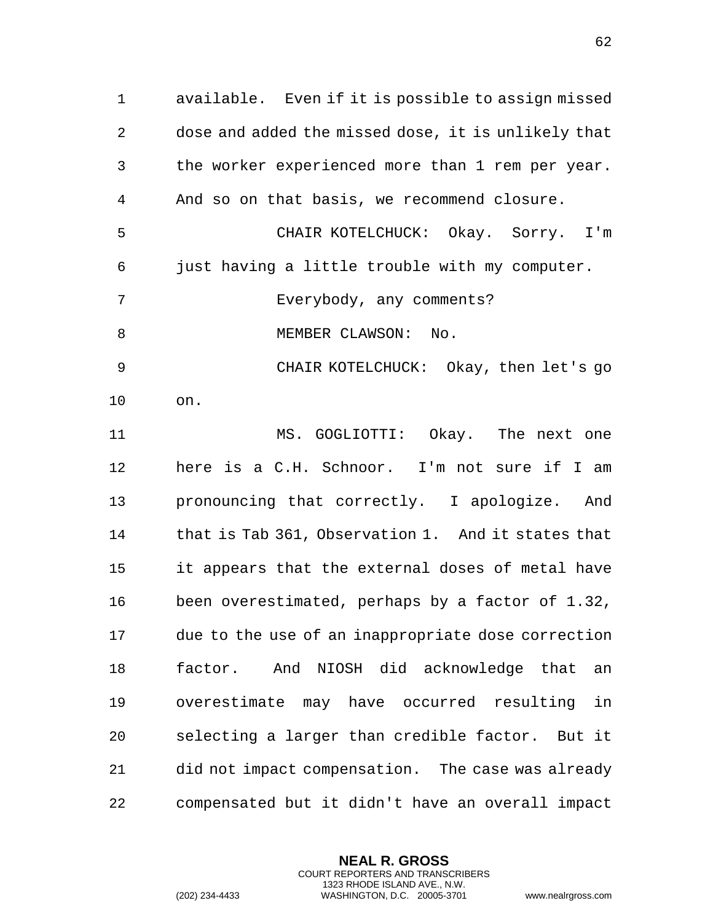available. Even if it is possible to assign missed dose and added the missed dose, it is unlikely that the worker experienced more than 1 rem per year. And so on that basis, we recommend closure. CHAIR KOTELCHUCK: Okay. Sorry. I'm just having a little trouble with my computer. Everybody, any comments? 8 MEMBER CLAWSON: No.

 CHAIR KOTELCHUCK: Okay, then let's go on.

 MS. GOGLIOTTI: Okay. The next one here is a C.H. Schnoor. I'm not sure if I am pronouncing that correctly. I apologize. And that is Tab 361, Observation 1. And it states that it appears that the external doses of metal have been overestimated, perhaps by a factor of 1.32, due to the use of an inappropriate dose correction factor. And NIOSH did acknowledge that an overestimate may have occurred resulting in selecting a larger than credible factor. But it did not impact compensation. The case was already compensated but it didn't have an overall impact

> **NEAL R. GROSS** COURT REPORTERS AND TRANSCRIBERS 1323 RHODE ISLAND AVE., N.W.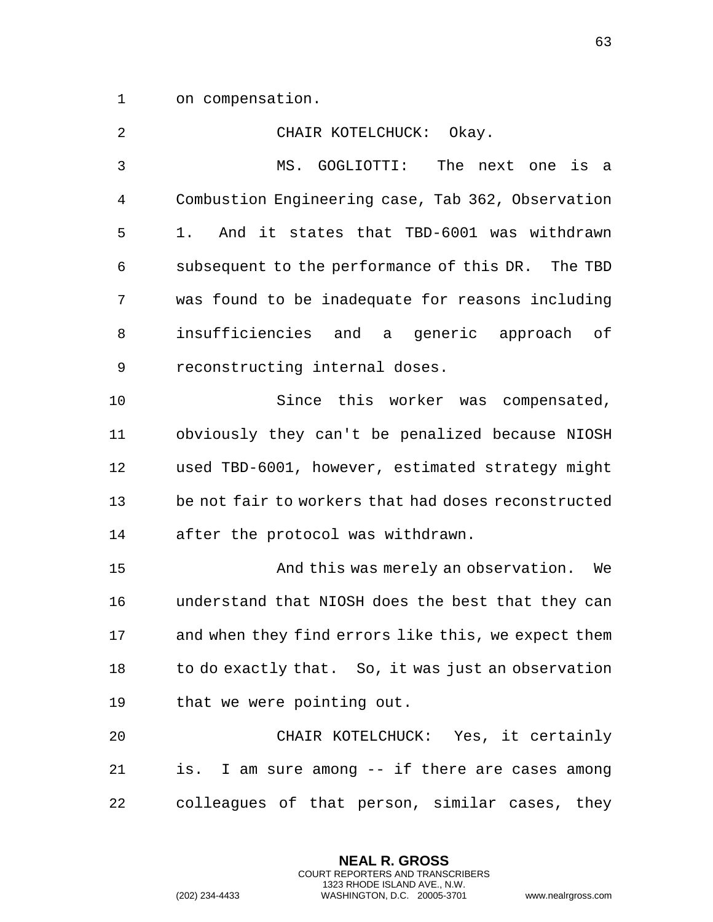on compensation.

| 2            | Okay.<br>CHAIR KOTELCHUCK:                          |
|--------------|-----------------------------------------------------|
| $\mathbf{3}$ | The next one<br>MS. GOGLIOTTI:<br>is a              |
| 4            | Combustion Engineering case, Tab 362, Observation   |
| 5            | And it states that TBD-6001 was withdrawn<br>1.     |
| 6            | subsequent to the performance of this DR. The TBD   |
| 7            | was found to be inadequate for reasons including    |
| 8            | insufficiencies and a generic approach of           |
| 9            | reconstructing internal doses.                      |
| 10           | Since this worker was compensated,                  |
| 11           | obviously they can't be penalized because NIOSH     |
| 12           | used TBD-6001, however, estimated strategy might    |
| 13           | be not fair to workers that had doses reconstructed |
| 14           | after the protocol was withdrawn.                   |
| 15           | And this was merely an observation.<br>We           |
| 16           | understand that NIOSH does the best that they can   |
| 17           | and when they find errors like this, we expect them |
| 18           | to do exactly that. So, it was just an observation  |
| 19           | that we were pointing out.                          |
| 20           | CHAIR KOTELCHUCK: Yes, it certainly                 |
| 21           | is. I am sure among -- if there are cases among     |
| 22           | colleagues of that person, similar cases, they      |

**NEAL R. GROSS** COURT REPORTERS AND TRANSCRIBERS 1323 RHODE ISLAND AVE., N.W.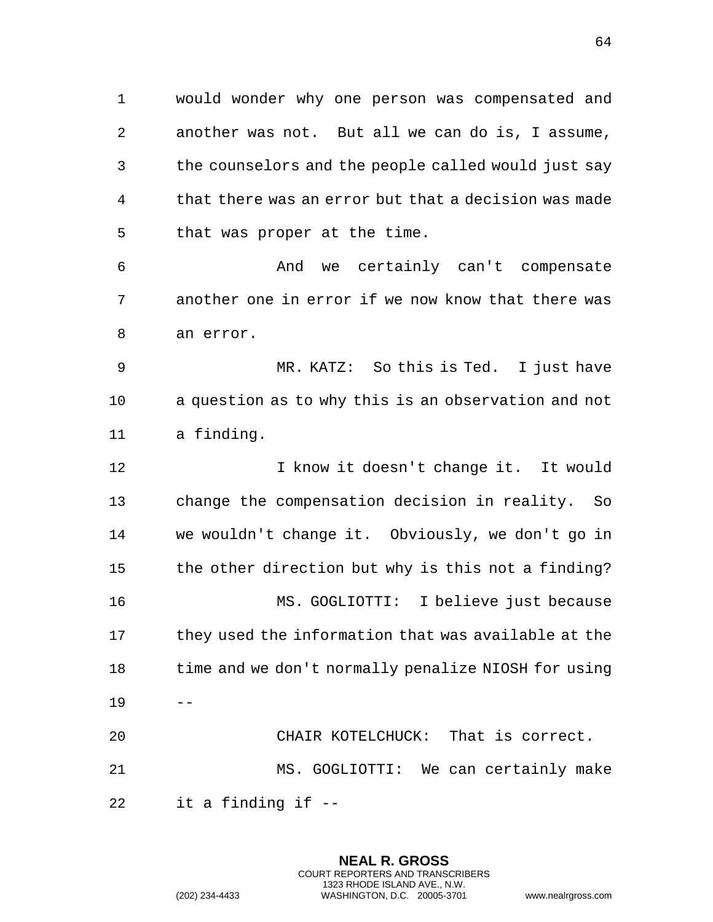would wonder why one person was compensated and another was not. But all we can do is, I assume, the counselors and the people called would just say that there was an error but that a decision was made that was proper at the time.

 And we certainly can't compensate another one in error if we now know that there was an error.

 MR. KATZ: So this is Ted. I just have a question as to why this is an observation and not a finding.

 I know it doesn't change it. It would change the compensation decision in reality. So we wouldn't change it. Obviously, we don't go in the other direction but why is this not a finding? MS. GOGLIOTTI: I believe just because they used the information that was available at the time and we don't normally penalize NIOSH for using -- CHAIR KOTELCHUCK: That is correct. MS. GOGLIOTTI: We can certainly make

it a finding if --

**NEAL R. GROSS** COURT REPORTERS AND TRANSCRIBERS 1323 RHODE ISLAND AVE., N.W. (202) 234-4433 WASHINGTON, D.C. 20005-3701 www.nealrgross.com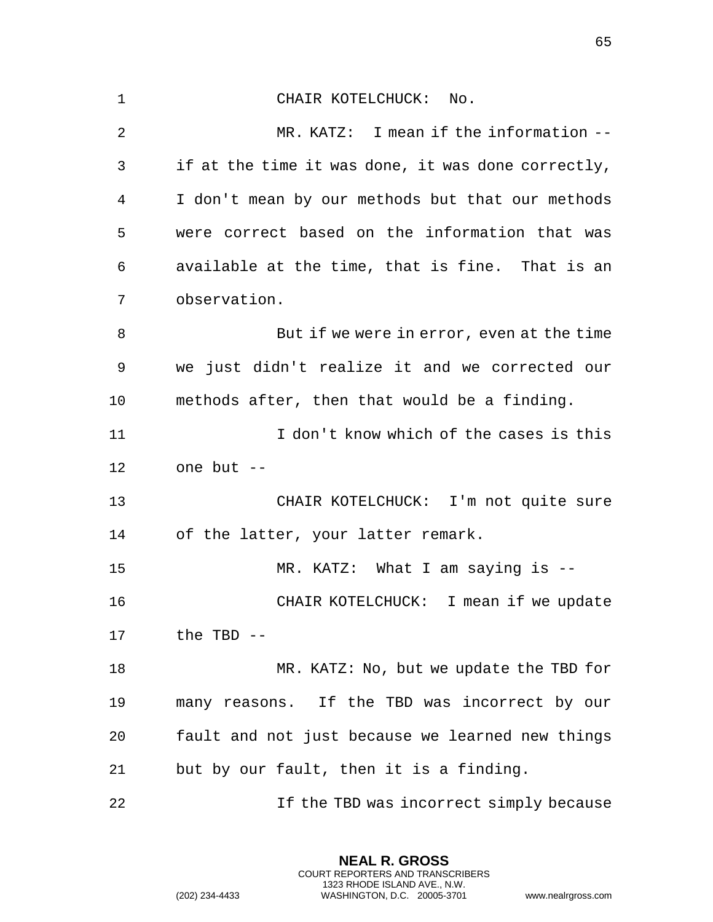CHAIR KOTELCHUCK: No. MR. KATZ: I mean if the information -- if at the time it was done, it was done correctly, I don't mean by our methods but that our methods were correct based on the information that was available at the time, that is fine. That is an observation. 8 But if we were in error, even at the time we just didn't realize it and we corrected our methods after, then that would be a finding. I don't know which of the cases is this one but -- CHAIR KOTELCHUCK: I'm not quite sure of the latter, your latter remark. MR. KATZ: What I am saying is -- CHAIR KOTELCHUCK: I mean if we update the TBD -- MR. KATZ: No, but we update the TBD for many reasons. If the TBD was incorrect by our fault and not just because we learned new things but by our fault, then it is a finding. 22 1f the TBD was incorrect simply because

> **NEAL R. GROSS** COURT REPORTERS AND TRANSCRIBERS 1323 RHODE ISLAND AVE., N.W.

(202) 234-4433 WASHINGTON, D.C. 20005-3701 www.nealrgross.com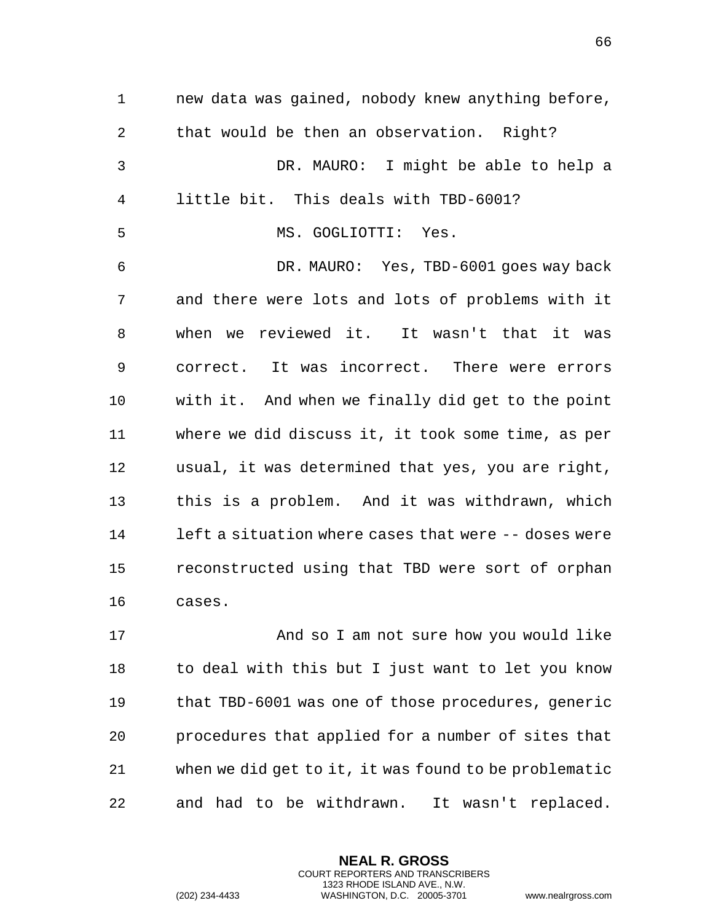new data was gained, nobody knew anything before, that would be then an observation. Right? DR. MAURO: I might be able to help a little bit. This deals with TBD-6001? MS. GOGLIOTTI: Yes. DR. MAURO: Yes, TBD-6001 goes way back and there were lots and lots of problems with it when we reviewed it. It wasn't that it was correct. It was incorrect. There were errors with it. And when we finally did get to the point where we did discuss it, it took some time, as per usual, it was determined that yes, you are right, this is a problem. And it was withdrawn, which left a situation where cases that were -- doses were reconstructed using that TBD were sort of orphan cases.

 And so I am not sure how you would like to deal with this but I just want to let you know that TBD-6001 was one of those procedures, generic procedures that applied for a number of sites that when we did get to it, it was found to be problematic and had to be withdrawn. It wasn't replaced.

> **NEAL R. GROSS** COURT REPORTERS AND TRANSCRIBERS 1323 RHODE ISLAND AVE., N.W.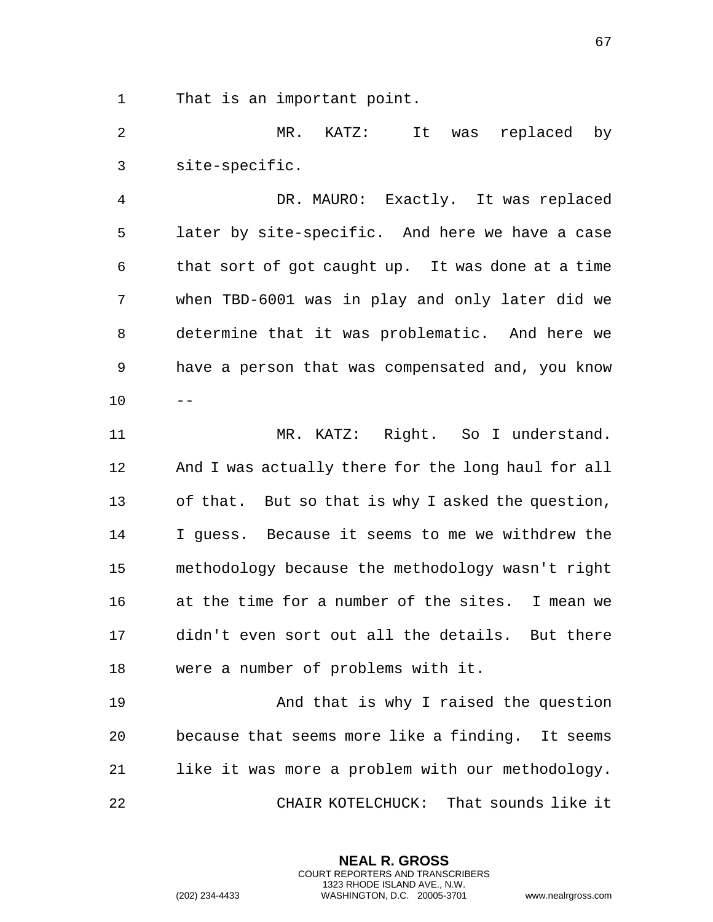That is an important point.

 MR. KATZ: It was replaced by site-specific.

 DR. MAURO: Exactly. It was replaced later by site-specific. And here we have a case that sort of got caught up. It was done at a time when TBD-6001 was in play and only later did we determine that it was problematic. And here we have a person that was compensated and, you know  $10 - -$ 

 MR. KATZ: Right. So I understand. And I was actually there for the long haul for all of that. But so that is why I asked the question, I guess. Because it seems to me we withdrew the methodology because the methodology wasn't right at the time for a number of the sites. I mean we didn't even sort out all the details. But there were a number of problems with it.

 And that is why I raised the question because that seems more like a finding. It seems like it was more a problem with our methodology. CHAIR KOTELCHUCK: That sounds like it

> **NEAL R. GROSS** COURT REPORTERS AND TRANSCRIBERS 1323 RHODE ISLAND AVE., N.W.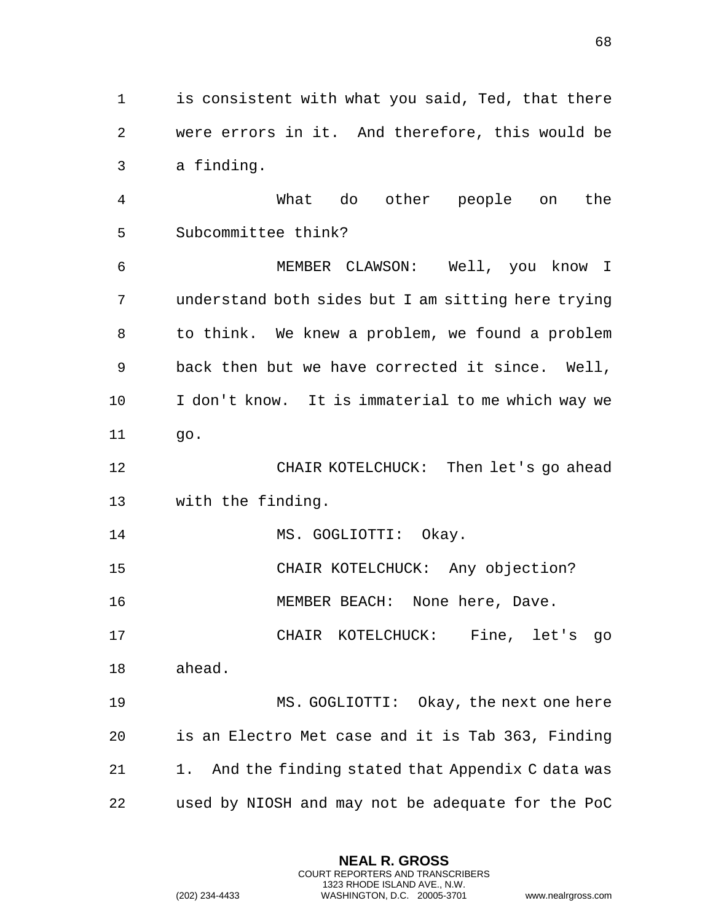is consistent with what you said, Ted, that there were errors in it. And therefore, this would be a finding.

 What do other people on the Subcommittee think? MEMBER CLAWSON: Well, you know I understand both sides but I am sitting here trying to think. We knew a problem, we found a problem back then but we have corrected it since. Well, I don't know. It is immaterial to me which way we go.

 CHAIR KOTELCHUCK: Then let's go ahead with the finding.

14 MS. GOGLIOTTI: Okay.

CHAIR KOTELCHUCK: Any objection?

MEMBER BEACH: None here, Dave.

CHAIR KOTELCHUCK: Fine, let's go

ahead.

 MS. GOGLIOTTI: Okay, the next one here is an Electro Met case and it is Tab 363, Finding 21 1. And the finding stated that Appendix C data was used by NIOSH and may not be adequate for the PoC

> **NEAL R. GROSS** COURT REPORTERS AND TRANSCRIBERS 1323 RHODE ISLAND AVE., N.W.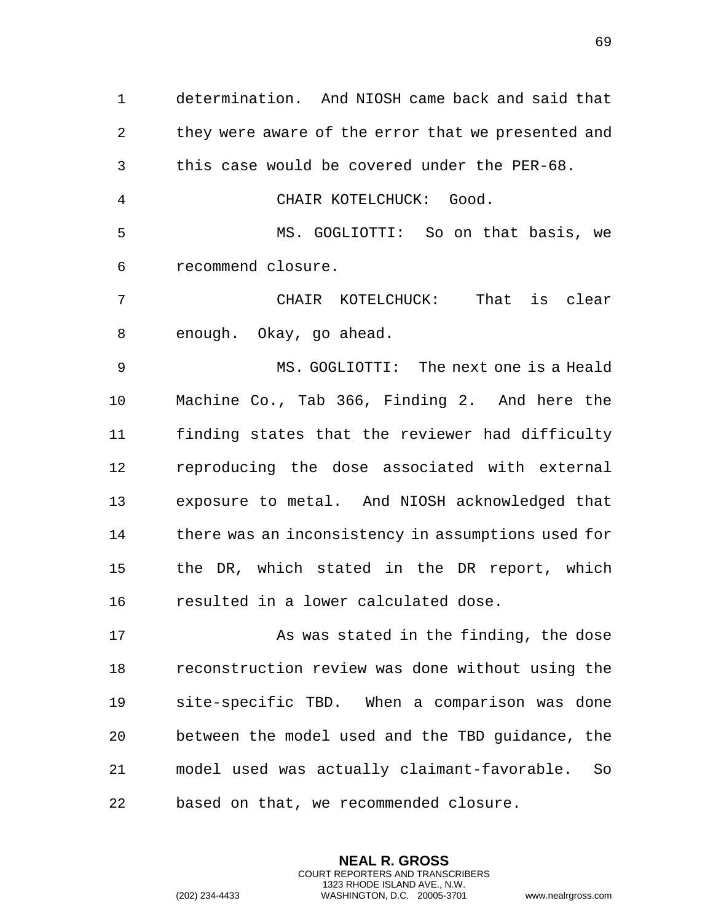determination. And NIOSH came back and said that they were aware of the error that we presented and this case would be covered under the PER-68.

CHAIR KOTELCHUCK: Good.

 MS. GOGLIOTTI: So on that basis, we recommend closure.

 CHAIR KOTELCHUCK: That is clear enough. Okay, go ahead.

 MS. GOGLIOTTI: The next one is a Heald Machine Co., Tab 366, Finding 2. And here the finding states that the reviewer had difficulty reproducing the dose associated with external exposure to metal. And NIOSH acknowledged that there was an inconsistency in assumptions used for the DR, which stated in the DR report, which resulted in a lower calculated dose.

 As was stated in the finding, the dose reconstruction review was done without using the site-specific TBD. When a comparison was done between the model used and the TBD guidance, the model used was actually claimant-favorable. So based on that, we recommended closure.

> **NEAL R. GROSS** COURT REPORTERS AND TRANSCRIBERS 1323 RHODE ISLAND AVE., N.W.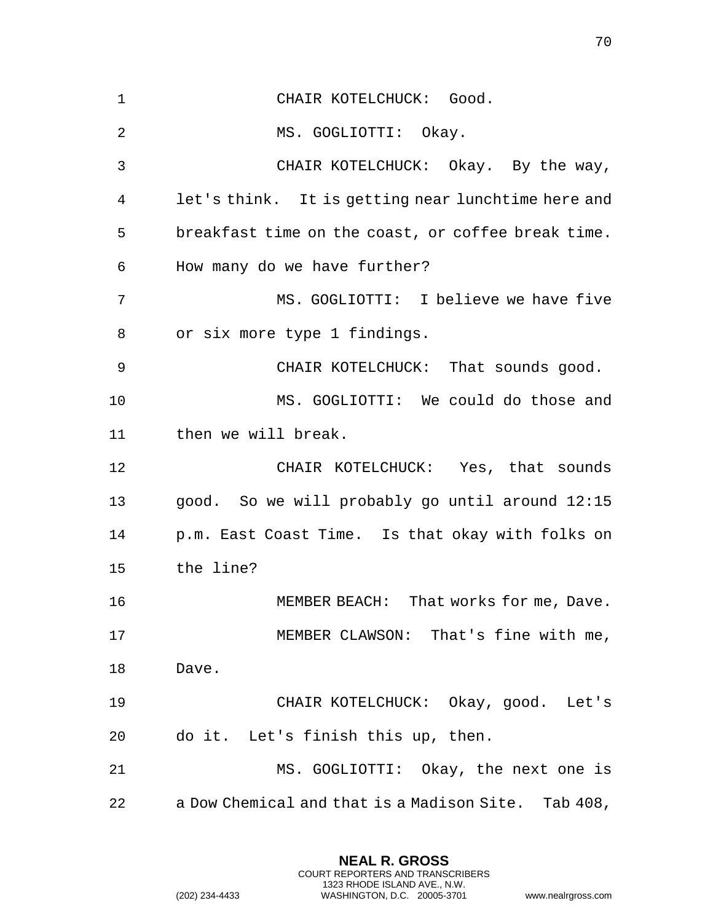| $\mathbf 1$ | CHAIR KOTELCHUCK: Good.                             |
|-------------|-----------------------------------------------------|
| 2           | MS. GOGLIOTTI: Okay.                                |
| 3           | CHAIR KOTELCHUCK: Okay. By the way,                 |
| 4           | let's think. It is getting near lunchtime here and  |
| 5           | breakfast time on the coast, or coffee break time.  |
| 6           | How many do we have further?                        |
| 7           | MS. GOGLIOTTI: I believe we have five               |
| 8           | or six more type 1 findings.                        |
| 9           | CHAIR KOTELCHUCK: That sounds good.                 |
| 10          | MS. GOGLIOTTI: We could do those and                |
| 11          | then we will break.                                 |
| 12          | CHAIR KOTELCHUCK: Yes, that sounds                  |
| 13          | good. So we will probably go until around 12:15     |
| 14          | p.m. East Coast Time. Is that okay with folks on    |
| 15          | the line?                                           |
| 16          | That works for me, Dave.<br>MEMBER BEACH:           |
| 17          | MEMBER CLAWSON: That's fine with me,                |
| 18          | Dave.                                               |
| 19          | CHAIR KOTELCHUCK: Okay, good. Let's                 |
| 20          | do it. Let's finish this up, then.                  |
| 21          | MS. GOGLIOTTI: Okay, the next one is                |
| 22          | a Dow Chemical and that is a Madison Site. Tab 408, |

**NEAL R. GROSS** COURT REPORTERS AND TRANSCRIBERS 1323 RHODE ISLAND AVE., N.W.

(202) 234-4433 WASHINGTON, D.C. 20005-3701 www.nealrgross.com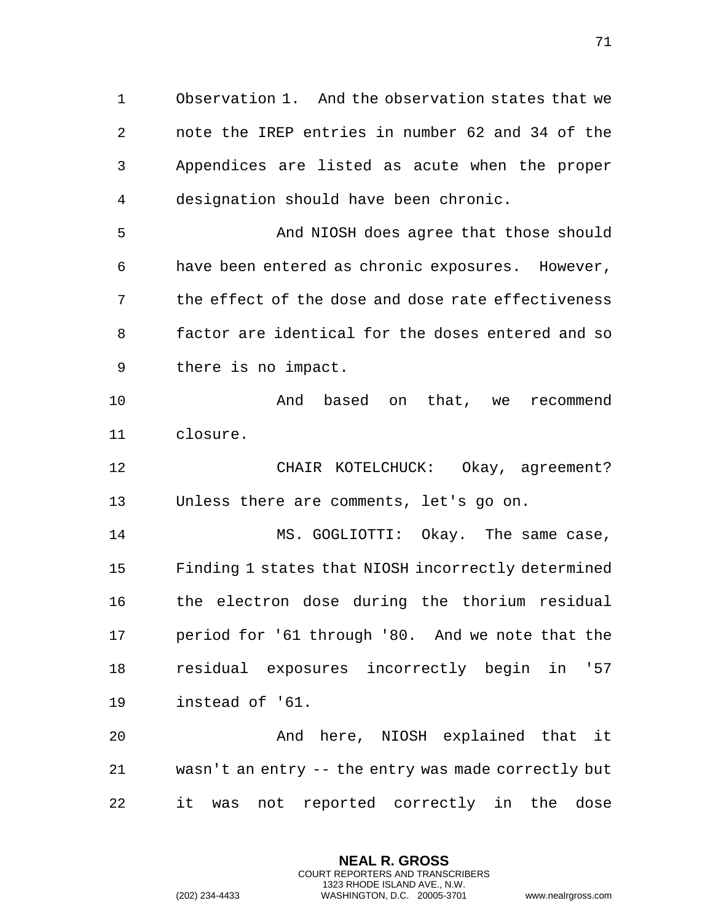Observation 1. And the observation states that we note the IREP entries in number 62 and 34 of the Appendices are listed as acute when the proper designation should have been chronic.

 And NIOSH does agree that those should have been entered as chronic exposures. However, the effect of the dose and dose rate effectiveness factor are identical for the doses entered and so there is no impact.

 And based on that, we recommend closure.

 CHAIR KOTELCHUCK: Okay, agreement? Unless there are comments, let's go on.

14 MS. GOGLIOTTI: Okay. The same case, Finding 1 states that NIOSH incorrectly determined the electron dose during the thorium residual period for '61 through '80. And we note that the residual exposures incorrectly begin in '57 instead of '61.

 And here, NIOSH explained that it wasn't an entry -- the entry was made correctly but it was not reported correctly in the dose

> **NEAL R. GROSS** COURT REPORTERS AND TRANSCRIBERS 1323 RHODE ISLAND AVE., N.W.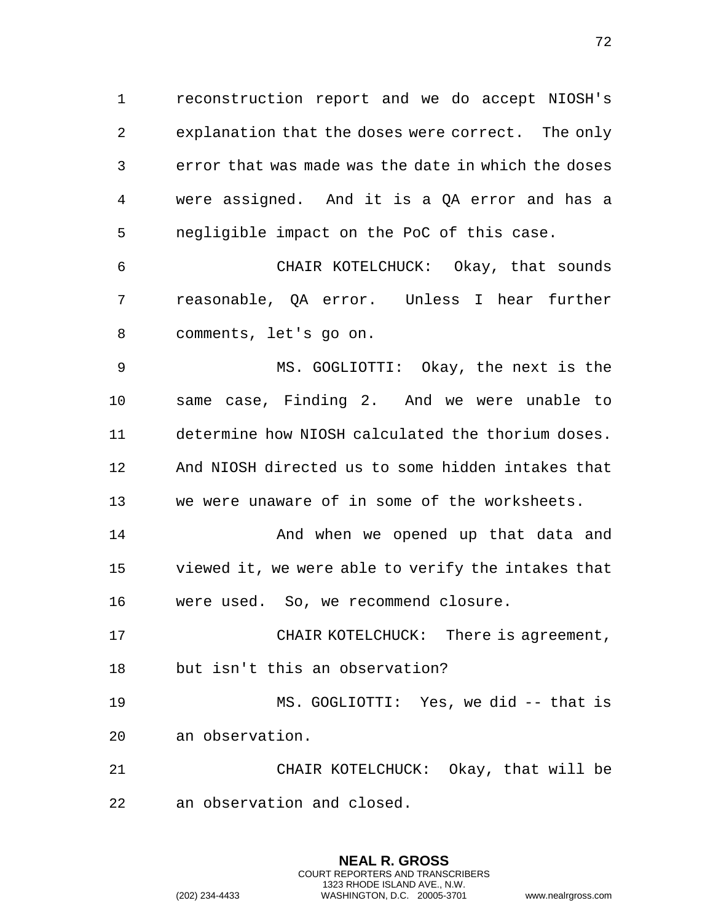reconstruction report and we do accept NIOSH's explanation that the doses were correct. The only error that was made was the date in which the doses were assigned. And it is a QA error and has a negligible impact on the PoC of this case.

 CHAIR KOTELCHUCK: Okay, that sounds reasonable, QA error. Unless I hear further comments, let's go on.

 MS. GOGLIOTTI: Okay, the next is the same case, Finding 2. And we were unable to determine how NIOSH calculated the thorium doses. And NIOSH directed us to some hidden intakes that we were unaware of in some of the worksheets.

**And when we opened up that data and**  viewed it, we were able to verify the intakes that were used. So, we recommend closure.

 CHAIR KOTELCHUCK: There is agreement, but isn't this an observation?

 MS. GOGLIOTTI: Yes, we did -- that is an observation.

 CHAIR KOTELCHUCK: Okay, that will be an observation and closed.

> **NEAL R. GROSS** COURT REPORTERS AND TRANSCRIBERS 1323 RHODE ISLAND AVE., N.W.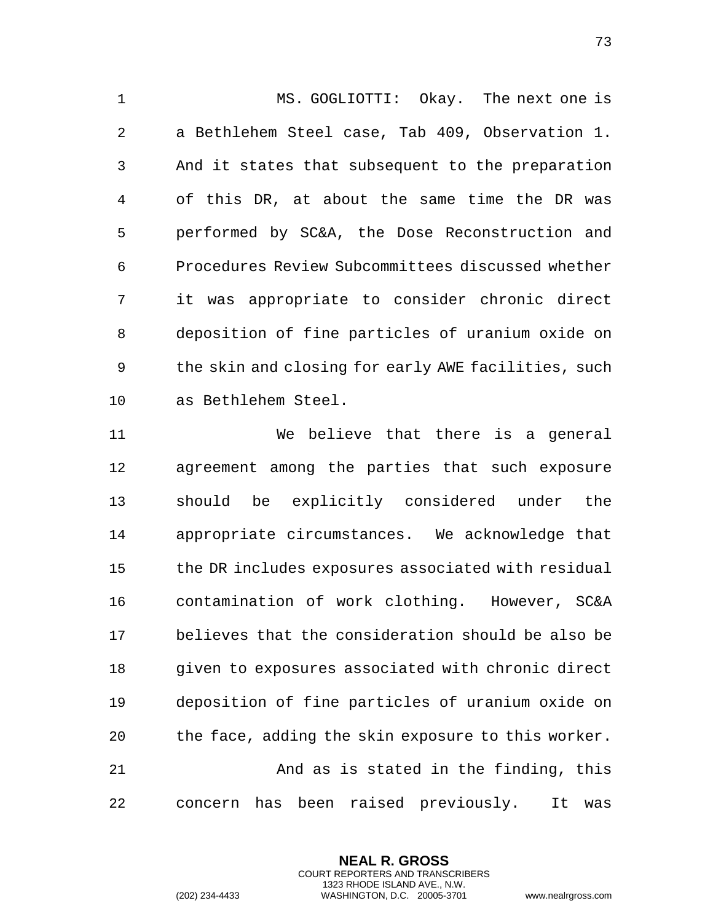MS. GOGLIOTTI: Okay. The next one is a Bethlehem Steel case, Tab 409, Observation 1. And it states that subsequent to the preparation of this DR, at about the same time the DR was performed by SC&A, the Dose Reconstruction and Procedures Review Subcommittees discussed whether it was appropriate to consider chronic direct deposition of fine particles of uranium oxide on the skin and closing for early AWE facilities, such as Bethlehem Steel.

 We believe that there is a general agreement among the parties that such exposure should be explicitly considered under the appropriate circumstances. We acknowledge that the DR includes exposures associated with residual contamination of work clothing. However, SC&A believes that the consideration should be also be given to exposures associated with chronic direct deposition of fine particles of uranium oxide on the face, adding the skin exposure to this worker. And as is stated in the finding, this concern has been raised previously. It was

> **NEAL R. GROSS** COURT REPORTERS AND TRANSCRIBERS 1323 RHODE ISLAND AVE., N.W.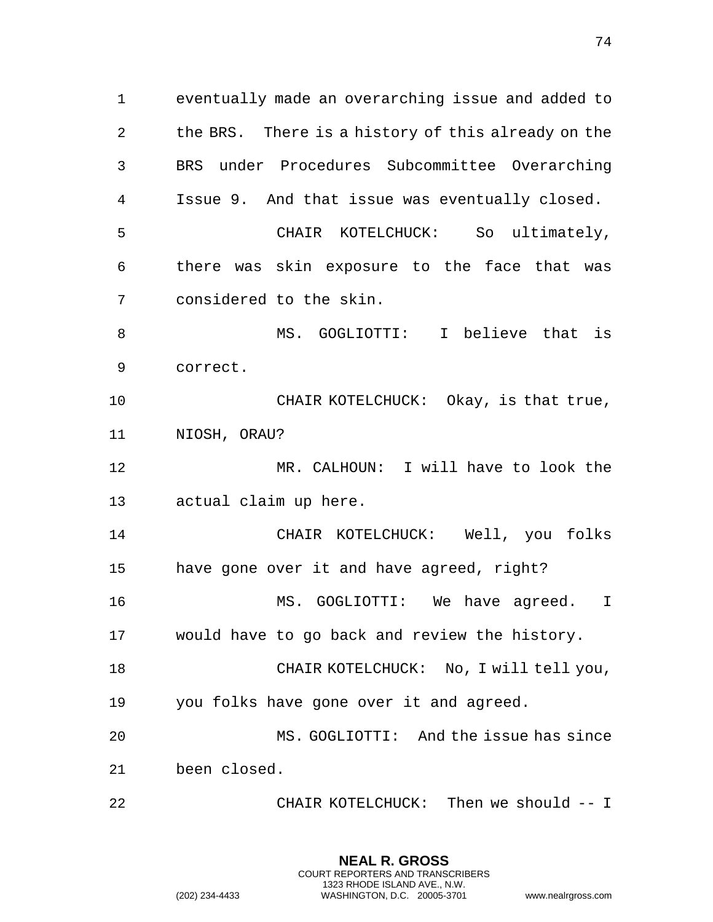eventually made an overarching issue and added to the BRS. There is a history of this already on the BRS under Procedures Subcommittee Overarching Issue 9. And that issue was eventually closed. CHAIR KOTELCHUCK: So ultimately, there was skin exposure to the face that was considered to the skin. MS. GOGLIOTTI: I believe that is correct. 10 CHAIR KOTELCHUCK: Okay, is that true, NIOSH, ORAU? MR. CALHOUN: I will have to look the actual claim up here. CHAIR KOTELCHUCK: Well, you folks have gone over it and have agreed, right? MS. GOGLIOTTI: We have agreed. I would have to go back and review the history. CHAIR KOTELCHUCK: No, I will tell you, you folks have gone over it and agreed. MS. GOGLIOTTI: And the issue has since been closed. CHAIR KOTELCHUCK: Then we should -- I

> **NEAL R. GROSS** COURT REPORTERS AND TRANSCRIBERS 1323 RHODE ISLAND AVE., N.W.

(202) 234-4433 WASHINGTON, D.C. 20005-3701 www.nealrgross.com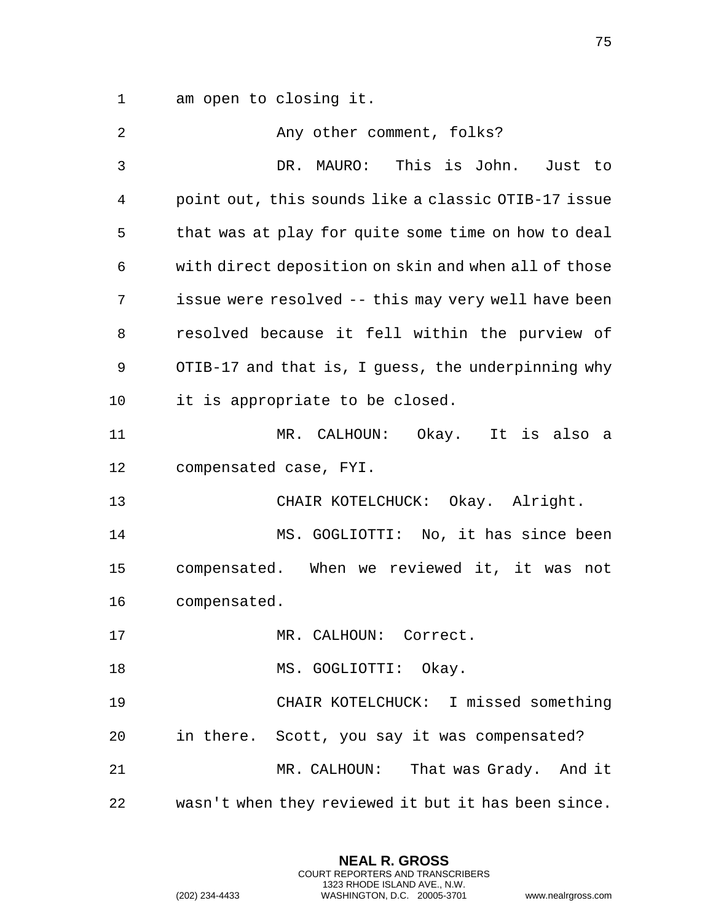am open to closing it.

| 2  | Any other comment, folks?                            |
|----|------------------------------------------------------|
| 3  | DR. MAURO: This is John. Just to                     |
| 4  | point out, this sounds like a classic OTIB-17 issue  |
| 5  | that was at play for quite some time on how to deal  |
| 6  | with direct deposition on skin and when all of those |
| 7  | issue were resolved -- this may very well have been  |
| 8  | resolved because it fell within the purview of       |
| 9  | OTIB-17 and that is, I guess, the underpinning why   |
| 10 | it is appropriate to be closed.                      |
| 11 | MR. CALHOUN: Okay. It is also a                      |
| 12 | compensated case, FYI.                               |
| 13 | CHAIR KOTELCHUCK: Okay. Alright.                     |
| 14 | MS. GOGLIOTTI: No, it has since been                 |
| 15 | compensated. When we reviewed it, it was not         |
| 16 | compensated.                                         |
| 17 | MR. CALHOUN:<br>Correct.                             |
| 18 | MS. GOGLIOTTI: Okay.                                 |
| 19 | CHAIR KOTELCHUCK: I missed something                 |
| 20 | in there. Scott, you say it was compensated?         |
| 21 | MR. CALHOUN: That was Grady. And it                  |
| 22 | wasn't when they reviewed it but it has been since.  |

**NEAL R. GROSS** COURT REPORTERS AND TRANSCRIBERS 1323 RHODE ISLAND AVE., N.W.

(202) 234-4433 WASHINGTON, D.C. 20005-3701 www.nealrgross.com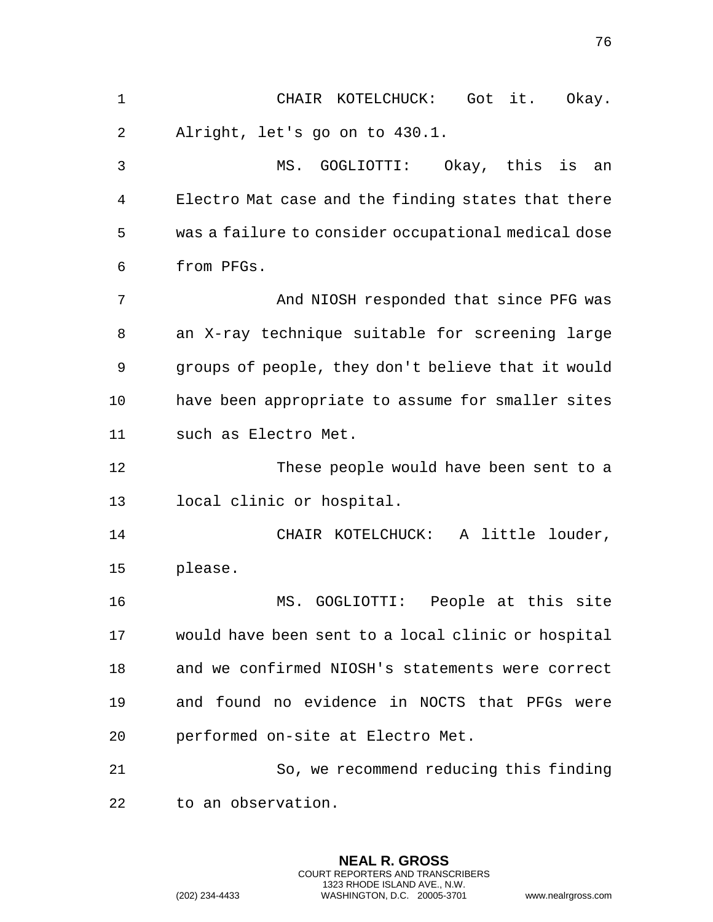CHAIR KOTELCHUCK: Got it. Okay. Alright, let's go on to 430.1. MS. GOGLIOTTI: Okay, this is an Electro Mat case and the finding states that there was a failure to consider occupational medical dose from PFGs. 7 And NIOSH responded that since PFG was an X-ray technique suitable for screening large groups of people, they don't believe that it would have been appropriate to assume for smaller sites such as Electro Met. These people would have been sent to a local clinic or hospital. CHAIR KOTELCHUCK: A little louder, please. MS. GOGLIOTTI: People at this site would have been sent to a local clinic or hospital and we confirmed NIOSH's statements were correct and found no evidence in NOCTS that PFGs were performed on-site at Electro Met. So, we recommend reducing this finding to an observation.

> **NEAL R. GROSS** COURT REPORTERS AND TRANSCRIBERS 1323 RHODE ISLAND AVE., N.W.

(202) 234-4433 WASHINGTON, D.C. 20005-3701 www.nealrgross.com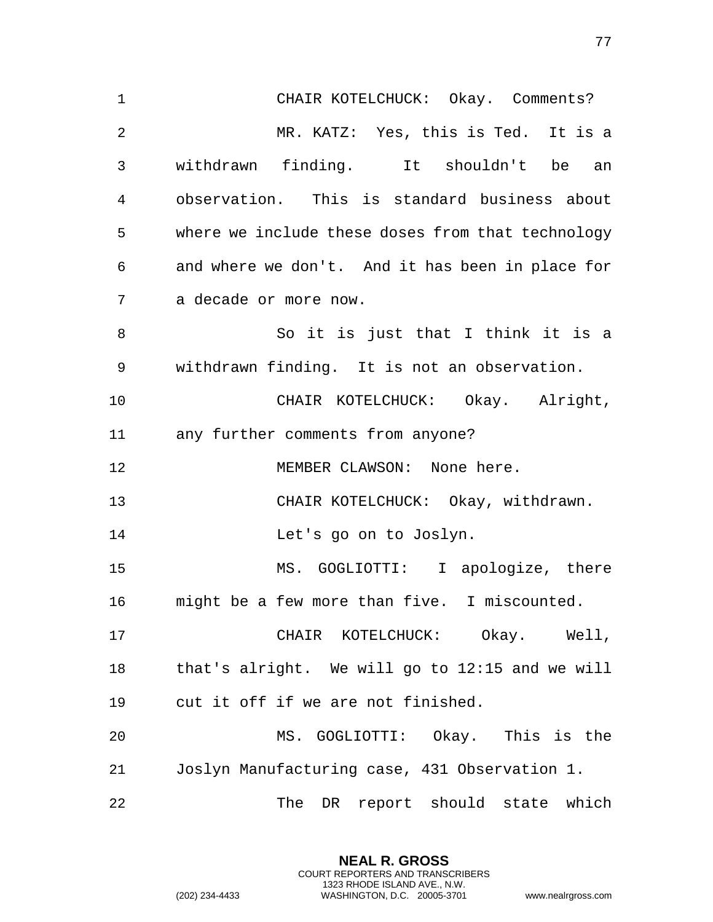CHAIR KOTELCHUCK: Okay. Comments? MR. KATZ: Yes, this is Ted. It is a withdrawn finding. It shouldn't be an observation. This is standard business about where we include these doses from that technology and where we don't. And it has been in place for a decade or more now. So it is just that I think it is a withdrawn finding. It is not an observation. CHAIR KOTELCHUCK: Okay. Alright, any further comments from anyone? 12 MEMBER CLAWSON: None here. CHAIR KOTELCHUCK: Okay, withdrawn. Let's go on to Joslyn. MS. GOGLIOTTI: I apologize, there might be a few more than five. I miscounted. CHAIR KOTELCHUCK: Okay. Well, that's alright. We will go to 12:15 and we will cut it off if we are not finished. MS. GOGLIOTTI: Okay. This is the Joslyn Manufacturing case, 431 Observation 1. 22 The DR report should state which

> **NEAL R. GROSS** COURT REPORTERS AND TRANSCRIBERS 1323 RHODE ISLAND AVE., N.W.

(202) 234-4433 WASHINGTON, D.C. 20005-3701 www.nealrgross.com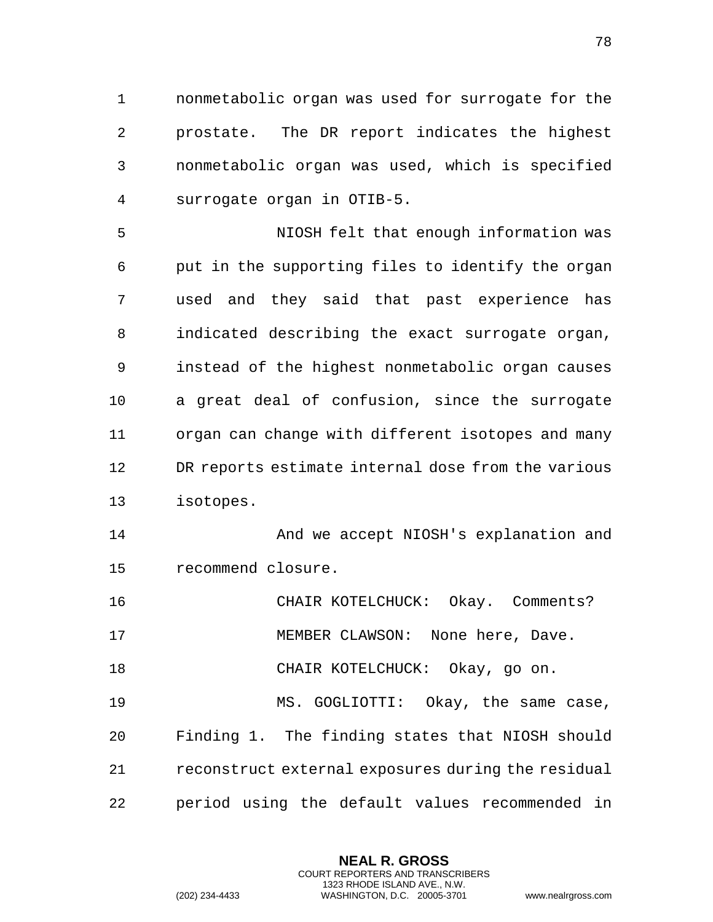nonmetabolic organ was used for surrogate for the prostate. The DR report indicates the highest nonmetabolic organ was used, which is specified surrogate organ in OTIB-5.

 NIOSH felt that enough information was put in the supporting files to identify the organ used and they said that past experience has indicated describing the exact surrogate organ, instead of the highest nonmetabolic organ causes a great deal of confusion, since the surrogate organ can change with different isotopes and many DR reports estimate internal dose from the various isotopes.

14 And we accept NIOSH's explanation and recommend closure.

CHAIR KOTELCHUCK: Okay. Comments?

17 MEMBER CLAWSON: None here, Dave.

CHAIR KOTELCHUCK: Okay, go on.

 MS. GOGLIOTTI: Okay, the same case, Finding 1. The finding states that NIOSH should reconstruct external exposures during the residual period using the default values recommended in

> **NEAL R. GROSS** COURT REPORTERS AND TRANSCRIBERS 1323 RHODE ISLAND AVE., N.W.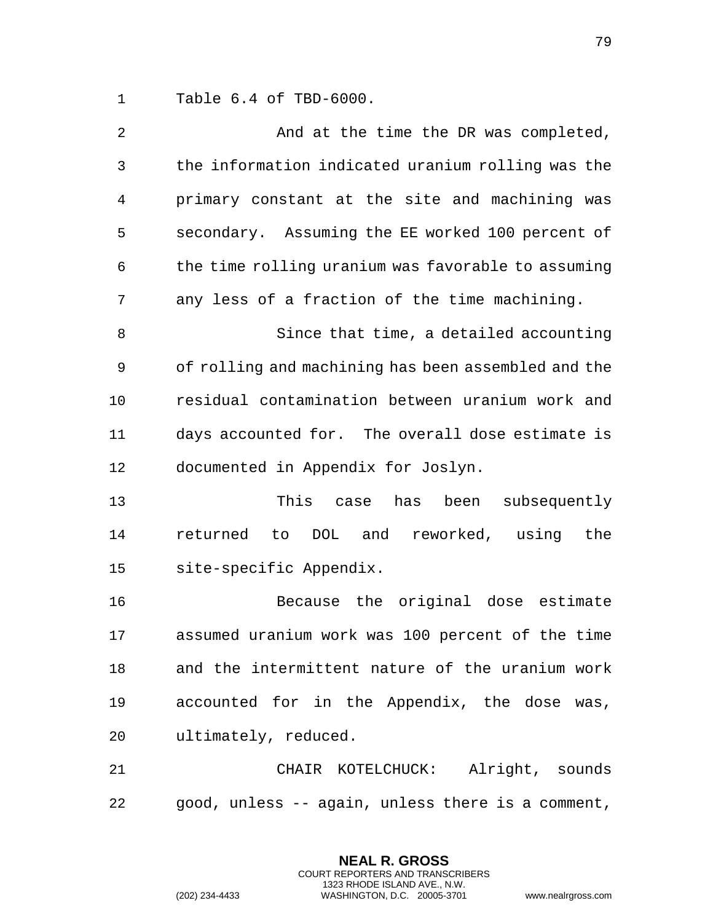Table 6.4 of TBD-6000.

| $\overline{a}$ | And at the time the DR was completed,               |
|----------------|-----------------------------------------------------|
| 3              | the information indicated uranium rolling was the   |
| 4              | primary constant at the site and machining was      |
| 5              | secondary. Assuming the EE worked 100 percent of    |
| 6              | the time rolling uranium was favorable to assuming  |
| 7              | any less of a fraction of the time machining.       |
| 8              | Since that time, a detailed accounting              |
| 9              | of rolling and machining has been assembled and the |
| 10             | residual contamination between uranium work and     |
| 11             | days accounted for. The overall dose estimate is    |
| 12             | documented in Appendix for Joslyn.                  |
| 13             | This<br>been subsequently<br>case has               |
| 14             | DOL and reworked, using<br>returned<br>the<br>to    |
| 15             | site-specific Appendix.                             |
| 16             | Because the original dose estimate                  |
| 17             | assumed uranium work was 100 percent of the time    |
| 18             | and the intermittent nature of the uranium work     |
| 19             | accounted for in the Appendix, the dose was,        |
| 20             | ultimately, reduced.                                |
| 21             | CHAIR KOTELCHUCK: Alright, sounds                   |
| 22             | good, unless -- again, unless there is a comment,   |

**NEAL R. GROSS** COURT REPORTERS AND TRANSCRIBERS 1323 RHODE ISLAND AVE., N.W.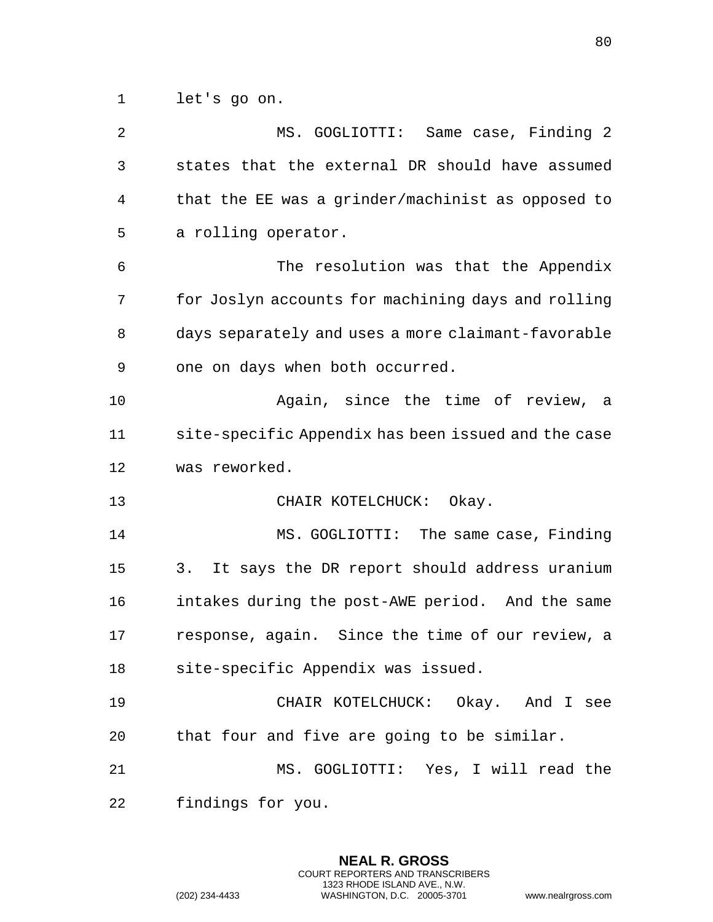let's go on.

| $\overline{2}$ | MS. GOGLIOTTI: Same case, Finding 2                 |
|----------------|-----------------------------------------------------|
| 3              | states that the external DR should have assumed     |
| 4              | that the EE was a grinder/machinist as opposed to   |
| 5              | a rolling operator.                                 |
| 6              | The resolution was that the Appendix                |
| 7              | for Joslyn accounts for machining days and rolling  |
| 8              | days separately and uses a more claimant-favorable  |
| 9              | one on days when both occurred.                     |
| 10             | Again, since the time of review,<br>a a             |
| 11             | site-specific Appendix has been issued and the case |
| 12             | was reworked.                                       |
| 13             | CHAIR KOTELCHUCK: Okay.                             |
| 14             | MS. GOGLIOTTI: The same case, Finding               |
| 15             | 3.<br>It says the DR report should address uranium  |
| 16             | intakes during the post-AWE period. And the same    |
| 17             | response, again. Since the time of our review, a    |
| 18             | site-specific Appendix was issued.                  |
| 19             | CHAIR KOTELCHUCK: Okay. And I see                   |
| 20             | that four and five are going to be similar.         |
| 21             | MS. GOGLIOTTI: Yes, I will read the                 |
| 22             | findings for you.                                   |

**NEAL R. GROSS** COURT REPORTERS AND TRANSCRIBERS 1323 RHODE ISLAND AVE., N.W.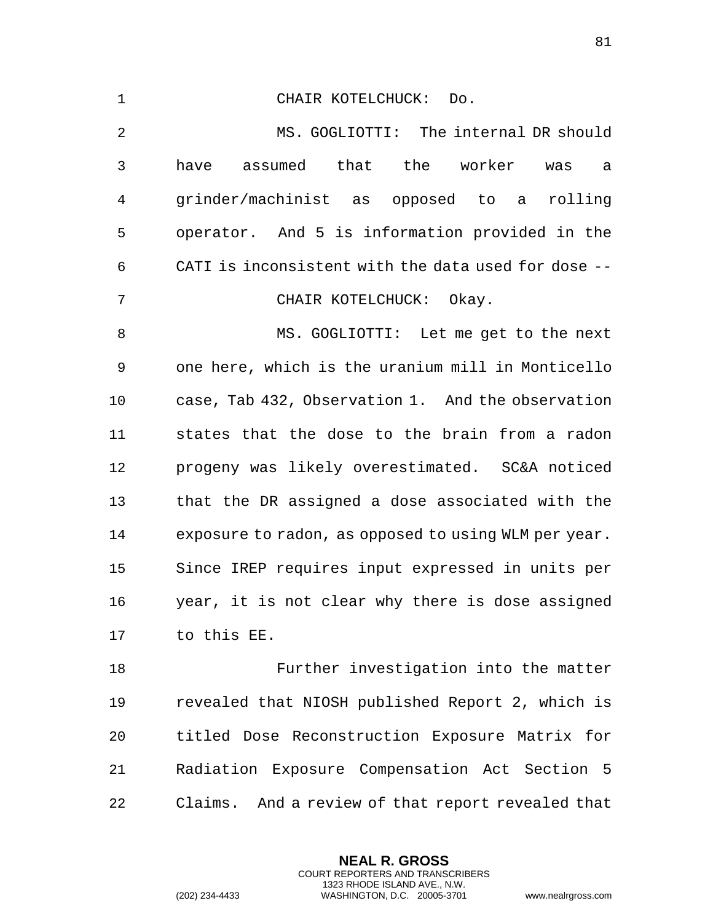| $\mathbf 1$    | CHAIR KOTELCHUCK:<br>Do.                             |
|----------------|------------------------------------------------------|
| $\overline{2}$ | MS. GOGLIOTTI: The internal DR should                |
| 3              | assumed that the worker<br>have<br>was<br>а          |
| 4              | grinder/machinist as opposed to a rolling            |
| 5              | operator. And 5 is information provided in the       |
| 6              | CATI is inconsistent with the data used for dose --  |
| 7              | CHAIR KOTELCHUCK: Okay.                              |
| 8              | MS. GOGLIOTTI: Let me get to the next                |
| 9              | one here, which is the uranium mill in Monticello    |
| 10             | case, Tab 432, Observation 1. And the observation    |
| 11             | states that the dose to the brain from a radon       |
| 12             | progeny was likely overestimated. SC&A noticed       |
| 13             | that the DR assigned a dose associated with the      |
| 14             | exposure to radon, as opposed to using WLM per year. |
| 15             | Since IREP requires input expressed in units per     |
| 16             | year, it is not clear why there is dose assigned     |
| 17             | to this EE.                                          |
| 18             | Further investigation into the matter                |
| 19             | revealed that NIOSH published Report 2, which is     |
| 20             | titled Dose Reconstruction Exposure Matrix for       |
| 21             | Radiation Exposure Compensation Act Section 5        |

Claims. And a review of that report revealed that

**NEAL R. GROSS** COURT REPORTERS AND TRANSCRIBERS 1323 RHODE ISLAND AVE., N.W.

(202) 234-4433 WASHINGTON, D.C. 20005-3701 www.nealrgross.com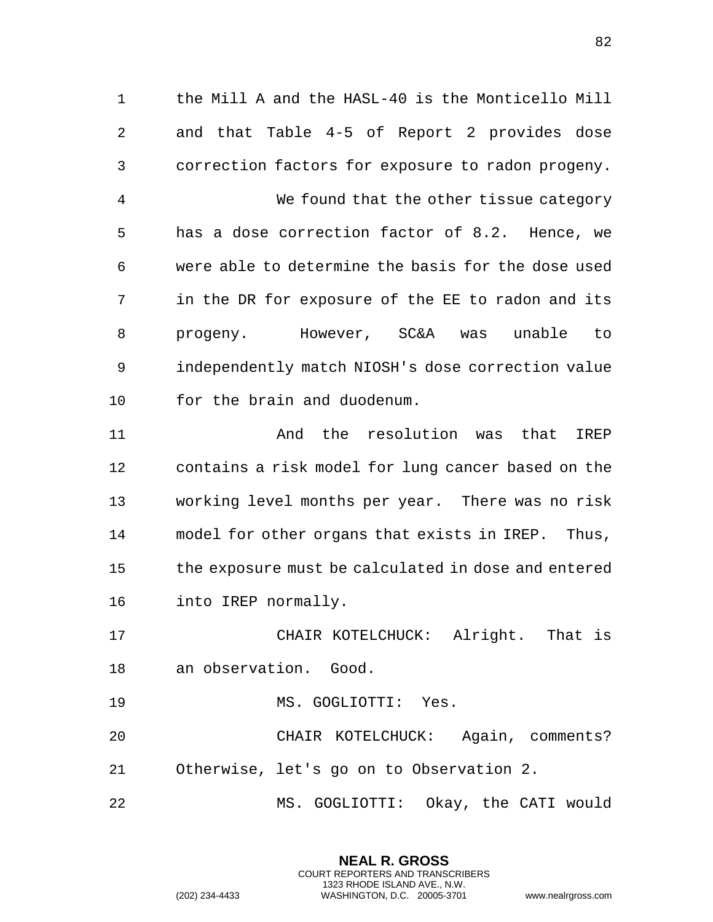the Mill A and the HASL-40 is the Monticello Mill and that Table 4-5 of Report 2 provides dose correction factors for exposure to radon progeny.

 We found that the other tissue category has a dose correction factor of 8.2. Hence, we were able to determine the basis for the dose used in the DR for exposure of the EE to radon and its progeny. However, SC&A was unable to independently match NIOSH's dose correction value for the brain and duodenum.

 And the resolution was that IREP contains a risk model for lung cancer based on the working level months per year. There was no risk model for other organs that exists in IREP. Thus, the exposure must be calculated in dose and entered into IREP normally.

 CHAIR KOTELCHUCK: Alright. That is an observation. Good.

19 MS. GOGLIOTTI: Yes.

 CHAIR KOTELCHUCK: Again, comments? Otherwise, let's go on to Observation 2.

MS. GOGLIOTTI: Okay, the CATI would

**NEAL R. GROSS** COURT REPORTERS AND TRANSCRIBERS 1323 RHODE ISLAND AVE., N.W. (202) 234-4433 WASHINGTON, D.C. 20005-3701 www.nealrgross.com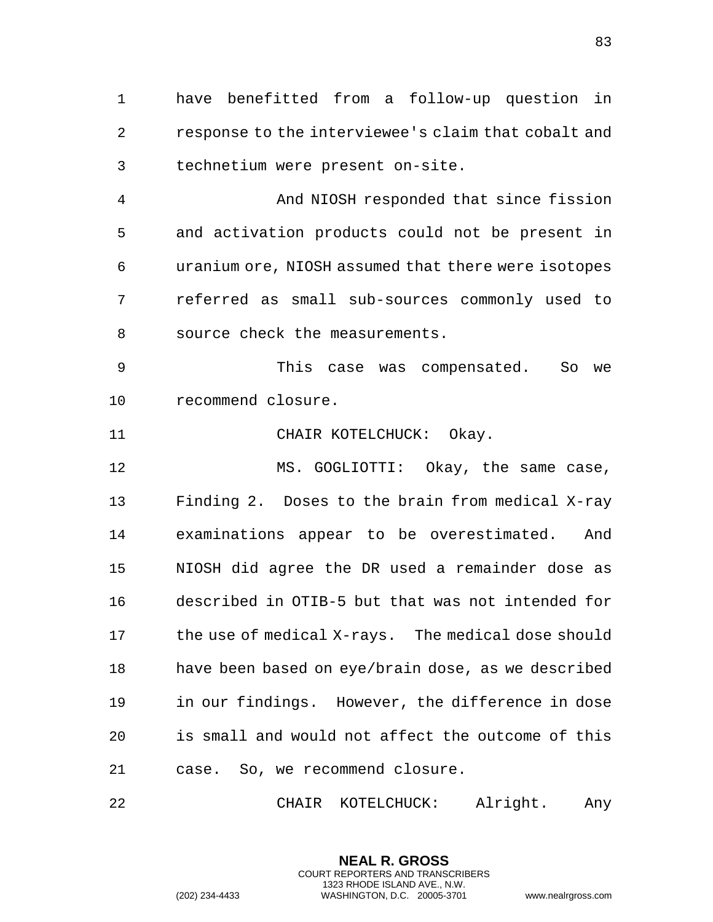have benefitted from a follow-up question in response to the interviewee's claim that cobalt and technetium were present on-site.

 And NIOSH responded that since fission and activation products could not be present in uranium ore, NIOSH assumed that there were isotopes referred as small sub-sources commonly used to source check the measurements.

 This case was compensated. So we recommend closure.

11 CHAIR KOTELCHUCK: Okay.

 MS. GOGLIOTTI: Okay, the same case, Finding 2. Doses to the brain from medical X-ray examinations appear to be overestimated. And NIOSH did agree the DR used a remainder dose as described in OTIB-5 but that was not intended for the use of medical X-rays. The medical dose should have been based on eye/brain dose, as we described in our findings. However, the difference in dose is small and would not affect the outcome of this case. So, we recommend closure.

CHAIR KOTELCHUCK: Alright. Any

**NEAL R. GROSS** COURT REPORTERS AND TRANSCRIBERS 1323 RHODE ISLAND AVE., N.W.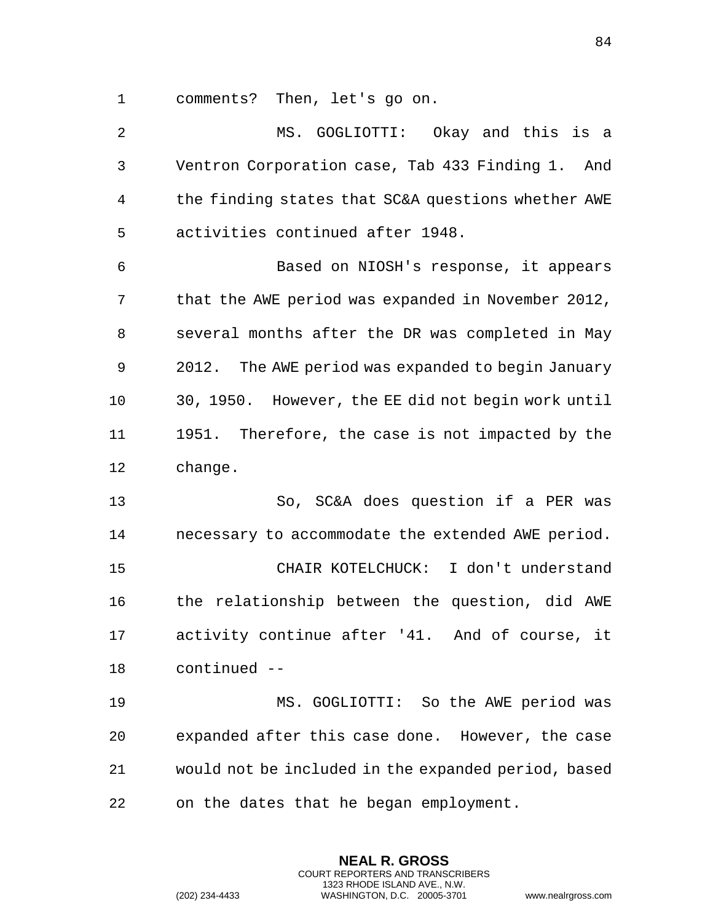comments? Then, let's go on.

 MS. GOGLIOTTI: Okay and this is a Ventron Corporation case, Tab 433 Finding 1. And the finding states that SC&A questions whether AWE activities continued after 1948. Based on NIOSH's response, it appears that the AWE period was expanded in November 2012, several months after the DR was completed in May 2012. The AWE period was expanded to begin January 30, 1950. However, the EE did not begin work until 1951. Therefore, the case is not impacted by the change. So, SC&A does question if a PER was necessary to accommodate the extended AWE period. CHAIR KOTELCHUCK: I don't understand the relationship between the question, did AWE activity continue after '41. And of course, it continued -- MS. GOGLIOTTI: So the AWE period was expanded after this case done. However, the case would not be included in the expanded period, based on the dates that he began employment.

> **NEAL R. GROSS** COURT REPORTERS AND TRANSCRIBERS 1323 RHODE ISLAND AVE., N.W.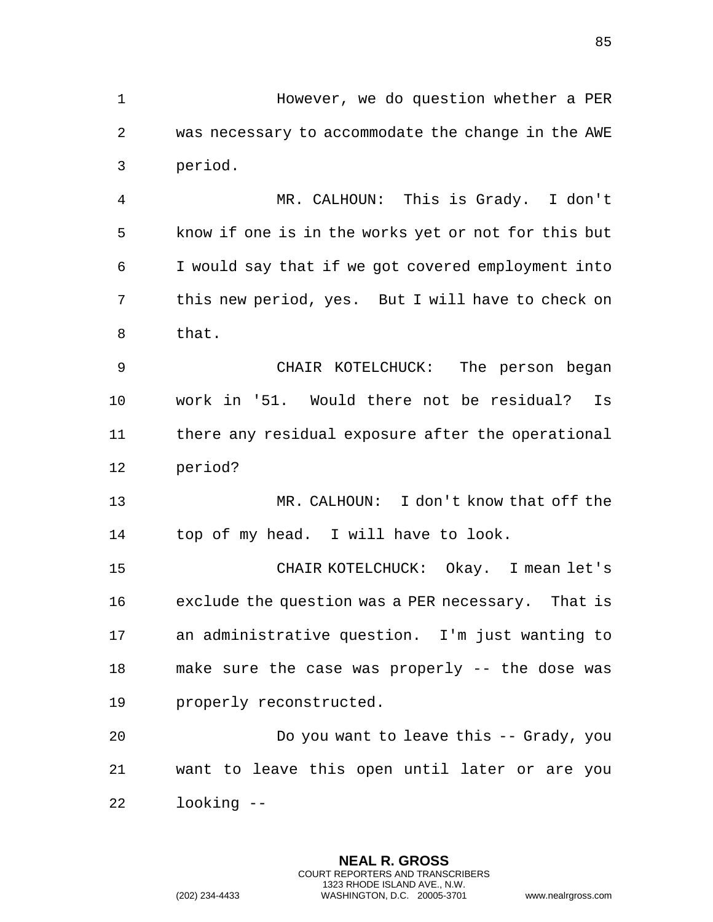However, we do question whether a PER was necessary to accommodate the change in the AWE period.

 MR. CALHOUN: This is Grady. I don't know if one is in the works yet or not for this but I would say that if we got covered employment into this new period, yes. But I will have to check on that.

 CHAIR KOTELCHUCK: The person began work in '51. Would there not be residual? Is there any residual exposure after the operational period?

 MR. CALHOUN: I don't know that off the top of my head. I will have to look.

 CHAIR KOTELCHUCK: Okay. I mean let's exclude the question was a PER necessary. That is an administrative question. I'm just wanting to make sure the case was properly -- the dose was properly reconstructed.

 Do you want to leave this -- Grady, you want to leave this open until later or are you looking --

> **NEAL R. GROSS** COURT REPORTERS AND TRANSCRIBERS 1323 RHODE ISLAND AVE., N.W.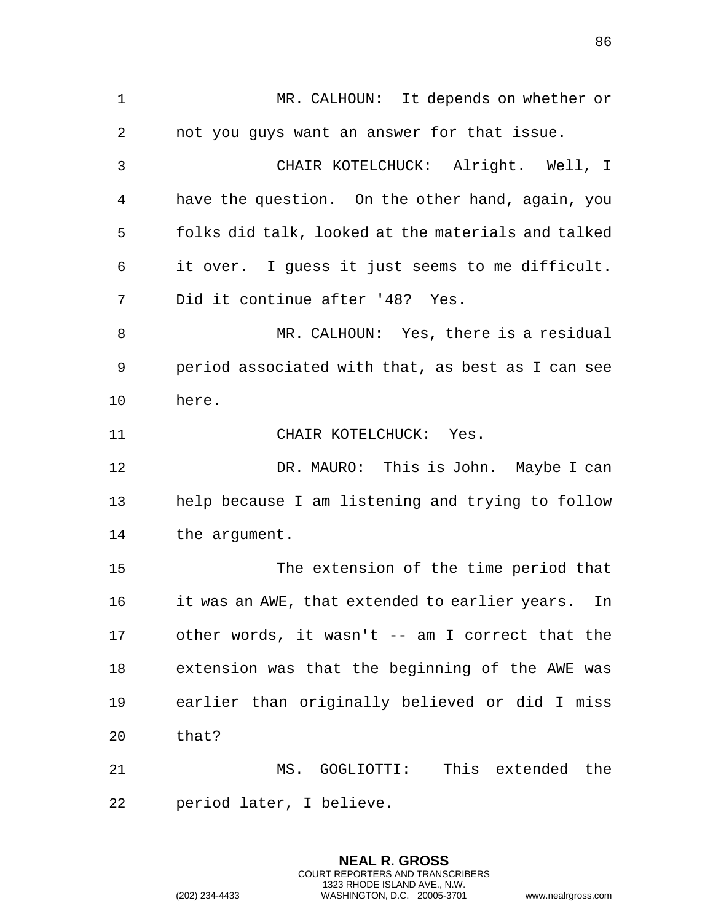MR. CALHOUN: It depends on whether or not you guys want an answer for that issue. CHAIR KOTELCHUCK: Alright. Well, I have the question. On the other hand, again, you folks did talk, looked at the materials and talked it over. I guess it just seems to me difficult. Did it continue after '48? Yes. MR. CALHOUN: Yes, there is a residual period associated with that, as best as I can see here. 11 CHAIR KOTELCHUCK: Yes. 12 DR. MAURO: This is John. Maybe I can help because I am listening and trying to follow the argument. The extension of the time period that it was an AWE, that extended to earlier years. In other words, it wasn't -- am I correct that the extension was that the beginning of the AWE was earlier than originally believed or did I miss that? MS. GOGLIOTTI: This extended the period later, I believe.

> **NEAL R. GROSS** COURT REPORTERS AND TRANSCRIBERS 1323 RHODE ISLAND AVE., N.W.

(202) 234-4433 WASHINGTON, D.C. 20005-3701 www.nealrgross.com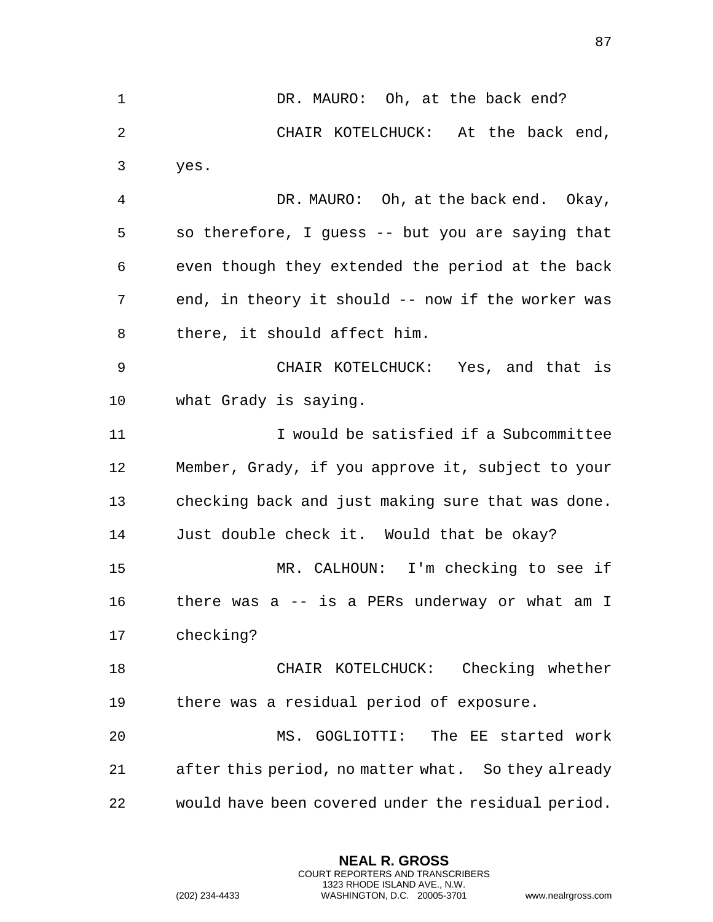1 DR. MAURO: Oh, at the back end? CHAIR KOTELCHUCK: At the back end, yes. DR. MAURO: Oh, at the back end. Okay, so therefore, I guess -- but you are saying that even though they extended the period at the back end, in theory it should -- now if the worker was there, it should affect him. CHAIR KOTELCHUCK: Yes, and that is what Grady is saying. I would be satisfied if a Subcommittee Member, Grady, if you approve it, subject to your checking back and just making sure that was done. Just double check it. Would that be okay? MR. CALHOUN: I'm checking to see if there was a -- is a PERs underway or what am I checking? CHAIR KOTELCHUCK: Checking whether there was a residual period of exposure. MS. GOGLIOTTI: The EE started work after this period, no matter what. So they already would have been covered under the residual period.

> **NEAL R. GROSS** COURT REPORTERS AND TRANSCRIBERS 1323 RHODE ISLAND AVE., N.W.

(202) 234-4433 WASHINGTON, D.C. 20005-3701 www.nealrgross.com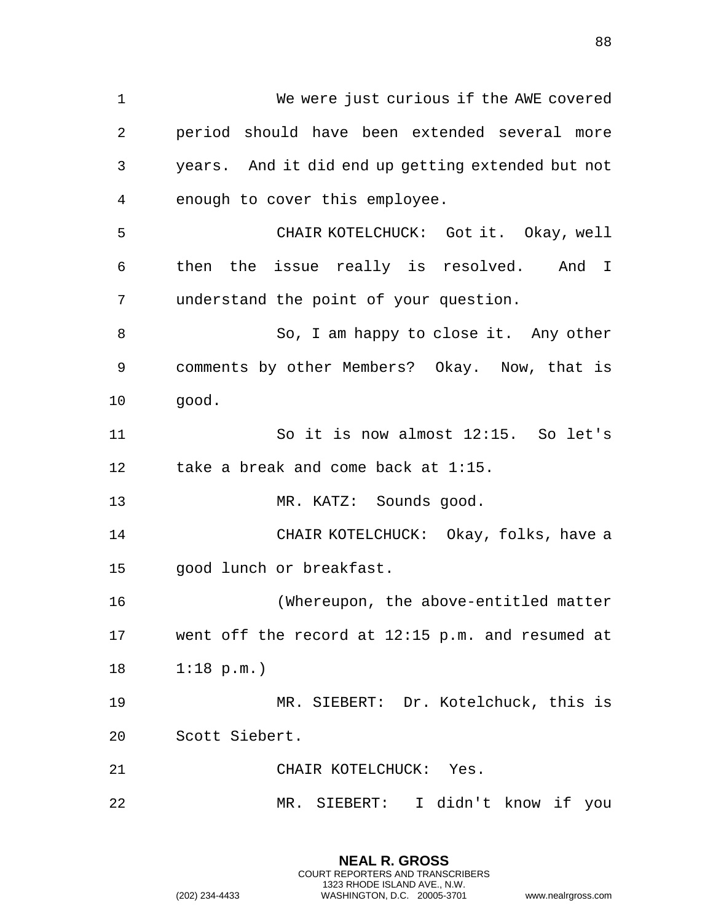We were just curious if the AWE covered period should have been extended several more years. And it did end up getting extended but not enough to cover this employee. CHAIR KOTELCHUCK: Got it. Okay, well then the issue really is resolved. And I understand the point of your question. So, I am happy to close it. Any other comments by other Members? Okay. Now, that is good. So it is now almost 12:15. So let's 12 take a break and come back at 1:15. 13 MR. KATZ: Sounds good. CHAIR KOTELCHUCK: Okay, folks, have a good lunch or breakfast. (Whereupon, the above-entitled matter went off the record at 12:15 p.m. and resumed at 1:18 p.m.) MR. SIEBERT: Dr. Kotelchuck, this is Scott Siebert. CHAIR KOTELCHUCK: Yes. MR. SIEBERT: I didn't know if you

> **NEAL R. GROSS** COURT REPORTERS AND TRANSCRIBERS 1323 RHODE ISLAND AVE., N.W.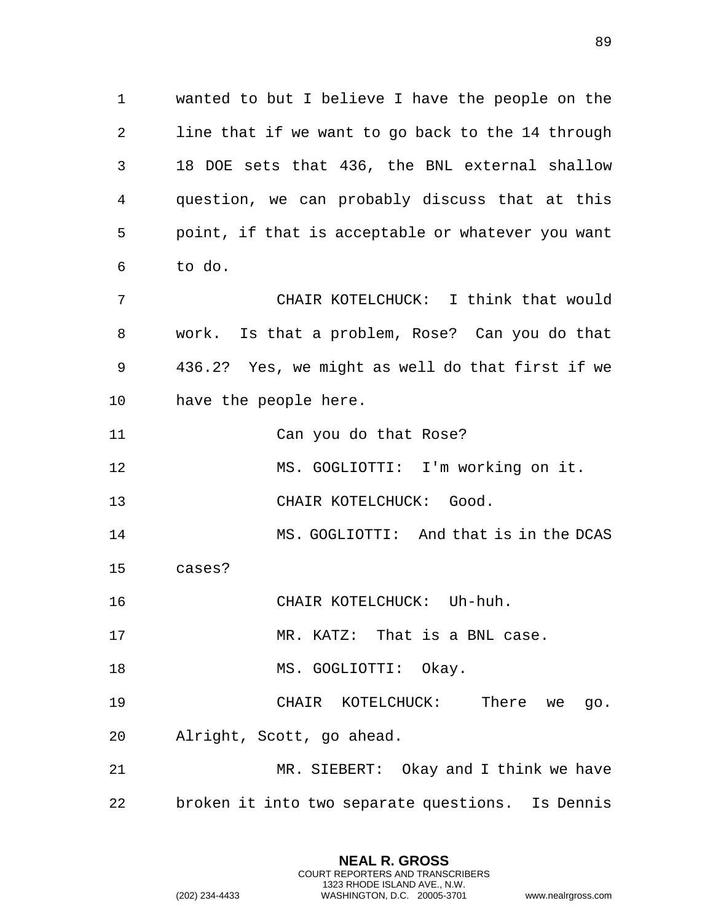wanted to but I believe I have the people on the line that if we want to go back to the 14 through 18 DOE sets that 436, the BNL external shallow question, we can probably discuss that at this point, if that is acceptable or whatever you want to do. CHAIR KOTELCHUCK: I think that would work. Is that a problem, Rose? Can you do that 436.2? Yes, we might as well do that first if we

have the people here.

Can you do that Rose?

MS. GOGLIOTTI: I'm working on it.

13 CHAIR KOTELCHUCK: Good.

MS. GOGLIOTTI: And that is in the DCAS

cases?

CHAIR KOTELCHUCK: Uh-huh.

MR. KATZ: That is a BNL case.

18 MS. GOGLIOTTI: Okay.

 CHAIR KOTELCHUCK: There we go. Alright, Scott, go ahead.

 MR. SIEBERT: Okay and I think we have broken it into two separate questions. Is Dennis

> **NEAL R. GROSS** COURT REPORTERS AND TRANSCRIBERS 1323 RHODE ISLAND AVE., N.W.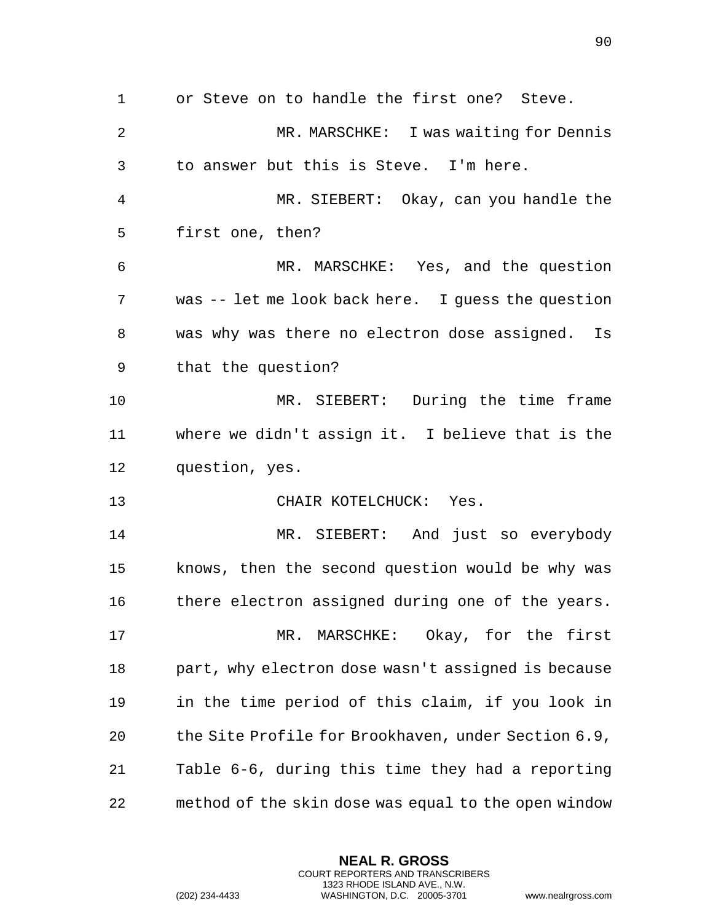or Steve on to handle the first one? Steve. MR. MARSCHKE: I was waiting for Dennis to answer but this is Steve. I'm here. MR. SIEBERT: Okay, can you handle the first one, then? MR. MARSCHKE: Yes, and the question was -- let me look back here. I guess the question was why was there no electron dose assigned. Is that the question? MR. SIEBERT: During the time frame where we didn't assign it. I believe that is the question, yes. 13 CHAIR KOTELCHUCK: Yes. MR. SIEBERT: And just so everybody knows, then the second question would be why was

 MR. MARSCHKE: Okay, for the first part, why electron dose wasn't assigned is because in the time period of this claim, if you look in the Site Profile for Brookhaven, under Section 6.9, Table 6-6, during this time they had a reporting method of the skin dose was equal to the open window

16 there electron assigned during one of the years.

**NEAL R. GROSS** COURT REPORTERS AND TRANSCRIBERS 1323 RHODE ISLAND AVE., N.W.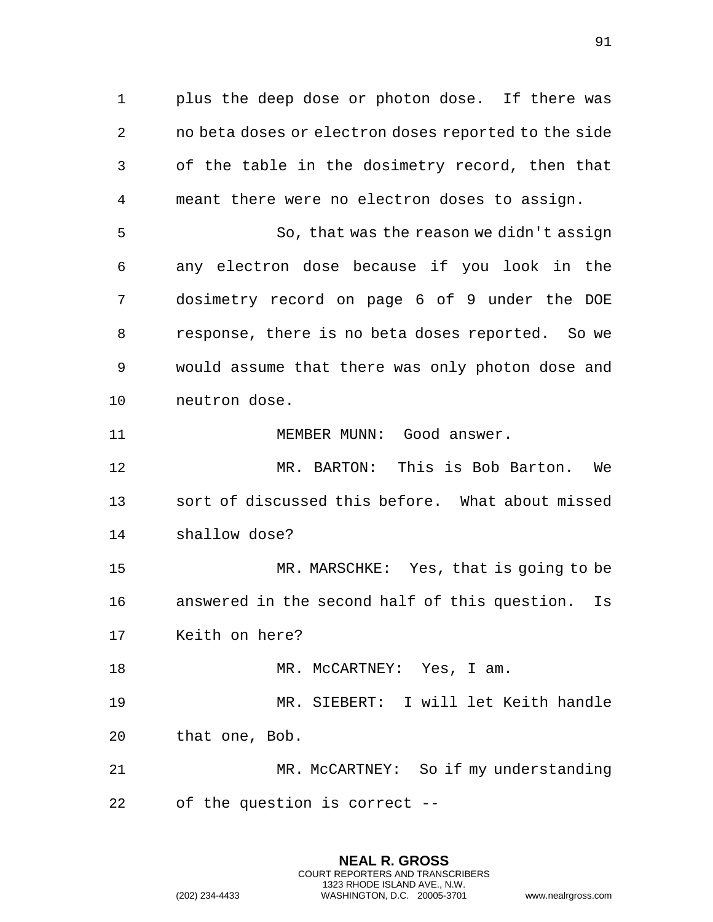plus the deep dose or photon dose. If there was no beta doses or electron doses reported to the side of the table in the dosimetry record, then that meant there were no electron doses to assign.

 So, that was the reason we didn't assign any electron dose because if you look in the dosimetry record on page 6 of 9 under the DOE response, there is no beta doses reported. So we would assume that there was only photon dose and neutron dose.

11 MEMBER MUNN: Good answer.

 MR. BARTON: This is Bob Barton. We sort of discussed this before. What about missed shallow dose?

 MR. MARSCHKE: Yes, that is going to be answered in the second half of this question. Is Keith on here?

18 MR. McCARTNEY: Yes, I am.

 MR. SIEBERT: I will let Keith handle that one, Bob.

 MR. McCARTNEY: So if my understanding of the question is correct --

> **NEAL R. GROSS** COURT REPORTERS AND TRANSCRIBERS 1323 RHODE ISLAND AVE., N.W.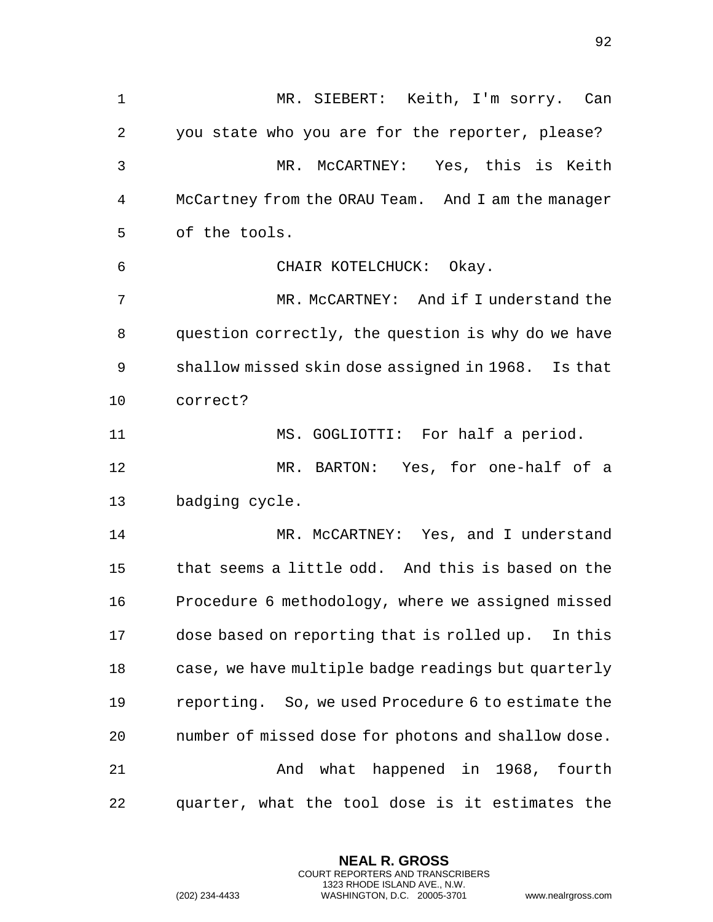MR. SIEBERT: Keith, I'm sorry. Can you state who you are for the reporter, please? MR. McCARTNEY: Yes, this is Keith McCartney from the ORAU Team. And I am the manager of the tools. CHAIR KOTELCHUCK: Okay. MR. McCARTNEY: And if I understand the question correctly, the question is why do we have shallow missed skin dose assigned in 1968. Is that correct? MS. GOGLIOTTI: For half a period. MR. BARTON: Yes, for one-half of a badging cycle. MR. McCARTNEY: Yes, and I understand that seems a little odd. And this is based on the Procedure 6 methodology, where we assigned missed dose based on reporting that is rolled up. In this case, we have multiple badge readings but quarterly reporting. So, we used Procedure 6 to estimate the number of missed dose for photons and shallow dose. And what happened in 1968, fourth quarter, what the tool dose is it estimates the

> **NEAL R. GROSS** COURT REPORTERS AND TRANSCRIBERS 1323 RHODE ISLAND AVE., N.W.

(202) 234-4433 WASHINGTON, D.C. 20005-3701 www.nealrgross.com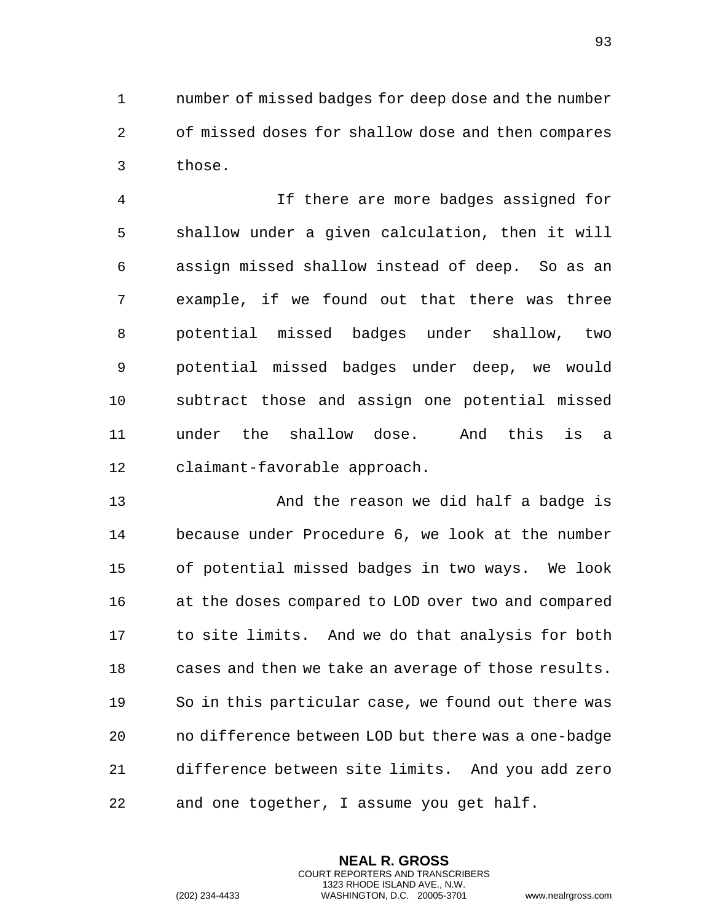number of missed badges for deep dose and the number of missed doses for shallow dose and then compares those.

 If there are more badges assigned for shallow under a given calculation, then it will assign missed shallow instead of deep. So as an example, if we found out that there was three potential missed badges under shallow, two potential missed badges under deep, we would subtract those and assign one potential missed under the shallow dose. And this is a claimant-favorable approach.

 And the reason we did half a badge is because under Procedure 6, we look at the number of potential missed badges in two ways. We look at the doses compared to LOD over two and compared to site limits. And we do that analysis for both cases and then we take an average of those results. So in this particular case, we found out there was no difference between LOD but there was a one-badge difference between site limits. And you add zero and one together, I assume you get half.

> **NEAL R. GROSS** COURT REPORTERS AND TRANSCRIBERS 1323 RHODE ISLAND AVE., N.W.

(202) 234-4433 WASHINGTON, D.C. 20005-3701 www.nealrgross.com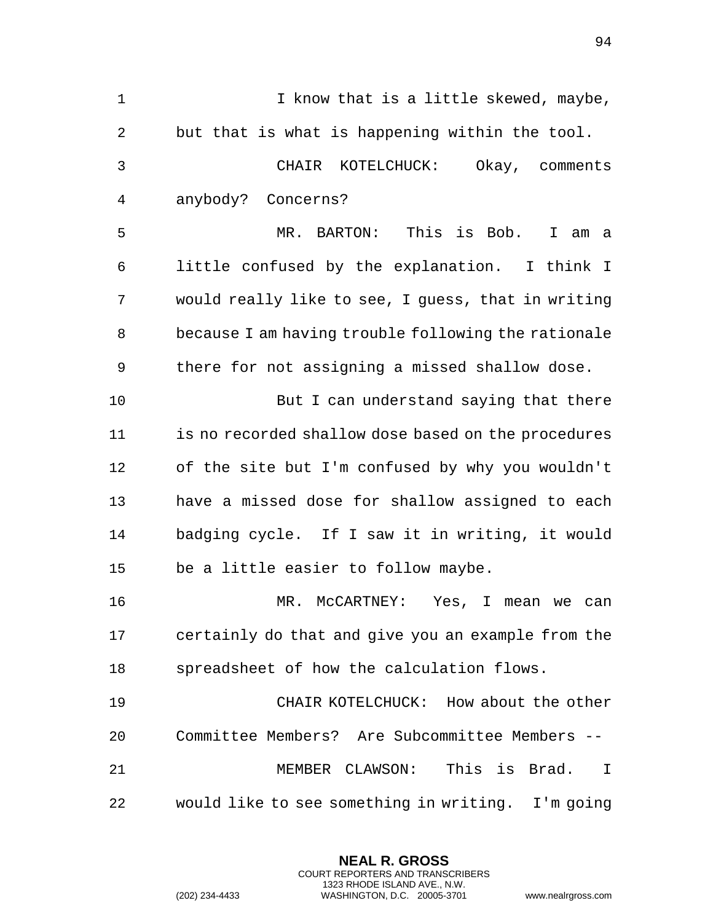| $\mathbf 1$    | I know that is a little skewed, maybe,              |
|----------------|-----------------------------------------------------|
| $\overline{2}$ | but that is what is happening within the tool.      |
| 3              | CHAIR KOTELCHUCK: Okay, comments                    |
| 4              | anybody? Concerns?                                  |
| 5              | This is Bob. I am a<br>MR. BARTON:                  |
| 6              | little confused by the explanation. I think I       |
| 7              | would really like to see, I guess, that in writing  |
| 8              | because I am having trouble following the rationale |
| 9              | there for not assigning a missed shallow dose.      |
| 10             | But I can understand saying that there              |
| 11             | is no recorded shallow dose based on the procedures |
| 12             | of the site but I'm confused by why you wouldn't    |
| 13             | have a missed dose for shallow assigned to each     |
| 14             | badging cycle. If I saw it in writing, it would     |
| 15             | be a little easier to follow maybe.                 |
| 16             | MR. McCARTNEY: Yes, I mean we can                   |
| 17             | certainly do that and give you an example from the  |
| 18             | spreadsheet of how the calculation flows.           |
| 19             | CHAIR KOTELCHUCK: How about the other               |
| 20             | Committee Members? Are Subcommittee Members --      |
| 21             | MEMBER CLAWSON:<br>This is Brad.<br>I               |
| 22             | would like to see something in writing. I'm going   |

**NEAL R. GROSS** COURT REPORTERS AND TRANSCRIBERS 1323 RHODE ISLAND AVE., N.W.

(202) 234-4433 WASHINGTON, D.C. 20005-3701 www.nealrgross.com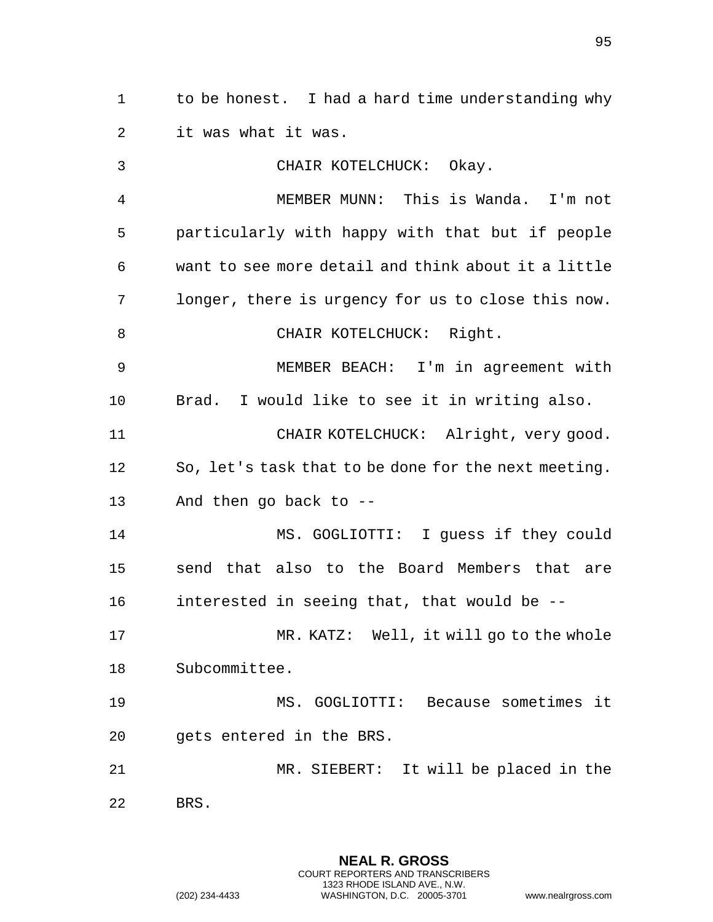to be honest. I had a hard time understanding why it was what it was.

 CHAIR KOTELCHUCK: Okay. MEMBER MUNN: This is Wanda. I'm not particularly with happy with that but if people want to see more detail and think about it a little longer, there is urgency for us to close this now. 8 CHAIR KOTELCHUCK: Right. MEMBER BEACH: I'm in agreement with Brad. I would like to see it in writing also. CHAIR KOTELCHUCK: Alright, very good. So, let's task that to be done for the next meeting. And then go back to -- MS. GOGLIOTTI: I guess if they could send that also to the Board Members that are interested in seeing that, that would be -- MR. KATZ: Well, it will go to the whole Subcommittee. MS. GOGLIOTTI: Because sometimes it gets entered in the BRS. MR. SIEBERT: It will be placed in the BRS.

> **NEAL R. GROSS** COURT REPORTERS AND TRANSCRIBERS 1323 RHODE ISLAND AVE., N.W.

(202) 234-4433 WASHINGTON, D.C. 20005-3701 www.nealrgross.com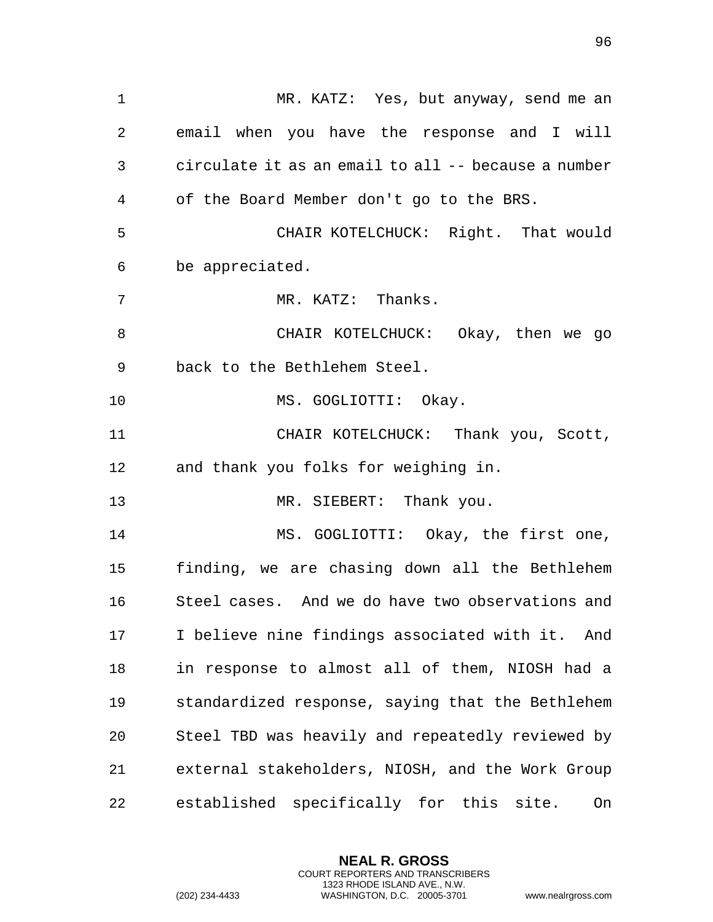MR. KATZ: Yes, but anyway, send me an email when you have the response and I will circulate it as an email to all -- because a number of the Board Member don't go to the BRS. CHAIR KOTELCHUCK: Right. That would be appreciated. 7 MR. KATZ: Thanks. CHAIR KOTELCHUCK: Okay, then we go back to the Bethlehem Steel. 10 MS. GOGLIOTTI: Okay. CHAIR KOTELCHUCK: Thank you, Scott, and thank you folks for weighing in. 13 MR. SIEBERT: Thank you. MS. GOGLIOTTI: Okay, the first one, finding, we are chasing down all the Bethlehem Steel cases. And we do have two observations and I believe nine findings associated with it. And in response to almost all of them, NIOSH had a standardized response, saying that the Bethlehem Steel TBD was heavily and repeatedly reviewed by external stakeholders, NIOSH, and the Work Group established specifically for this site. On

> **NEAL R. GROSS** COURT REPORTERS AND TRANSCRIBERS 1323 RHODE ISLAND AVE., N.W.

(202) 234-4433 WASHINGTON, D.C. 20005-3701 www.nealrgross.com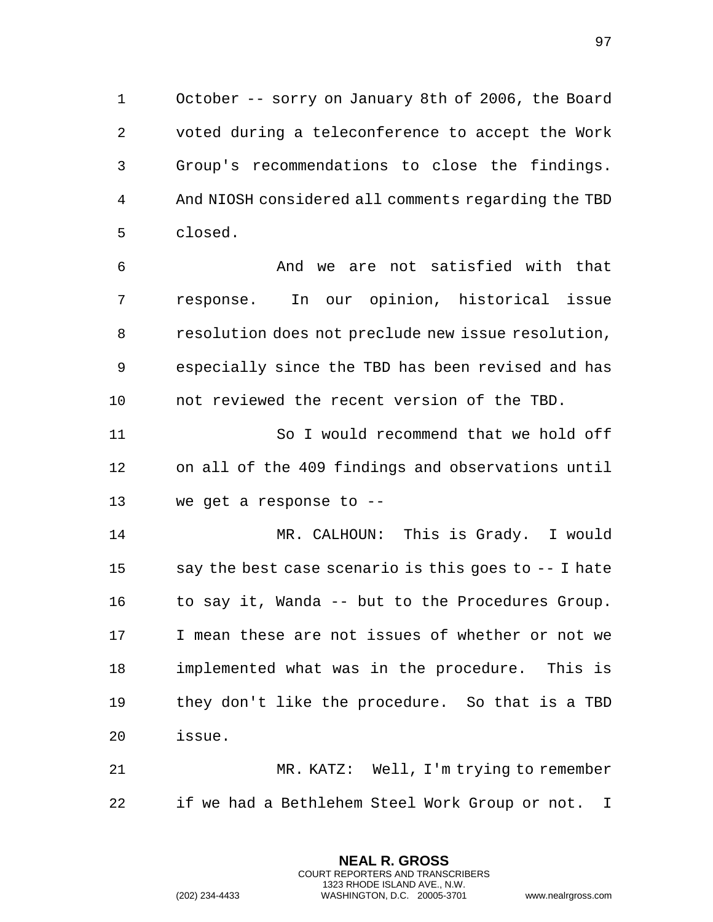October -- sorry on January 8th of 2006, the Board voted during a teleconference to accept the Work Group's recommendations to close the findings. And NIOSH considered all comments regarding the TBD closed.

 And we are not satisfied with that response. In our opinion, historical issue resolution does not preclude new issue resolution, especially since the TBD has been revised and has not reviewed the recent version of the TBD.

 So I would recommend that we hold off on all of the 409 findings and observations until we get a response to --

 MR. CALHOUN: This is Grady. I would say the best case scenario is this goes to -- I hate 16 to say it, Wanda -- but to the Procedures Group. I mean these are not issues of whether or not we implemented what was in the procedure. This is they don't like the procedure. So that is a TBD issue.

 MR. KATZ: Well, I'm trying to remember if we had a Bethlehem Steel Work Group or not. I

> **NEAL R. GROSS** COURT REPORTERS AND TRANSCRIBERS 1323 RHODE ISLAND AVE., N.W.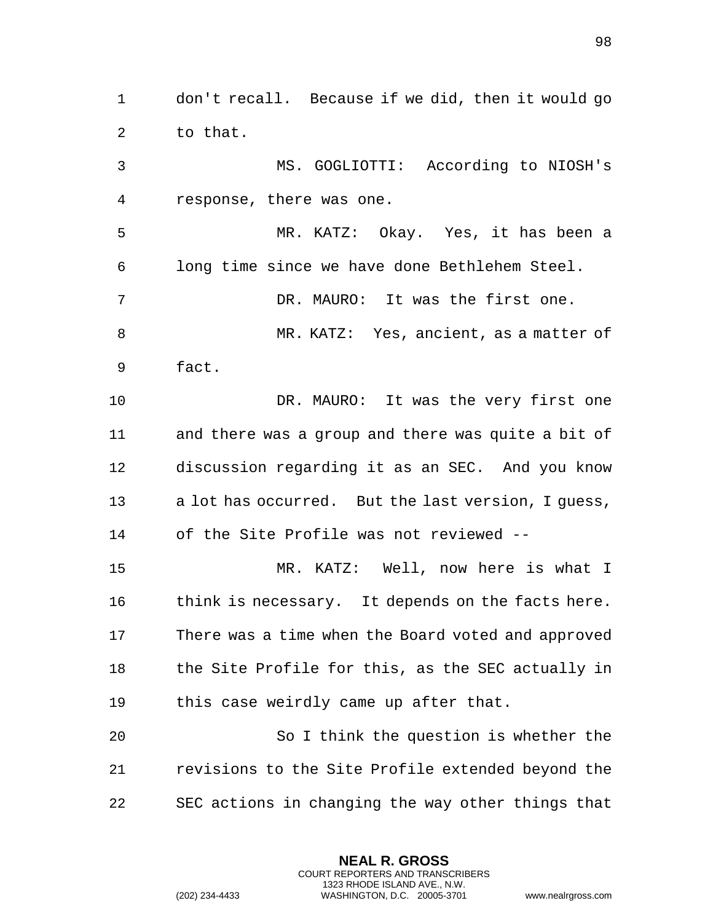to that. MS. GOGLIOTTI: According to NIOSH's response, there was one. MR. KATZ: Okay. Yes, it has been a long time since we have done Bethlehem Steel. DR. MAURO: It was the first one. MR. KATZ: Yes, ancient, as a matter of fact. 10 DR. MAURO: It was the very first one and there was a group and there was quite a bit of discussion regarding it as an SEC. And you know a lot has occurred. But the last version, I guess, of the Site Profile was not reviewed -- MR. KATZ: Well, now here is what I 16 think is necessary. It depends on the facts here. There was a time when the Board voted and approved the Site Profile for this, as the SEC actually in this case weirdly came up after that. So I think the question is whether the

don't recall. Because if we did, then it would go

 revisions to the Site Profile extended beyond the SEC actions in changing the way other things that

> **NEAL R. GROSS** COURT REPORTERS AND TRANSCRIBERS 1323 RHODE ISLAND AVE., N.W.

(202) 234-4433 WASHINGTON, D.C. 20005-3701 www.nealrgross.com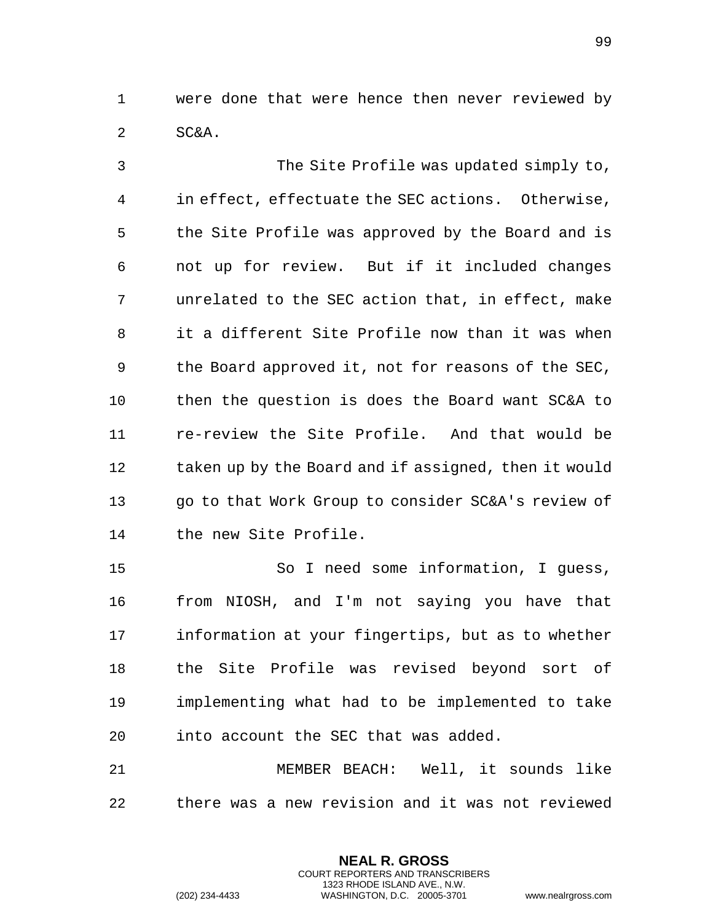were done that were hence then never reviewed by SC&A.

 The Site Profile was updated simply to, in effect, effectuate the SEC actions. Otherwise, the Site Profile was approved by the Board and is not up for review. But if it included changes unrelated to the SEC action that, in effect, make it a different Site Profile now than it was when the Board approved it, not for reasons of the SEC, then the question is does the Board want SC&A to re-review the Site Profile. And that would be 12 taken up by the Board and if assigned, then it would go to that Work Group to consider SC&A's review of the new Site Profile. So I need some information, I guess,

 from NIOSH, and I'm not saying you have that information at your fingertips, but as to whether the Site Profile was revised beyond sort of implementing what had to be implemented to take into account the SEC that was added.

 MEMBER BEACH: Well, it sounds like there was a new revision and it was not reviewed

> **NEAL R. GROSS** COURT REPORTERS AND TRANSCRIBERS 1323 RHODE ISLAND AVE., N.W.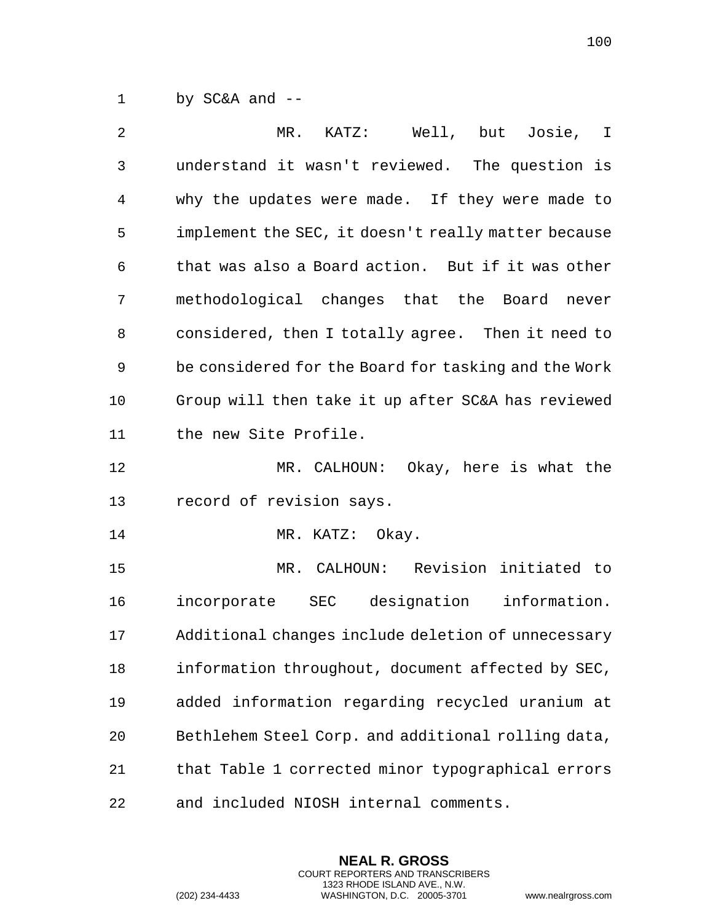by SC&A and --

| 2  | MR. KATZ: Well, but Josie, I                         |
|----|------------------------------------------------------|
| 3  | understand it wasn't reviewed. The question is       |
| 4  | why the updates were made. If they were made to      |
| 5  | implement the SEC, it doesn't really matter because  |
| 6  | that was also a Board action. But if it was other    |
| 7  | methodological changes that the Board<br>never       |
| 8  | considered, then I totally agree. Then it need to    |
| 9  | be considered for the Board for tasking and the Work |
| 10 | Group will then take it up after SC&A has reviewed   |
| 11 | the new Site Profile.                                |
| 12 | MR. CALHOUN: Okay, here is what the                  |
| 13 | record of revision says.                             |
| 14 | MR. KATZ: Okay.                                      |
| 15 | MR. CALHOUN: Revision initiated to                   |
| 16 | incorporate SEC designation information.             |
| 17 | Additional changes include deletion of unnecessary   |
| 18 | information throughout, document affected by SEC,    |
| 19 | added information regarding recycled uranium at      |
| 20 | Bethlehem Steel Corp. and additional rolling data,   |
| 21 | that Table 1 corrected minor typographical errors    |
| 22 | and included NIOSH internal comments.                |

**NEAL R. GROSS** COURT REPORTERS AND TRANSCRIBERS 1323 RHODE ISLAND AVE., N.W.

(202) 234-4433 WASHINGTON, D.C. 20005-3701 www.nealrgross.com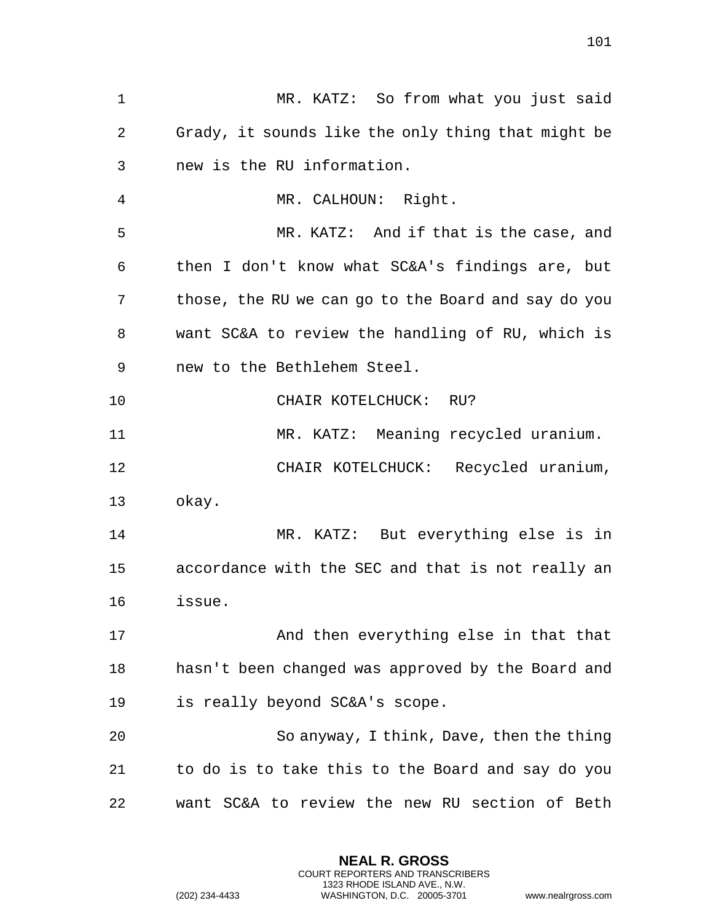| $\mathbf 1$ | MR. KATZ: So from what you just said                |
|-------------|-----------------------------------------------------|
| 2           | Grady, it sounds like the only thing that might be  |
| 3           | new is the RU information.                          |
| 4           | MR. CALHOUN: Right.                                 |
| 5           | MR. KATZ: And if that is the case, and              |
| 6           | then I don't know what SC&A's findings are, but     |
| 7           | those, the RU we can go to the Board and say do you |
| 8           | want SC&A to review the handling of RU, which is    |
| 9           | new to the Bethlehem Steel.                         |
| 10          | CHAIR KOTELCHUCK: RU?                               |
| 11          | MR. KATZ: Meaning recycled uranium.                 |
| 12          | CHAIR KOTELCHUCK: Recycled uranium,                 |
| 13          | okay.                                               |
| 14          | MR. KATZ: But everything else is in                 |
| 15          | accordance with the SEC and that is not really an   |
| 16          | issue.                                              |
| 17          | And then everything else in that that               |
| 18          | hasn't been changed was approved by the Board and   |
| 19          | is really beyond SC&A's scope.                      |
| 20          | So anyway, I think, Dave, then the thing            |
| 21          | to do is to take this to the Board and say do you   |
| 22          | want SC&A to review the new RU section of Beth      |

**NEAL R. GROSS** COURT REPORTERS AND TRANSCRIBERS 1323 RHODE ISLAND AVE., N.W.

(202) 234-4433 WASHINGTON, D.C. 20005-3701 www.nealrgross.com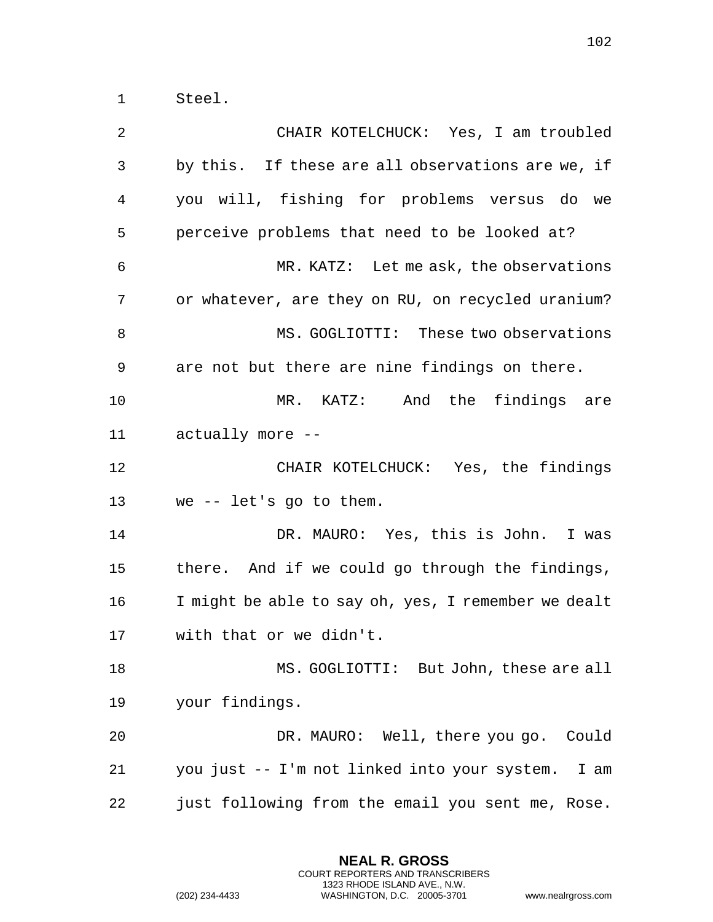Steel.

 CHAIR KOTELCHUCK: Yes, I am troubled by this. If these are all observations are we, if you will, fishing for problems versus do we perceive problems that need to be looked at? MR. KATZ: Let me ask, the observations or whatever, are they on RU, on recycled uranium? 8 MS. GOGLIOTTI: These two observations are not but there are nine findings on there. MR. KATZ: And the findings are actually more -- CHAIR KOTELCHUCK: Yes, the findings we -- let's go to them. DR. MAURO: Yes, this is John. I was there. And if we could go through the findings, I might be able to say oh, yes, I remember we dealt with that or we didn't. MS. GOGLIOTTI: But John, these are all your findings. DR. MAURO: Well, there you go. Could you just -- I'm not linked into your system. I am just following from the email you sent me, Rose.

> **NEAL R. GROSS** COURT REPORTERS AND TRANSCRIBERS 1323 RHODE ISLAND AVE., N.W.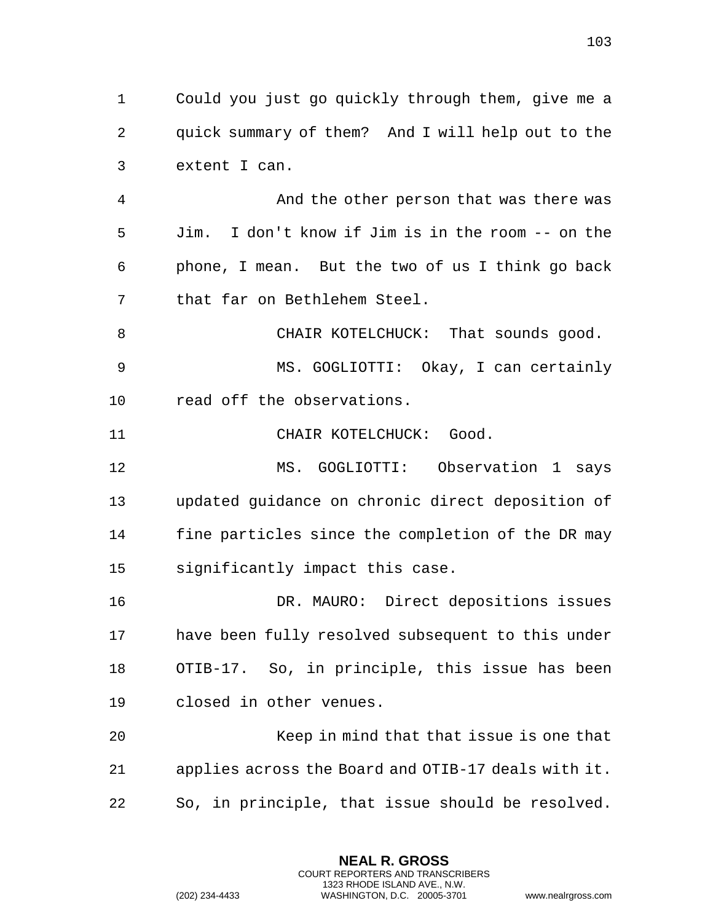Could you just go quickly through them, give me a quick summary of them? And I will help out to the extent I can.

 And the other person that was there was Jim. I don't know if Jim is in the room -- on the phone, I mean. But the two of us I think go back that far on Bethlehem Steel.

8 CHAIR KOTELCHUCK: That sounds good. MS. GOGLIOTTI: Okay, I can certainly read off the observations.

11 CHAIR KOTELCHUCK: Good.

 MS. GOGLIOTTI: Observation 1 says updated guidance on chronic direct deposition of fine particles since the completion of the DR may significantly impact this case.

 DR. MAURO: Direct depositions issues have been fully resolved subsequent to this under OTIB-17. So, in principle, this issue has been closed in other venues.

 Keep in mind that that issue is one that applies across the Board and OTIB-17 deals with it. So, in principle, that issue should be resolved.

> **NEAL R. GROSS** COURT REPORTERS AND TRANSCRIBERS 1323 RHODE ISLAND AVE., N.W.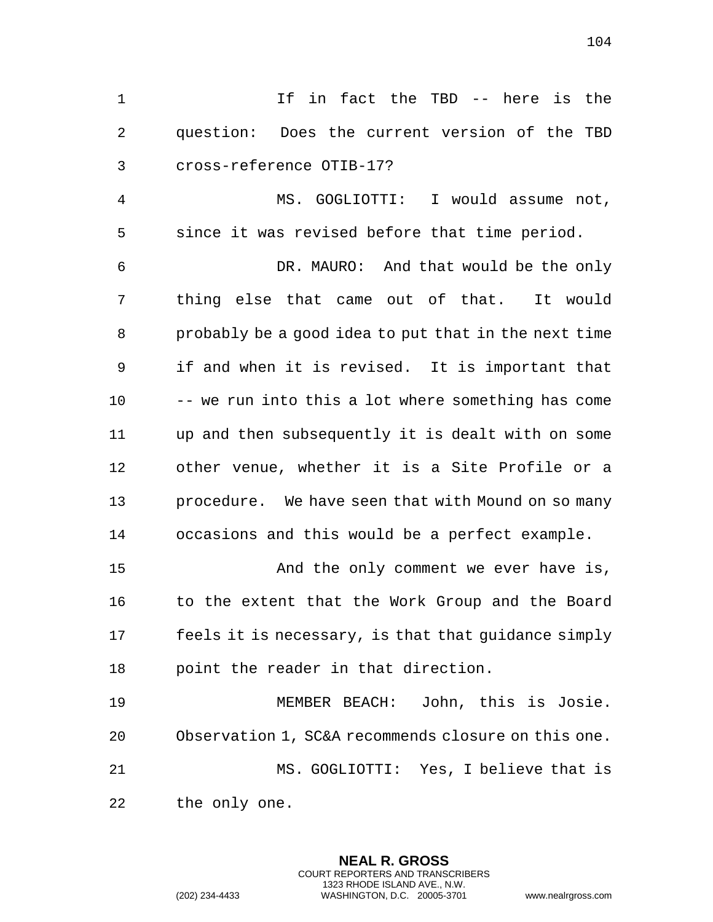If in fact the TBD -- here is the question: Does the current version of the TBD cross-reference OTIB-17?

 MS. GOGLIOTTI: I would assume not, since it was revised before that time period.

 DR. MAURO: And that would be the only thing else that came out of that. It would probably be a good idea to put that in the next time if and when it is revised. It is important that -- we run into this a lot where something has come up and then subsequently it is dealt with on some other venue, whether it is a Site Profile or a procedure. We have seen that with Mound on so many occasions and this would be a perfect example. And the only comment we ever have is,

16 to the extent that the Work Group and the Board feels it is necessary, is that that guidance simply point the reader in that direction.

 MEMBER BEACH: John, this is Josie. Observation 1, SC&A recommends closure on this one. MS. GOGLIOTTI: Yes, I believe that is the only one.

> **NEAL R. GROSS** COURT REPORTERS AND TRANSCRIBERS 1323 RHODE ISLAND AVE., N.W.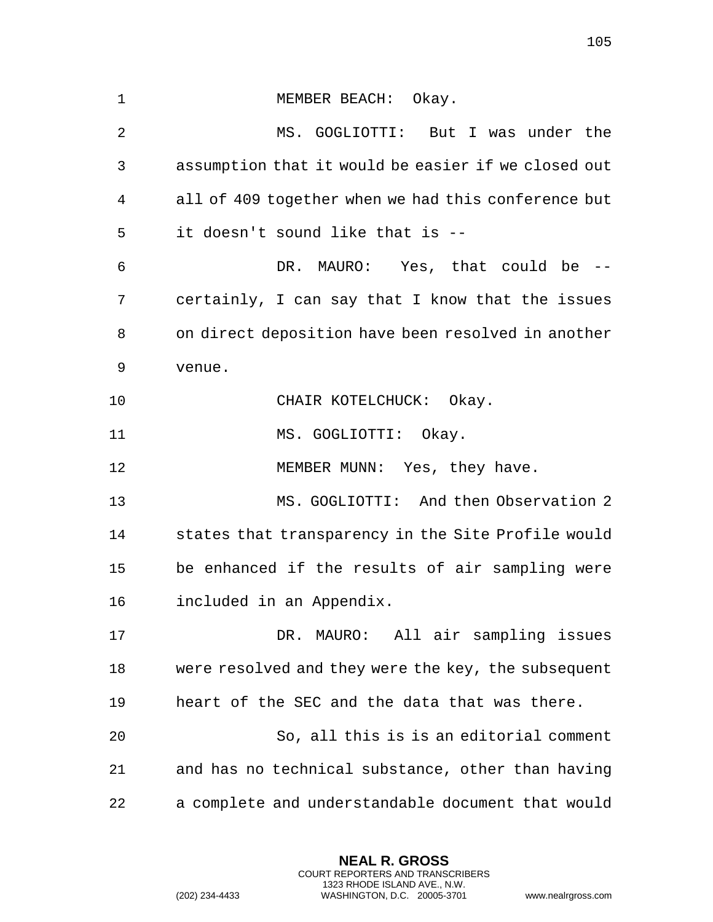1 MEMBER BEACH: Okay. MS. GOGLIOTTI: But I was under the assumption that it would be easier if we closed out all of 409 together when we had this conference but it doesn't sound like that is -- DR. MAURO: Yes, that could be -- certainly, I can say that I know that the issues on direct deposition have been resolved in another venue. 10 CHAIR KOTELCHUCK: Okay. 11 MS. GOGLIOTTI: Okay. 12 MEMBER MUNN: Yes, they have. MS. GOGLIOTTI: And then Observation 2 states that transparency in the Site Profile would be enhanced if the results of air sampling were included in an Appendix. DR. MAURO: All air sampling issues were resolved and they were the key, the subsequent heart of the SEC and the data that was there. So, all this is is an editorial comment and has no technical substance, other than having a complete and understandable document that would

> **NEAL R. GROSS** COURT REPORTERS AND TRANSCRIBERS 1323 RHODE ISLAND AVE., N.W.

(202) 234-4433 WASHINGTON, D.C. 20005-3701 www.nealrgross.com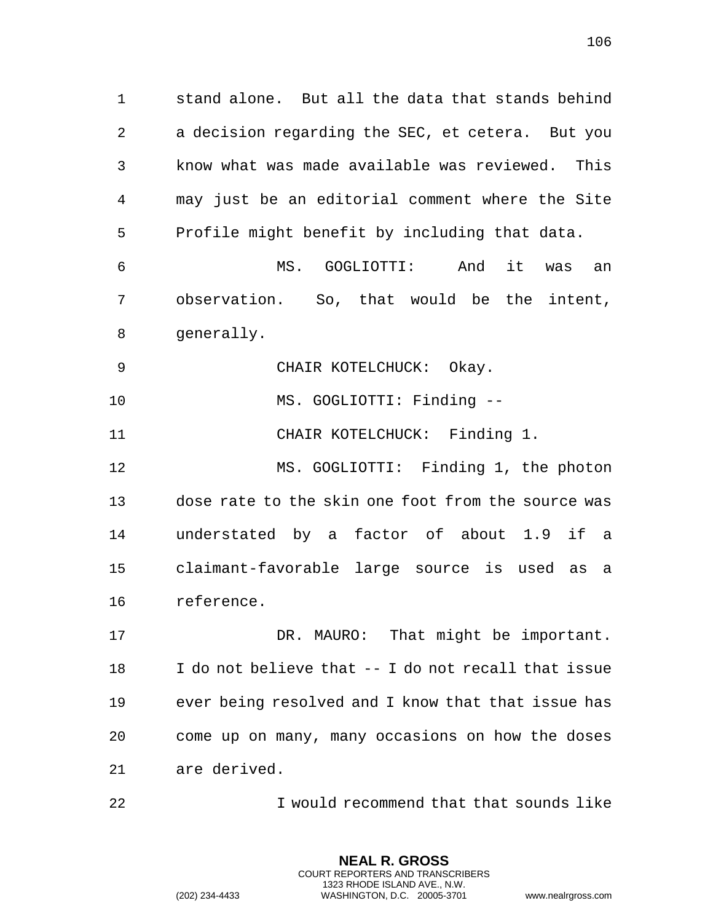stand alone. But all the data that stands behind a decision regarding the SEC, et cetera. But you know what was made available was reviewed. This may just be an editorial comment where the Site Profile might benefit by including that data. MS. GOGLIOTTI: And it was an

 observation. So, that would be the intent, generally.

9 CHAIR KOTELCHUCK: Okay.

10 MS. GOGLIOTTI: Finding --

11 CHAIR KOTELCHUCK: Finding 1.

 MS. GOGLIOTTI: Finding 1, the photon dose rate to the skin one foot from the source was understated by a factor of about 1.9 if a claimant-favorable large source is used as a reference.

 DR. MAURO: That might be important. I do not believe that -- I do not recall that issue ever being resolved and I know that that issue has come up on many, many occasions on how the doses are derived.

I would recommend that that sounds like

**NEAL R. GROSS** COURT REPORTERS AND TRANSCRIBERS 1323 RHODE ISLAND AVE., N.W.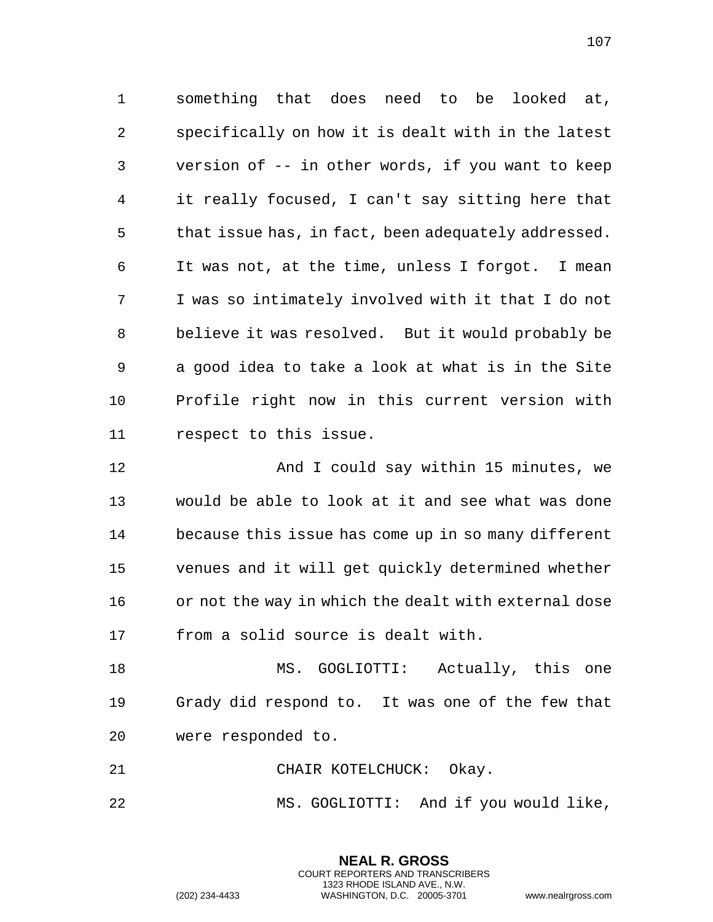something that does need to be looked at, specifically on how it is dealt with in the latest version of -- in other words, if you want to keep it really focused, I can't say sitting here that that issue has, in fact, been adequately addressed. It was not, at the time, unless I forgot. I mean I was so intimately involved with it that I do not believe it was resolved. But it would probably be a good idea to take a look at what is in the Site Profile right now in this current version with respect to this issue.

**And I could say within 15 minutes, we**  would be able to look at it and see what was done because this issue has come up in so many different venues and it will get quickly determined whether or not the way in which the dealt with external dose from a solid source is dealt with.

18 MS. GOGLIOTTI: Actually, this one Grady did respond to. It was one of the few that were responded to.

21 CHAIR KOTELCHUCK: Okay.

MS. GOGLIOTTI: And if you would like,

**NEAL R. GROSS** COURT REPORTERS AND TRANSCRIBERS 1323 RHODE ISLAND AVE., N.W.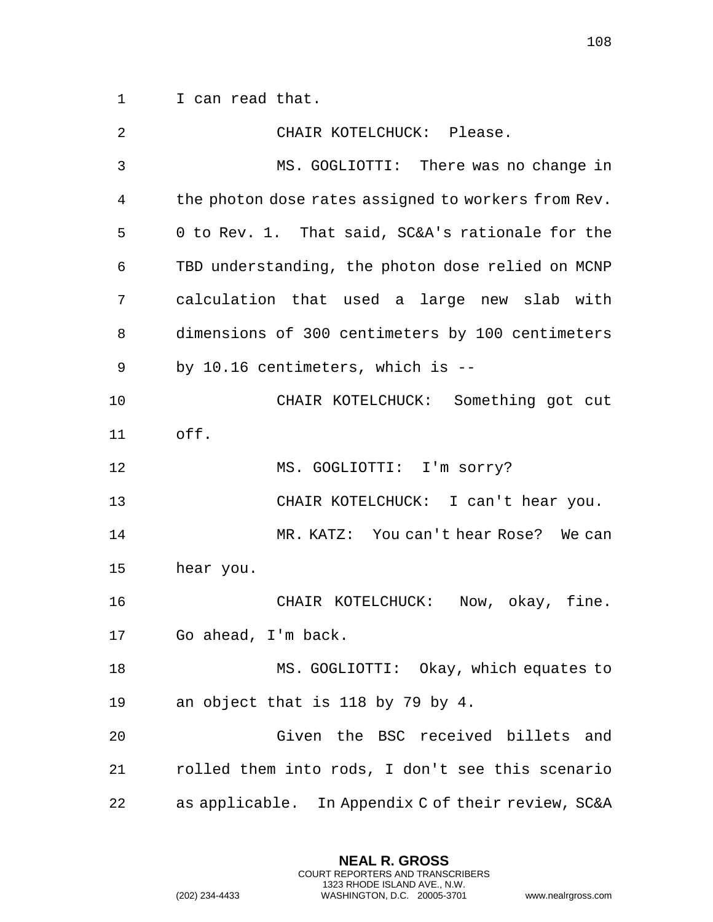1 I can read that.

| 2  | CHAIR KOTELCHUCK: Please.                           |
|----|-----------------------------------------------------|
| 3  | MS. GOGLIOTTI: There was no change in               |
| 4  | the photon dose rates assigned to workers from Rev. |
| 5  | 0 to Rev. 1. That said, SC&A's rationale for the    |
| 6  | TBD understanding, the photon dose relied on MCNP   |
| 7  | calculation that used a large new slab with         |
| 8  | dimensions of 300 centimeters by 100 centimeters    |
| 9  | by 10.16 centimeters, which is --                   |
| 10 | CHAIR KOTELCHUCK: Something got cut                 |
| 11 | off.                                                |
| 12 | MS. GOGLIOTTI: I'm sorry?                           |
| 13 | CHAIR KOTELCHUCK: I can't hear you.                 |
| 14 | MR. KATZ: You can't hear Rose? We can               |
| 15 | hear you.                                           |
| 16 | CHAIR KOTELCHUCK: Now, okay, fine.                  |
| 17 | Go ahead, I'm back.                                 |
| 18 | MS. GOGLIOTTI: Okay, which equates to               |
| 19 | an object that is 118 by 79 by 4.                   |
| 20 | Given the BSC received billets<br>and               |
| 21 | rolled them into rods, I don't see this scenario    |
| 22 | as applicable. In Appendix C of their review, SC&A  |

**NEAL R. GROSS** COURT REPORTERS AND TRANSCRIBERS 1323 RHODE ISLAND AVE., N.W.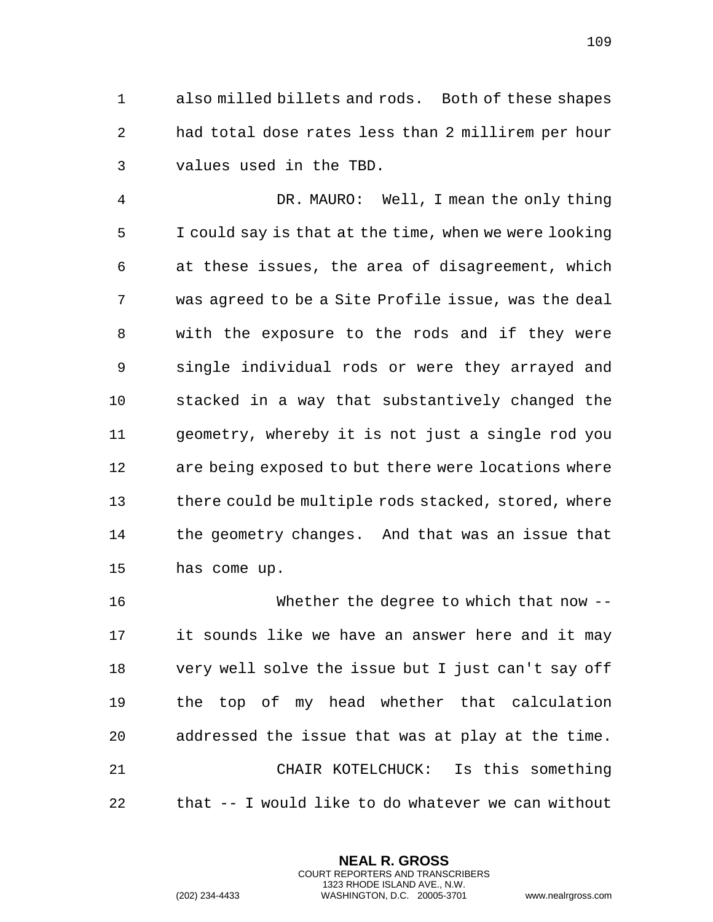also milled billets and rods. Both of these shapes had total dose rates less than 2 millirem per hour values used in the TBD.

 DR. MAURO: Well, I mean the only thing I could say is that at the time, when we were looking at these issues, the area of disagreement, which was agreed to be a Site Profile issue, was the deal with the exposure to the rods and if they were single individual rods or were they arrayed and stacked in a way that substantively changed the geometry, whereby it is not just a single rod you are being exposed to but there were locations where there could be multiple rods stacked, stored, where the geometry changes. And that was an issue that has come up.

 Whether the degree to which that now -- it sounds like we have an answer here and it may very well solve the issue but I just can't say off the top of my head whether that calculation addressed the issue that was at play at the time. CHAIR KOTELCHUCK: Is this something that -- I would like to do whatever we can without

> **NEAL R. GROSS** COURT REPORTERS AND TRANSCRIBERS 1323 RHODE ISLAND AVE., N.W.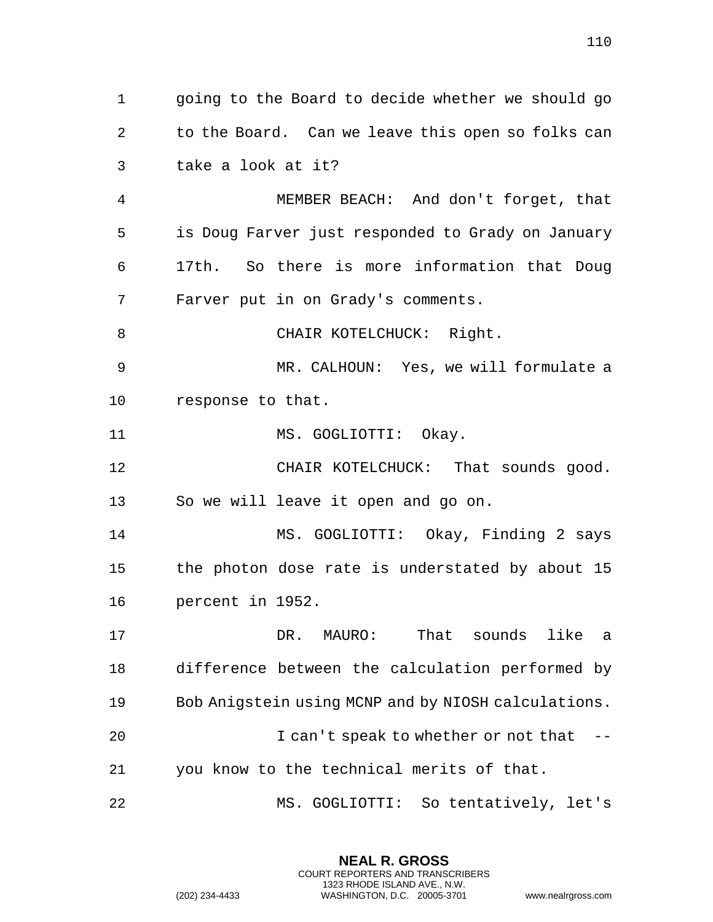going to the Board to decide whether we should go to the Board. Can we leave this open so folks can take a look at it?

 MEMBER BEACH: And don't forget, that is Doug Farver just responded to Grady on January 17th. So there is more information that Doug Farver put in on Grady's comments.

8 CHAIR KOTELCHUCK: Right.

 MR. CALHOUN: Yes, we will formulate a response to that.

11 MS. GOGLIOTTI: Okay.

 CHAIR KOTELCHUCK: That sounds good. So we will leave it open and go on.

 MS. GOGLIOTTI: Okay, Finding 2 says the photon dose rate is understated by about 15 percent in 1952.

 DR. MAURO: That sounds like a difference between the calculation performed by Bob Anigstein using MCNP and by NIOSH calculations. 20 I can't speak to whether or not that --you know to the technical merits of that.

MS. GOGLIOTTI: So tentatively, let's

**NEAL R. GROSS** COURT REPORTERS AND TRANSCRIBERS 1323 RHODE ISLAND AVE., N.W.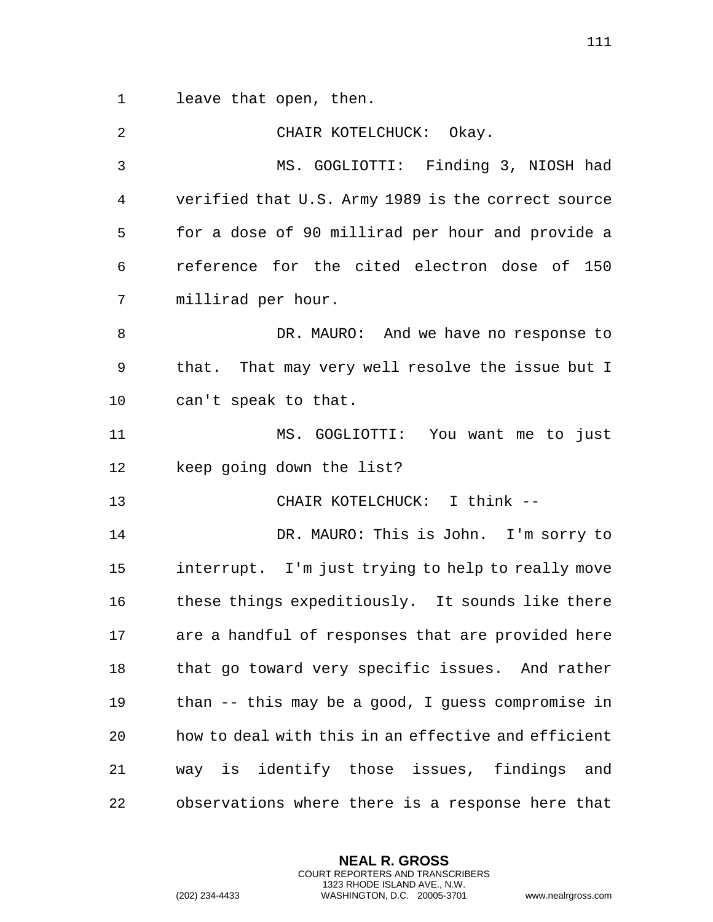leave that open, then.

 CHAIR KOTELCHUCK: Okay. MS. GOGLIOTTI: Finding 3, NIOSH had verified that U.S. Army 1989 is the correct source for a dose of 90 millirad per hour and provide a reference for the cited electron dose of 150 millirad per hour. DR. MAURO: And we have no response to that. That may very well resolve the issue but I can't speak to that. MS. GOGLIOTTI: You want me to just keep going down the list? CHAIR KOTELCHUCK: I think -- DR. MAURO: This is John. I'm sorry to interrupt. I'm just trying to help to really move 16 these things expeditiously. It sounds like there are a handful of responses that are provided here 18 that go toward very specific issues. And rather than -- this may be a good, I guess compromise in how to deal with this in an effective and efficient way is identify those issues, findings and observations where there is a response here that

> **NEAL R. GROSS** COURT REPORTERS AND TRANSCRIBERS 1323 RHODE ISLAND AVE., N.W.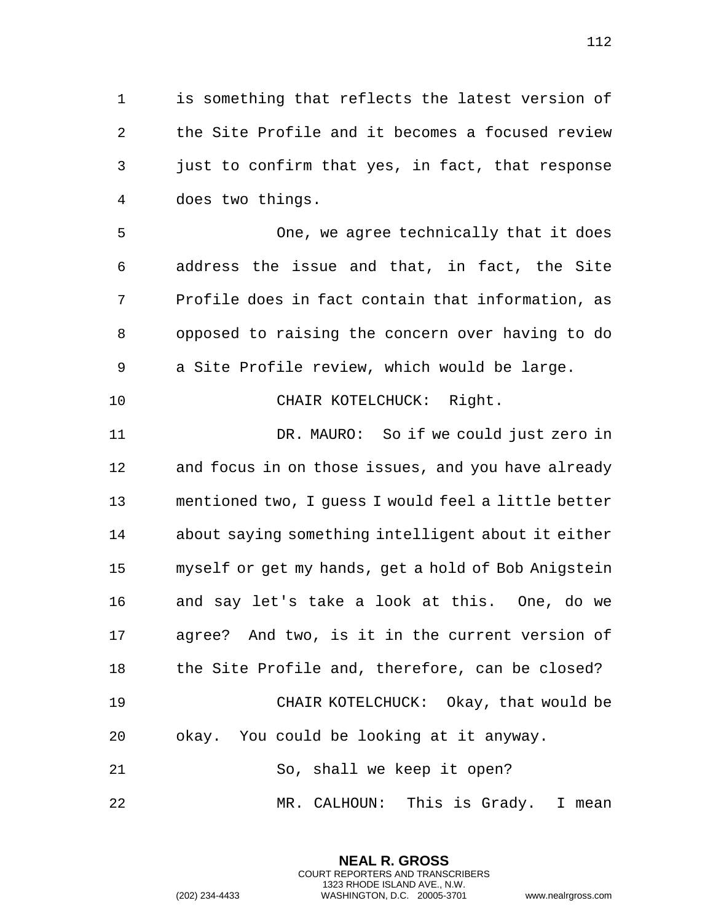is something that reflects the latest version of the Site Profile and it becomes a focused review just to confirm that yes, in fact, that response does two things.

 One, we agree technically that it does address the issue and that, in fact, the Site Profile does in fact contain that information, as opposed to raising the concern over having to do a Site Profile review, which would be large.

10 CHAIR KOTELCHUCK: Right.

 DR. MAURO: So if we could just zero in and focus in on those issues, and you have already mentioned two, I guess I would feel a little better about saying something intelligent about it either myself or get my hands, get a hold of Bob Anigstein and say let's take a look at this. One, do we agree? And two, is it in the current version of the Site Profile and, therefore, can be closed? CHAIR KOTELCHUCK: Okay, that would be okay. You could be looking at it anyway. 21 So, shall we keep it open?

MR. CALHOUN: This is Grady. I mean

**NEAL R. GROSS** COURT REPORTERS AND TRANSCRIBERS 1323 RHODE ISLAND AVE., N.W.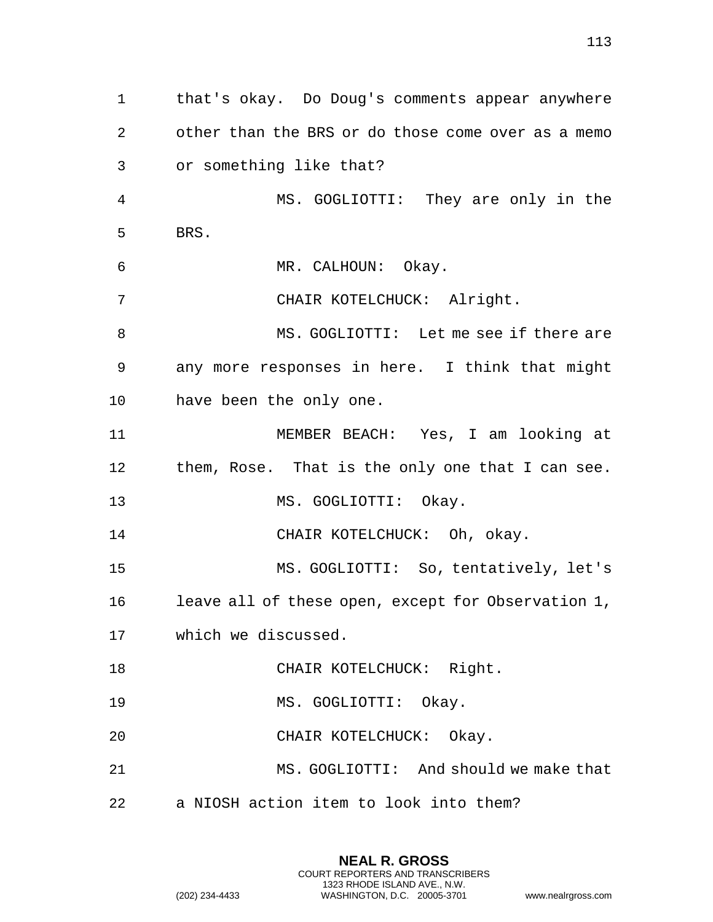that's okay. Do Doug's comments appear anywhere other than the BRS or do those come over as a memo or something like that? MS. GOGLIOTTI: They are only in the BRS. MR. CALHOUN: Okay. CHAIR KOTELCHUCK: Alright. MS. GOGLIOTTI: Let me see if there are any more responses in here. I think that might have been the only one. MEMBER BEACH: Yes, I am looking at them, Rose. That is the only one that I can see. 13 MS. GOGLIOTTI: Okay. CHAIR KOTELCHUCK: Oh, okay. MS. GOGLIOTTI: So, tentatively, let's leave all of these open, except for Observation 1, which we discussed. 18 CHAIR KOTELCHUCK: Right. 19 MS. GOGLIOTTI: Okay. CHAIR KOTELCHUCK: Okay. MS. GOGLIOTTI: And should we make that a NIOSH action item to look into them?

> **NEAL R. GROSS** COURT REPORTERS AND TRANSCRIBERS 1323 RHODE ISLAND AVE., N.W.

(202) 234-4433 WASHINGTON, D.C. 20005-3701 www.nealrgross.com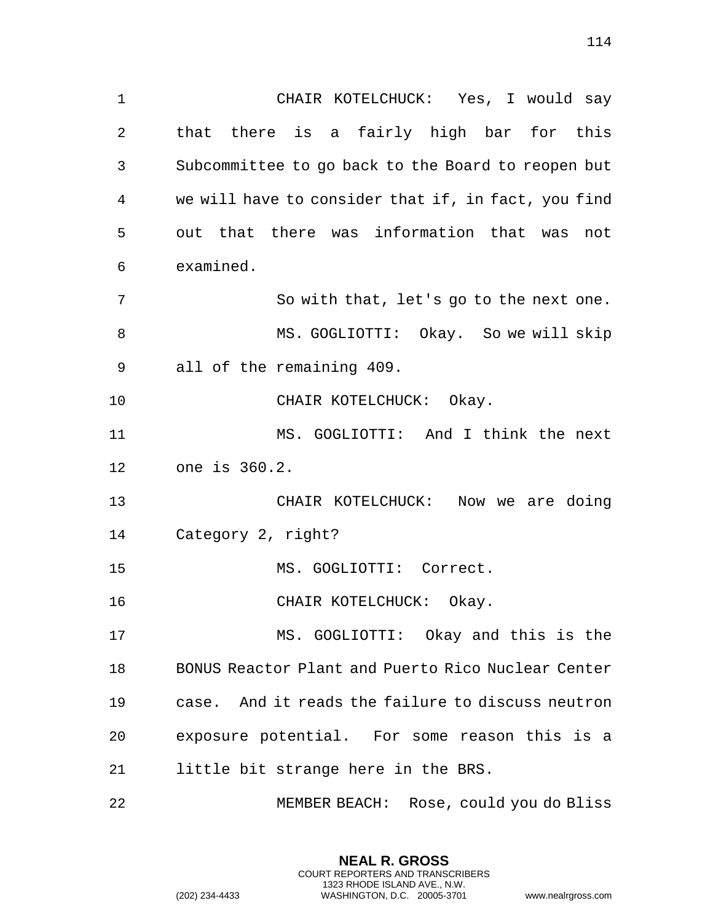CHAIR KOTELCHUCK: Yes, I would say that there is a fairly high bar for this Subcommittee to go back to the Board to reopen but we will have to consider that if, in fact, you find out that there was information that was not examined. So with that, let's go to the next one. 8 MS. GOGLIOTTI: Okay. So we will skip all of the remaining 409. 10 CHAIR KOTELCHUCK: Okay. MS. GOGLIOTTI: And I think the next one is 360.2. CHAIR KOTELCHUCK: Now we are doing Category 2, right? MS. GOGLIOTTI: Correct. 16 CHAIR KOTELCHUCK: Okay. MS. GOGLIOTTI: Okay and this is the BONUS Reactor Plant and Puerto Rico Nuclear Center case. And it reads the failure to discuss neutron exposure potential. For some reason this is a little bit strange here in the BRS. MEMBER BEACH: Rose, could you do Bliss

> **NEAL R. GROSS** COURT REPORTERS AND TRANSCRIBERS 1323 RHODE ISLAND AVE., N.W.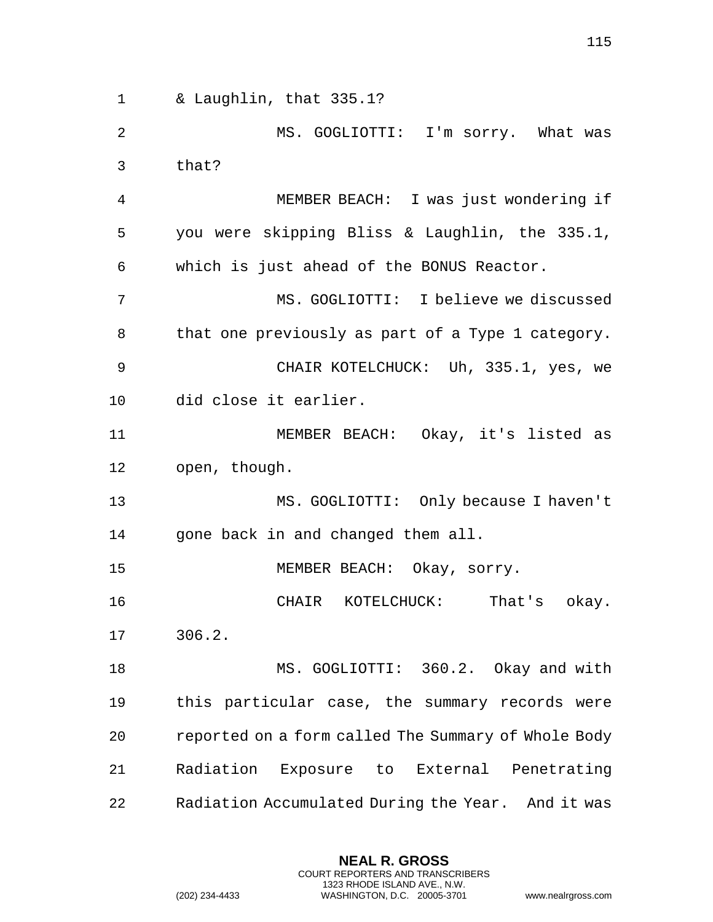& Laughlin, that 335.1?

 MS. GOGLIOTTI: I'm sorry. What was that?

 MEMBER BEACH: I was just wondering if you were skipping Bliss & Laughlin, the 335.1, which is just ahead of the BONUS Reactor.

 MS. GOGLIOTTI: I believe we discussed that one previously as part of a Type 1 category. CHAIR KOTELCHUCK: Uh, 335.1, yes, we

did close it earlier.

 MEMBER BEACH: Okay, it's listed as open, though.

 MS. GOGLIOTTI: Only because I haven't gone back in and changed them all.

MEMBER BEACH: Okay, sorry.

 CHAIR KOTELCHUCK: That's okay. 306.2.

 MS. GOGLIOTTI: 360.2. Okay and with this particular case, the summary records were reported on a form called The Summary of Whole Body Radiation Exposure to External Penetrating Radiation Accumulated During the Year. And it was

> **NEAL R. GROSS** COURT REPORTERS AND TRANSCRIBERS 1323 RHODE ISLAND AVE., N.W.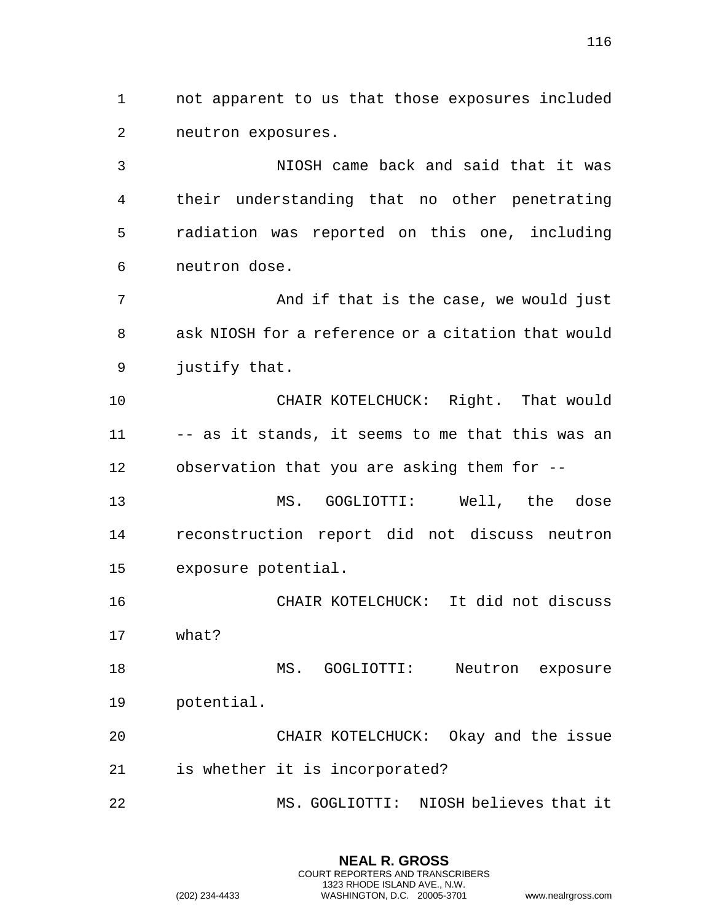not apparent to us that those exposures included neutron exposures.

 NIOSH came back and said that it was their understanding that no other penetrating radiation was reported on this one, including neutron dose.

 And if that is the case, we would just ask NIOSH for a reference or a citation that would justify that.

 CHAIR KOTELCHUCK: Right. That would -- as it stands, it seems to me that this was an observation that you are asking them for --

 MS. GOGLIOTTI: Well, the dose reconstruction report did not discuss neutron exposure potential.

 CHAIR KOTELCHUCK: It did not discuss what?

 MS. GOGLIOTTI: Neutron exposure potential.

 CHAIR KOTELCHUCK: Okay and the issue is whether it is incorporated?

MS. GOGLIOTTI: NIOSH believes that it

**NEAL R. GROSS** COURT REPORTERS AND TRANSCRIBERS 1323 RHODE ISLAND AVE., N.W.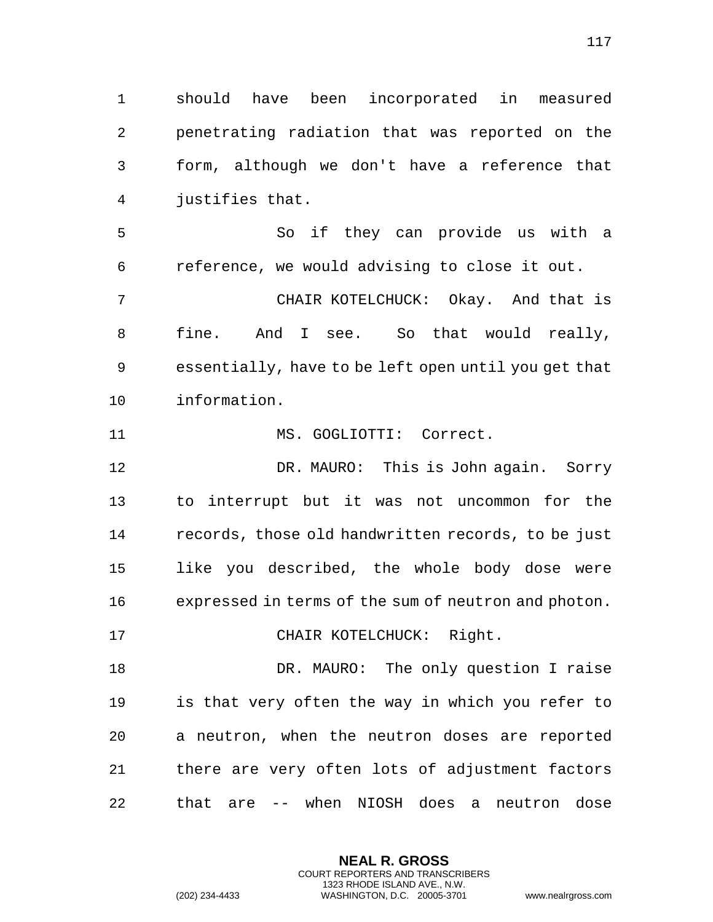should have been incorporated in measured penetrating radiation that was reported on the form, although we don't have a reference that justifies that.

 So if they can provide us with a reference, we would advising to close it out.

 CHAIR KOTELCHUCK: Okay. And that is fine. And I see. So that would really, essentially, have to be left open until you get that information.

11 MS. GOGLIOTTI: Correct.

 DR. MAURO: This is John again. Sorry to interrupt but it was not uncommon for the records, those old handwritten records, to be just like you described, the whole body dose were expressed in terms of the sum of neutron and photon.

17 CHAIR KOTELCHUCK: Right.

18 DR. MAURO: The only question I raise is that very often the way in which you refer to a neutron, when the neutron doses are reported there are very often lots of adjustment factors that are -- when NIOSH does a neutron dose

> **NEAL R. GROSS** COURT REPORTERS AND TRANSCRIBERS 1323 RHODE ISLAND AVE., N.W.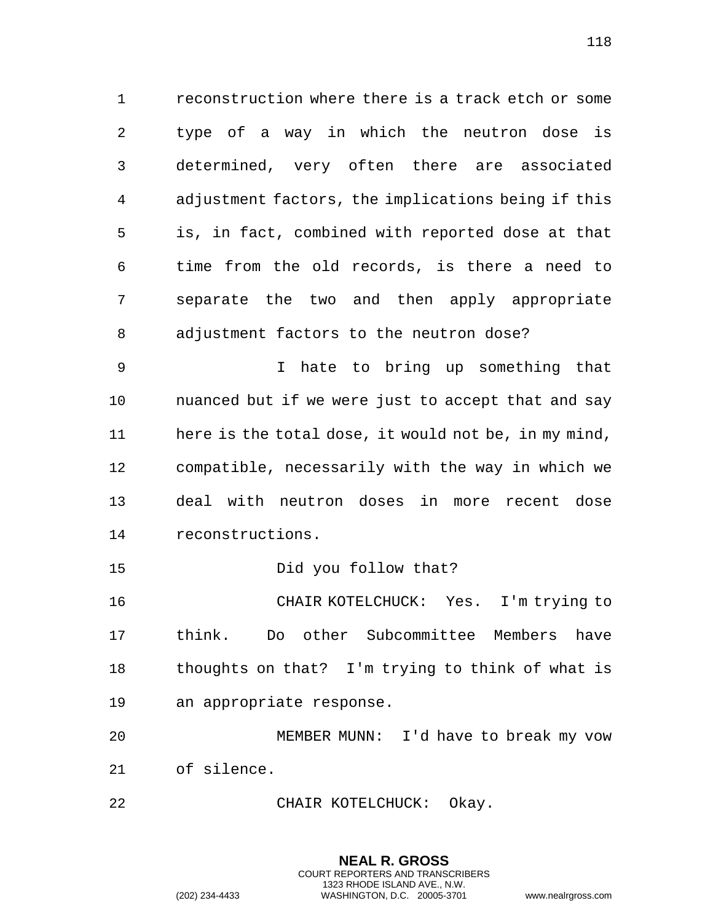reconstruction where there is a track etch or some type of a way in which the neutron dose is determined, very often there are associated adjustment factors, the implications being if this is, in fact, combined with reported dose at that time from the old records, is there a need to separate the two and then apply appropriate adjustment factors to the neutron dose?

 I hate to bring up something that nuanced but if we were just to accept that and say here is the total dose, it would not be, in my mind, compatible, necessarily with the way in which we deal with neutron doses in more recent dose reconstructions.

15 Did you follow that?

 CHAIR KOTELCHUCK: Yes. I'm trying to think. Do other Subcommittee Members have thoughts on that? I'm trying to think of what is an appropriate response.

 MEMBER MUNN: I'd have to break my vow of silence.

> **NEAL R. GROSS** COURT REPORTERS AND TRANSCRIBERS 1323 RHODE ISLAND AVE., N.W.

22 CHAIR KOTELCHUCK: Okay.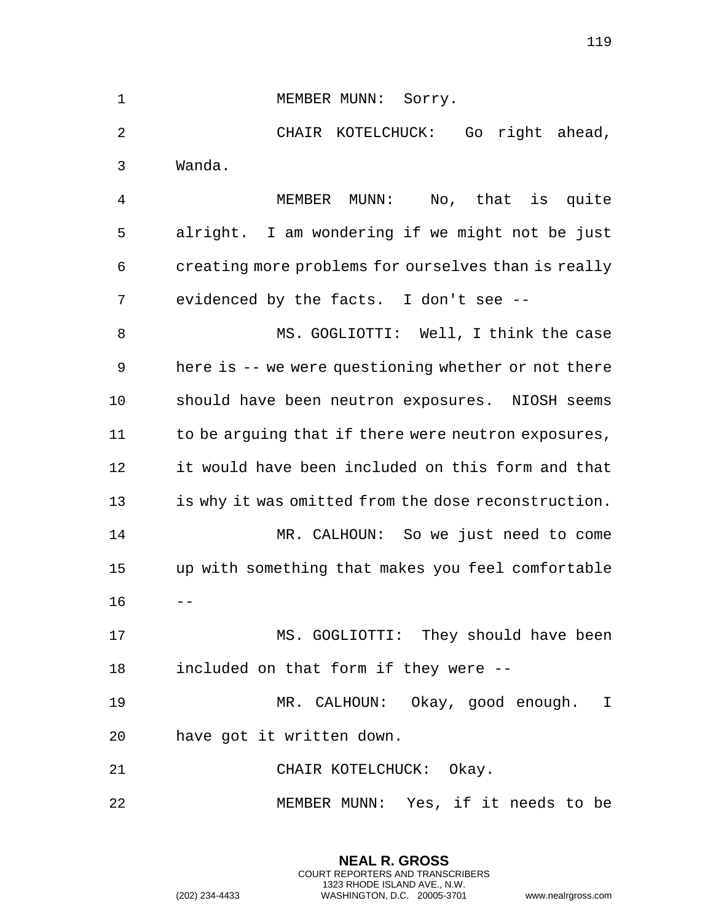| $\mathbf 1$ | MEMBER MUNN: Sorry.                                 |
|-------------|-----------------------------------------------------|
| 2           | CHAIR KOTELCHUCK:<br>Go right ahead,                |
| 3           | Wanda.                                              |
| 4           | MUNN: No, that is quite<br>MEMBER                   |
| 5           | alright. I am wondering if we might not be just     |
| 6           | creating more problems for ourselves than is really |
| 7           | evidenced by the facts. I don't see --              |
| 8           | MS. GOGLIOTTI: Well, I think the case               |
| 9           | here is -- we were questioning whether or not there |
| 10          | should have been neutron exposures. NIOSH seems     |
| 11          | to be arguing that if there were neutron exposures, |
| 12          | it would have been included on this form and that   |
| 13          | is why it was omitted from the dose reconstruction. |
| 14          | MR. CALHOUN: So we just need to come                |
| 15          | up with something that makes you feel comfortable   |
| 16          |                                                     |
| 17          | MS. GOGLIOTTI: They should have been                |
| 18          | included on that form if they were --               |
| 19          | MR. CALHOUN: Okay, good enough. I                   |
| 20          | have got it written down.                           |
| 21          | CHAIR KOTELCHUCK: Okay.                             |
| 22          | MEMBER MUNN: Yes, if it needs to be                 |

**NEAL R. GROSS** COURT REPORTERS AND TRANSCRIBERS 1323 RHODE ISLAND AVE., N.W.

(202) 234-4433 WASHINGTON, D.C. 20005-3701 www.nealrgross.com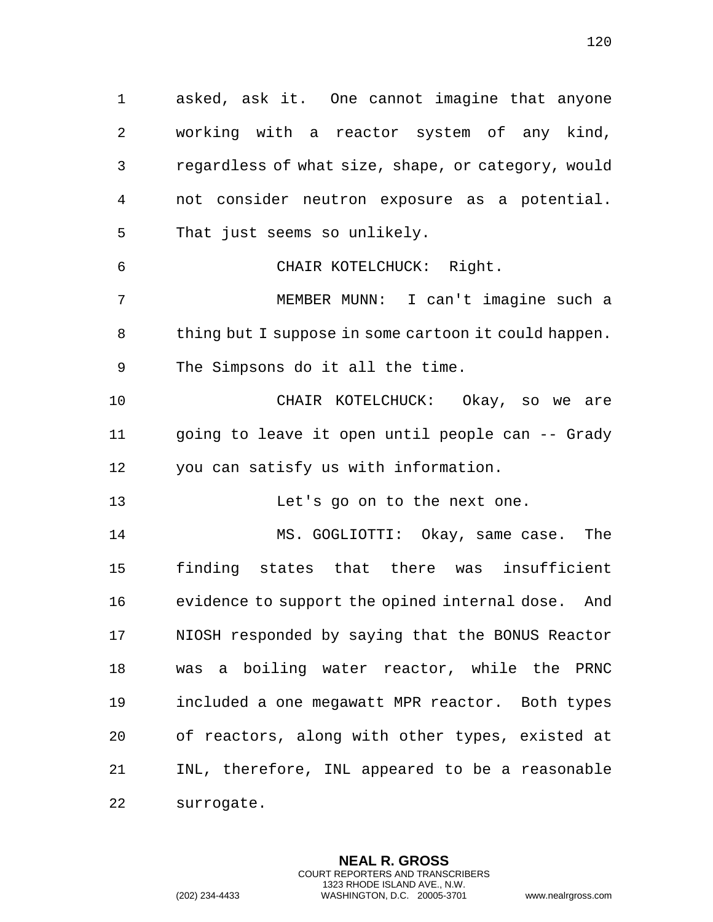asked, ask it. One cannot imagine that anyone working with a reactor system of any kind, regardless of what size, shape, or category, would not consider neutron exposure as a potential. That just seems so unlikely. CHAIR KOTELCHUCK: Right. MEMBER MUNN: I can't imagine such a thing but I suppose in some cartoon it could happen. The Simpsons do it all the time. CHAIR KOTELCHUCK: Okay, so we are going to leave it open until people can -- Grady you can satisfy us with information. 13 Let's go on to the next one. MS. GOGLIOTTI: Okay, same case. The finding states that there was insufficient evidence to support the opined internal dose. And NIOSH responded by saying that the BONUS Reactor was a boiling water reactor, while the PRNC included a one megawatt MPR reactor. Both types of reactors, along with other types, existed at INL, therefore, INL appeared to be a reasonable surrogate.

> **NEAL R. GROSS** COURT REPORTERS AND TRANSCRIBERS 1323 RHODE ISLAND AVE., N.W.

(202) 234-4433 WASHINGTON, D.C. 20005-3701 www.nealrgross.com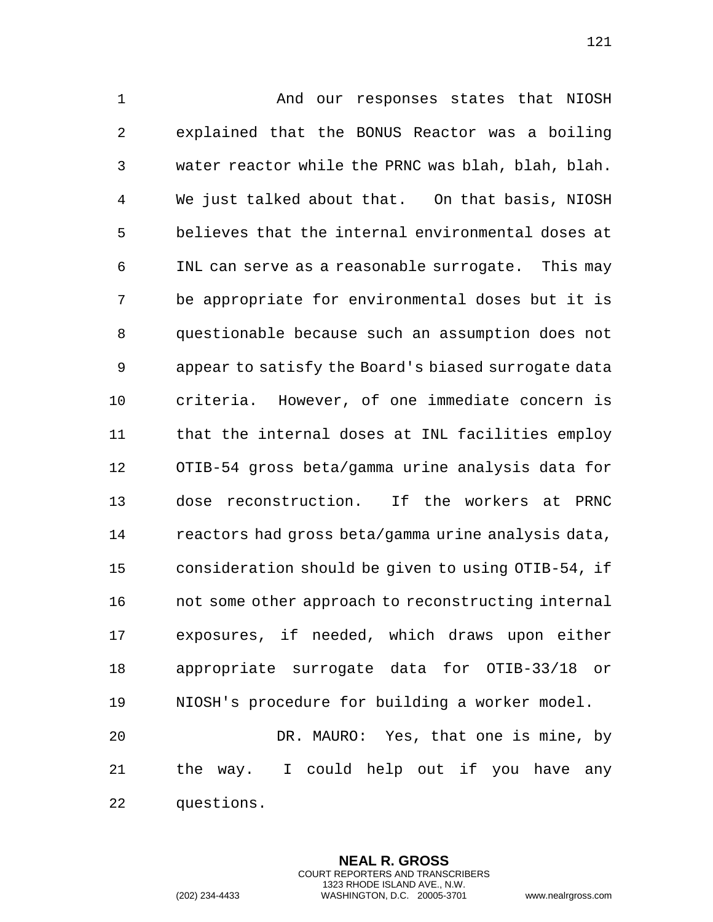And our responses states that NIOSH explained that the BONUS Reactor was a boiling water reactor while the PRNC was blah, blah, blah. We just talked about that. On that basis, NIOSH believes that the internal environmental doses at INL can serve as a reasonable surrogate. This may be appropriate for environmental doses but it is questionable because such an assumption does not appear to satisfy the Board's biased surrogate data criteria. However, of one immediate concern is that the internal doses at INL facilities employ OTIB-54 gross beta/gamma urine analysis data for dose reconstruction. If the workers at PRNC reactors had gross beta/gamma urine analysis data, consideration should be given to using OTIB-54, if 16 not some other approach to reconstructing internal exposures, if needed, which draws upon either appropriate surrogate data for OTIB-33/18 or NIOSH's procedure for building a worker model. DR. MAURO: Yes, that one is mine, by

 the way. I could help out if you have any questions.

> **NEAL R. GROSS** COURT REPORTERS AND TRANSCRIBERS 1323 RHODE ISLAND AVE., N.W.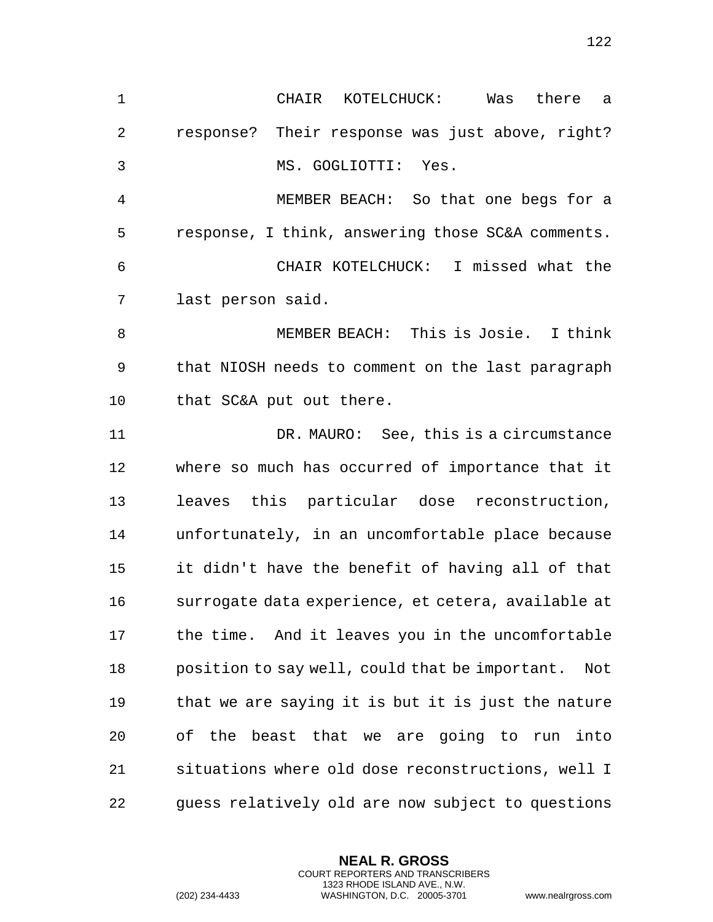| 1              | CHAIR<br>KOTELCHUCK:<br>Was<br>there<br>-a            |
|----------------|-------------------------------------------------------|
| $\overline{2}$ | response? Their response was just above, right?       |
| 3              | MS. GOGLIOTTI: Yes.                                   |
| 4              | MEMBER BEACH: So that one begs for a                  |
| 5              | response, I think, answering those SC&A comments.     |
| 6              | CHAIR KOTELCHUCK: I missed what the                   |
| 7              | last person said.                                     |
| 8              | MEMBER BEACH: This is Josie. I think                  |
| 9              | that NIOSH needs to comment on the last paragraph     |
| 10             | that SC&A put out there.                              |
| 11             | DR. MAURO: See, this is a circumstance                |
| 12             | where so much has occurred of importance that it      |
| 13             | leaves this particular dose reconstruction,           |
| 14             | unfortunately, in an uncomfortable place because      |
| 15             | it didn't have the benefit of having all of that      |
| 16             | surrogate data experience, et cetera, available at    |
| 17             | the time. And it leaves you in the uncomfortable      |
| 18             | position to say well, could that be important.<br>Not |
| 19             | that we are saying it is but it is just the nature    |
| 20             | of the beast that we are going to run into            |
| 21             | situations where old dose reconstructions, well I     |
| 22             | guess relatively old are now subject to questions     |

**NEAL R. GROSS** COURT REPORTERS AND TRANSCRIBERS 1323 RHODE ISLAND AVE., N.W.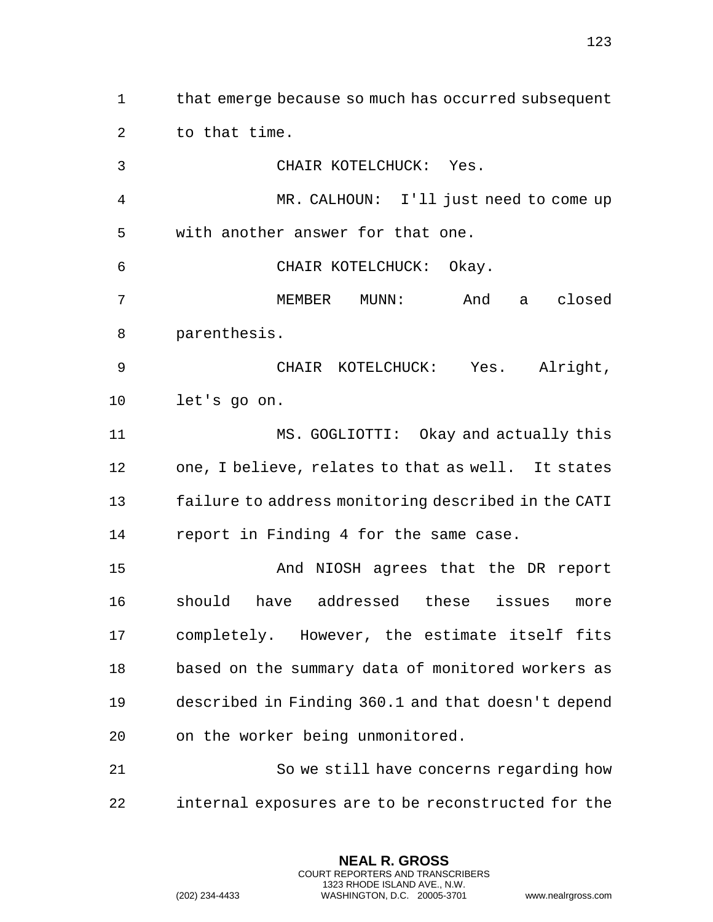that emerge because so much has occurred subsequent to that time.

 CHAIR KOTELCHUCK: Yes. MR. CALHOUN: I'll just need to come up with another answer for that one. CHAIR KOTELCHUCK: Okay. MEMBER MUNN: And a closed parenthesis. CHAIR KOTELCHUCK: Yes. Alright, let's go on. MS. GOGLIOTTI: Okay and actually this one, I believe, relates to that as well. It states failure to address monitoring described in the CATI report in Finding 4 for the same case. And NIOSH agrees that the DR report should have addressed these issues more completely. However, the estimate itself fits based on the summary data of monitored workers as described in Finding 360.1 and that doesn't depend on the worker being unmonitored. So we still have concerns regarding how internal exposures are to be reconstructed for the

> **NEAL R. GROSS** COURT REPORTERS AND TRANSCRIBERS 1323 RHODE ISLAND AVE., N.W.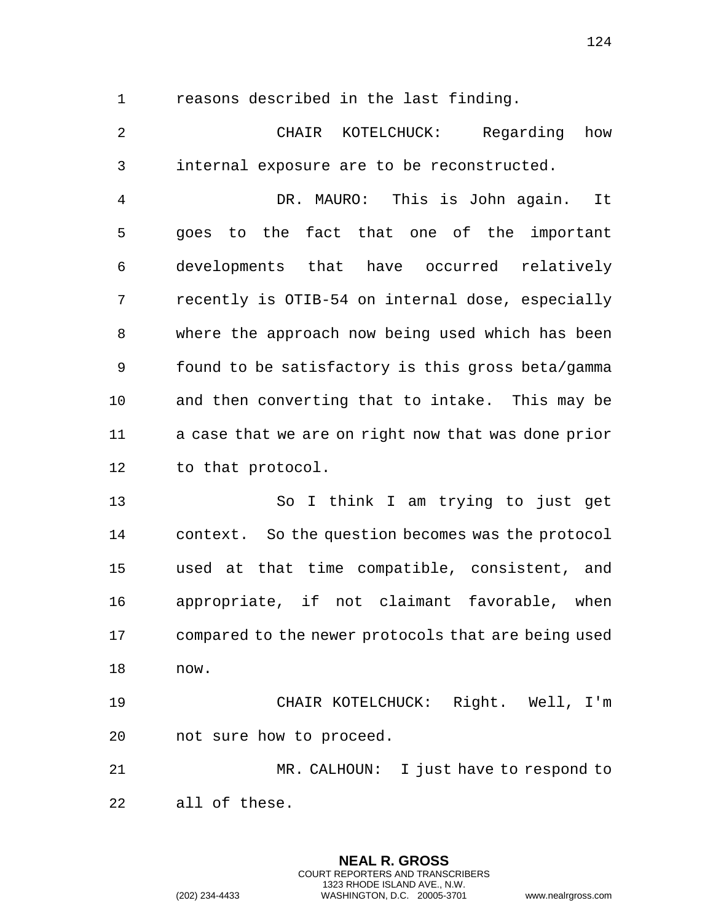reasons described in the last finding.

 CHAIR KOTELCHUCK: Regarding how internal exposure are to be reconstructed.

 DR. MAURO: This is John again. It goes to the fact that one of the important developments that have occurred relatively recently is OTIB-54 on internal dose, especially where the approach now being used which has been found to be satisfactory is this gross beta/gamma and then converting that to intake. This may be a case that we are on right now that was done prior to that protocol.

 So I think I am trying to just get context. So the question becomes was the protocol used at that time compatible, consistent, and appropriate, if not claimant favorable, when compared to the newer protocols that are being used now.

 CHAIR KOTELCHUCK: Right. Well, I'm not sure how to proceed.

 MR. CALHOUN: I just have to respond to all of these.

**NEAL R. GROSS**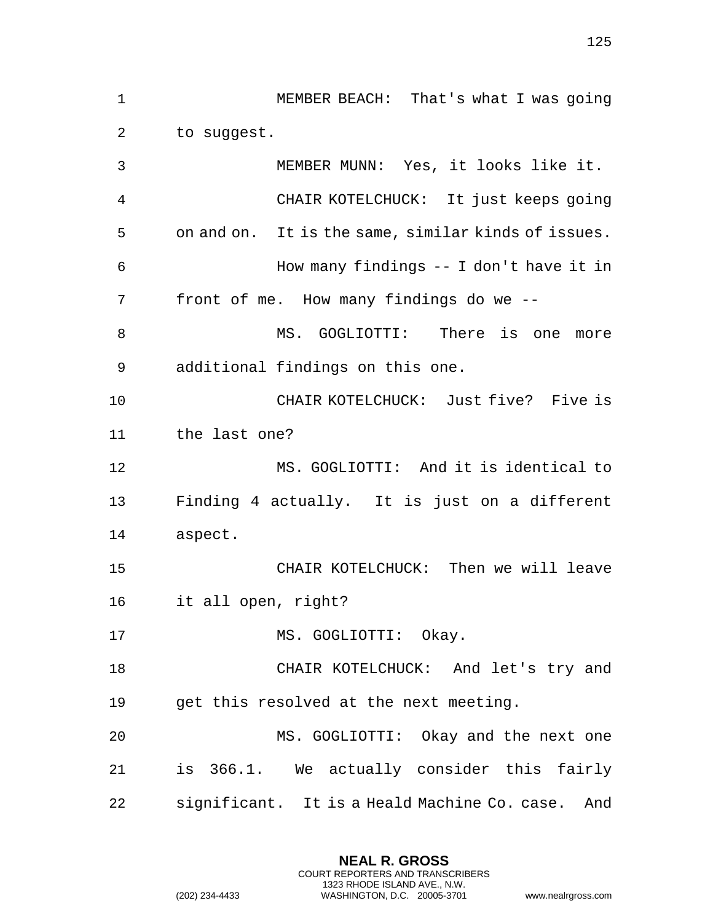MEMBER BEACH: That's what I was going to suggest. MEMBER MUNN: Yes, it looks like it. CHAIR KOTELCHUCK: It just keeps going on and on. It is the same, similar kinds of issues. How many findings -- I don't have it in front of me. How many findings do we -- MS. GOGLIOTTI: There is one more additional findings on this one. CHAIR KOTELCHUCK: Just five? Five is the last one? MS. GOGLIOTTI: And it is identical to Finding 4 actually. It is just on a different aspect. CHAIR KOTELCHUCK: Then we will leave it all open, right? 17 MS. GOGLIOTTI: Okay. CHAIR KOTELCHUCK: And let's try and get this resolved at the next meeting. MS. GOGLIOTTI: Okay and the next one is 366.1. We actually consider this fairly significant. It is a Heald Machine Co. case. And

> **NEAL R. GROSS** COURT REPORTERS AND TRANSCRIBERS 1323 RHODE ISLAND AVE., N.W.

(202) 234-4433 WASHINGTON, D.C. 20005-3701 www.nealrgross.com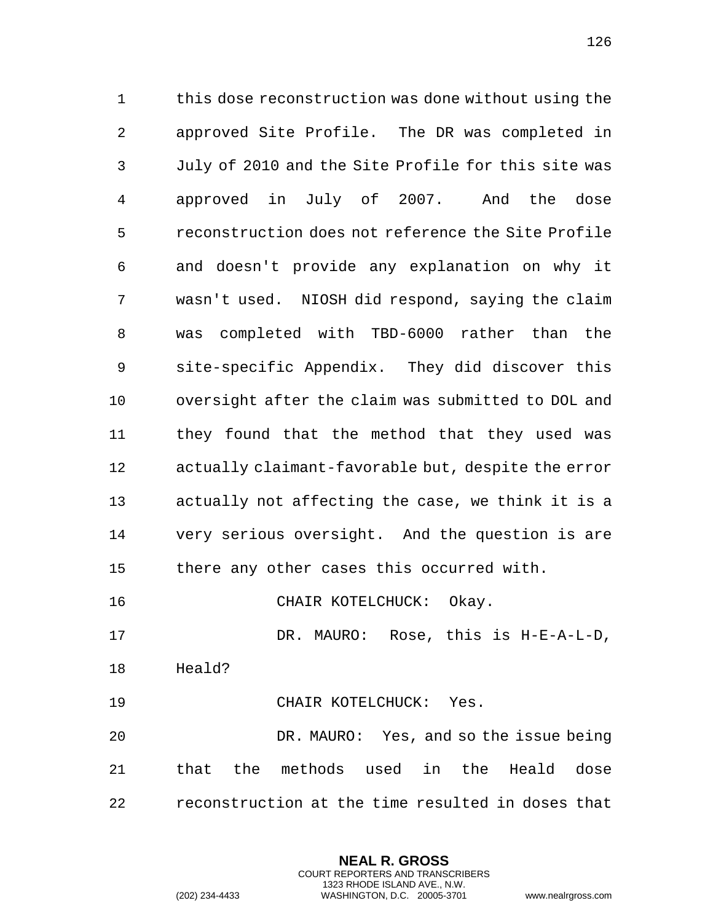this dose reconstruction was done without using the approved Site Profile. The DR was completed in July of 2010 and the Site Profile for this site was approved in July of 2007. And the dose reconstruction does not reference the Site Profile and doesn't provide any explanation on why it wasn't used. NIOSH did respond, saying the claim was completed with TBD-6000 rather than the site-specific Appendix. They did discover this oversight after the claim was submitted to DOL and they found that the method that they used was actually claimant-favorable but, despite the error actually not affecting the case, we think it is a very serious oversight. And the question is are there any other cases this occurred with. 16 CHAIR KOTELCHUCK: Okay.

DR. MAURO: Rose, this is H-E-A-L-D,

Heald?

19 CHAIR KOTELCHUCK: Yes.

 DR. MAURO: Yes, and so the issue being that the methods used in the Heald dose reconstruction at the time resulted in doses that

> **NEAL R. GROSS** COURT REPORTERS AND TRANSCRIBERS 1323 RHODE ISLAND AVE., N.W.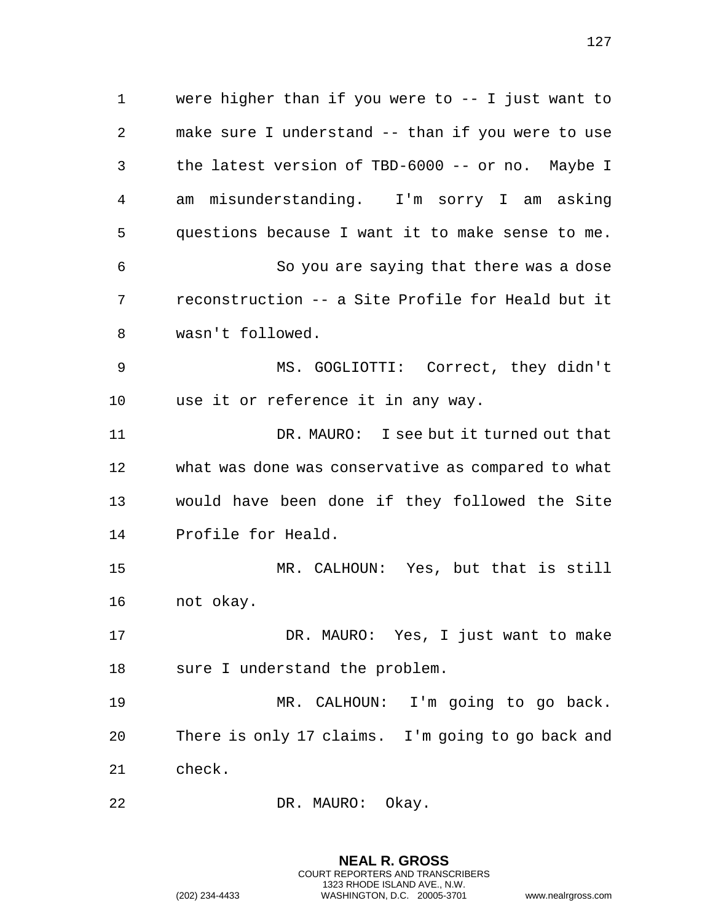were higher than if you were to -- I just want to make sure I understand -- than if you were to use the latest version of TBD-6000 -- or no. Maybe I am misunderstanding. I'm sorry I am asking questions because I want it to make sense to me. So you are saying that there was a dose reconstruction -- a Site Profile for Heald but it wasn't followed. MS. GOGLIOTTI: Correct, they didn't use it or reference it in any way. 11 DR. MAURO: I see but it turned out that what was done was conservative as compared to what would have been done if they followed the Site Profile for Heald. MR. CALHOUN: Yes, but that is still not okay. DR. MAURO: Yes, I just want to make sure I understand the problem. MR. CALHOUN: I'm going to go back. There is only 17 claims. I'm going to go back and check. 22 DR. MAURO: Okay.

> **NEAL R. GROSS** COURT REPORTERS AND TRANSCRIBERS 1323 RHODE ISLAND AVE., N.W. (202) 234-4433 WASHINGTON, D.C. 20005-3701 www.nealrgross.com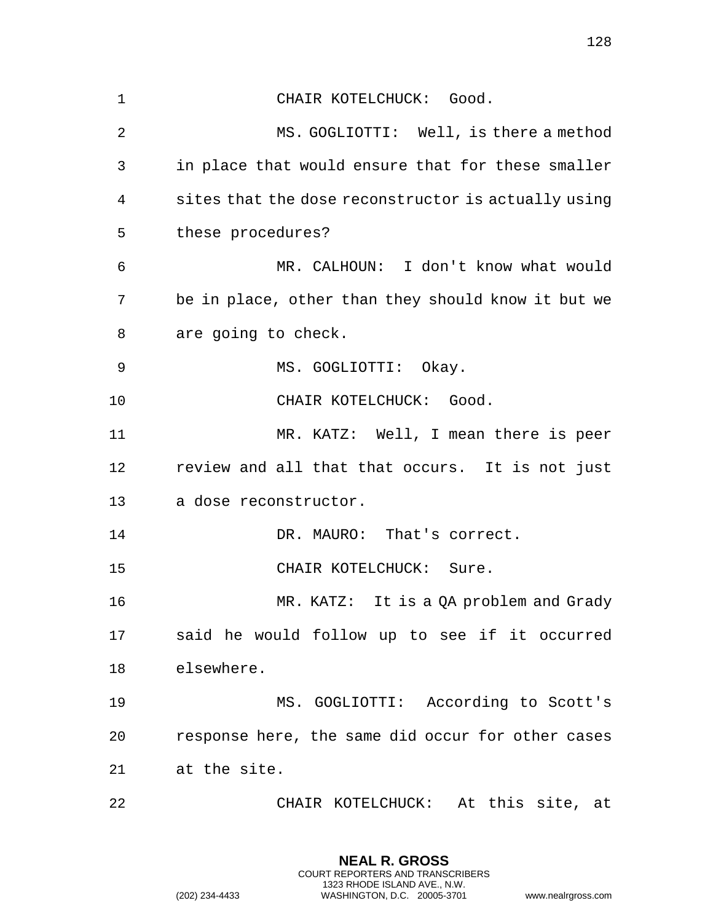| $\mathbf{1}$   | CHAIR KOTELCHUCK: Good.                             |
|----------------|-----------------------------------------------------|
| $\overline{2}$ | MS. GOGLIOTTI: Well, is there a method              |
| 3              | in place that would ensure that for these smaller   |
| 4              | sites that the dose reconstructor is actually using |
| 5              | these procedures?                                   |
| 6              | MR. CALHOUN: I don't know what would                |
| 7              | be in place, other than they should know it but we  |
| 8              | are going to check.                                 |
| 9              | MS. GOGLIOTTI: Okay.                                |
| 10             | CHAIR KOTELCHUCK: Good.                             |
| 11             | MR. KATZ: Well, I mean there is peer                |
| 12             | review and all that that occurs. It is not just     |
| 13             | a dose reconstructor.                               |
| 14             | DR. MAURO: That's correct.                          |
| 15             | CHAIR KOTELCHUCK: Sure.                             |
| 16             | MR. KATZ: It is a QA problem and Grady              |
| 17             | said he would follow up to see if it occurred       |
| 18             | elsewhere.                                          |
| 19             | MS. GOGLIOTTI: According to Scott's                 |
| 20             | response here, the same did occur for other cases   |
| 21             | at the site.                                        |
| 22             | CHAIR KOTELCHUCK: At this site, at                  |

**NEAL R. GROSS** COURT REPORTERS AND TRANSCRIBERS 1323 RHODE ISLAND AVE., N.W.

(202) 234-4433 WASHINGTON, D.C. 20005-3701 www.nealrgross.com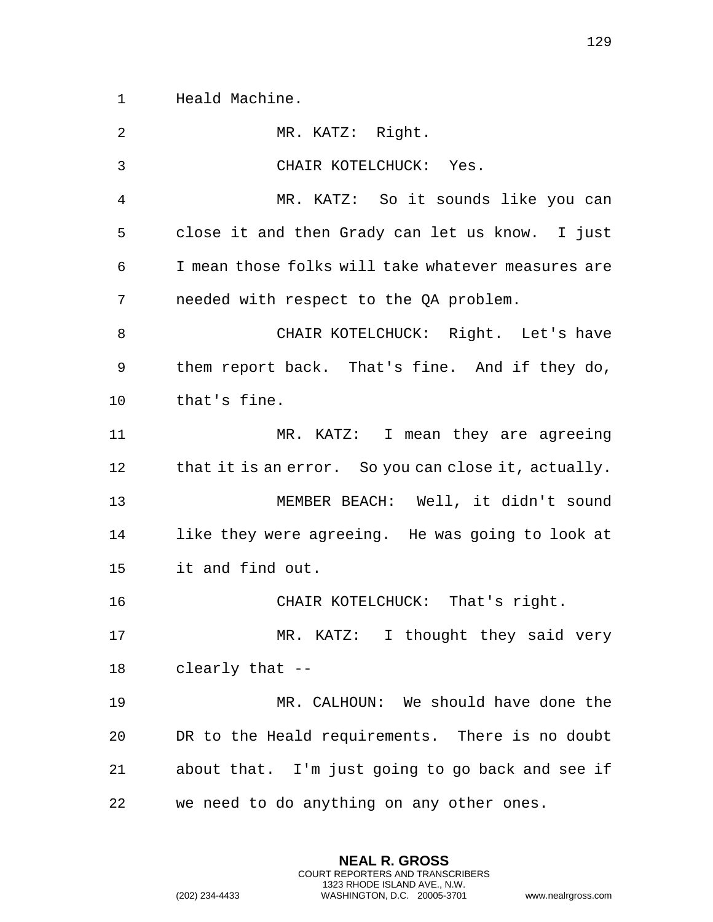Heald Machine.

| 2              | MR. KATZ: Right.                                    |
|----------------|-----------------------------------------------------|
| 3              | CHAIR KOTELCHUCK: Yes.                              |
| $\overline{4}$ | MR. KATZ: So it sounds like you can                 |
| 5              | close it and then Grady can let us know. I just     |
| 6              | I mean those folks will take whatever measures are  |
| 7              | needed with respect to the QA problem.              |
| 8              | CHAIR KOTELCHUCK: Right. Let's have                 |
| 9              | them report back. That's fine. And if they do,      |
| 10             | that's fine.                                        |
| 11             | MR. KATZ: I mean they are agreeing                  |
| 12             | that it is an error. So you can close it, actually. |
| 13             | MEMBER BEACH: Well, it didn't sound                 |
| 14             | like they were agreeing. He was going to look at    |
| 15             | it and find out.                                    |
| 16             | CHAIR KOTELCHUCK: That's right.                     |
| 17             | MR. KATZ: I thought they said very                  |
| 18             | clearly that --                                     |
| 19             | MR. CALHOUN: We should have done the                |
| 20             | DR to the Heald requirements. There is no doubt     |
| 21             | about that. I'm just going to go back and see if    |
| 22             | we need to do anything on any other ones.           |

**NEAL R. GROSS** COURT REPORTERS AND TRANSCRIBERS 1323 RHODE ISLAND AVE., N.W.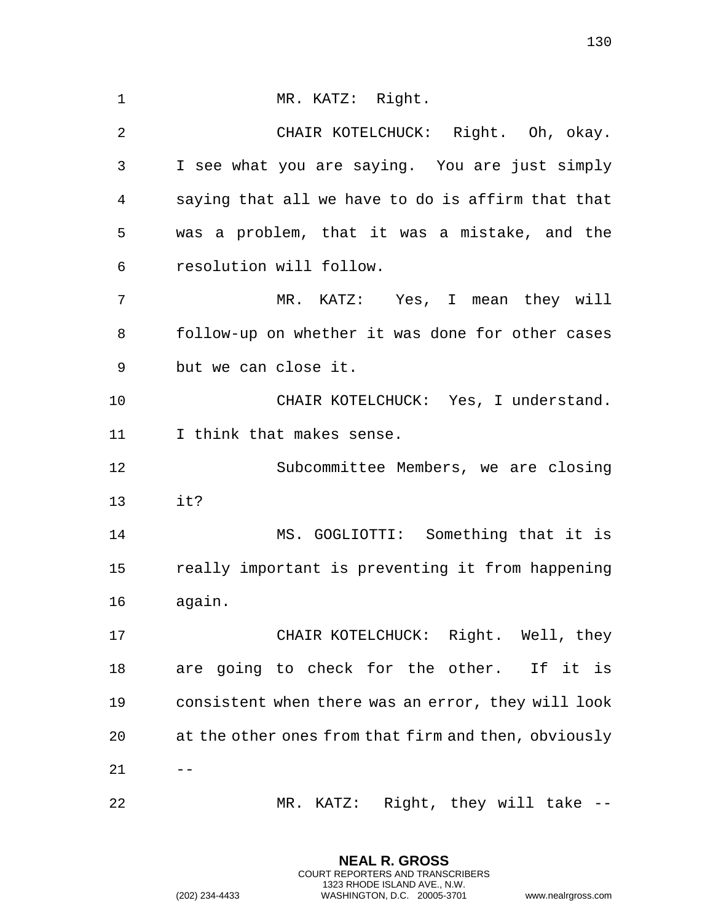| $\mathbf{1}$   | MR. KATZ: Right.                                     |
|----------------|------------------------------------------------------|
| $\overline{2}$ | CHAIR KOTELCHUCK: Right. Oh, okay.                   |
| 3              | I see what you are saying. You are just simply       |
| 4              | saying that all we have to do is affirm that that    |
| 5              | was a problem, that it was a mistake, and the        |
| 6              | resolution will follow.                              |
| 7              | MR. KATZ: Yes, I mean they will                      |
| 8              | follow-up on whether it was done for other cases     |
| 9              | but we can close it.                                 |
| 10             | CHAIR KOTELCHUCK: Yes, I understand.                 |
| 11             | I think that makes sense.                            |
| 12             | Subcommittee Members, we are closing                 |
| 13             | it?                                                  |
|                |                                                      |
| 14             | MS. GOGLIOTTI: Something that it is                  |
| 15             | really important is preventing it from happening     |
| 16             | again.                                               |
| 17             | CHAIR KOTELCHUCK: Right. Well, they                  |
| 18             | are going to check for the other. If it is           |
| 19             | consistent when there was an error, they will look   |
| 20             | at the other ones from that firm and then, obviously |
| 21             |                                                      |

**NEAL R. GROSS** COURT REPORTERS AND TRANSCRIBERS 1323 RHODE ISLAND AVE., N.W.

(202) 234-4433 WASHINGTON, D.C. 20005-3701 www.nealrgross.com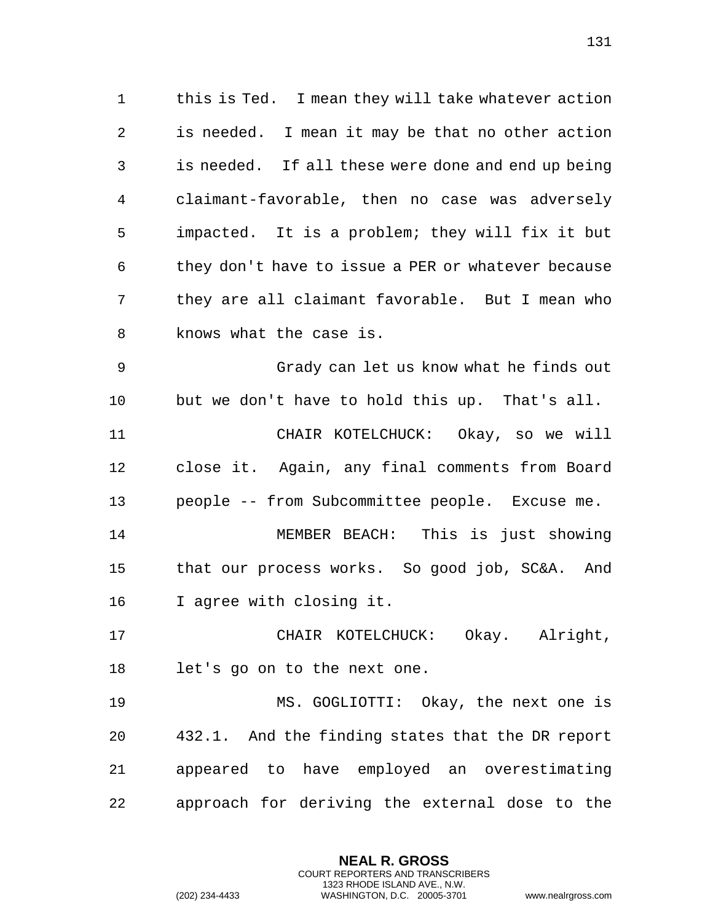this is Ted. I mean they will take whatever action is needed. I mean it may be that no other action is needed. If all these were done and end up being claimant-favorable, then no case was adversely impacted. It is a problem; they will fix it but they don't have to issue a PER or whatever because they are all claimant favorable. But I mean who knows what the case is. Grady can let us know what he finds out but we don't have to hold this up. That's all. CHAIR KOTELCHUCK: Okay, so we will

 close it. Again, any final comments from Board people -- from Subcommittee people. Excuse me.

 MEMBER BEACH: This is just showing that our process works. So good job, SC&A. And I agree with closing it.

 CHAIR KOTELCHUCK: Okay. Alright, let's go on to the next one.

 MS. GOGLIOTTI: Okay, the next one is 432.1. And the finding states that the DR report appeared to have employed an overestimating approach for deriving the external dose to the

> **NEAL R. GROSS** COURT REPORTERS AND TRANSCRIBERS 1323 RHODE ISLAND AVE., N.W.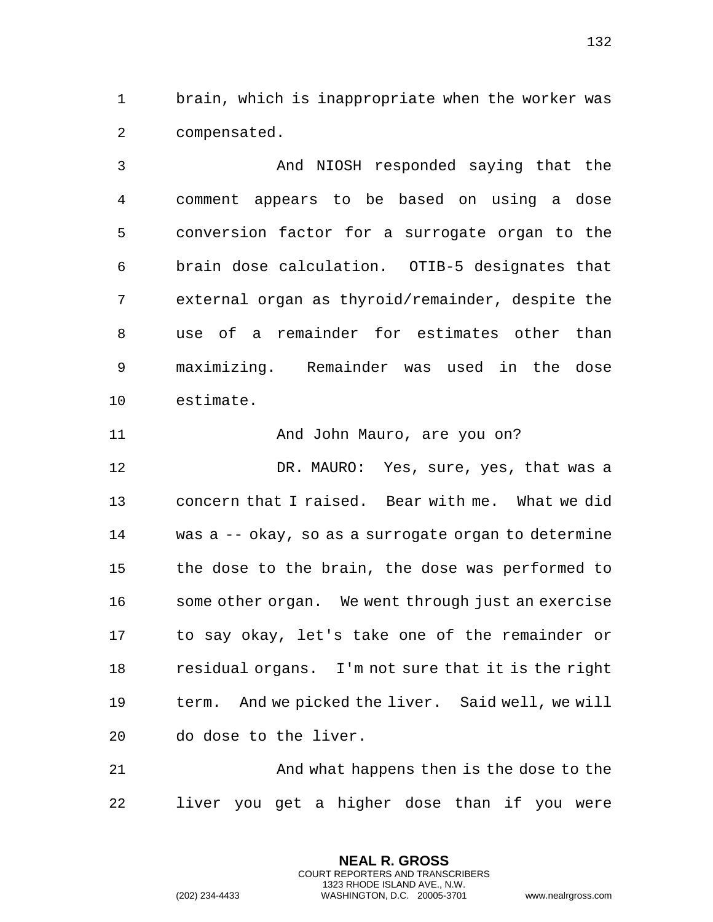brain, which is inappropriate when the worker was compensated.

 And NIOSH responded saying that the comment appears to be based on using a dose conversion factor for a surrogate organ to the brain dose calculation. OTIB-5 designates that external organ as thyroid/remainder, despite the use of a remainder for estimates other than maximizing. Remainder was used in the dose estimate.

11 And John Mauro, are you on?

 DR. MAURO: Yes, sure, yes, that was a concern that I raised. Bear with me. What we did was a -- okay, so as a surrogate organ to determine the dose to the brain, the dose was performed to some other organ. We went through just an exercise to say okay, let's take one of the remainder or residual organs. I'm not sure that it is the right term. And we picked the liver. Said well, we will do dose to the liver.

 And what happens then is the dose to the liver you get a higher dose than if you were

> **NEAL R. GROSS** COURT REPORTERS AND TRANSCRIBERS 1323 RHODE ISLAND AVE., N.W.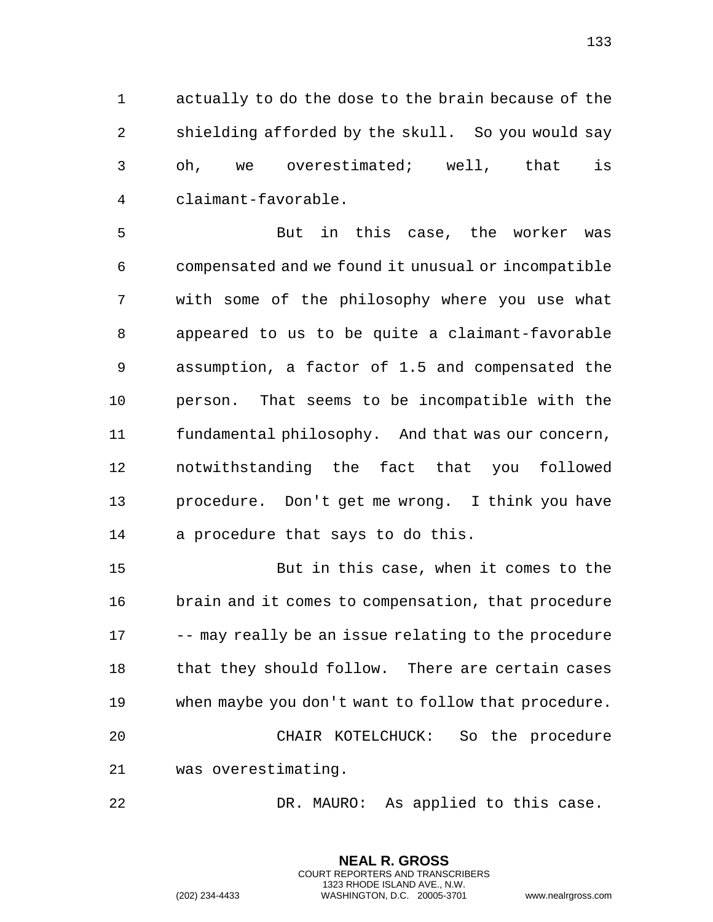actually to do the dose to the brain because of the shielding afforded by the skull. So you would say oh, we overestimated; well, that is claimant-favorable.

 But in this case, the worker was compensated and we found it unusual or incompatible with some of the philosophy where you use what appeared to us to be quite a claimant-favorable assumption, a factor of 1.5 and compensated the person. That seems to be incompatible with the fundamental philosophy. And that was our concern, notwithstanding the fact that you followed procedure. Don't get me wrong. I think you have a procedure that says to do this.

 But in this case, when it comes to the brain and it comes to compensation, that procedure -- may really be an issue relating to the procedure 18 that they should follow. There are certain cases when maybe you don't want to follow that procedure. CHAIR KOTELCHUCK: So the procedure was overestimating.

DR. MAURO: As applied to this case.

**NEAL R. GROSS** COURT REPORTERS AND TRANSCRIBERS 1323 RHODE ISLAND AVE., N.W.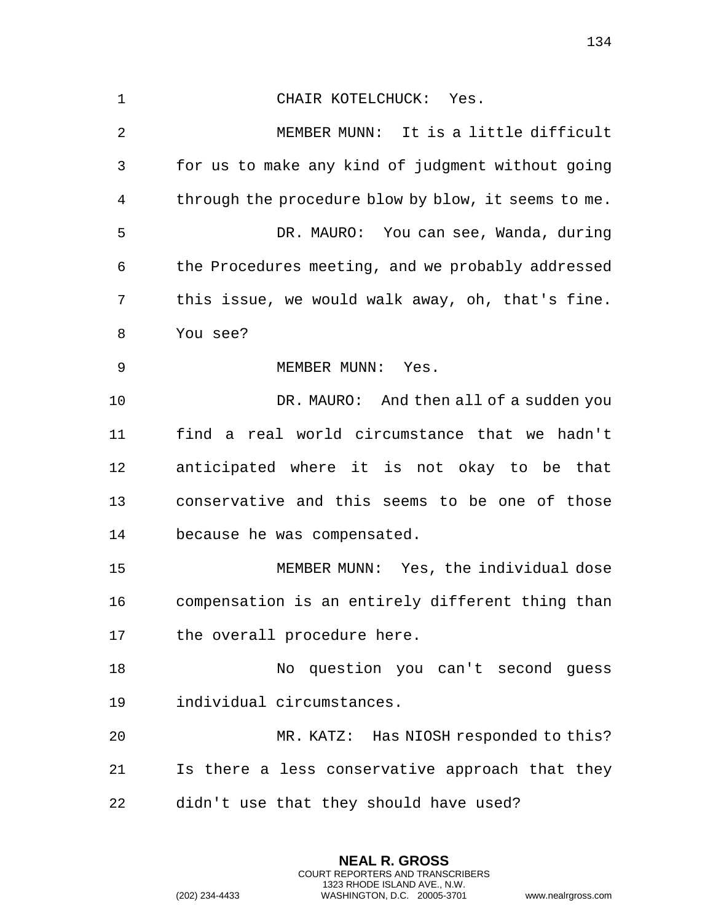CHAIR KOTELCHUCK: Yes. MEMBER MUNN: It is a little difficult for us to make any kind of judgment without going through the procedure blow by blow, it seems to me. DR. MAURO: You can see, Wanda, during the Procedures meeting, and we probably addressed this issue, we would walk away, oh, that's fine. You see? 9 MEMBER MUNN: Yes. DR. MAURO: And then all of a sudden you find a real world circumstance that we hadn't anticipated where it is not okay to be that conservative and this seems to be one of those because he was compensated. MEMBER MUNN: Yes, the individual dose compensation is an entirely different thing than 17 the overall procedure here. No question you can't second guess individual circumstances. MR. KATZ: Has NIOSH responded to this? Is there a less conservative approach that they didn't use that they should have used?

> **NEAL R. GROSS** COURT REPORTERS AND TRANSCRIBERS 1323 RHODE ISLAND AVE., N.W.

(202) 234-4433 WASHINGTON, D.C. 20005-3701 www.nealrgross.com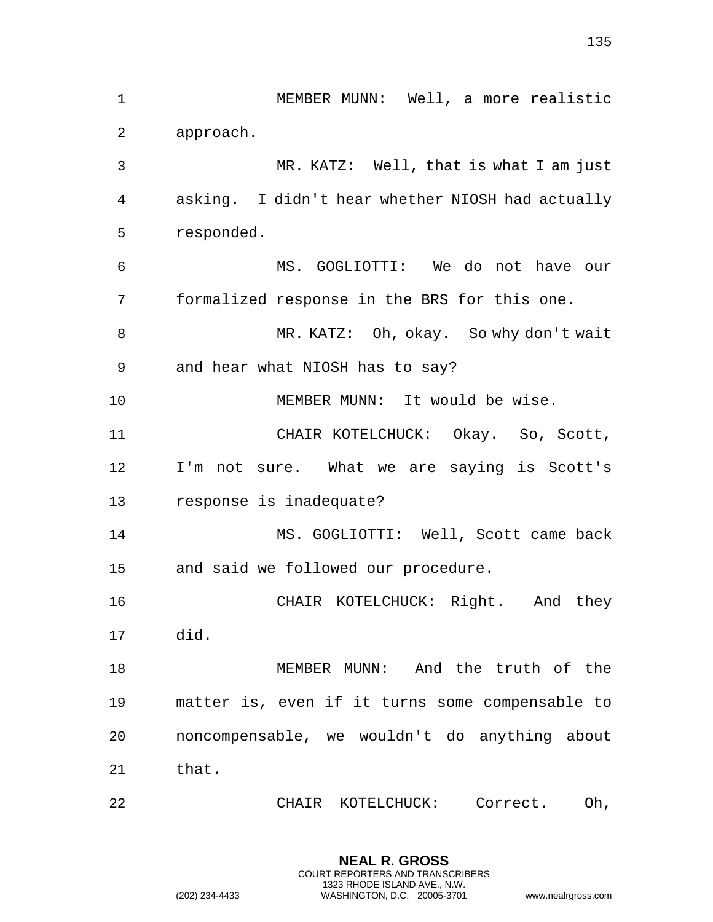MEMBER MUNN: Well, a more realistic approach. MR. KATZ: Well, that is what I am just asking. I didn't hear whether NIOSH had actually responded. MS. GOGLIOTTI: We do not have our formalized response in the BRS for this one. MR. KATZ: Oh, okay. So why don't wait and hear what NIOSH has to say? MEMBER MUNN: It would be wise. CHAIR KOTELCHUCK: Okay. So, Scott, I'm not sure. What we are saying is Scott's response is inadequate? MS. GOGLIOTTI: Well, Scott came back and said we followed our procedure. CHAIR KOTELCHUCK: Right. And they did. MEMBER MUNN: And the truth of the matter is, even if it turns some compensable to noncompensable, we wouldn't do anything about that. CHAIR KOTELCHUCK: Correct. Oh,

**NEAL R. GROSS** COURT REPORTERS AND TRANSCRIBERS 1323 RHODE ISLAND AVE., N.W.

(202) 234-4433 WASHINGTON, D.C. 20005-3701 www.nealrgross.com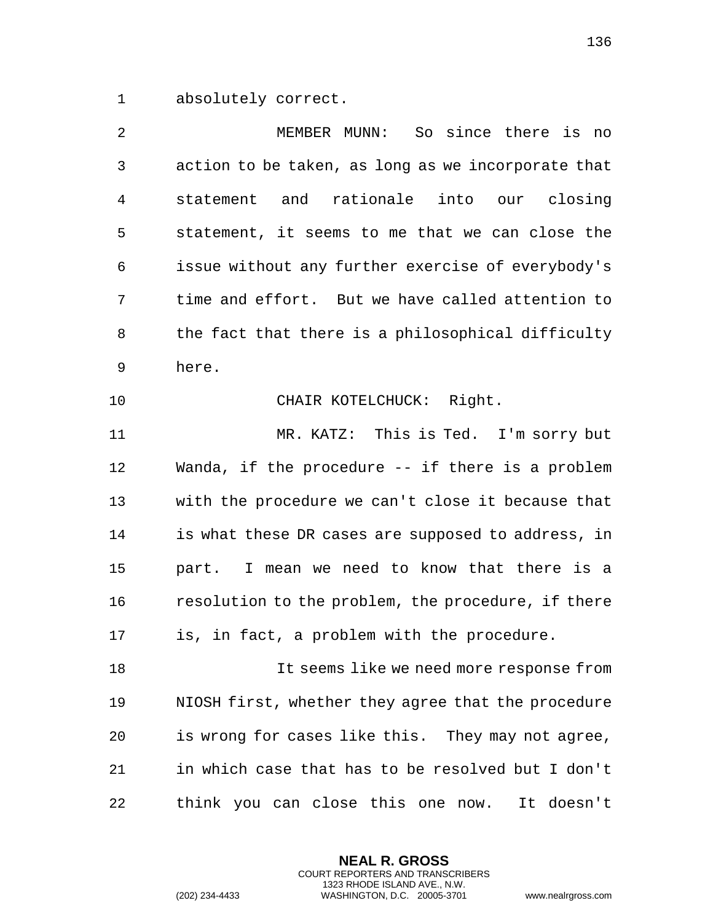absolutely correct.

| 2  | MEMBER MUNN: So since there is no                  |
|----|----------------------------------------------------|
| 3  | action to be taken, as long as we incorporate that |
| 4  | statement and rationale into our closing           |
| 5  | statement, it seems to me that we can close the    |
| 6  | issue without any further exercise of everybody's  |
| 7  | time and effort. But we have called attention to   |
| 8  | the fact that there is a philosophical difficulty  |
| 9  | here.                                              |
| 10 | CHAIR KOTELCHUCK: Right.                           |
| 11 | MR. KATZ: This is Ted. I'm sorry but               |
| 12 | Wanda, if the procedure -- if there is a problem   |
| 13 | with the procedure we can't close it because that  |
| 14 | is what these DR cases are supposed to address, in |
| 15 | part. I mean we need to know that there is a       |
| 16 | resolution to the problem, the procedure, if there |
| 17 | is, in fact, a problem with the procedure.         |
| 18 | It seems like we need more response from           |
| 19 | NIOSH first, whether they agree that the procedure |
| 20 | is wrong for cases like this. They may not agree,  |
| 21 | in which case that has to be resolved but I don't  |
| 22 | think you can close this one now.<br>It doesn't    |

**NEAL R. GROSS** COURT REPORTERS AND TRANSCRIBERS 1323 RHODE ISLAND AVE., N.W.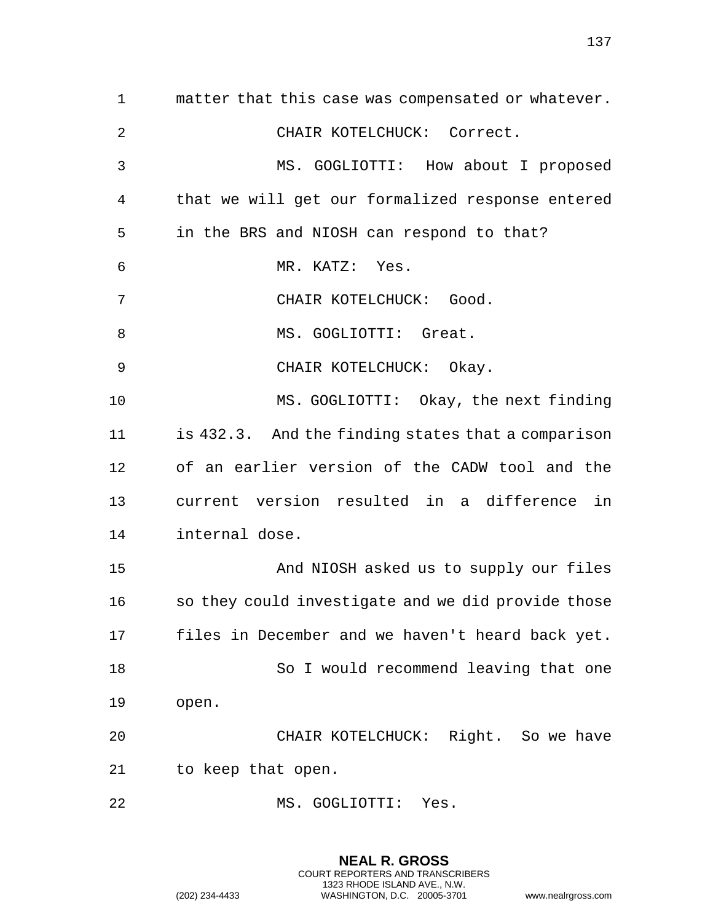matter that this case was compensated or whatever. CHAIR KOTELCHUCK: Correct. MS. GOGLIOTTI: How about I proposed that we will get our formalized response entered in the BRS and NIOSH can respond to that? MR. KATZ: Yes. CHAIR KOTELCHUCK: Good. 8 MS. GOGLIOTTI: Great. 9 CHAIR KOTELCHUCK: Okay. MS. GOGLIOTTI: Okay, the next finding is 432.3. And the finding states that a comparison of an earlier version of the CADW tool and the current version resulted in a difference in internal dose. And NIOSH asked us to supply our files so they could investigate and we did provide those files in December and we haven't heard back yet. So I would recommend leaving that one open. CHAIR KOTELCHUCK: Right. So we have to keep that open. MS. GOGLIOTTI: Yes.

> **NEAL R. GROSS** COURT REPORTERS AND TRANSCRIBERS 1323 RHODE ISLAND AVE., N.W. (202) 234-4433 WASHINGTON, D.C. 20005-3701 www.nealrgross.com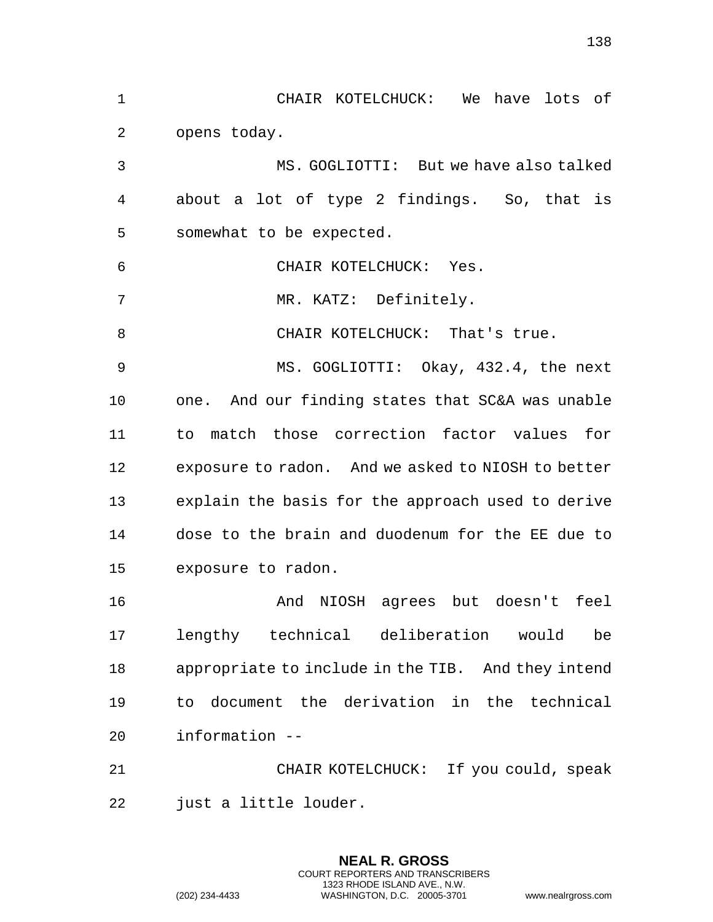CHAIR KOTELCHUCK: We have lots of opens today. MS. GOGLIOTTI: But we have also talked about a lot of type 2 findings. So, that is somewhat to be expected. CHAIR KOTELCHUCK: Yes. 7 MR. KATZ: Definitely. 8 CHAIR KOTELCHUCK: That's true. MS. GOGLIOTTI: Okay, 432.4, the next one. And our finding states that SC&A was unable to match those correction factor values for exposure to radon. And we asked to NIOSH to better explain the basis for the approach used to derive dose to the brain and duodenum for the EE due to exposure to radon. And NIOSH agrees but doesn't feel lengthy technical deliberation would be appropriate to include in the TIB. And they intend to document the derivation in the technical information -- CHAIR KOTELCHUCK: If you could, speak

> **NEAL R. GROSS** COURT REPORTERS AND TRANSCRIBERS 1323 RHODE ISLAND AVE., N.W.

just a little louder.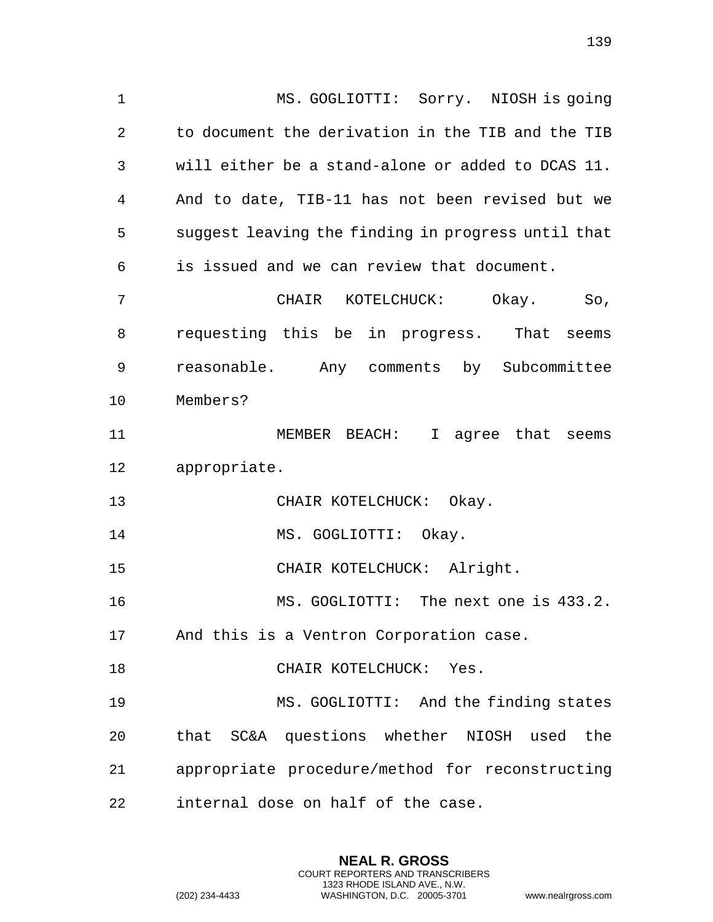MS. GOGLIOTTI: Sorry. NIOSH is going to document the derivation in the TIB and the TIB will either be a stand-alone or added to DCAS 11. And to date, TIB-11 has not been revised but we suggest leaving the finding in progress until that is issued and we can review that document. CHAIR KOTELCHUCK: Okay. So, requesting this be in progress. That seems reasonable. Any comments by Subcommittee Members? MEMBER BEACH: I agree that seems appropriate. 13 CHAIR KOTELCHUCK: Okay. 14 MS. GOGLIOTTI: Okay. CHAIR KOTELCHUCK: Alright. MS. GOGLIOTTI: The next one is 433.2. And this is a Ventron Corporation case. CHAIR KOTELCHUCK: Yes. MS. GOGLIOTTI: And the finding states that SC&A questions whether NIOSH used the appropriate procedure/method for reconstructing internal dose on half of the case.

> **NEAL R. GROSS** COURT REPORTERS AND TRANSCRIBERS 1323 RHODE ISLAND AVE., N.W.

(202) 234-4433 WASHINGTON, D.C. 20005-3701 www.nealrgross.com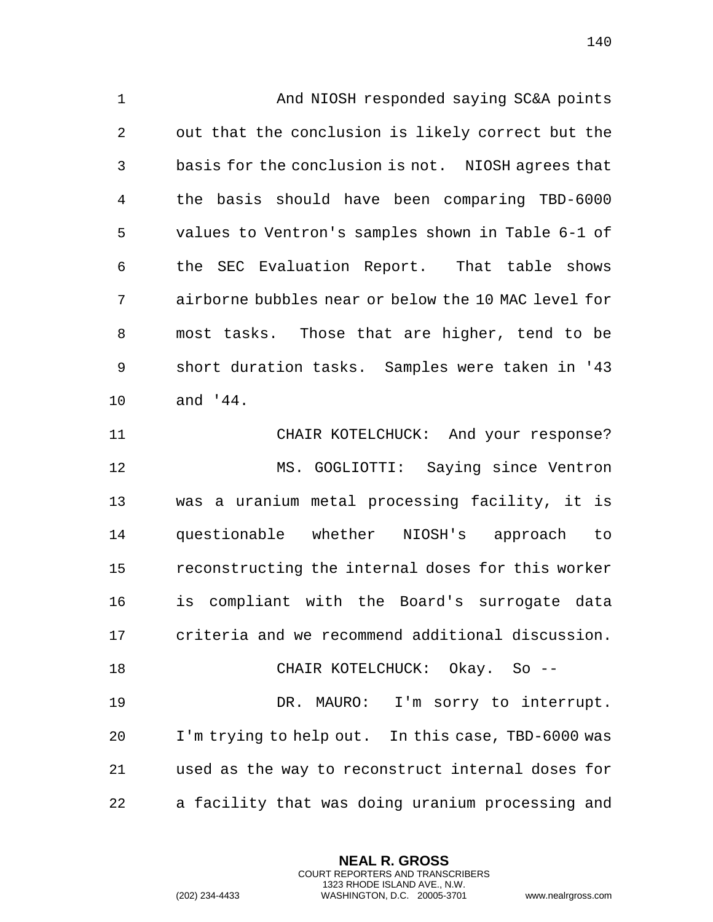And NIOSH responded saying SC&A points out that the conclusion is likely correct but the basis for the conclusion is not. NIOSH agrees that the basis should have been comparing TBD-6000 values to Ventron's samples shown in Table 6-1 of the SEC Evaluation Report. That table shows airborne bubbles near or below the 10 MAC level for most tasks. Those that are higher, tend to be short duration tasks. Samples were taken in '43 and '44.

 CHAIR KOTELCHUCK: And your response? MS. GOGLIOTTI: Saying since Ventron was a uranium metal processing facility, it is questionable whether NIOSH's approach to reconstructing the internal doses for this worker is compliant with the Board's surrogate data criteria and we recommend additional discussion. CHAIR KOTELCHUCK: Okay. So --

 DR. MAURO: I'm sorry to interrupt. I'm trying to help out. In this case, TBD-6000 was used as the way to reconstruct internal doses for a facility that was doing uranium processing and

> **NEAL R. GROSS** COURT REPORTERS AND TRANSCRIBERS 1323 RHODE ISLAND AVE., N.W.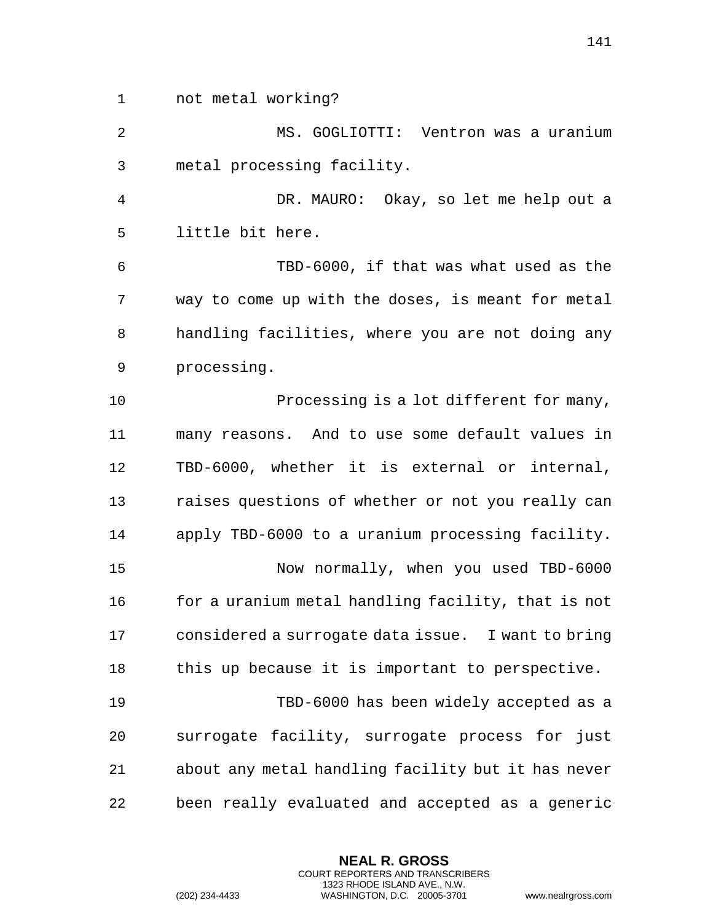not metal working?

 MS. GOGLIOTTI: Ventron was a uranium metal processing facility.

 DR. MAURO: Okay, so let me help out a little bit here.

 TBD-6000, if that was what used as the way to come up with the doses, is meant for metal handling facilities, where you are not doing any processing.

10 Processing is a lot different for many, many reasons. And to use some default values in TBD-6000, whether it is external or internal, raises questions of whether or not you really can apply TBD-6000 to a uranium processing facility. Now normally, when you used TBD-6000 16 for a uranium metal handling facility, that is not considered a surrogate data issue. I want to bring this up because it is important to perspective. TBD-6000 has been widely accepted as a surrogate facility, surrogate process for just about any metal handling facility but it has never been really evaluated and accepted as a generic

> **NEAL R. GROSS** COURT REPORTERS AND TRANSCRIBERS 1323 RHODE ISLAND AVE., N.W.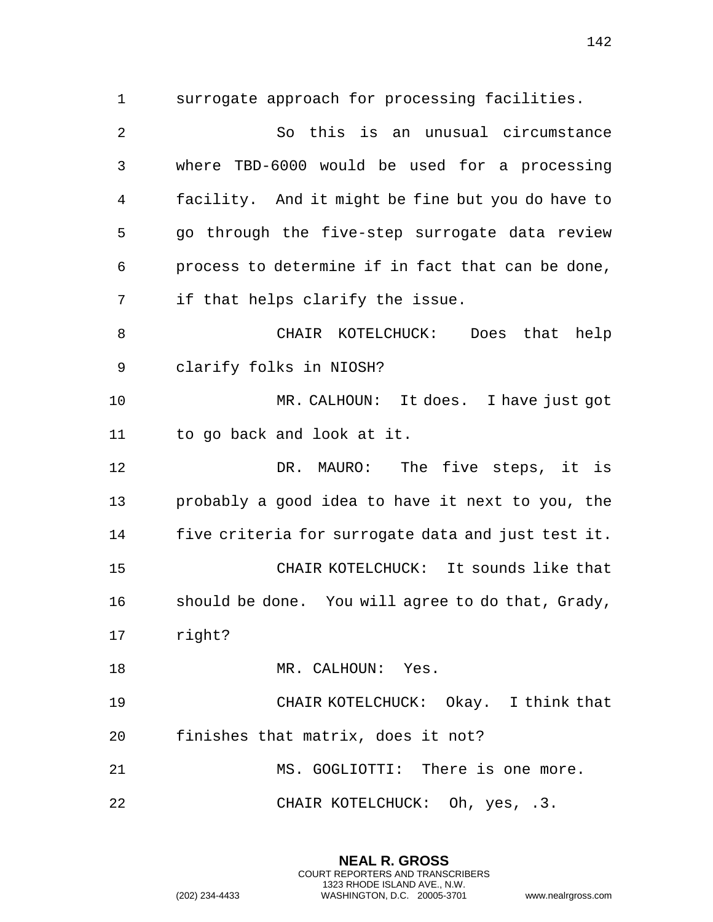surrogate approach for processing facilities. So this is an unusual circumstance where TBD-6000 would be used for a processing facility. And it might be fine but you do have to go through the five-step surrogate data review process to determine if in fact that can be done, if that helps clarify the issue. CHAIR KOTELCHUCK: Does that help clarify folks in NIOSH? MR. CALHOUN: It does. I have just got to go back and look at it. DR. MAURO: The five steps, it is probably a good idea to have it next to you, the five criteria for surrogate data and just test it. CHAIR KOTELCHUCK: It sounds like that should be done. You will agree to do that, Grady, right? 18 MR. CALHOUN: Yes. CHAIR KOTELCHUCK: Okay. I think that finishes that matrix, does it not? MS. GOGLIOTTI: There is one more. CHAIR KOTELCHUCK: Oh, yes, .3.

> **NEAL R. GROSS** COURT REPORTERS AND TRANSCRIBERS 1323 RHODE ISLAND AVE., N.W.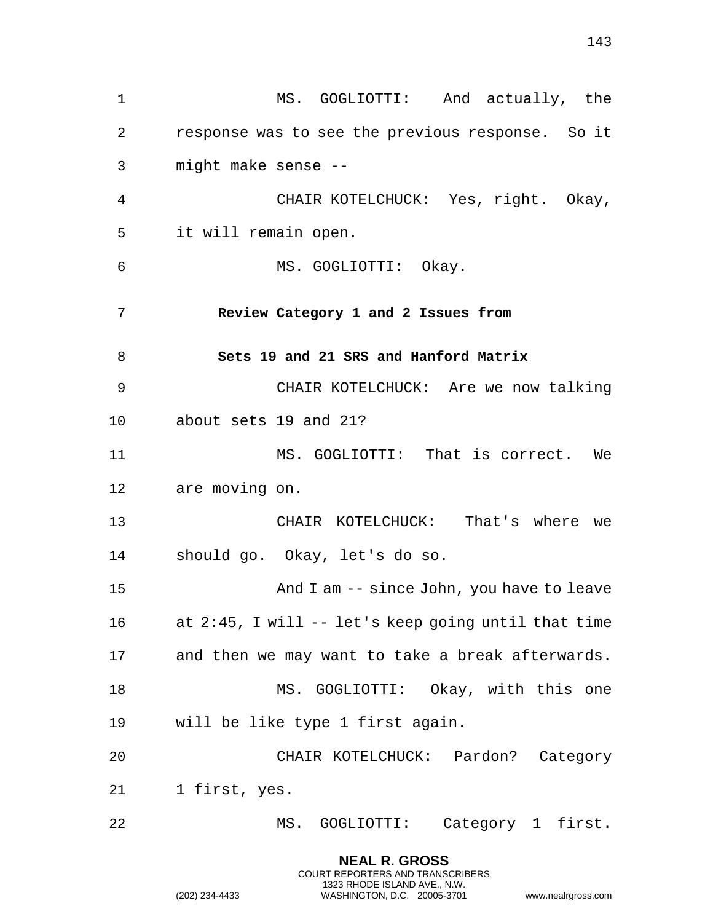MS. GOGLIOTTI: And actually, the response was to see the previous response. So it might make sense -- CHAIR KOTELCHUCK: Yes, right. Okay, it will remain open. MS. GOGLIOTTI: Okay. **Review Category 1 and 2 Issues from Sets 19 and 21 SRS and Hanford Matrix** CHAIR KOTELCHUCK: Are we now talking about sets 19 and 21? 11 MS. GOGLIOTTI: That is correct. We are moving on. CHAIR KOTELCHUCK: That's where we should go. Okay, let's do so. And I am -- since John, you have to leave at 2:45, I will -- let's keep going until that time and then we may want to take a break afterwards. 18 MS. GOGLIOTTI: Okay, with this one will be like type 1 first again. CHAIR KOTELCHUCK: Pardon? Category 1 first, yes. MS. GOGLIOTTI: Category 1 first.

> **NEAL R. GROSS** COURT REPORTERS AND TRANSCRIBERS 1323 RHODE ISLAND AVE., N.W.

(202) 234-4433 WASHINGTON, D.C. 20005-3701 www.nealrgross.com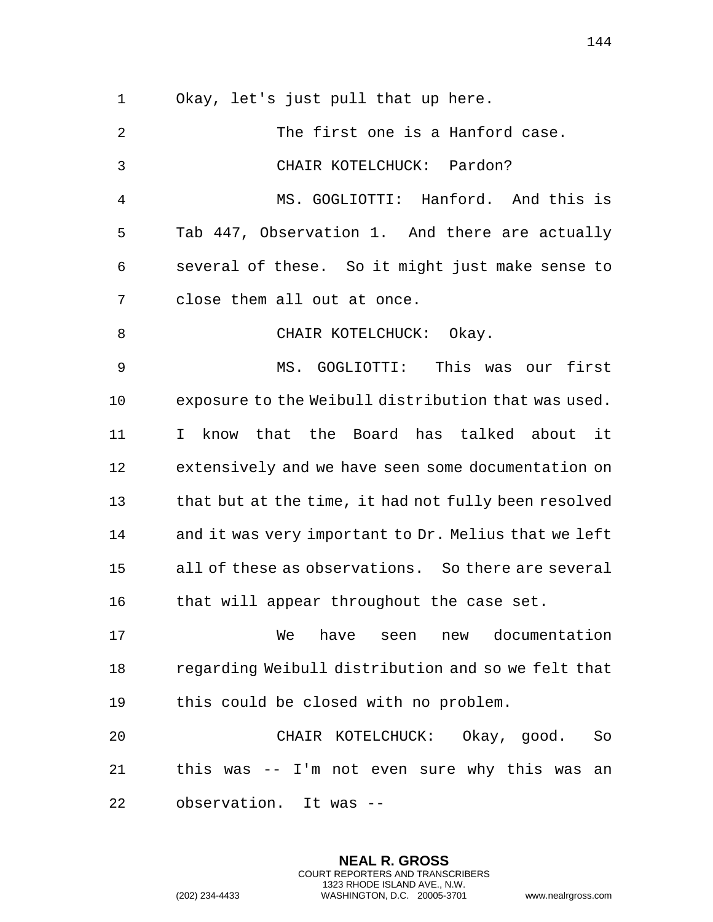Okay, let's just pull that up here.

| $\overline{2}$ | The first one is a Hanford case.                       |
|----------------|--------------------------------------------------------|
| $\mathbf{3}$   | CHAIR KOTELCHUCK: Pardon?                              |
| 4              | MS. GOGLIOTTI: Hanford. And this is                    |
| 5              | Tab 447, Observation 1. And there are actually         |
| 6              | several of these. So it might just make sense to       |
| 7              | close them all out at once.                            |
| 8              | CHAIR KOTELCHUCK: Okay.                                |
| 9              | MS. GOGLIOTTI: This was our first                      |
| 10             | exposure to the Weibull distribution that was used.    |
| 11             | know that the Board has talked about it<br>$\mathbf I$ |
| 12             | extensively and we have seen some documentation on     |
| 13             | that but at the time, it had not fully been resolved   |
| 14             | and it was very important to Dr. Melius that we left   |
| 15             | all of these as observations. So there are several     |
| 16             | that will appear throughout the case set.              |
| 17             | new documentation<br>We<br>have<br>seen                |
| 18             | regarding Weibull distribution and so we felt that     |
| 19             | this could be closed with no problem.                  |
| 20             | CHAIR KOTELCHUCK: Okay, good.<br>So                    |
| 21             | this was -- I'm not even sure why this was<br>an       |
| 22             | observation. It was --                                 |

**NEAL R. GROSS** COURT REPORTERS AND TRANSCRIBERS 1323 RHODE ISLAND AVE., N.W.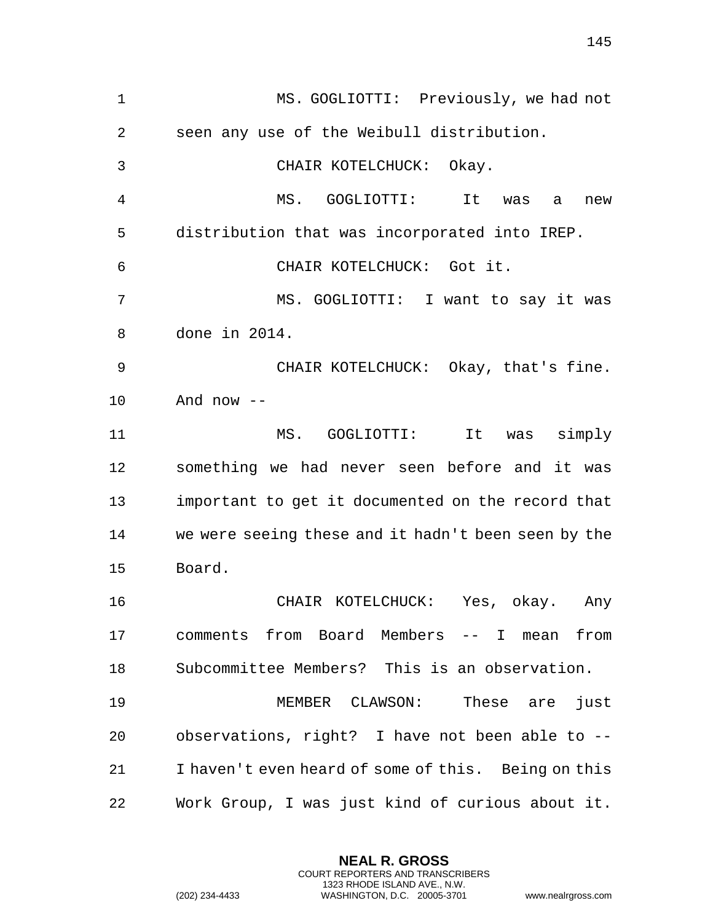MS. GOGLIOTTI: Previously, we had not seen any use of the Weibull distribution. CHAIR KOTELCHUCK: Okay. MS. GOGLIOTTI: It was a new distribution that was incorporated into IREP. CHAIR KOTELCHUCK: Got it. MS. GOGLIOTTI: I want to say it was done in 2014. CHAIR KOTELCHUCK: Okay, that's fine. And now -- MS. GOGLIOTTI: It was simply something we had never seen before and it was important to get it documented on the record that we were seeing these and it hadn't been seen by the Board. CHAIR KOTELCHUCK: Yes, okay. Any comments from Board Members -- I mean from Subcommittee Members? This is an observation. MEMBER CLAWSON: These are just observations, right? I have not been able to -- I haven't even heard of some of this. Being on this Work Group, I was just kind of curious about it.

> **NEAL R. GROSS** COURT REPORTERS AND TRANSCRIBERS 1323 RHODE ISLAND AVE., N.W.

(202) 234-4433 WASHINGTON, D.C. 20005-3701 www.nealrgross.com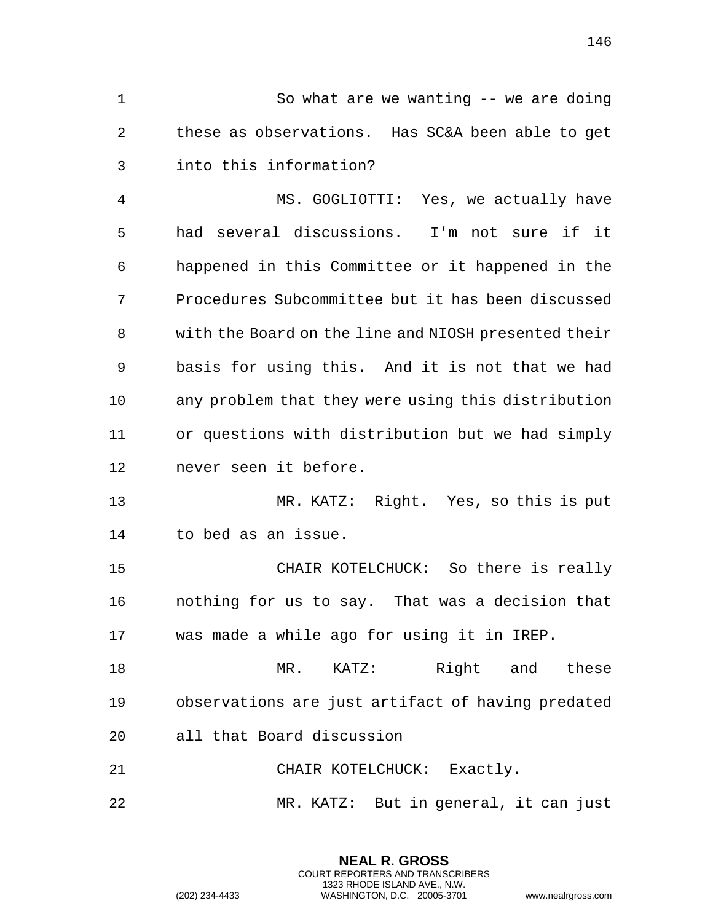So what are we wanting -- we are doing these as observations. Has SC&A been able to get into this information?

 MS. GOGLIOTTI: Yes, we actually have had several discussions. I'm not sure if it happened in this Committee or it happened in the Procedures Subcommittee but it has been discussed with the Board on the line and NIOSH presented their basis for using this. And it is not that we had any problem that they were using this distribution or questions with distribution but we had simply never seen it before.

 MR. KATZ: Right. Yes, so this is put to bed as an issue.

 CHAIR KOTELCHUCK: So there is really nothing for us to say. That was a decision that was made a while ago for using it in IREP.

 MR. KATZ: Right and these observations are just artifact of having predated all that Board discussion

CHAIR KOTELCHUCK: Exactly.

MR. KATZ: But in general, it can just

**NEAL R. GROSS** COURT REPORTERS AND TRANSCRIBERS 1323 RHODE ISLAND AVE., N.W.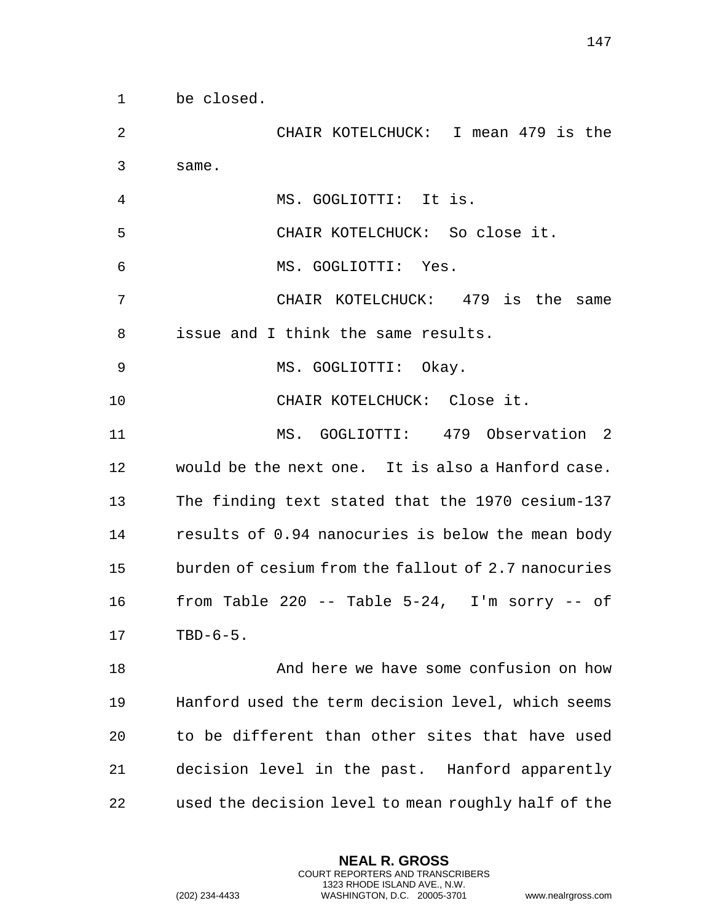same. MS. GOGLIOTTI: It is. CHAIR KOTELCHUCK: So close it. MS. GOGLIOTTI: Yes. CHAIR KOTELCHUCK: 479 is the same issue and I think the same results. MS. GOGLIOTTI: Okay. CHAIR KOTELCHUCK: Close it. MS. GOGLIOTTI: 479 Observation 2 would be the next one. It is also a Hanford case. The finding text stated that the 1970 cesium-137 results of 0.94 nanocuries is below the mean body burden of cesium from the fallout of 2.7 nanocuries from Table 220 -- Table 5-24, I'm sorry -- of TBD-6-5. And here we have some confusion on how Hanford used the term decision level, which seems to be different than other sites that have used

CHAIR KOTELCHUCK: I mean 479 is the

used the decision level to mean roughly half of the

decision level in the past. Hanford apparently

**NEAL R. GROSS** COURT REPORTERS AND TRANSCRIBERS 1323 RHODE ISLAND AVE., N.W.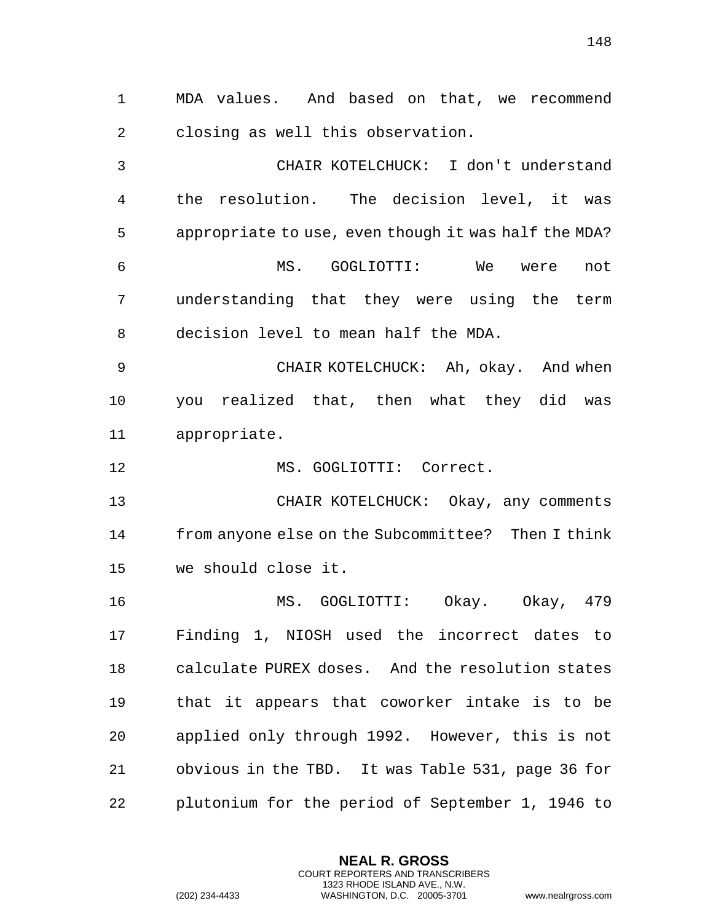MDA values. And based on that, we recommend closing as well this observation.

 CHAIR KOTELCHUCK: I don't understand the resolution. The decision level, it was appropriate to use, even though it was half the MDA? MS. GOGLIOTTI: We were not understanding that they were using the term decision level to mean half the MDA.

 CHAIR KOTELCHUCK: Ah, okay. And when you realized that, then what they did was appropriate.

12 MS. GOGLIOTTI: Correct.

 CHAIR KOTELCHUCK: Okay, any comments from anyone else on the Subcommittee? Then I think we should close it.

 MS. GOGLIOTTI: Okay. Okay, 479 Finding 1, NIOSH used the incorrect dates to calculate PUREX doses. And the resolution states that it appears that coworker intake is to be applied only through 1992. However, this is not obvious in the TBD. It was Table 531, page 36 for plutonium for the period of September 1, 1946 to

> **NEAL R. GROSS** COURT REPORTERS AND TRANSCRIBERS 1323 RHODE ISLAND AVE., N.W.

(202) 234-4433 WASHINGTON, D.C. 20005-3701 www.nealrgross.com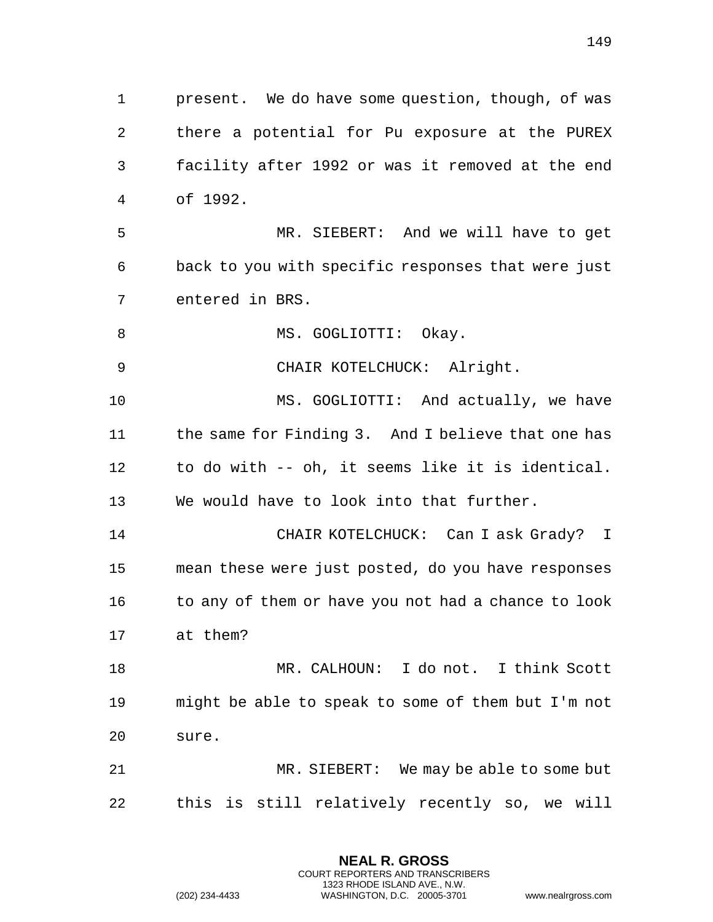present. We do have some question, though, of was there a potential for Pu exposure at the PUREX facility after 1992 or was it removed at the end of 1992. MR. SIEBERT: And we will have to get back to you with specific responses that were just entered in BRS. 8 MS. GOGLIOTTI: Okay. CHAIR KOTELCHUCK: Alright.

 MS. GOGLIOTTI: And actually, we have 11 the same for Finding 3. And I believe that one has to do with -- oh, it seems like it is identical. We would have to look into that further.

 CHAIR KOTELCHUCK: Can I ask Grady? I mean these were just posted, do you have responses 16 to any of them or have you not had a chance to look at them?

 MR. CALHOUN: I do not. I think Scott might be able to speak to some of them but I'm not sure.

 MR. SIEBERT: We may be able to some but this is still relatively recently so, we will

> **NEAL R. GROSS** COURT REPORTERS AND TRANSCRIBERS 1323 RHODE ISLAND AVE., N.W.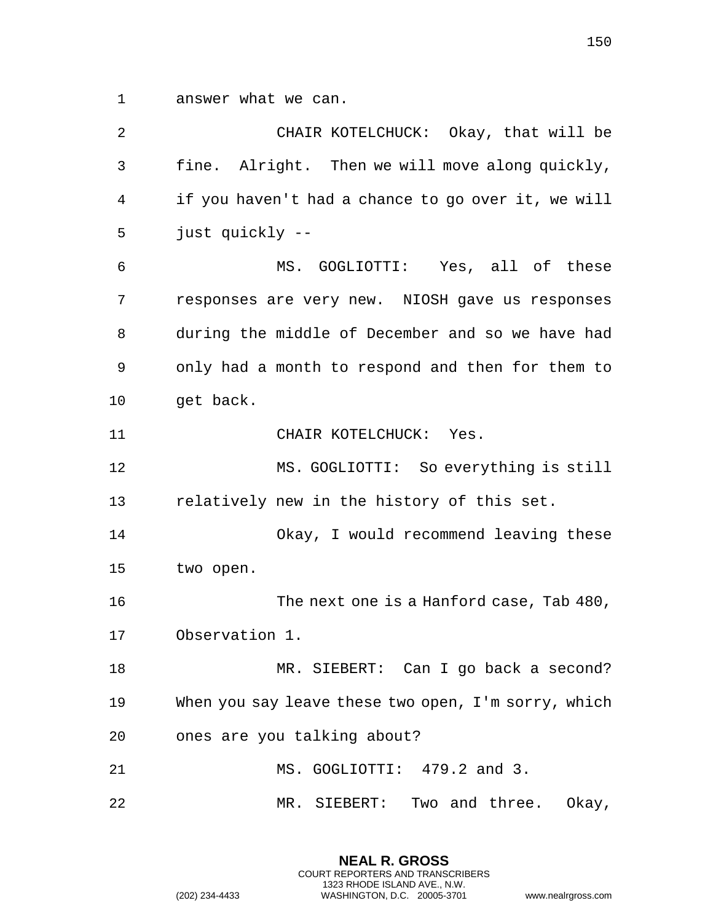answer what we can.

 CHAIR KOTELCHUCK: Okay, that will be fine. Alright. Then we will move along quickly, if you haven't had a chance to go over it, we will just quickly -- MS. GOGLIOTTI: Yes, all of these responses are very new. NIOSH gave us responses during the middle of December and so we have had only had a month to respond and then for them to 10 get back. 11 CHAIR KOTELCHUCK: Yes. MS. GOGLIOTTI: So everything is still relatively new in the history of this set. Okay, I would recommend leaving these two open. The next one is a Hanford case, Tab 480, Observation 1. MR. SIEBERT: Can I go back a second? When you say leave these two open, I'm sorry, which ones are you talking about? 21 MS. GOGLIOTTI: 479.2 and 3. MR. SIEBERT: Two and three. Okay,

> **NEAL R. GROSS** COURT REPORTERS AND TRANSCRIBERS 1323 RHODE ISLAND AVE., N.W.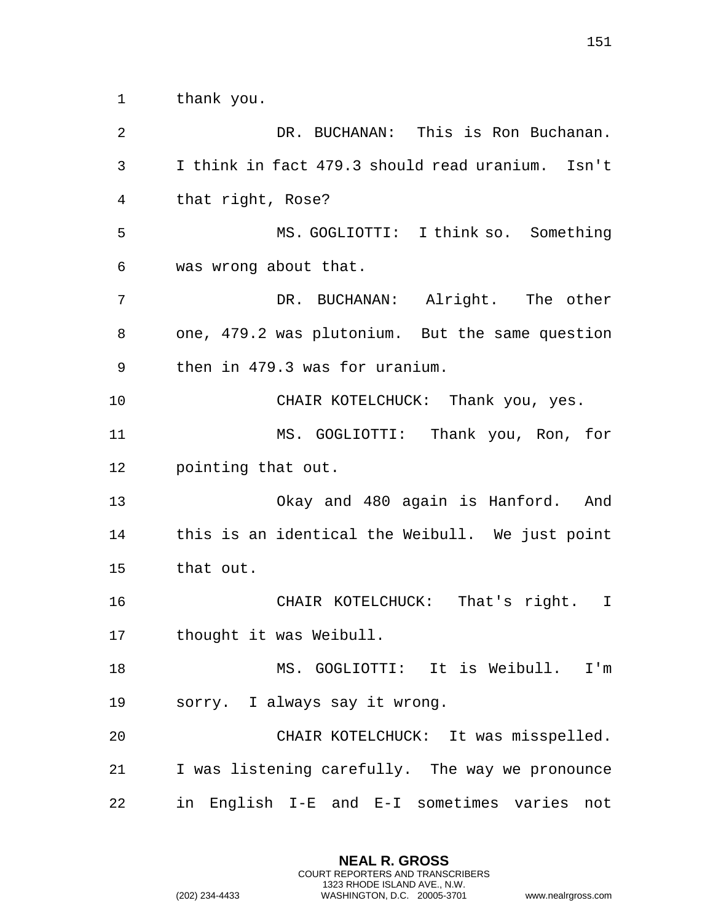thank you.

 DR. BUCHANAN: This is Ron Buchanan. I think in fact 479.3 should read uranium. Isn't that right, Rose? MS. GOGLIOTTI: I think so. Something was wrong about that. DR. BUCHANAN: Alright. The other one, 479.2 was plutonium. But the same question then in 479.3 was for uranium. CHAIR KOTELCHUCK: Thank you, yes. MS. GOGLIOTTI: Thank you, Ron, for pointing that out. Okay and 480 again is Hanford. And this is an identical the Weibull. We just point that out. CHAIR KOTELCHUCK: That's right. I thought it was Weibull. MS. GOGLIOTTI: It is Weibull. I'm sorry. I always say it wrong. CHAIR KOTELCHUCK: It was misspelled. I was listening carefully. The way we pronounce in English I-E and E-I sometimes varies not

> **NEAL R. GROSS** COURT REPORTERS AND TRANSCRIBERS 1323 RHODE ISLAND AVE., N.W.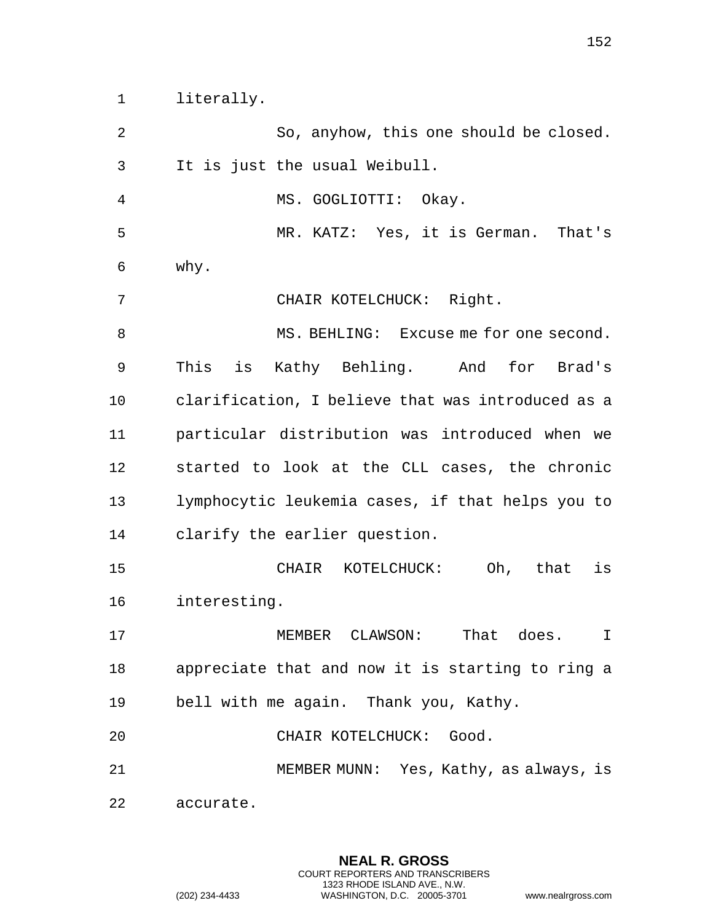literally.

 It is just the usual Weibull. MS. GOGLIOTTI: Okay. MR. KATZ: Yes, it is German. That's why. CHAIR KOTELCHUCK: Right. 8 MS. BEHLING: Excuse me for one second. This is Kathy Behling. And for Brad's clarification, I believe that was introduced as a particular distribution was introduced when we started to look at the CLL cases, the chronic lymphocytic leukemia cases, if that helps you to clarify the earlier question. CHAIR KOTELCHUCK: Oh, that is interesting. MEMBER CLAWSON: That does. I appreciate that and now it is starting to ring a bell with me again. Thank you, Kathy. CHAIR KOTELCHUCK: Good. MEMBER MUNN: Yes, Kathy, as always, is accurate.

So, anyhow, this one should be closed.

**NEAL R. GROSS** COURT REPORTERS AND TRANSCRIBERS 1323 RHODE ISLAND AVE., N.W.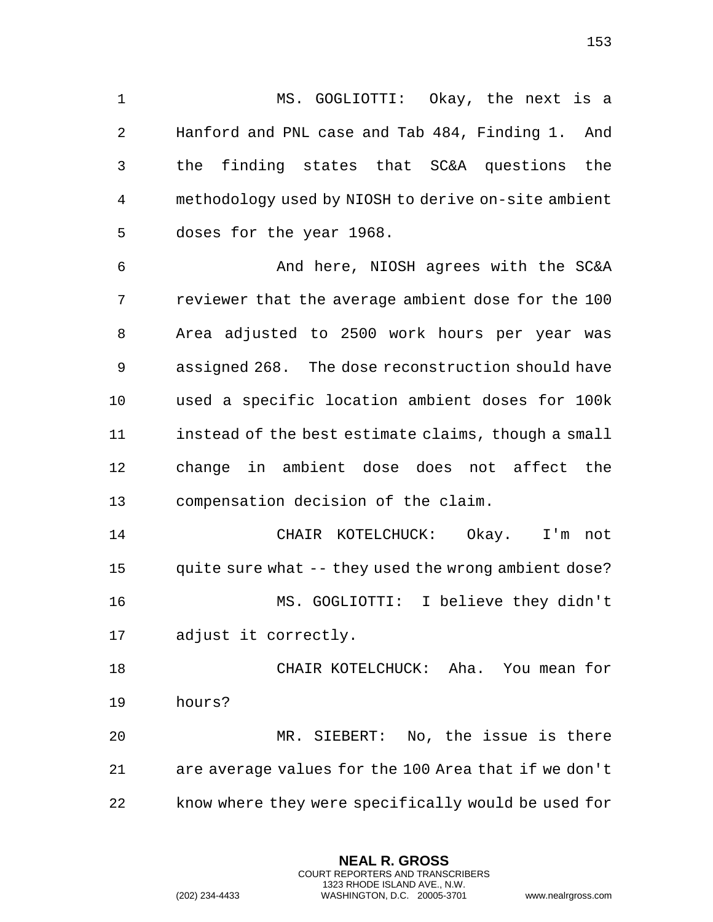MS. GOGLIOTTI: Okay, the next is a Hanford and PNL case and Tab 484, Finding 1. And the finding states that SC&A questions the methodology used by NIOSH to derive on-site ambient doses for the year 1968.

 And here, NIOSH agrees with the SC&A reviewer that the average ambient dose for the 100 Area adjusted to 2500 work hours per year was assigned 268. The dose reconstruction should have used a specific location ambient doses for 100k instead of the best estimate claims, though a small change in ambient dose does not affect the compensation decision of the claim.

 CHAIR KOTELCHUCK: Okay. I'm not quite sure what -- they used the wrong ambient dose? MS. GOGLIOTTI: I believe they didn't adjust it correctly.

 CHAIR KOTELCHUCK: Aha. You mean for hours? MR. SIEBERT: No, the issue is there

 are average values for the 100 Area that if we don't know where they were specifically would be used for

> **NEAL R. GROSS** COURT REPORTERS AND TRANSCRIBERS 1323 RHODE ISLAND AVE., N.W.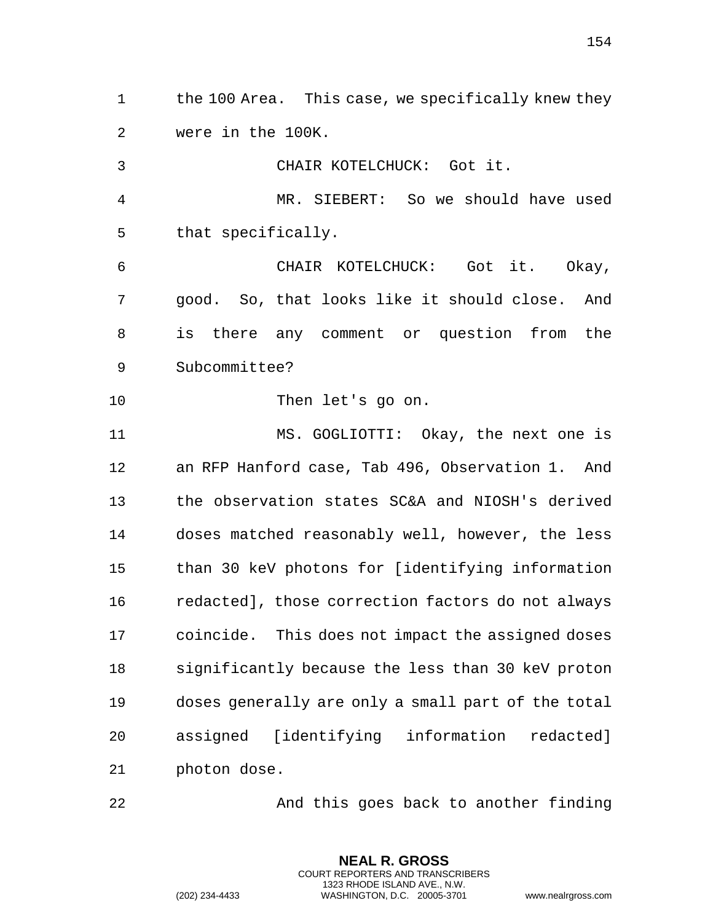the 100 Area. This case, we specifically knew they were in the 100K.

 CHAIR KOTELCHUCK: Got it. MR. SIEBERT: So we should have used that specifically. CHAIR KOTELCHUCK: Got it. Okay, good. So, that looks like it should close. And is there any comment or question from the Subcommittee? Then let's go on. MS. GOGLIOTTI: Okay, the next one is an RFP Hanford case, Tab 496, Observation 1. And the observation states SC&A and NIOSH's derived doses matched reasonably well, however, the less than 30 keV photons for [identifying information redacted], those correction factors do not always coincide. This does not impact the assigned doses significantly because the less than 30 keV proton doses generally are only a small part of the total assigned [identifying information redacted]

photon dose.

And this goes back to another finding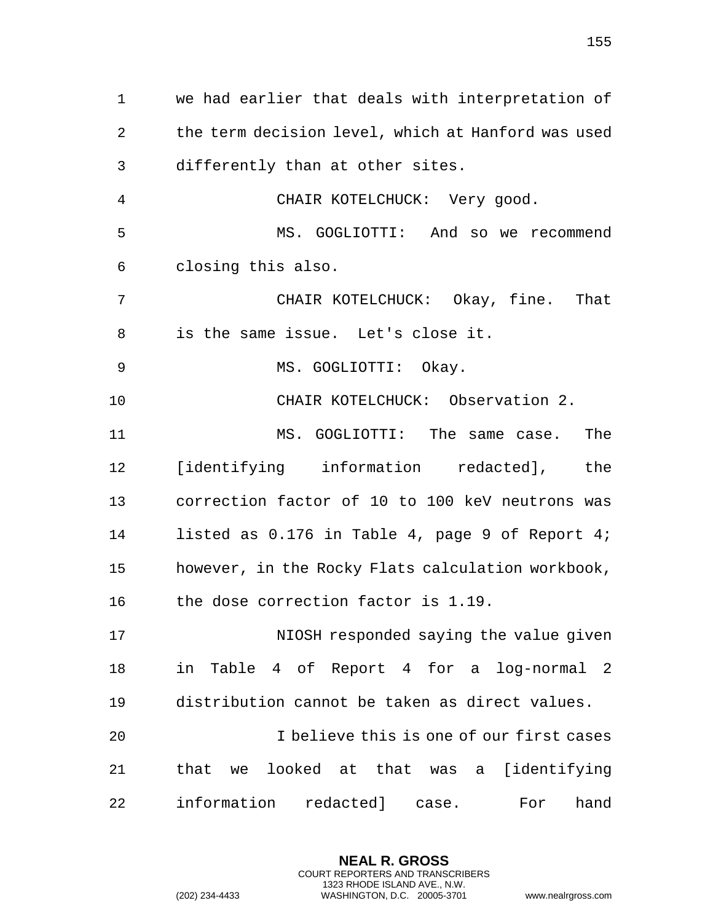we had earlier that deals with interpretation of the term decision level, which at Hanford was used differently than at other sites. CHAIR KOTELCHUCK: Very good. MS. GOGLIOTTI: And so we recommend closing this also. CHAIR KOTELCHUCK: Okay, fine. That is the same issue. Let's close it. MS. GOGLIOTTI: Okay. CHAIR KOTELCHUCK: Observation 2. MS. GOGLIOTTI: The same case. The [identifying information redacted], the correction factor of 10 to 100 keV neutrons was listed as 0.176 in Table 4, page 9 of Report 4; however, in the Rocky Flats calculation workbook, 16 the dose correction factor is 1.19. NIOSH responded saying the value given in Table 4 of Report 4 for a log-normal 2 distribution cannot be taken as direct values. I believe this is one of our first cases that we looked at that was a [identifying information redacted] case. For hand

> **NEAL R. GROSS** COURT REPORTERS AND TRANSCRIBERS 1323 RHODE ISLAND AVE., N.W.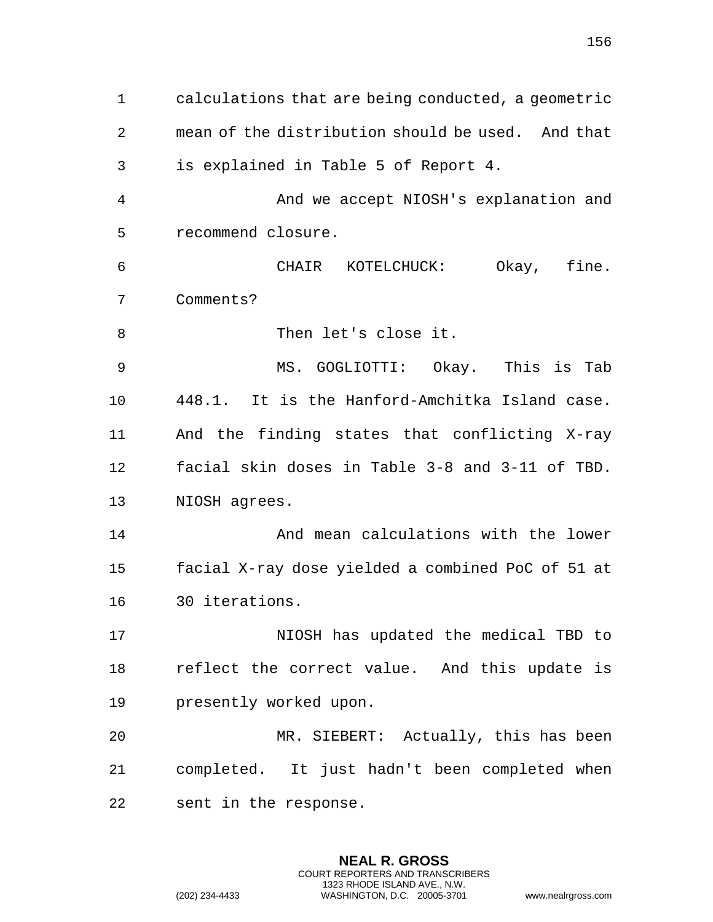calculations that are being conducted, a geometric mean of the distribution should be used. And that is explained in Table 5 of Report 4. And we accept NIOSH's explanation and recommend closure. CHAIR KOTELCHUCK: Okay, fine. Comments? 8 Then let's close it. MS. GOGLIOTTI: Okay. This is Tab 448.1. It is the Hanford-Amchitka Island case. And the finding states that conflicting X-ray facial skin doses in Table 3-8 and 3-11 of TBD. NIOSH agrees. And mean calculations with the lower facial X-ray dose yielded a combined PoC of 51 at 30 iterations. NIOSH has updated the medical TBD to reflect the correct value. And this update is presently worked upon. MR. SIEBERT: Actually, this has been completed. It just hadn't been completed when sent in the response.

> **NEAL R. GROSS** COURT REPORTERS AND TRANSCRIBERS 1323 RHODE ISLAND AVE., N.W.

(202) 234-4433 WASHINGTON, D.C. 20005-3701 www.nealrgross.com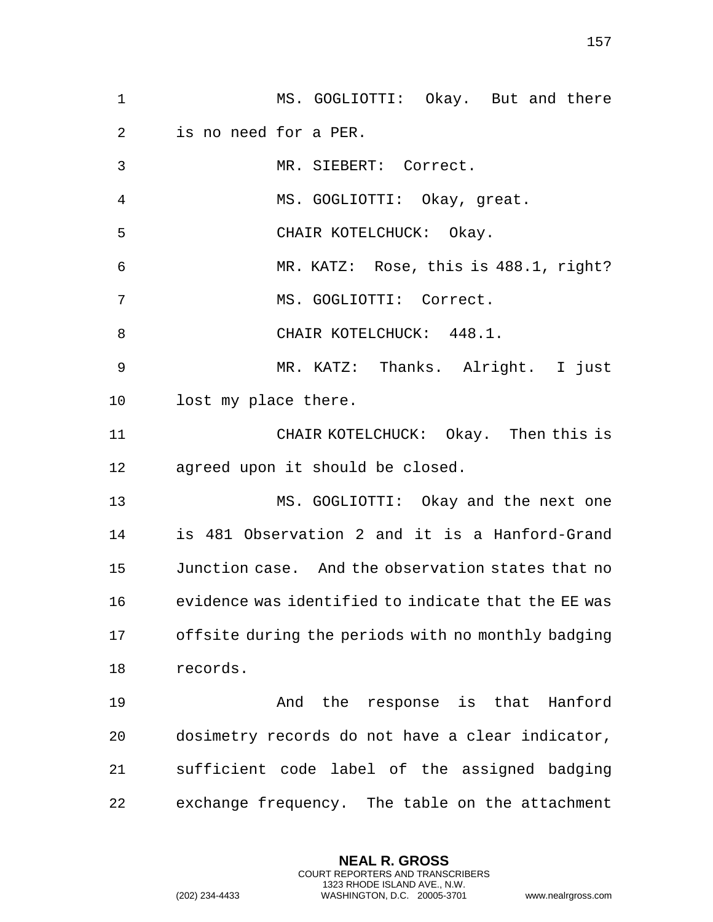MS. GOGLIOTTI: Okay. But and there is no need for a PER. MR. SIEBERT: Correct. MS. GOGLIOTTI: Okay, great. CHAIR KOTELCHUCK: Okay. MR. KATZ: Rose, this is 488.1, right? 7 MS. GOGLIOTTI: Correct. 8 CHAIR KOTELCHUCK: 448.1. MR. KATZ: Thanks. Alright. I just lost my place there. CHAIR KOTELCHUCK: Okay. Then this is agreed upon it should be closed. MS. GOGLIOTTI: Okay and the next one is 481 Observation 2 and it is a Hanford-Grand Junction case. And the observation states that no evidence was identified to indicate that the EE was offsite during the periods with no monthly badging records. And the response is that Hanford dosimetry records do not have a clear indicator, sufficient code label of the assigned badging exchange frequency. The table on the attachment

> **NEAL R. GROSS** COURT REPORTERS AND TRANSCRIBERS 1323 RHODE ISLAND AVE., N.W.

(202) 234-4433 WASHINGTON, D.C. 20005-3701 www.nealrgross.com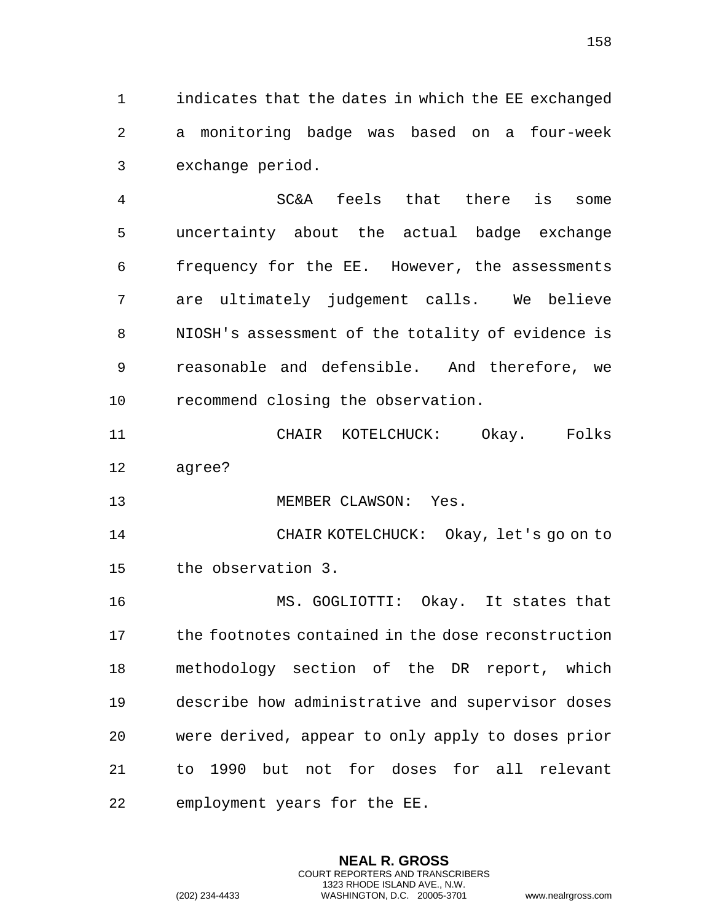indicates that the dates in which the EE exchanged a monitoring badge was based on a four-week exchange period.

 SC&A feels that there is some uncertainty about the actual badge exchange frequency for the EE. However, the assessments are ultimately judgement calls. We believe NIOSH's assessment of the totality of evidence is reasonable and defensible. And therefore, we recommend closing the observation.

 CHAIR KOTELCHUCK: Okay. Folks agree?

13 MEMBER CLAWSON: Yes.

 CHAIR KOTELCHUCK: Okay, let's go on to the observation 3.

 MS. GOGLIOTTI: Okay. It states that the footnotes contained in the dose reconstruction methodology section of the DR report, which describe how administrative and supervisor doses were derived, appear to only apply to doses prior to 1990 but not for doses for all relevant employment years for the EE.

> **NEAL R. GROSS** COURT REPORTERS AND TRANSCRIBERS 1323 RHODE ISLAND AVE., N.W.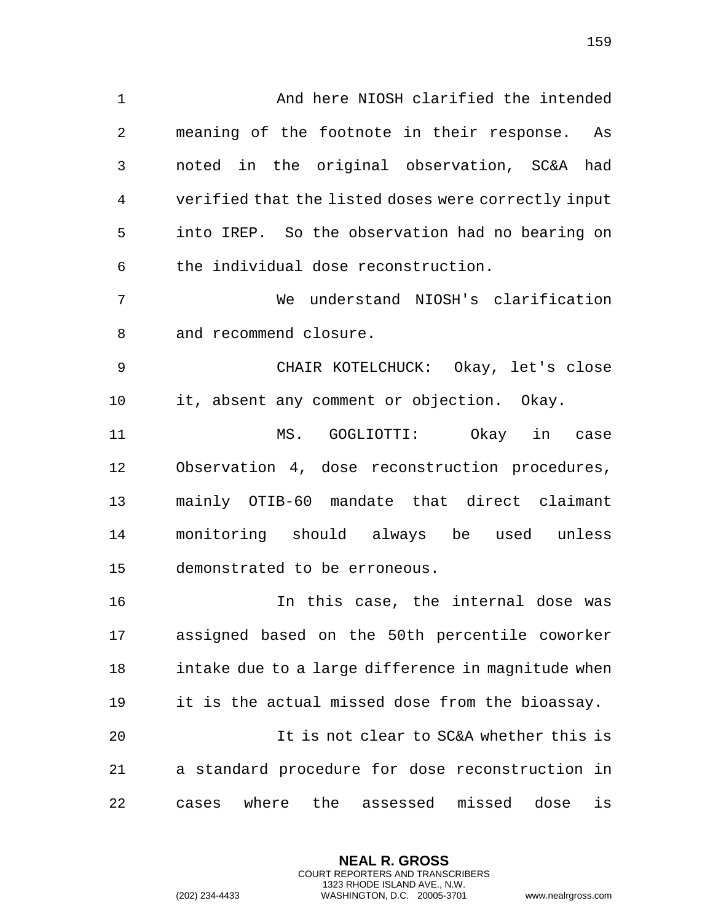And here NIOSH clarified the intended meaning of the footnote in their response. As noted in the original observation, SC&A had verified that the listed doses were correctly input into IREP. So the observation had no bearing on the individual dose reconstruction. We understand NIOSH's clarification and recommend closure. CHAIR KOTELCHUCK: Okay, let's close it, absent any comment or objection. Okay. MS. GOGLIOTTI: Okay in case Observation 4, dose reconstruction procedures, mainly OTIB-60 mandate that direct claimant monitoring should always be used unless demonstrated to be erroneous. In this case, the internal dose was assigned based on the 50th percentile coworker intake due to a large difference in magnitude when it is the actual missed dose from the bioassay. It is not clear to SC&A whether this is a standard procedure for dose reconstruction in cases where the assessed missed dose is

> **NEAL R. GROSS** COURT REPORTERS AND TRANSCRIBERS 1323 RHODE ISLAND AVE., N.W.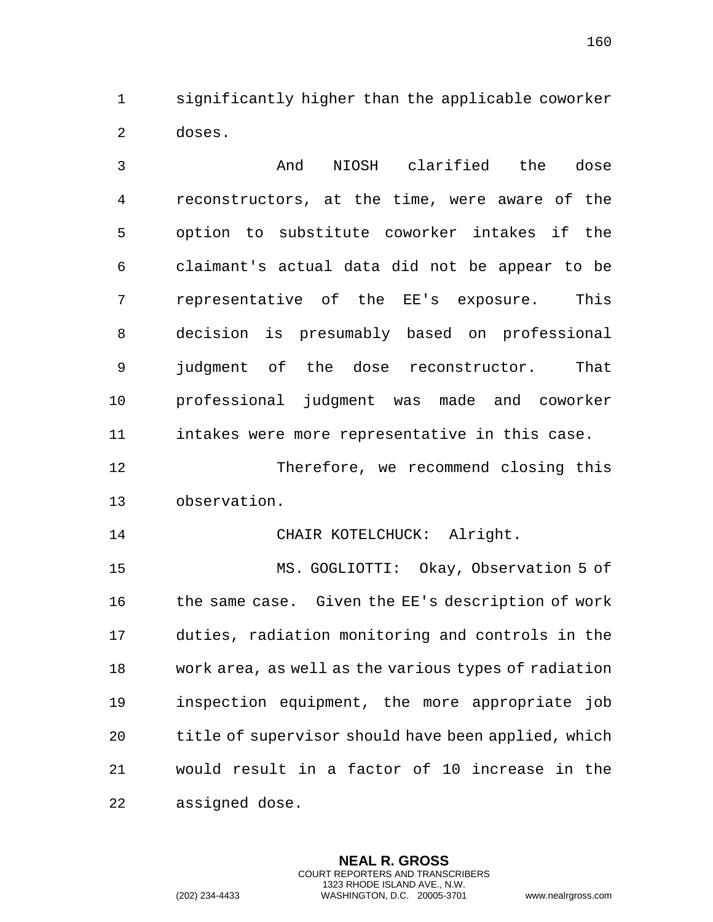significantly higher than the applicable coworker doses.

 And NIOSH clarified the dose reconstructors, at the time, were aware of the option to substitute coworker intakes if the claimant's actual data did not be appear to be representative of the EE's exposure. This decision is presumably based on professional judgment of the dose reconstructor. That professional judgment was made and coworker intakes were more representative in this case. Therefore, we recommend closing this observation. CHAIR KOTELCHUCK: Alright. MS. GOGLIOTTI: Okay, Observation 5 of 16 the same case. Given the EE's description of work duties, radiation monitoring and controls in the work area, as well as the various types of radiation inspection equipment, the more appropriate job title of supervisor should have been applied, which would result in a factor of 10 increase in the assigned dose.

> **NEAL R. GROSS** COURT REPORTERS AND TRANSCRIBERS 1323 RHODE ISLAND AVE., N.W.

(202) 234-4433 WASHINGTON, D.C. 20005-3701 www.nealrgross.com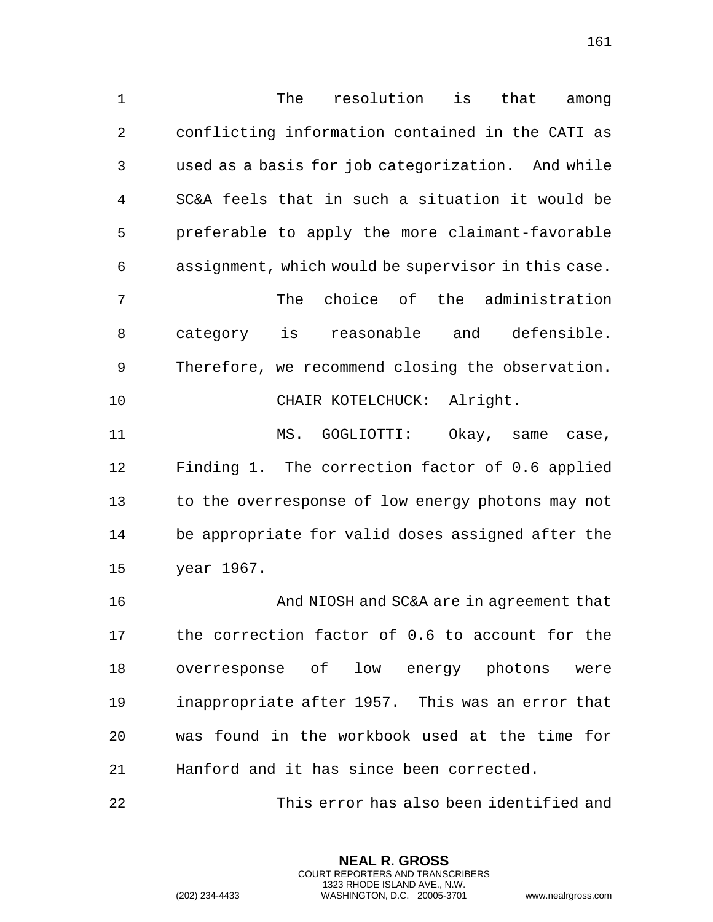The resolution is that among conflicting information contained in the CATI as used as a basis for job categorization. And while SC&A feels that in such a situation it would be preferable to apply the more claimant-favorable assignment, which would be supervisor in this case. The choice of the administration category is reasonable and defensible. Therefore, we recommend closing the observation. CHAIR KOTELCHUCK: Alright. 11 MS. GOGLIOTTI: Okay, same case, Finding 1. The correction factor of 0.6 applied to the overresponse of low energy photons may not be appropriate for valid doses assigned after the year 1967. And NIOSH and SC&A are in agreement that

 the correction factor of 0.6 to account for the overresponse of low energy photons were inappropriate after 1957. This was an error that was found in the workbook used at the time for Hanford and it has since been corrected.

This error has also been identified and

**NEAL R. GROSS** COURT REPORTERS AND TRANSCRIBERS 1323 RHODE ISLAND AVE., N.W.

(202) 234-4433 WASHINGTON, D.C. 20005-3701 www.nealrgross.com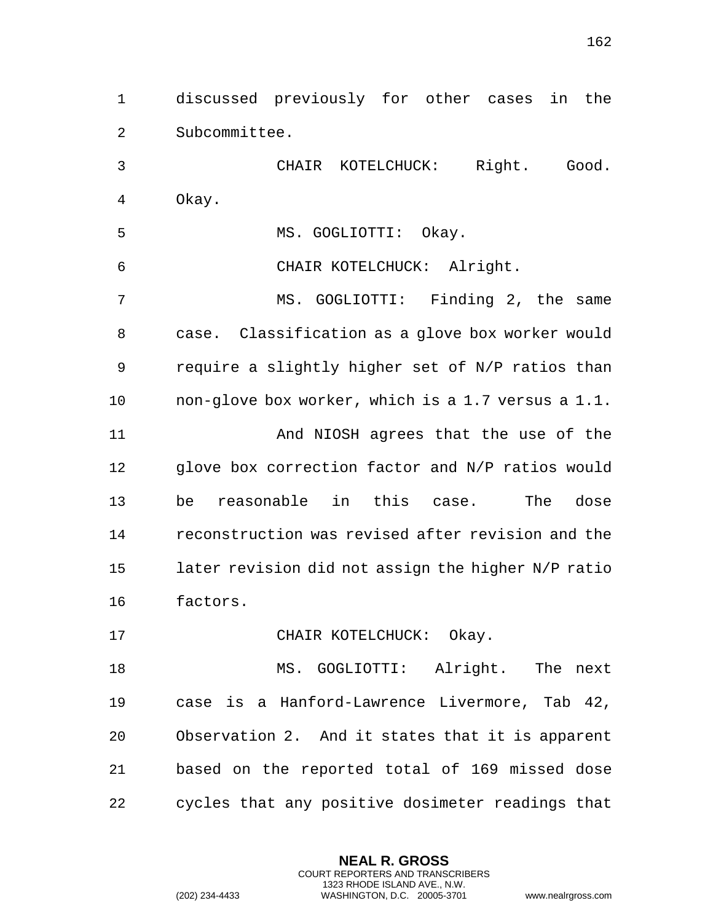discussed previously for other cases in the Subcommittee.

 CHAIR KOTELCHUCK: Right. Good. Okay.

MS. GOGLIOTTI: Okay.

CHAIR KOTELCHUCK: Alright.

 MS. GOGLIOTTI: Finding 2, the same case. Classification as a glove box worker would require a slightly higher set of N/P ratios than non-glove box worker, which is a 1.7 versus a 1.1.

11 And NIOSH agrees that the use of the glove box correction factor and N/P ratios would be reasonable in this case. The dose reconstruction was revised after revision and the later revision did not assign the higher N/P ratio factors.

17 CHAIR KOTELCHUCK: Okay.

 MS. GOGLIOTTI: Alright. The next case is a Hanford-Lawrence Livermore, Tab 42, Observation 2. And it states that it is apparent based on the reported total of 169 missed dose cycles that any positive dosimeter readings that

> **NEAL R. GROSS** COURT REPORTERS AND TRANSCRIBERS 1323 RHODE ISLAND AVE., N.W.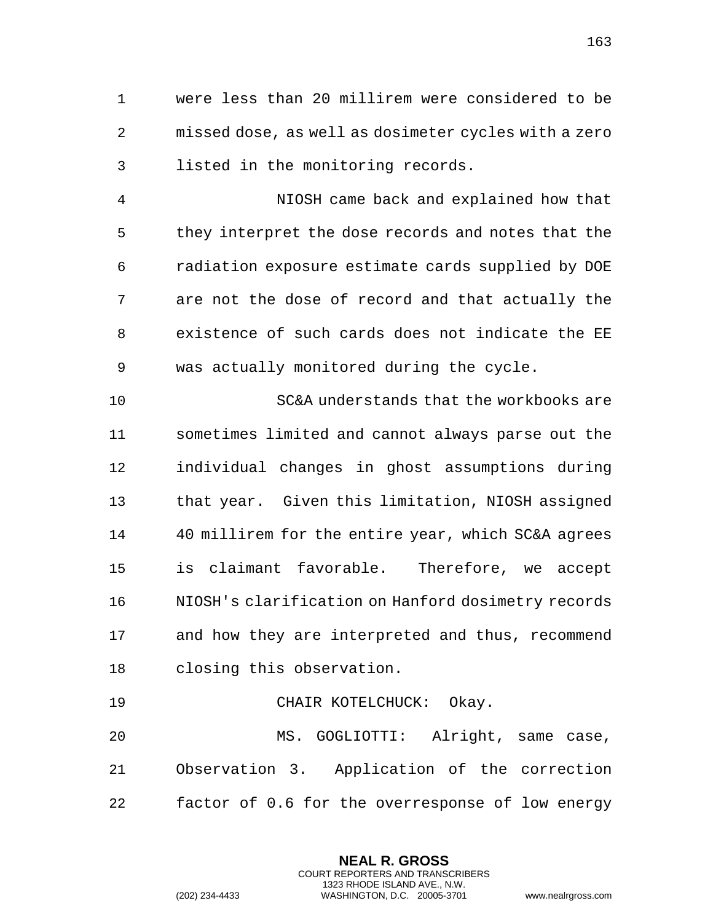were less than 20 millirem were considered to be missed dose, as well as dosimeter cycles with a zero listed in the monitoring records.

 NIOSH came back and explained how that they interpret the dose records and notes that the radiation exposure estimate cards supplied by DOE are not the dose of record and that actually the existence of such cards does not indicate the EE was actually monitored during the cycle.

 SC&A understands that the workbooks are sometimes limited and cannot always parse out the individual changes in ghost assumptions during that year. Given this limitation, NIOSH assigned 40 millirem for the entire year, which SC&A agrees is claimant favorable. Therefore, we accept NIOSH's clarification on Hanford dosimetry records and how they are interpreted and thus, recommend closing this observation.

19 CHAIR KOTELCHUCK: Okay. MS. GOGLIOTTI: Alright, same case, Observation 3. Application of the correction factor of 0.6 for the overresponse of low energy

> **NEAL R. GROSS** COURT REPORTERS AND TRANSCRIBERS 1323 RHODE ISLAND AVE., N.W.

(202) 234-4433 WASHINGTON, D.C. 20005-3701 www.nealrgross.com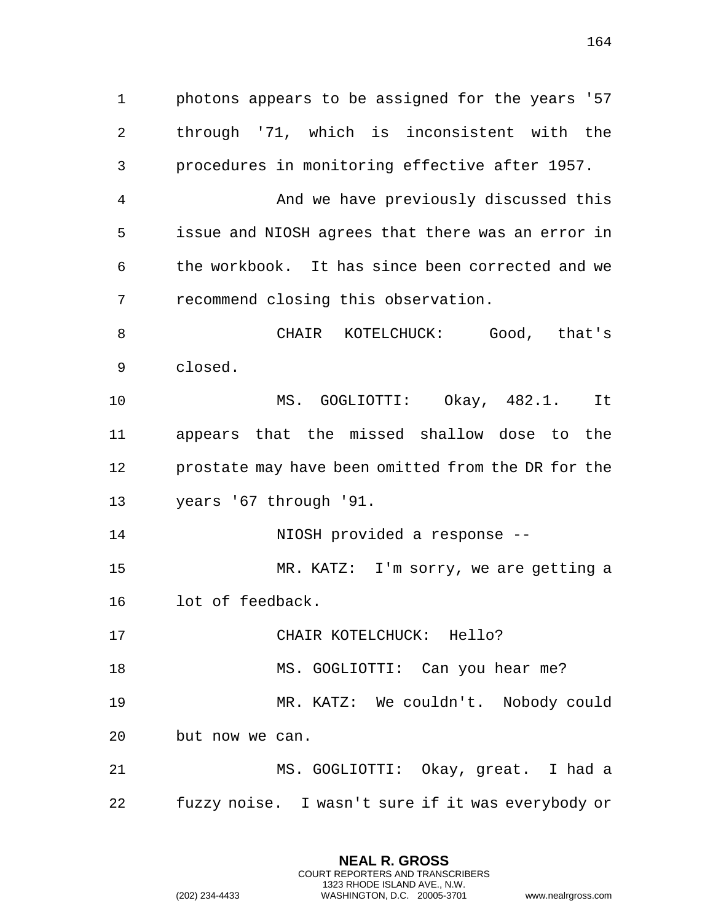photons appears to be assigned for the years '57 through '71, which is inconsistent with the procedures in monitoring effective after 1957. And we have previously discussed this issue and NIOSH agrees that there was an error in the workbook. It has since been corrected and we recommend closing this observation. CHAIR KOTELCHUCK: Good, that's closed. MS. GOGLIOTTI: Okay, 482.1. It appears that the missed shallow dose to the prostate may have been omitted from the DR for the years '67 through '91. NIOSH provided a response -- MR. KATZ: I'm sorry, we are getting a lot of feedback. CHAIR KOTELCHUCK: Hello? 18 MS. GOGLIOTTI: Can you hear me? MR. KATZ: We couldn't. Nobody could but now we can. MS. GOGLIOTTI: Okay, great. I had a

fuzzy noise. I wasn't sure if it was everybody or

**NEAL R. GROSS** COURT REPORTERS AND TRANSCRIBERS 1323 RHODE ISLAND AVE., N.W.

(202) 234-4433 WASHINGTON, D.C. 20005-3701 www.nealrgross.com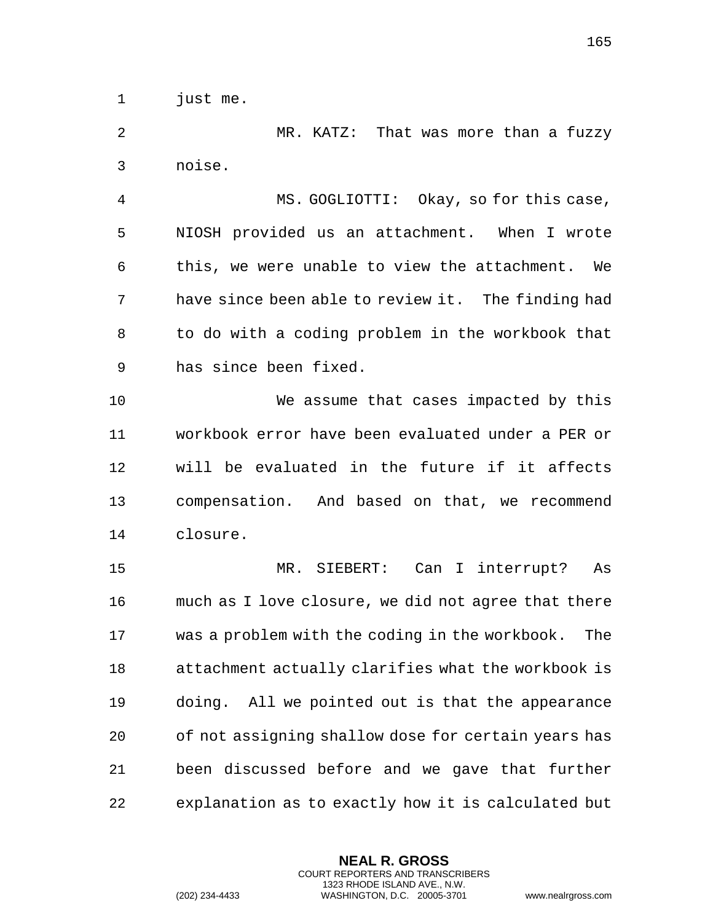just me.

 MR. KATZ: That was more than a fuzzy noise.

 MS. GOGLIOTTI: Okay, so for this case, NIOSH provided us an attachment. When I wrote this, we were unable to view the attachment. We have since been able to review it. The finding had to do with a coding problem in the workbook that has since been fixed.

 We assume that cases impacted by this workbook error have been evaluated under a PER or will be evaluated in the future if it affects compensation. And based on that, we recommend closure.

 MR. SIEBERT: Can I interrupt? As much as I love closure, we did not agree that there was a problem with the coding in the workbook. The attachment actually clarifies what the workbook is doing. All we pointed out is that the appearance of not assigning shallow dose for certain years has been discussed before and we gave that further explanation as to exactly how it is calculated but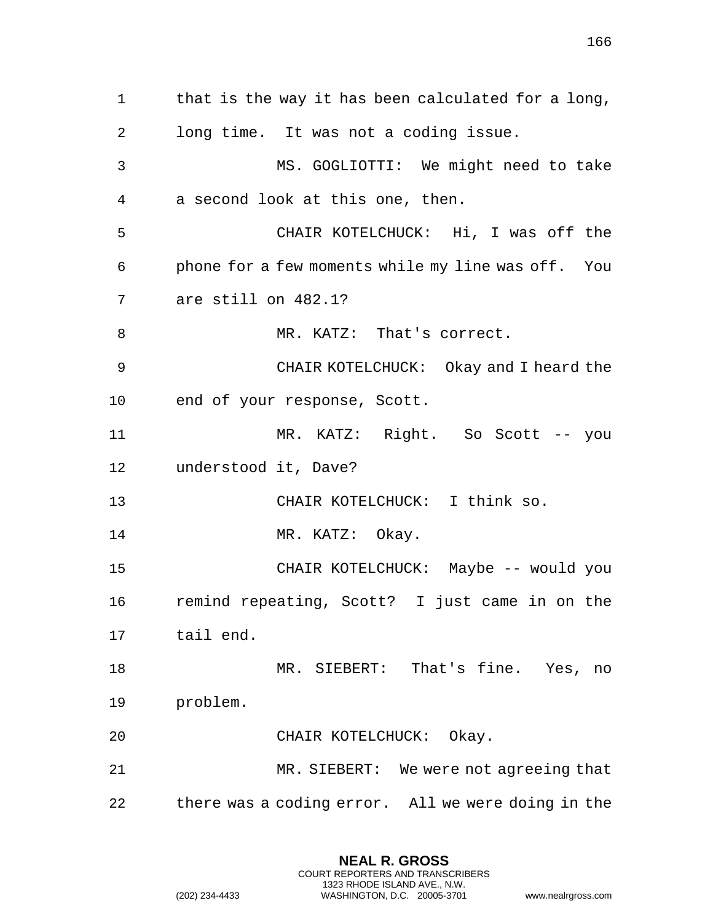that is the way it has been calculated for a long, long time. It was not a coding issue. MS. GOGLIOTTI: We might need to take a second look at this one, then. CHAIR KOTELCHUCK: Hi, I was off the phone for a few moments while my line was off. You are still on 482.1? 8 MR. KATZ: That's correct. CHAIR KOTELCHUCK: Okay and I heard the end of your response, Scott.

 MR. KATZ: Right. So Scott -- you understood it, Dave?

CHAIR KOTELCHUCK: I think so.

14 MR. KATZ: Okay.

 CHAIR KOTELCHUCK: Maybe -- would you remind repeating, Scott? I just came in on the tail end.

 MR. SIEBERT: That's fine. Yes, no problem.

CHAIR KOTELCHUCK: Okay.

 MR. SIEBERT: We were not agreeing that there was a coding error. All we were doing in the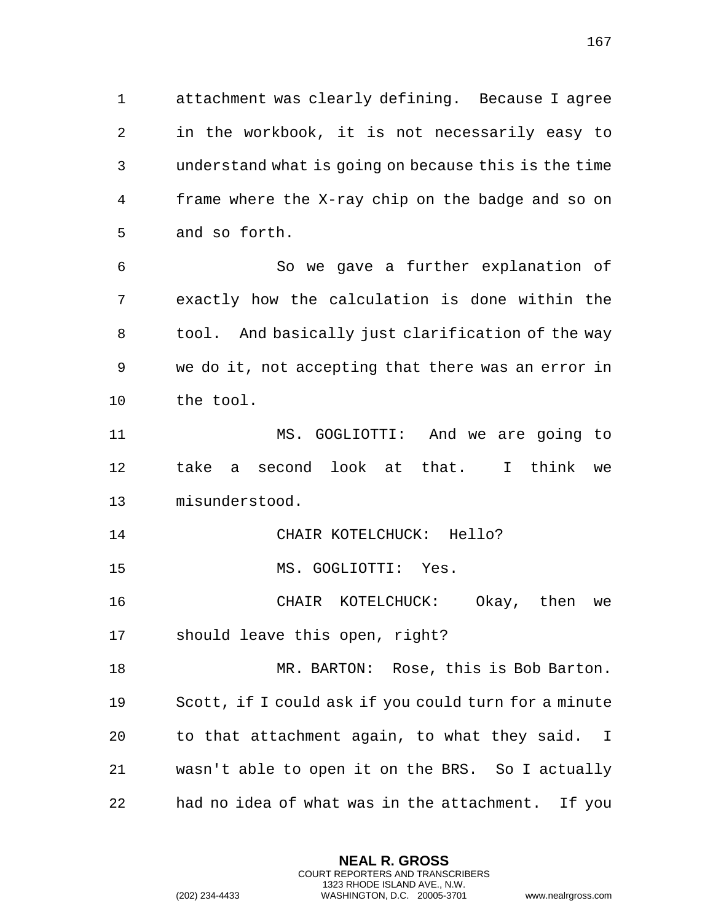attachment was clearly defining. Because I agree in the workbook, it is not necessarily easy to understand what is going on because this is the time frame where the X-ray chip on the badge and so on and so forth.

 So we gave a further explanation of exactly how the calculation is done within the tool. And basically just clarification of the way we do it, not accepting that there was an error in the tool.

 MS. GOGLIOTTI: And we are going to take a second look at that. I think we misunderstood.

CHAIR KOTELCHUCK: Hello?

MS. GOGLIOTTI: Yes.

 CHAIR KOTELCHUCK: Okay, then we should leave this open, right?

 MR. BARTON: Rose, this is Bob Barton. Scott, if I could ask if you could turn for a minute to that attachment again, to what they said. I wasn't able to open it on the BRS. So I actually had no idea of what was in the attachment. If you

```
(202) 234-4433 WASHINGTON, D.C. 20005-3701 www.nealrgross.com
```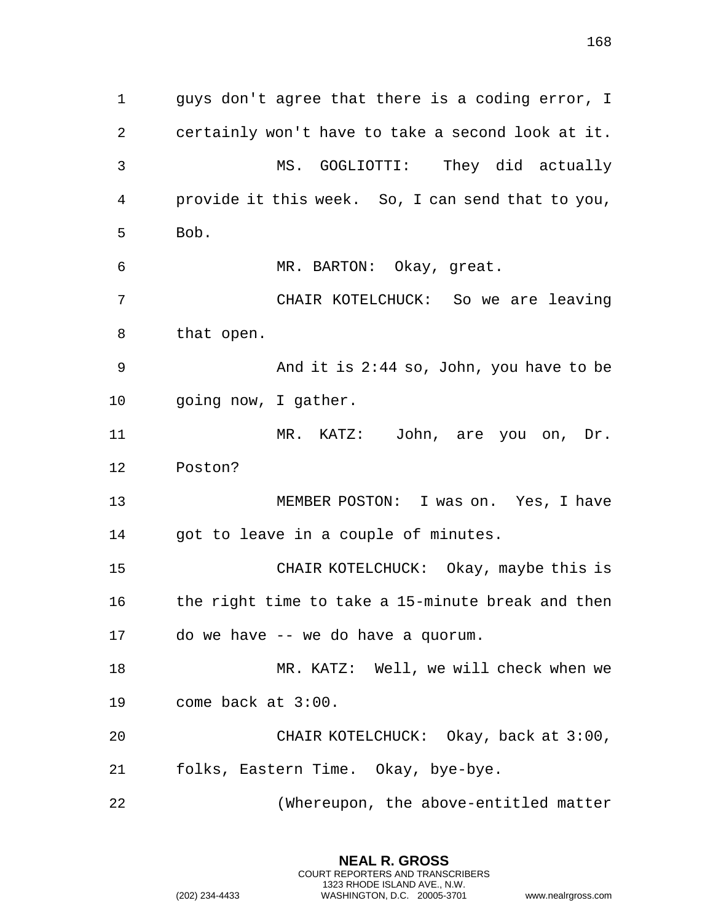| $\mathbf 1$ | guys don't agree that there is a coding error, I  |  |  |
|-------------|---------------------------------------------------|--|--|
| 2           | certainly won't have to take a second look at it. |  |  |
| 3           | MS. GOGLIOTTI: They did actually                  |  |  |
| 4           | provide it this week. So, I can send that to you, |  |  |
| 5           | Bob.                                              |  |  |
| 6           | MR. BARTON: Okay, great.                          |  |  |
| 7           | CHAIR KOTELCHUCK: So we are leaving               |  |  |
| 8           | that open.                                        |  |  |
| 9           | And it is $2:44$ so, John, you have to be         |  |  |
| 10          | going now, I gather.                              |  |  |
| 11          | MR. KATZ: John, are you on, Dr.                   |  |  |
| 12          | Poston?                                           |  |  |
| 13          | MEMBER POSTON: I was on. Yes, I have              |  |  |
| 14          | got to leave in a couple of minutes.              |  |  |
| 15          | CHAIR KOTELCHUCK: Okay, maybe this is             |  |  |
| 16          | the right time to take a 15-minute break and then |  |  |
|             | 17 do we have -- we do have a quorum.             |  |  |
| 18          | MR. KATZ: Well, we will check when we             |  |  |
| 19          | come back at 3:00.                                |  |  |
| 20          | CHAIR KOTELCHUCK: Okay, back at 3:00,             |  |  |
| 21          | folks, Eastern Time. Okay, bye-bye.               |  |  |
| 22          | (Whereupon, the above-entitled matter             |  |  |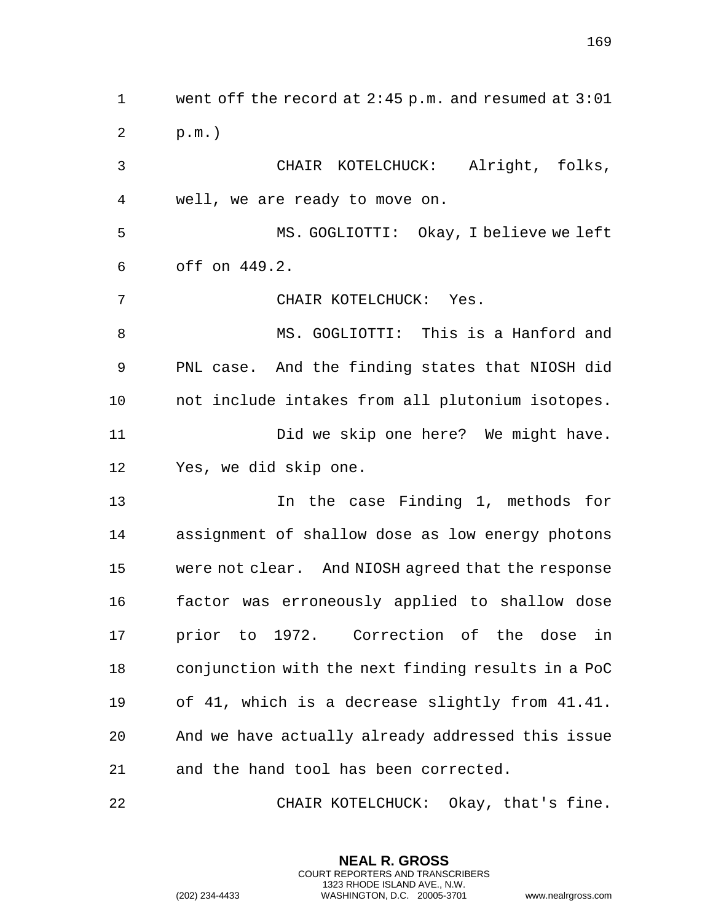went off the record at 2:45 p.m. and resumed at 3:01 p.m.) CHAIR KOTELCHUCK: Alright, folks, well, we are ready to move on. MS. GOGLIOTTI: Okay, I believe we left off on 449.2. CHAIR KOTELCHUCK: Yes. MS. GOGLIOTTI: This is a Hanford and PNL case. And the finding states that NIOSH did not include intakes from all plutonium isotopes. Did we skip one here? We might have. Yes, we did skip one. In the case Finding 1, methods for assignment of shallow dose as low energy photons were not clear. And NIOSH agreed that the response factor was erroneously applied to shallow dose prior to 1972. Correction of the dose in conjunction with the next finding results in a PoC of 41, which is a decrease slightly from 41.41. And we have actually already addressed this issue and the hand tool has been corrected.

CHAIR KOTELCHUCK: Okay, that's fine.

**NEAL R. GROSS** COURT REPORTERS AND TRANSCRIBERS 1323 RHODE ISLAND AVE., N.W.

(202) 234-4433 WASHINGTON, D.C. 20005-3701 www.nealrgross.com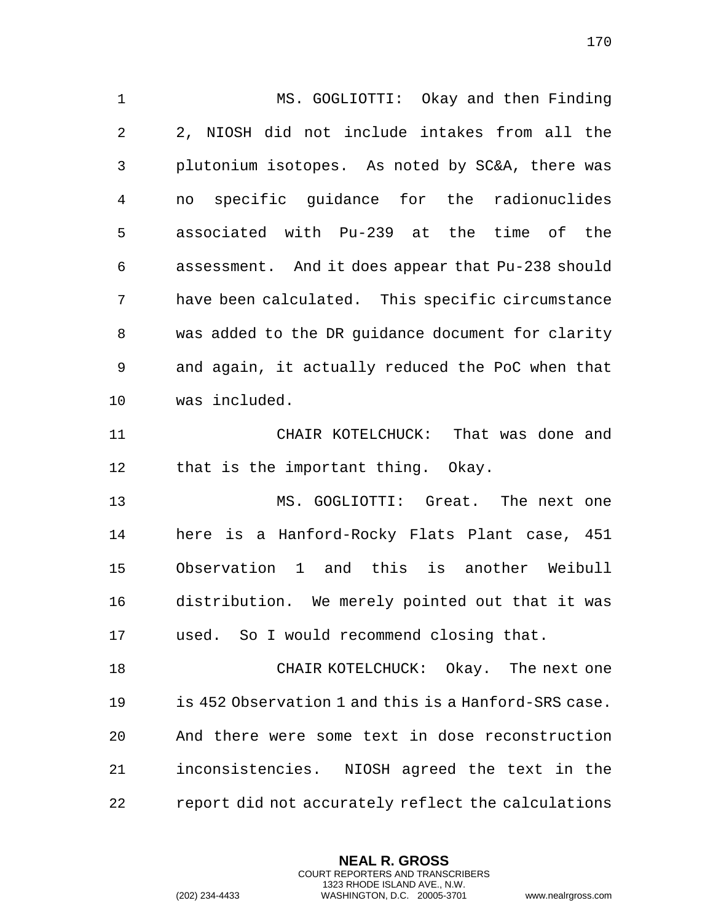MS. GOGLIOTTI: Okay and then Finding 2, NIOSH did not include intakes from all the plutonium isotopes. As noted by SC&A, there was no specific guidance for the radionuclides associated with Pu-239 at the time of the assessment. And it does appear that Pu-238 should have been calculated. This specific circumstance was added to the DR guidance document for clarity and again, it actually reduced the PoC when that was included. CHAIR KOTELCHUCK: That was done and 12 that is the important thing. Okay. MS. GOGLIOTTI: Great. The next one here is a Hanford-Rocky Flats Plant case, 451 Observation 1 and this is another Weibull distribution. We merely pointed out that it was used. So I would recommend closing that. CHAIR KOTELCHUCK: Okay. The next one is 452 Observation 1 and this is a Hanford-SRS case. And there were some text in dose reconstruction inconsistencies. NIOSH agreed the text in the report did not accurately reflect the calculations

> **NEAL R. GROSS** COURT REPORTERS AND TRANSCRIBERS 1323 RHODE ISLAND AVE., N.W.

(202) 234-4433 WASHINGTON, D.C. 20005-3701 www.nealrgross.com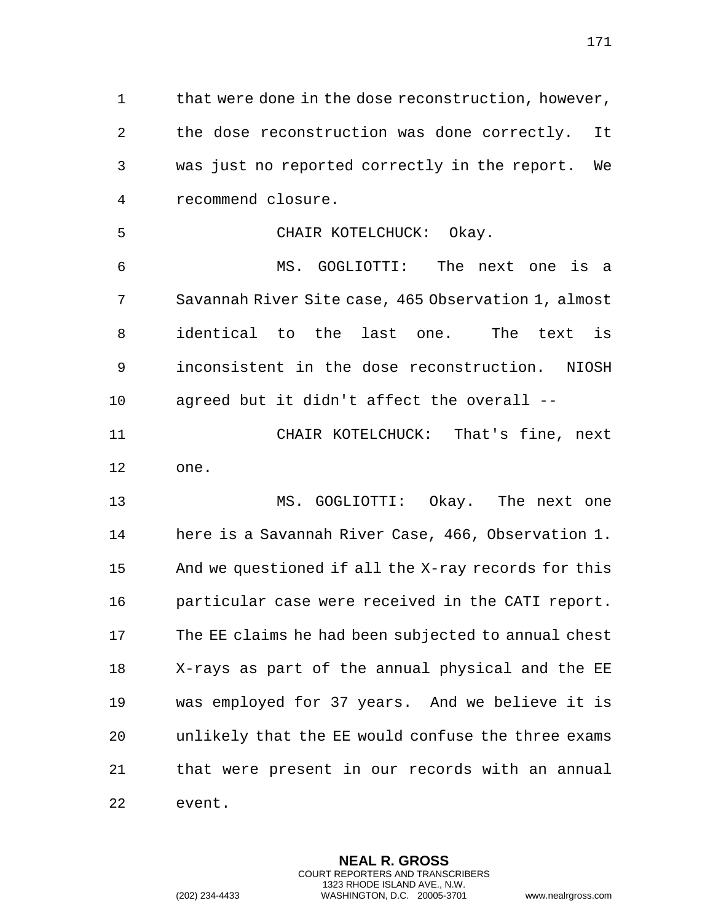that were done in the dose reconstruction, however, the dose reconstruction was done correctly. It was just no reported correctly in the report. We recommend closure.

CHAIR KOTELCHUCK: Okay.

 MS. GOGLIOTTI: The next one is a Savannah River Site case, 465 Observation 1, almost identical to the last one. The text is inconsistent in the dose reconstruction. NIOSH agreed but it didn't affect the overall --

 CHAIR KOTELCHUCK: That's fine, next one.

 MS. GOGLIOTTI: Okay. The next one here is a Savannah River Case, 466, Observation 1. And we questioned if all the X-ray records for this particular case were received in the CATI report. The EE claims he had been subjected to annual chest X-rays as part of the annual physical and the EE was employed for 37 years. And we believe it is unlikely that the EE would confuse the three exams that were present in our records with an annual event.

> **NEAL R. GROSS** COURT REPORTERS AND TRANSCRIBERS 1323 RHODE ISLAND AVE., N.W.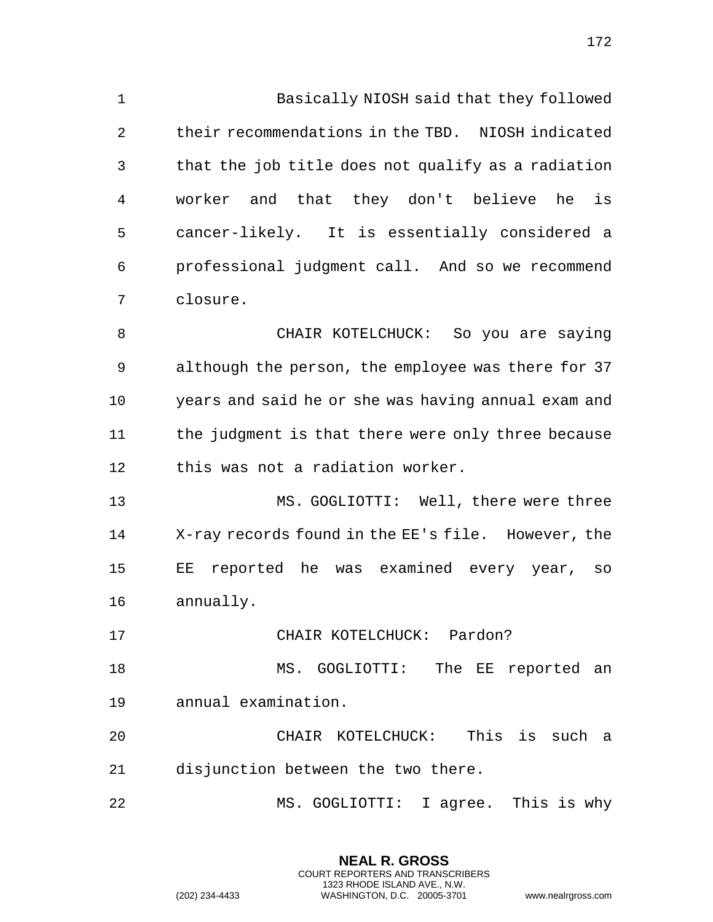Basically NIOSH said that they followed their recommendations in the TBD. NIOSH indicated that the job title does not qualify as a radiation worker and that they don't believe he is cancer-likely. It is essentially considered a professional judgment call. And so we recommend closure. CHAIR KOTELCHUCK: So you are saying although the person, the employee was there for 37 years and said he or she was having annual exam and the judgment is that there were only three because this was not a radiation worker.

 MS. GOGLIOTTI: Well, there were three X-ray records found in the EE's file. However, the EE reported he was examined every year, so annually.

CHAIR KOTELCHUCK: Pardon?

 MS. GOGLIOTTI: The EE reported an annual examination.

 CHAIR KOTELCHUCK: This is such a disjunction between the two there.

MS. GOGLIOTTI: I agree. This is why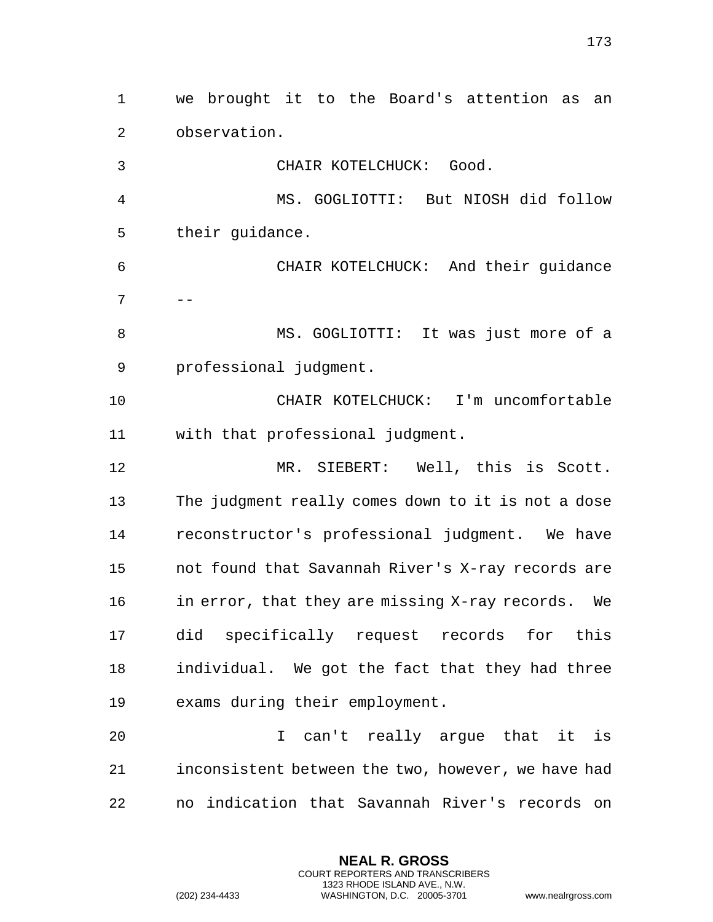we brought it to the Board's attention as an observation. CHAIR KOTELCHUCK: Good. MS. GOGLIOTTI: But NIOSH did follow their guidance. CHAIR KOTELCHUCK: And their guidance  $7 \quad - -$  MS. GOGLIOTTI: It was just more of a professional judgment. CHAIR KOTELCHUCK: I'm uncomfortable with that professional judgment. MR. SIEBERT: Well, this is Scott. The judgment really comes down to it is not a dose reconstructor's professional judgment. We have not found that Savannah River's X-ray records are 16 in error, that they are missing X-ray records. We did specifically request records for this individual. We got the fact that they had three exams during their employment. I can't really argue that it is inconsistent between the two, however, we have had

no indication that Savannah River's records on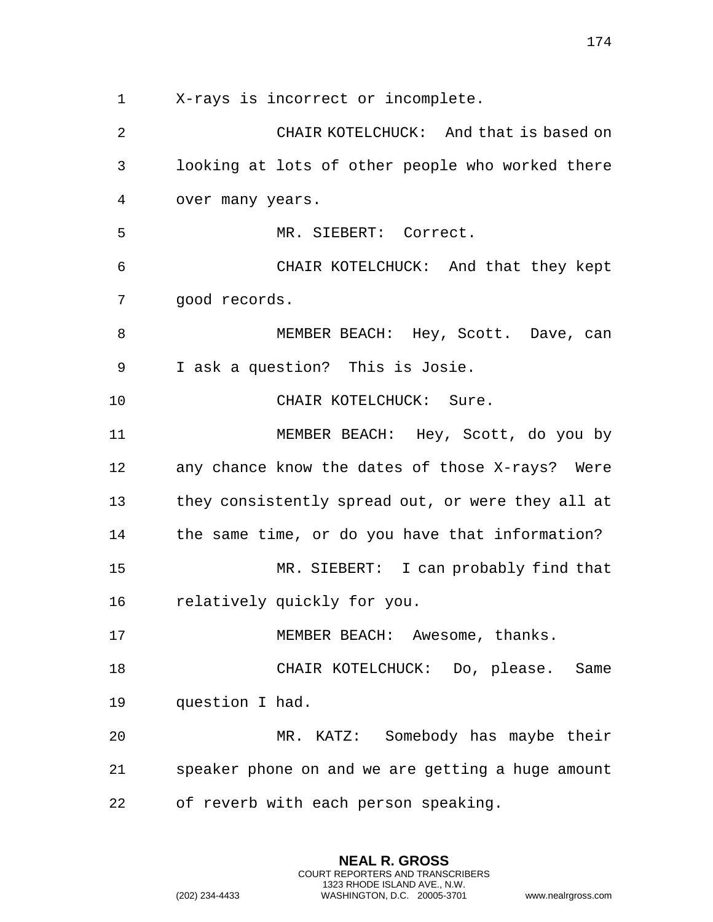X-rays is incorrect or incomplete.

 CHAIR KOTELCHUCK: And that is based on looking at lots of other people who worked there over many years. MR. SIEBERT: Correct. CHAIR KOTELCHUCK: And that they kept good records. 8 MEMBER BEACH: Hey, Scott. Dave, can I ask a question? This is Josie. 10 CHAIR KOTELCHUCK: Sure. MEMBER BEACH: Hey, Scott, do you by any chance know the dates of those X-rays? Were they consistently spread out, or were they all at the same time, or do you have that information? MR. SIEBERT: I can probably find that relatively quickly for you. 17 MEMBER BEACH: Awesome, thanks. CHAIR KOTELCHUCK: Do, please. Same question I had. MR. KATZ: Somebody has maybe their speaker phone on and we are getting a huge amount of reverb with each person speaking.

> **NEAL R. GROSS** COURT REPORTERS AND TRANSCRIBERS 1323 RHODE ISLAND AVE., N.W.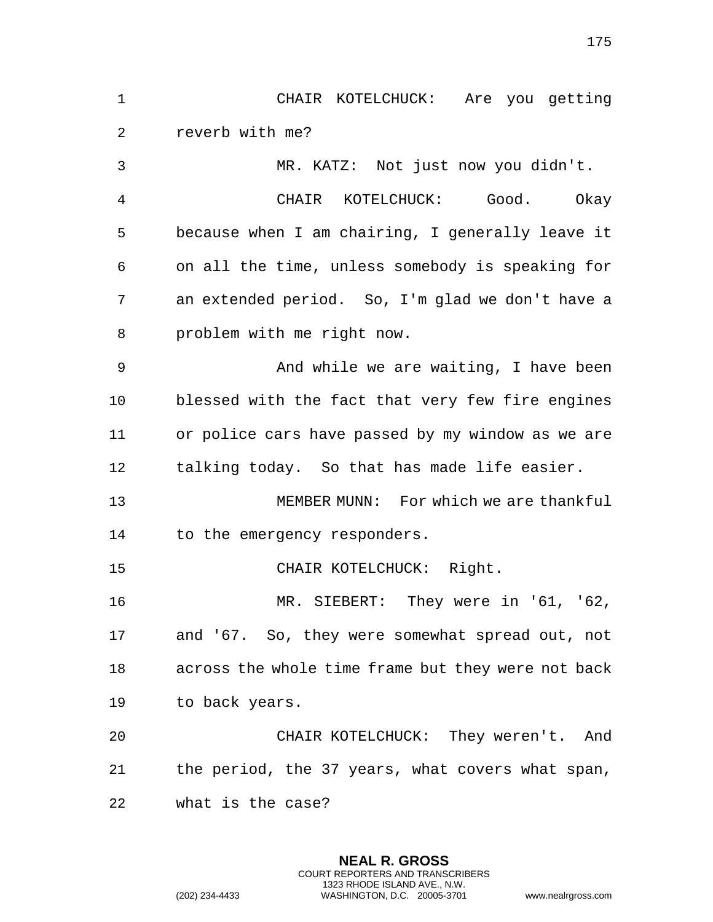CHAIR KOTELCHUCK: Are you getting reverb with me? MR. KATZ: Not just now you didn't. CHAIR KOTELCHUCK: Good. Okay because when I am chairing, I generally leave it on all the time, unless somebody is speaking for an extended period. So, I'm glad we don't have a problem with me right now. And while we are waiting, I have been blessed with the fact that very few fire engines or police cars have passed by my window as we are talking today. So that has made life easier. MEMBER MUNN: For which we are thankful to the emergency responders. CHAIR KOTELCHUCK: Right. MR. SIEBERT: They were in '61, '62, and '67. So, they were somewhat spread out, not across the whole time frame but they were not back to back years.

 CHAIR KOTELCHUCK: They weren't. And the period, the 37 years, what covers what span, what is the case?

> **NEAL R. GROSS** COURT REPORTERS AND TRANSCRIBERS 1323 RHODE ISLAND AVE., N.W.

(202) 234-4433 WASHINGTON, D.C. 20005-3701 www.nealrgross.com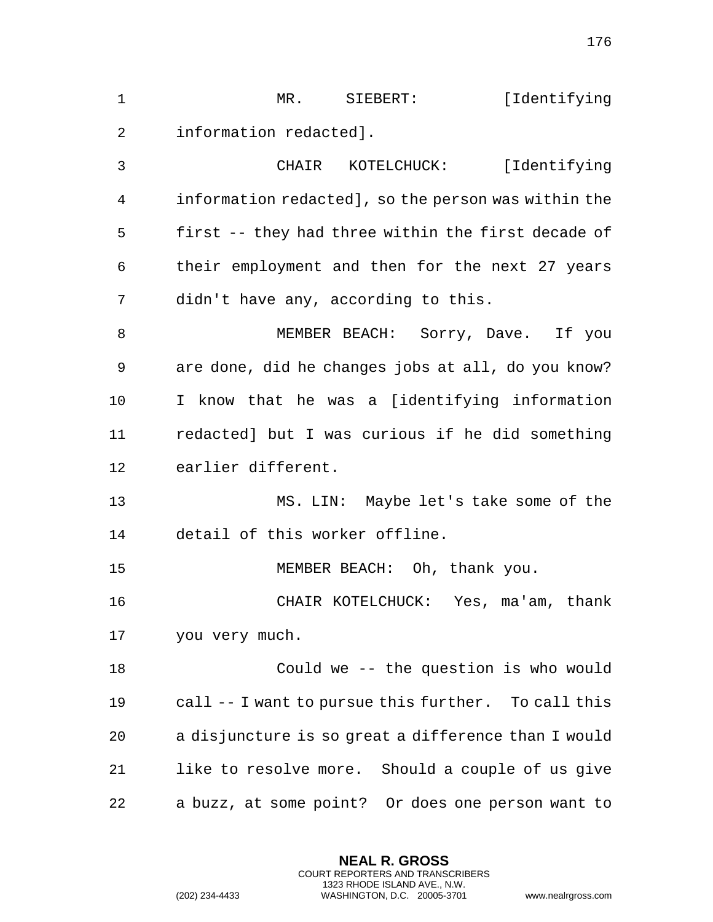| MR .                   | STEBERT:    | [Identifying] |  |
|------------------------|-------------|---------------|--|
| information redacted]. |             |               |  |
| CHATR                  | KOTELCHUCK: | [Identifying] |  |

 information redacted], so the person was within the first -- they had three within the first decade of their employment and then for the next 27 years didn't have any, according to this.

8 MEMBER BEACH: Sorry, Dave. If you are done, did he changes jobs at all, do you know? I know that he was a [identifying information redacted] but I was curious if he did something earlier different.

 MS. LIN: Maybe let's take some of the detail of this worker offline.

MEMBER BEACH: Oh, thank you.

 CHAIR KOTELCHUCK: Yes, ma'am, thank you very much.

 Could we -- the question is who would call -- I want to pursue this further. To call this a disjuncture is so great a difference than I would like to resolve more. Should a couple of us give a buzz, at some point? Or does one person want to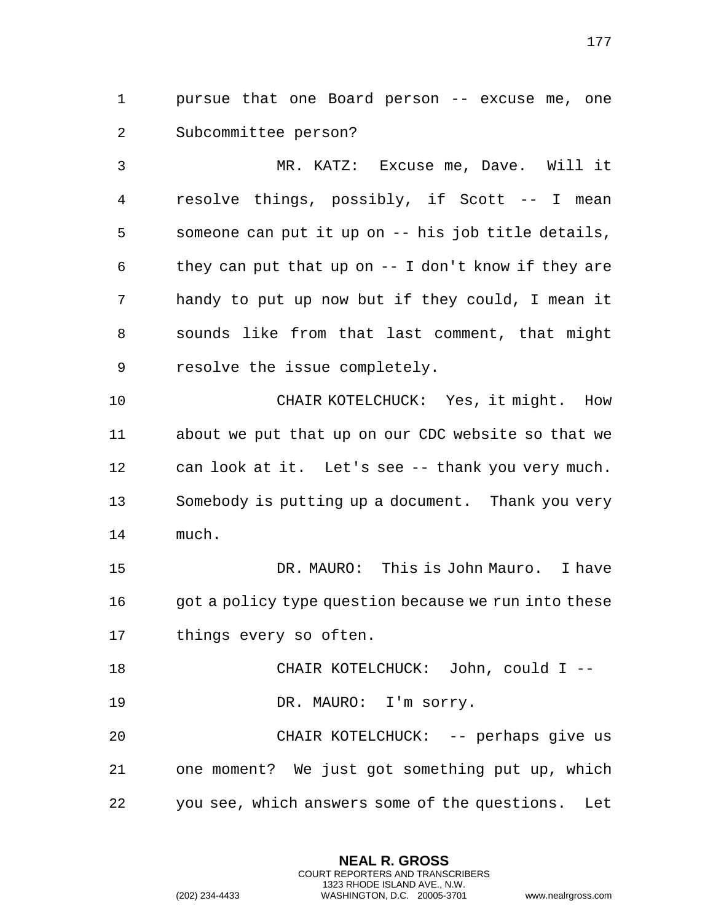pursue that one Board person -- excuse me, one Subcommittee person?

 MR. KATZ: Excuse me, Dave. Will it resolve things, possibly, if Scott -- I mean someone can put it up on -- his job title details, they can put that up on -- I don't know if they are handy to put up now but if they could, I mean it sounds like from that last comment, that might resolve the issue completely.

 CHAIR KOTELCHUCK: Yes, it might. How about we put that up on our CDC website so that we can look at it. Let's see -- thank you very much. Somebody is putting up a document. Thank you very much.

 DR. MAURO: This is John Mauro. I have 16 got a policy type question because we run into these things every so often.

CHAIR KOTELCHUCK: John, could I --

19 DR. MAURO: I'm sorry.

20 CHAIR KOTELCHUCK: -- perhaps give us one moment? We just got something put up, which you see, which answers some of the questions. Let

> **NEAL R. GROSS** COURT REPORTERS AND TRANSCRIBERS 1323 RHODE ISLAND AVE., N.W.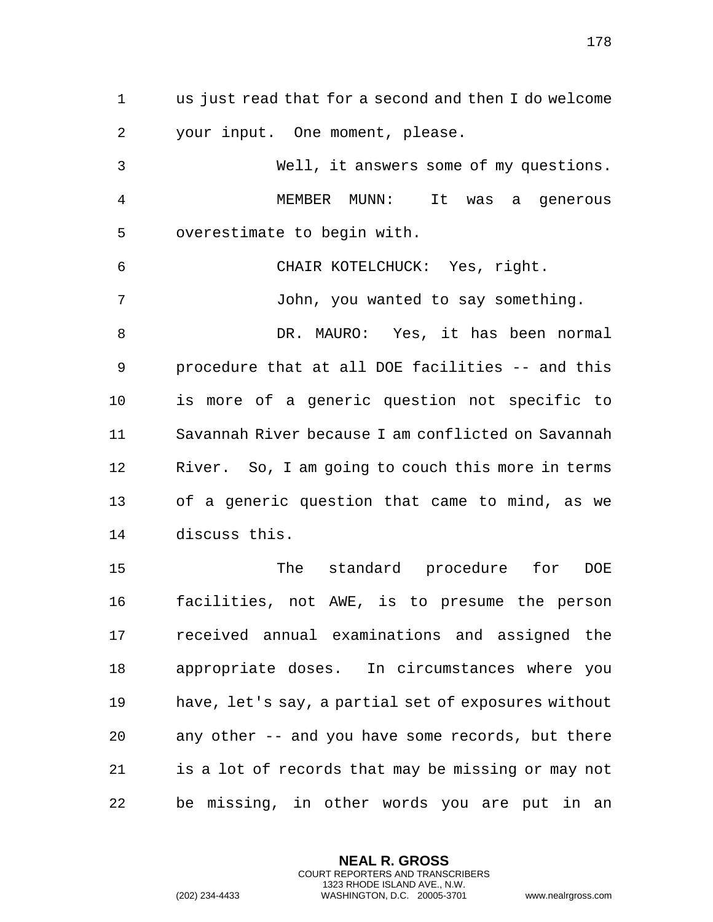us just read that for a second and then I do welcome your input. One moment, please.

 Well, it answers some of my questions. MEMBER MUNN: It was a generous overestimate to begin with. CHAIR KOTELCHUCK: Yes, right. John, you wanted to say something. DR. MAURO: Yes, it has been normal procedure that at all DOE facilities -- and this is more of a generic question not specific to Savannah River because I am conflicted on Savannah River. So, I am going to couch this more in terms of a generic question that came to mind, as we discuss this. The standard procedure for DOE facilities, not AWE, is to presume the person received annual examinations and assigned the

 appropriate doses. In circumstances where you have, let's say, a partial set of exposures without any other -- and you have some records, but there is a lot of records that may be missing or may not be missing, in other words you are put in an

> **NEAL R. GROSS** COURT REPORTERS AND TRANSCRIBERS 1323 RHODE ISLAND AVE., N.W.

(202) 234-4433 WASHINGTON, D.C. 20005-3701 www.nealrgross.com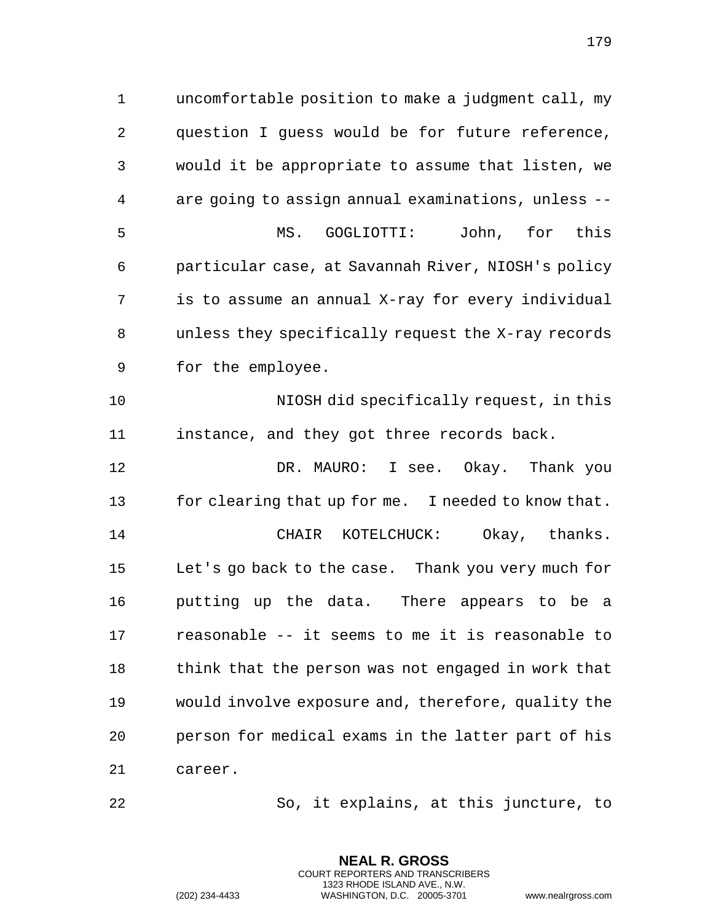uncomfortable position to make a judgment call, my question I guess would be for future reference, would it be appropriate to assume that listen, we are going to assign annual examinations, unless -- MS. GOGLIOTTI: John, for this particular case, at Savannah River, NIOSH's policy is to assume an annual X-ray for every individual unless they specifically request the X-ray records for the employee. NIOSH did specifically request, in this instance, and they got three records back.

12 DR. MAURO: I see. Okay. Thank you for clearing that up for me. I needed to know that. CHAIR KOTELCHUCK: Okay, thanks. Let's go back to the case. Thank you very much for putting up the data. There appears to be a reasonable -- it seems to me it is reasonable to 18 think that the person was not engaged in work that would involve exposure and, therefore, quality the person for medical exams in the latter part of his career.

So, it explains, at this juncture, to

**NEAL R. GROSS** COURT REPORTERS AND TRANSCRIBERS 1323 RHODE ISLAND AVE., N.W.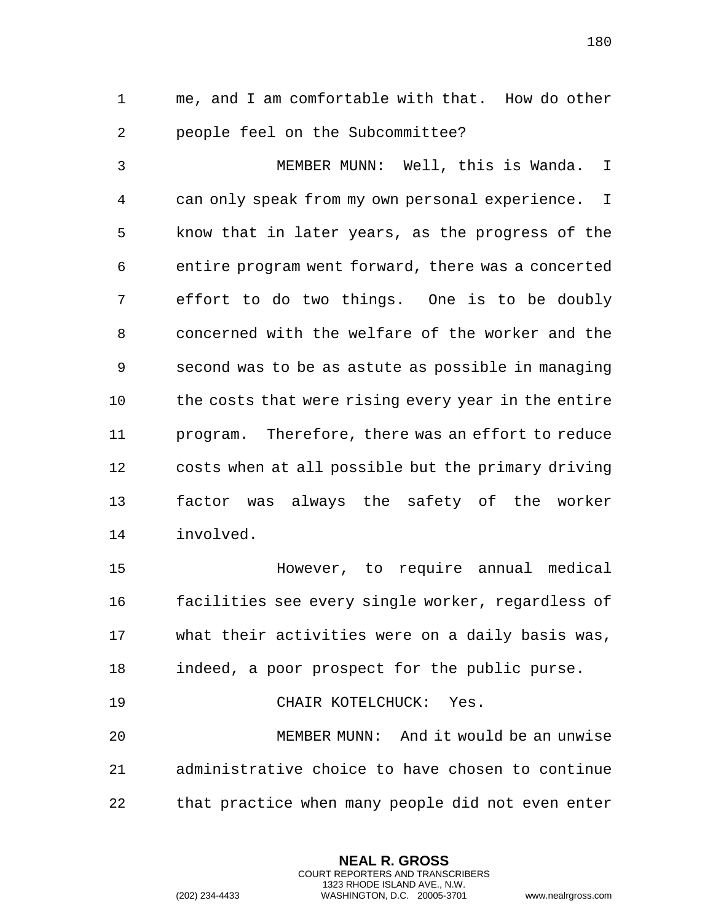me, and I am comfortable with that. How do other people feel on the Subcommittee?

 MEMBER MUNN: Well, this is Wanda. I can only speak from my own personal experience. I know that in later years, as the progress of the entire program went forward, there was a concerted effort to do two things. One is to be doubly concerned with the welfare of the worker and the second was to be as astute as possible in managing 10 the costs that were rising every year in the entire program. Therefore, there was an effort to reduce costs when at all possible but the primary driving factor was always the safety of the worker involved.

 However, to require annual medical facilities see every single worker, regardless of what their activities were on a daily basis was, indeed, a poor prospect for the public purse. 19 CHAIR KOTELCHUCK: Yes.

 MEMBER MUNN: And it would be an unwise administrative choice to have chosen to continue that practice when many people did not even enter

> **NEAL R. GROSS** COURT REPORTERS AND TRANSCRIBERS 1323 RHODE ISLAND AVE., N.W.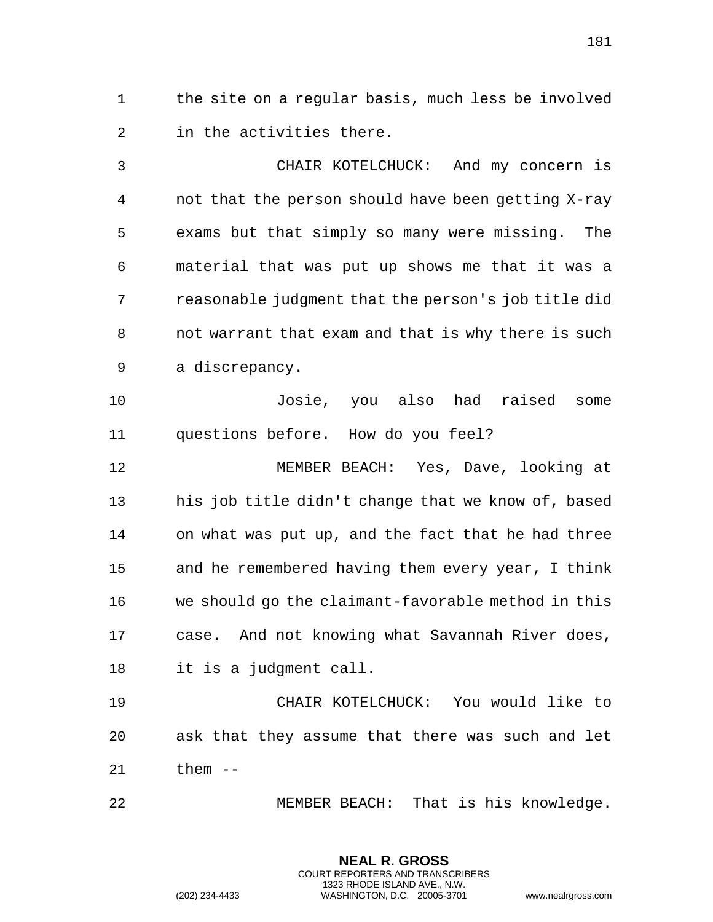the site on a regular basis, much less be involved in the activities there.

 CHAIR KOTELCHUCK: And my concern is not that the person should have been getting X-ray exams but that simply so many were missing. The material that was put up shows me that it was a reasonable judgment that the person's job title did not warrant that exam and that is why there is such a discrepancy.

 Josie, you also had raised some questions before. How do you feel?

 MEMBER BEACH: Yes, Dave, looking at his job title didn't change that we know of, based on what was put up, and the fact that he had three and he remembered having them every year, I think we should go the claimant-favorable method in this case. And not knowing what Savannah River does, it is a judgment call.

 CHAIR KOTELCHUCK: You would like to ask that they assume that there was such and let them --

MEMBER BEACH: That is his knowledge.

**NEAL R. GROSS** COURT REPORTERS AND TRANSCRIBERS 1323 RHODE ISLAND AVE., N.W.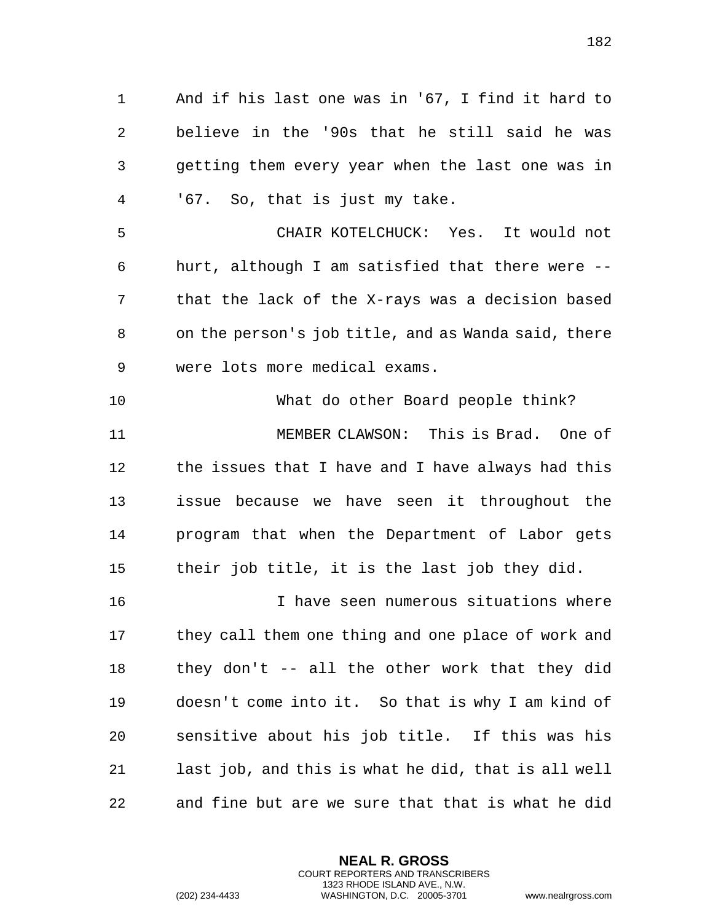And if his last one was in '67, I find it hard to

 believe in the '90s that he still said he was getting them every year when the last one was in '67. So, that is just my take.

 CHAIR KOTELCHUCK: Yes. It would not hurt, although I am satisfied that there were -- that the lack of the X-rays was a decision based on the person's job title, and as Wanda said, there were lots more medical exams.

 What do other Board people think? MEMBER CLAWSON: This is Brad. One of the issues that I have and I have always had this issue because we have seen it throughout the program that when the Department of Labor gets their job title, it is the last job they did.

 I have seen numerous situations where 17 they call them one thing and one place of work and they don't -- all the other work that they did doesn't come into it. So that is why I am kind of sensitive about his job title. If this was his last job, and this is what he did, that is all well and fine but are we sure that that is what he did

> **NEAL R. GROSS** COURT REPORTERS AND TRANSCRIBERS 1323 RHODE ISLAND AVE., N.W.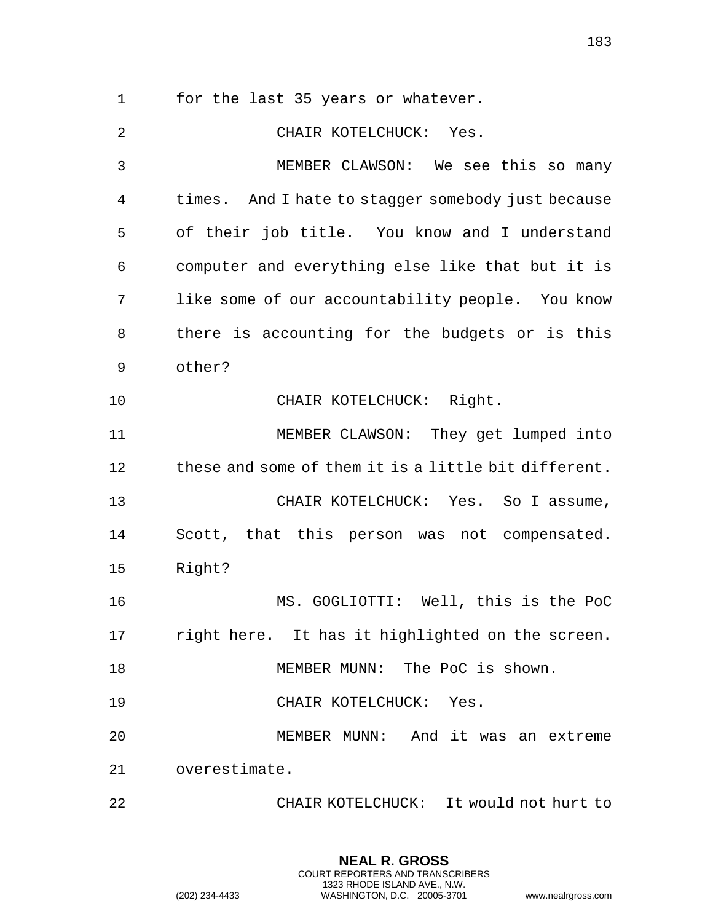for the last 35 years or whatever.

 CHAIR KOTELCHUCK: Yes. MEMBER CLAWSON: We see this so many times. And I hate to stagger somebody just because of their job title. You know and I understand computer and everything else like that but it is like some of our accountability people. You know there is accounting for the budgets or is this other? 10 CHAIR KOTELCHUCK: Right. MEMBER CLAWSON: They get lumped into these and some of them it is a little bit different. CHAIR KOTELCHUCK: Yes. So I assume, Scott, that this person was not compensated. Right? MS. GOGLIOTTI: Well, this is the PoC right here. It has it highlighted on the screen. MEMBER MUNN: The PoC is shown. 19 CHAIR KOTELCHUCK: Yes. MEMBER MUNN: And it was an extreme overestimate. CHAIR KOTELCHUCK: It would not hurt to

> **NEAL R. GROSS** COURT REPORTERS AND TRANSCRIBERS 1323 RHODE ISLAND AVE., N.W.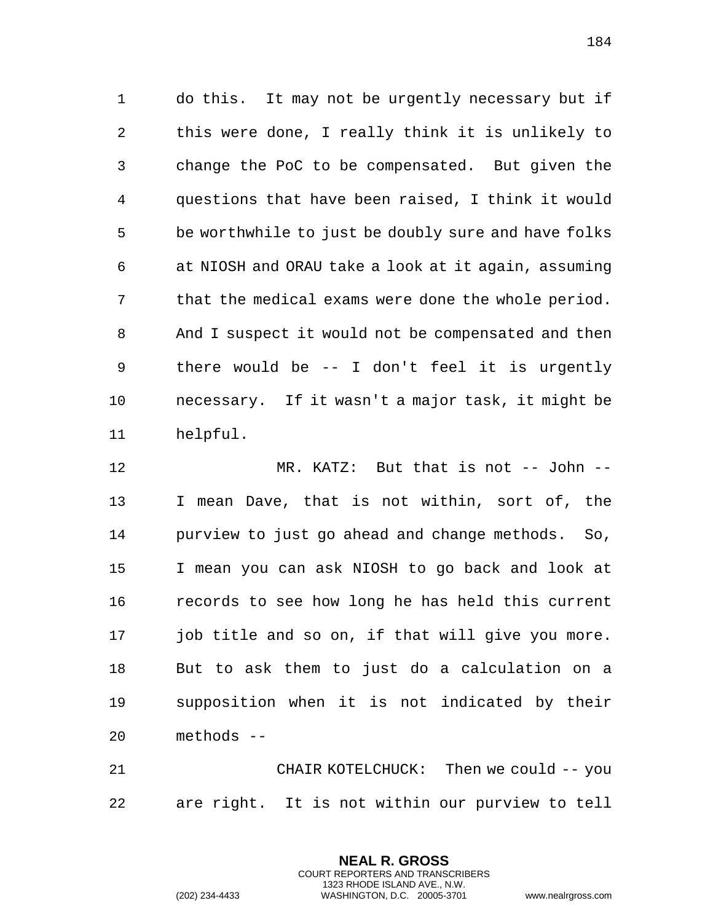do this. It may not be urgently necessary but if this were done, I really think it is unlikely to change the PoC to be compensated. But given the questions that have been raised, I think it would be worthwhile to just be doubly sure and have folks at NIOSH and ORAU take a look at it again, assuming that the medical exams were done the whole period. And I suspect it would not be compensated and then there would be -- I don't feel it is urgently necessary. If it wasn't a major task, it might be helpful.

 MR. KATZ: But that is not -- John -- I mean Dave, that is not within, sort of, the purview to just go ahead and change methods. So, I mean you can ask NIOSH to go back and look at records to see how long he has held this current job title and so on, if that will give you more. But to ask them to just do a calculation on a supposition when it is not indicated by their methods --

 CHAIR KOTELCHUCK: Then we could -- you are right. It is not within our purview to tell

> **NEAL R. GROSS** COURT REPORTERS AND TRANSCRIBERS 1323 RHODE ISLAND AVE., N.W.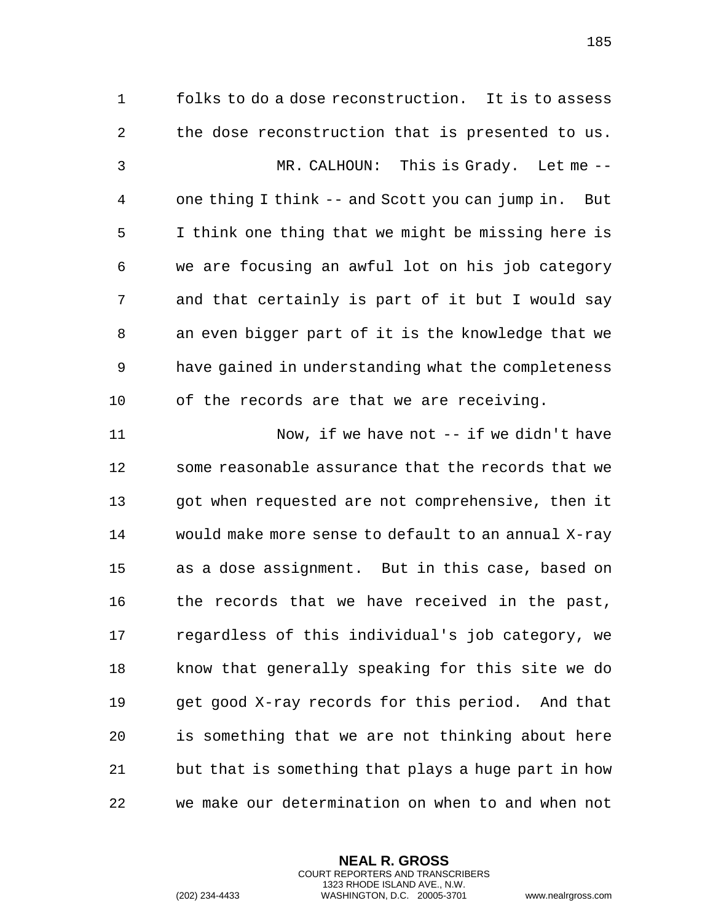folks to do a dose reconstruction. It is to assess the dose reconstruction that is presented to us. MR. CALHOUN: This is Grady. Let me -- one thing I think -- and Scott you can jump in. But I think one thing that we might be missing here is we are focusing an awful lot on his job category and that certainly is part of it but I would say an even bigger part of it is the knowledge that we have gained in understanding what the completeness of the records are that we are receiving. Now, if we have not -- if we didn't have some reasonable assurance that the records that we got when requested are not comprehensive, then it would make more sense to default to an annual X-ray as a dose assignment. But in this case, based on 16 the records that we have received in the past, regardless of this individual's job category, we know that generally speaking for this site we do get good X-ray records for this period. And that is something that we are not thinking about here but that is something that plays a huge part in how we make our determination on when to and when not

> **NEAL R. GROSS** COURT REPORTERS AND TRANSCRIBERS 1323 RHODE ISLAND AVE., N.W.

(202) 234-4433 WASHINGTON, D.C. 20005-3701 www.nealrgross.com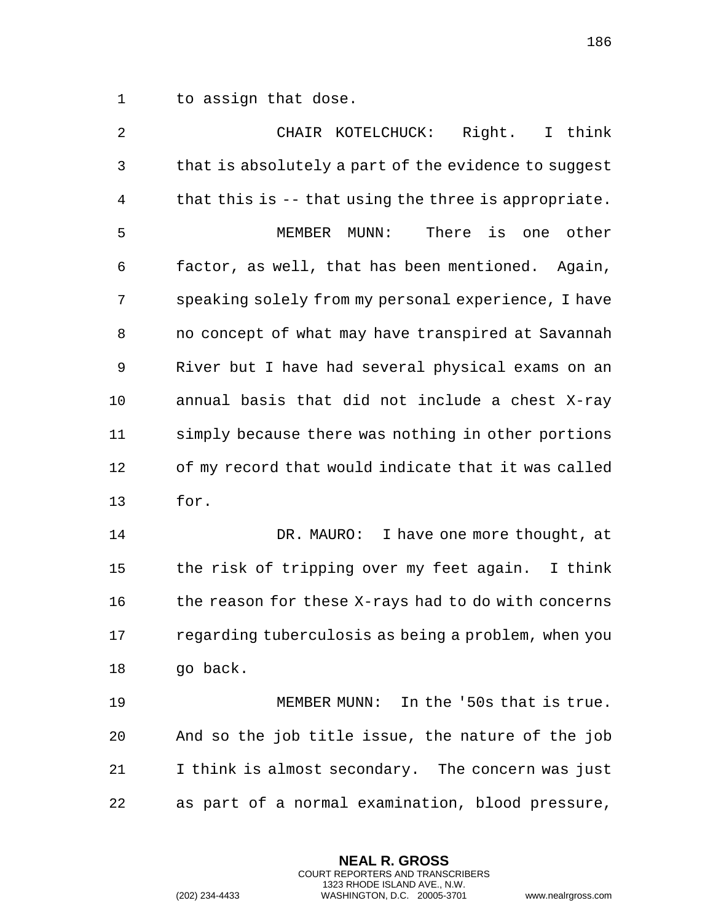to assign that dose.

 CHAIR KOTELCHUCK: Right. I think that is absolutely a part of the evidence to suggest that this is -- that using the three is appropriate. MEMBER MUNN: There is one other factor, as well, that has been mentioned. Again, speaking solely from my personal experience, I have no concept of what may have transpired at Savannah River but I have had several physical exams on an annual basis that did not include a chest X-ray simply because there was nothing in other portions of my record that would indicate that it was called for. DR. MAURO: I have one more thought, at the risk of tripping over my feet again. I think 16 the reason for these X-rays had to do with concerns regarding tuberculosis as being a problem, when you

go back.

 MEMBER MUNN: In the '50s that is true. And so the job title issue, the nature of the job I think is almost secondary. The concern was just as part of a normal examination, blood pressure,

> **NEAL R. GROSS** COURT REPORTERS AND TRANSCRIBERS 1323 RHODE ISLAND AVE., N.W.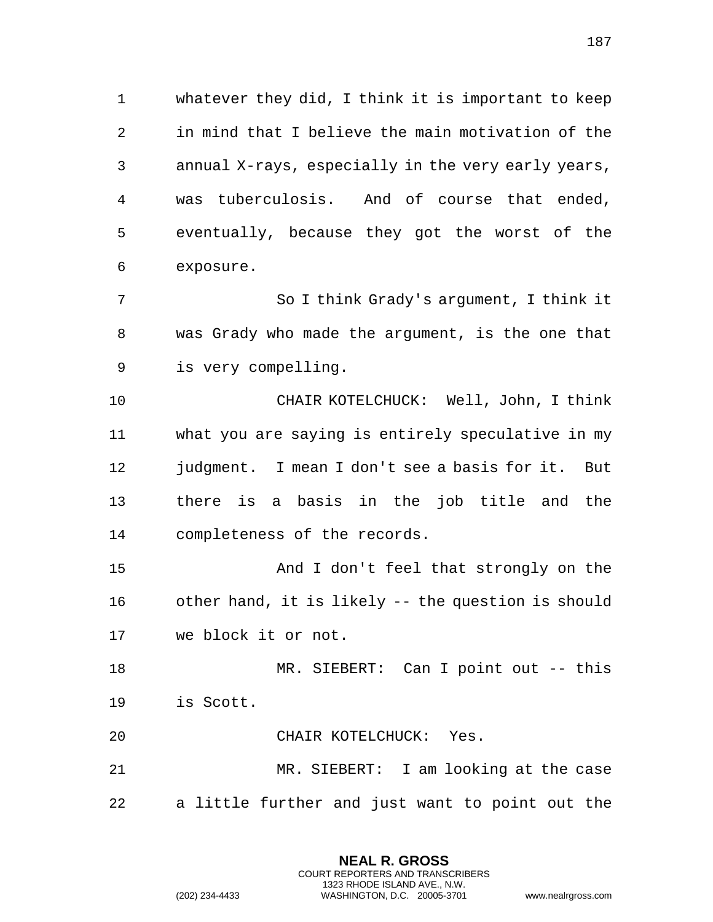whatever they did, I think it is important to keep in mind that I believe the main motivation of the annual X-rays, especially in the very early years, was tuberculosis. And of course that ended, eventually, because they got the worst of the exposure.

 So I think Grady's argument, I think it was Grady who made the argument, is the one that is very compelling.

 CHAIR KOTELCHUCK: Well, John, I think what you are saying is entirely speculative in my judgment. I mean I don't see a basis for it. But there is a basis in the job title and the completeness of the records.

 And I don't feel that strongly on the other hand, it is likely -- the question is should we block it or not.

 MR. SIEBERT: Can I point out -- this is Scott.

CHAIR KOTELCHUCK: Yes.

 MR. SIEBERT: I am looking at the case a little further and just want to point out the

> **NEAL R. GROSS** COURT REPORTERS AND TRANSCRIBERS 1323 RHODE ISLAND AVE., N.W.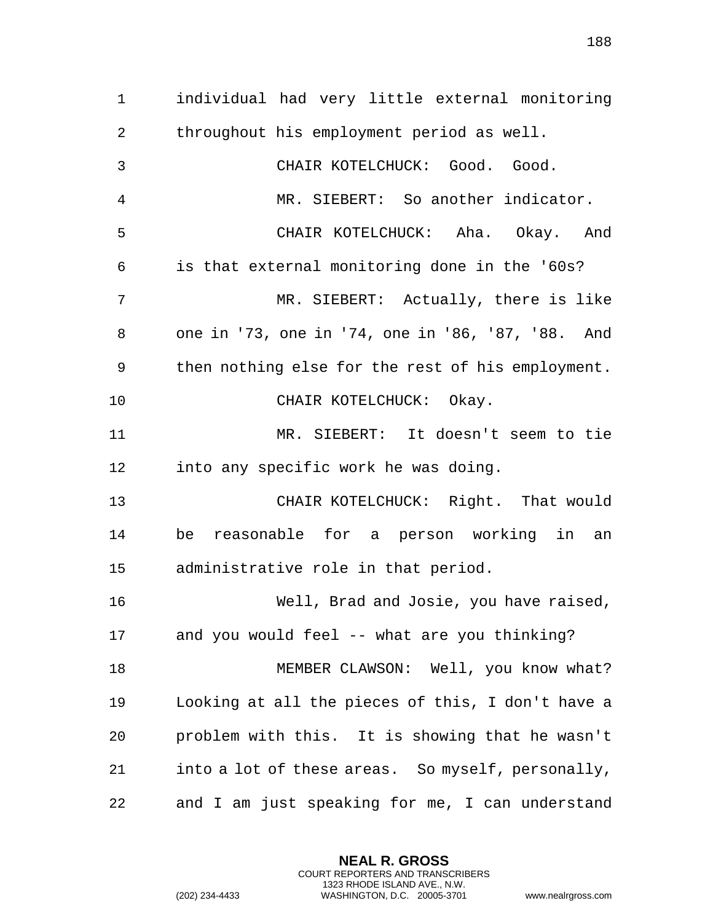individual had very little external monitoring throughout his employment period as well. CHAIR KOTELCHUCK: Good. Good. MR. SIEBERT: So another indicator. CHAIR KOTELCHUCK: Aha. Okay. And is that external monitoring done in the '60s? MR. SIEBERT: Actually, there is like one in '73, one in '74, one in '86, '87, '88. And then nothing else for the rest of his employment. 10 CHAIR KOTELCHUCK: Okay. MR. SIEBERT: It doesn't seem to tie into any specific work he was doing. CHAIR KOTELCHUCK: Right. That would be reasonable for a person working in an administrative role in that period. Well, Brad and Josie, you have raised, and you would feel -- what are you thinking? MEMBER CLAWSON: Well, you know what? Looking at all the pieces of this, I don't have a problem with this. It is showing that he wasn't into a lot of these areas. So myself, personally, and I am just speaking for me, I can understand

> **NEAL R. GROSS** COURT REPORTERS AND TRANSCRIBERS 1323 RHODE ISLAND AVE., N.W.

(202) 234-4433 WASHINGTON, D.C. 20005-3701 www.nealrgross.com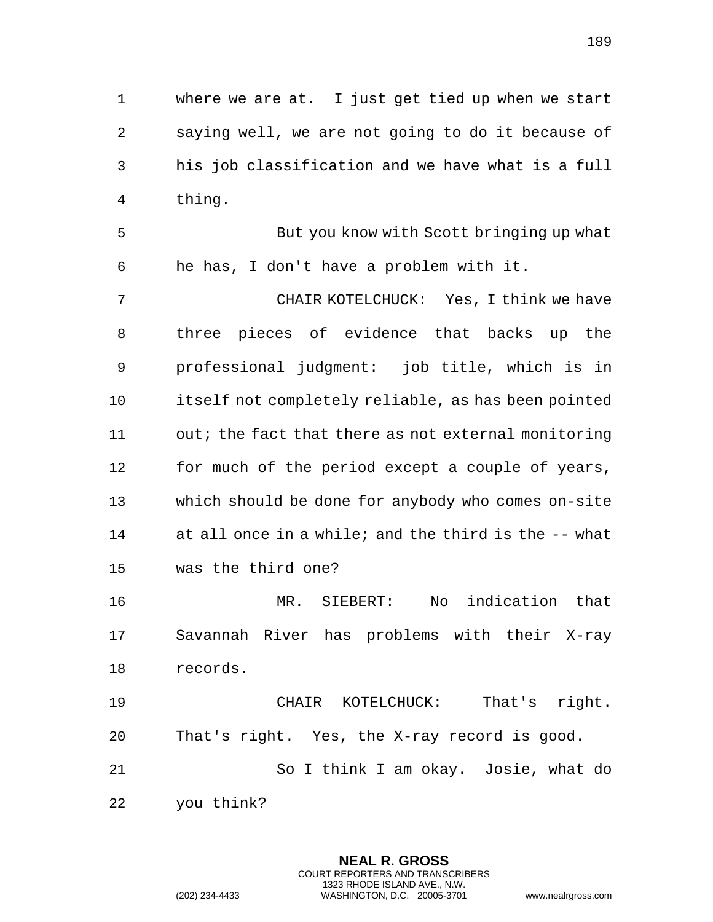where we are at. I just get tied up when we start saying well, we are not going to do it because of his job classification and we have what is a full thing.

 But you know with Scott bringing up what he has, I don't have a problem with it.

 CHAIR KOTELCHUCK: Yes, I think we have three pieces of evidence that backs up the professional judgment: job title, which is in itself not completely reliable, as has been pointed out; the fact that there as not external monitoring for much of the period except a couple of years, which should be done for anybody who comes on-site at all once in a while; and the third is the -- what was the third one?

 MR. SIEBERT: No indication that Savannah River has problems with their X-ray records.

 CHAIR KOTELCHUCK: That's right. That's right. Yes, the X-ray record is good. So I think I am okay. Josie, what do you think?

> **NEAL R. GROSS** COURT REPORTERS AND TRANSCRIBERS 1323 RHODE ISLAND AVE., N.W.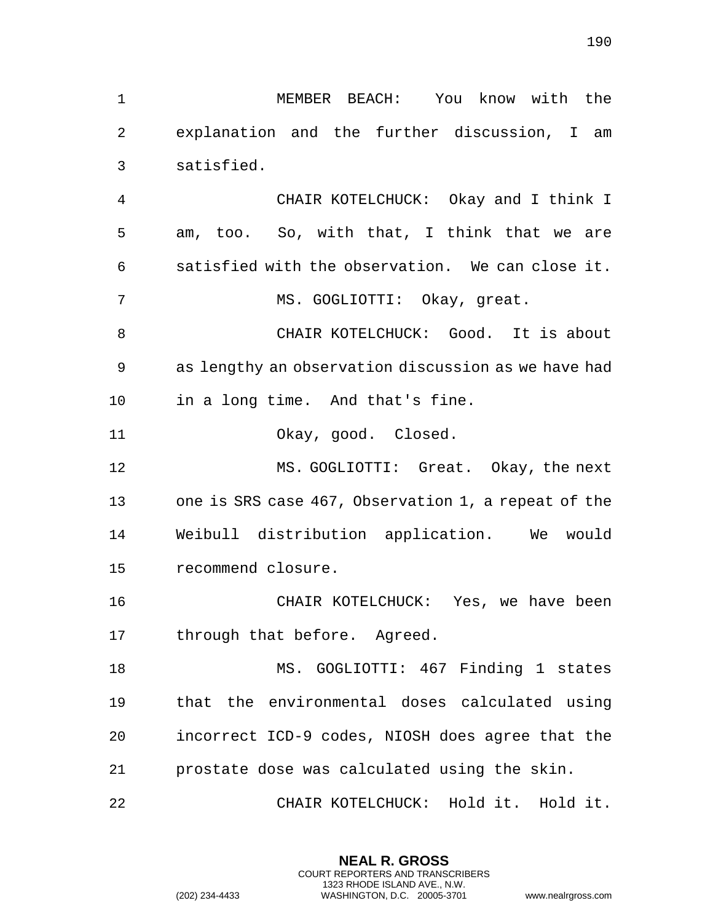MEMBER BEACH: You know with the explanation and the further discussion, I am satisfied.

 CHAIR KOTELCHUCK: Okay and I think I am, too. So, with that, I think that we are satisfied with the observation. We can close it. MS. GOGLIOTTI: Okay, great.

8 CHAIR KOTELCHUCK: Good. It is about as lengthy an observation discussion as we have had in a long time. And that's fine.

Okay, good. Closed.

 MS. GOGLIOTTI: Great. Okay, the next one is SRS case 467, Observation 1, a repeat of the Weibull distribution application. We would recommend closure.

 CHAIR KOTELCHUCK: Yes, we have been through that before. Agreed.

 MS. GOGLIOTTI: 467 Finding 1 states that the environmental doses calculated using incorrect ICD-9 codes, NIOSH does agree that the prostate dose was calculated using the skin.

CHAIR KOTELCHUCK: Hold it. Hold it.

**NEAL R. GROSS** COURT REPORTERS AND TRANSCRIBERS 1323 RHODE ISLAND AVE., N.W.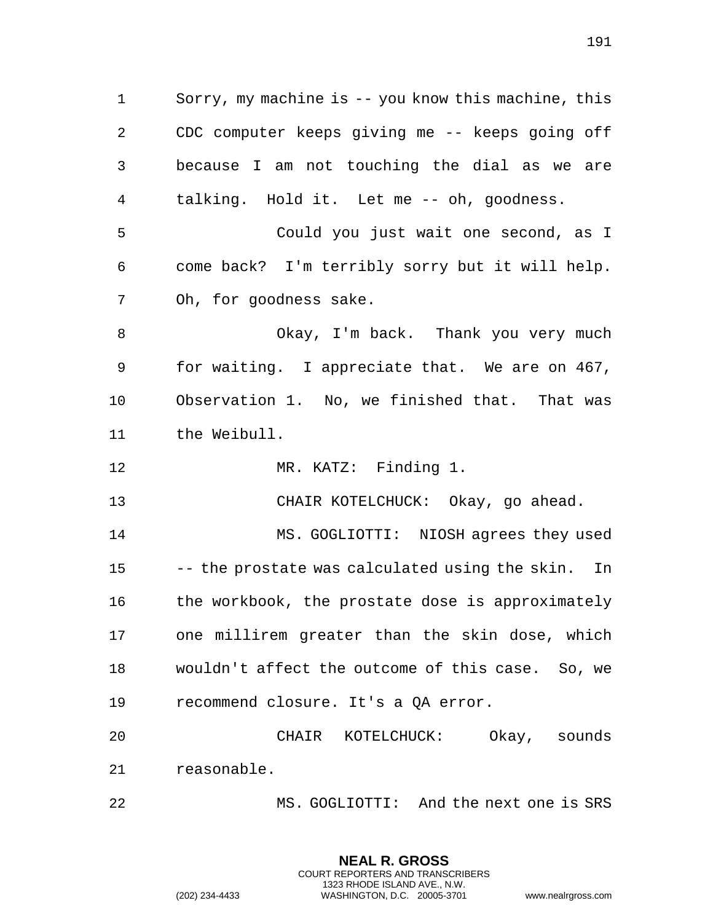Sorry, my machine is -- you know this machine, this CDC computer keeps giving me -- keeps going off because I am not touching the dial as we are talking. Hold it. Let me -- oh, goodness.

 Could you just wait one second, as I come back? I'm terribly sorry but it will help. Oh, for goodness sake.

 Okay, I'm back. Thank you very much for waiting. I appreciate that. We are on 467, Observation 1. No, we finished that. That was the Weibull.

12 MR. KATZ: Finding 1.

CHAIR KOTELCHUCK: Okay, go ahead.

 MS. GOGLIOTTI: NIOSH agrees they used -- the prostate was calculated using the skin. In 16 the workbook, the prostate dose is approximately one millirem greater than the skin dose, which wouldn't affect the outcome of this case. So, we recommend closure. It's a QA error.

 CHAIR KOTELCHUCK: Okay, sounds reasonable.

MS. GOGLIOTTI: And the next one is SRS

**NEAL R. GROSS** COURT REPORTERS AND TRANSCRIBERS 1323 RHODE ISLAND AVE., N.W.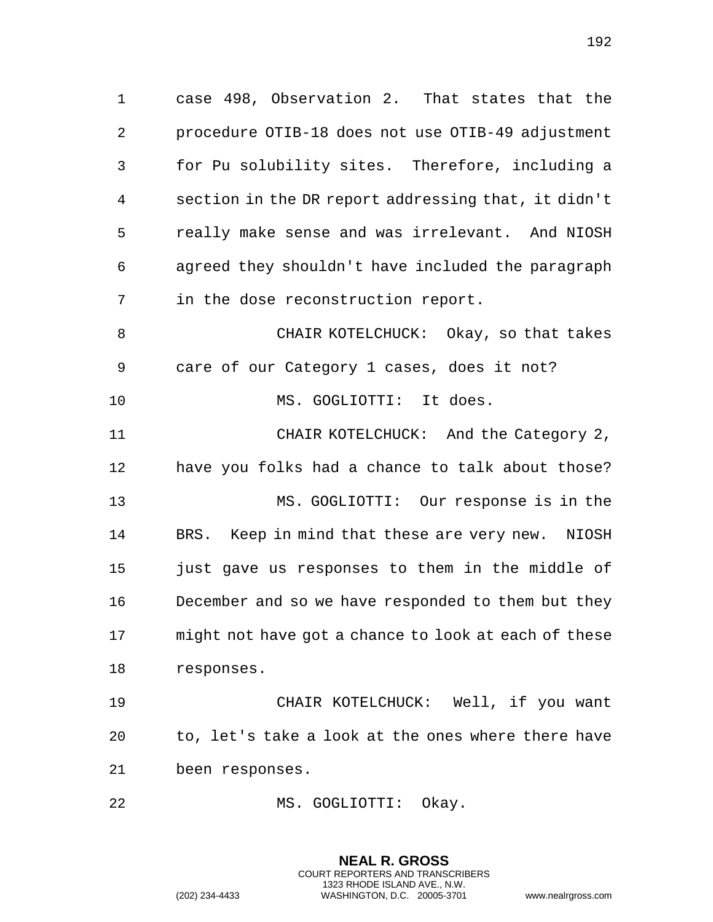case 498, Observation 2. That states that the procedure OTIB-18 does not use OTIB-49 adjustment for Pu solubility sites. Therefore, including a section in the DR report addressing that, it didn't really make sense and was irrelevant. And NIOSH agreed they shouldn't have included the paragraph in the dose reconstruction report. CHAIR KOTELCHUCK: Okay, so that takes

care of our Category 1 cases, does it not?

10 MS. GOGLIOTTI: It does.

 CHAIR KOTELCHUCK: And the Category 2, have you folks had a chance to talk about those? MS. GOGLIOTTI: Our response is in the BRS. Keep in mind that these are very new. NIOSH just gave us responses to them in the middle of December and so we have responded to them but they might not have got a chance to look at each of these responses.

 CHAIR KOTELCHUCK: Well, if you want to, let's take a look at the ones where there have been responses.

**NEAL R. GROSS**

MS. GOGLIOTTI: Okay.

COURT REPORTERS AND TRANSCRIBERS 1323 RHODE ISLAND AVE., N.W. (202) 234-4433 WASHINGTON, D.C. 20005-3701 www.nealrgross.com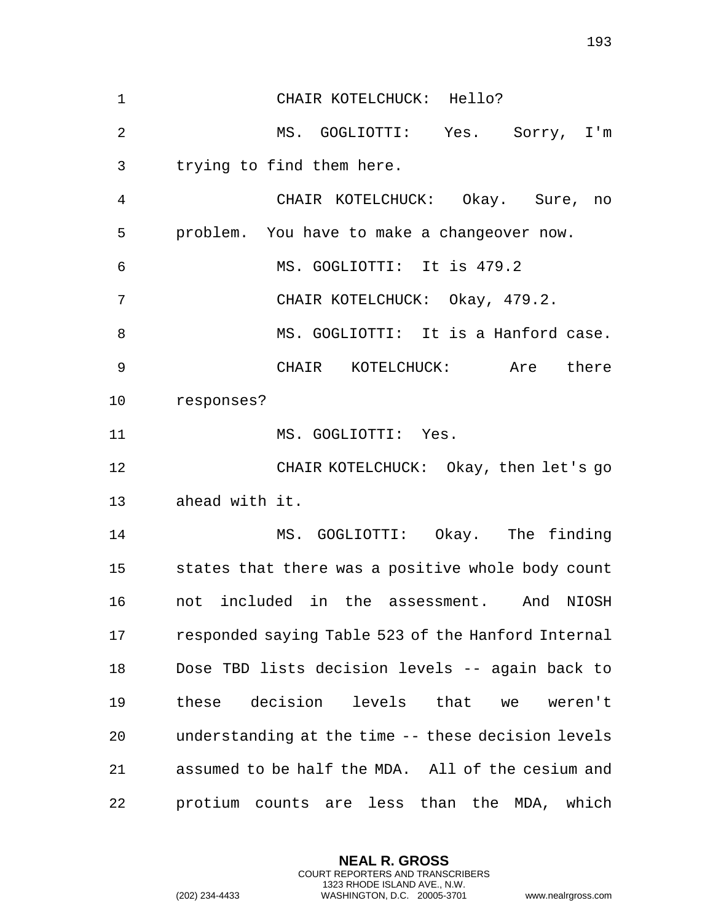CHAIR KOTELCHUCK: Hello? MS. GOGLIOTTI: Yes. Sorry, I'm trying to find them here. CHAIR KOTELCHUCK: Okay. Sure, no problem. You have to make a changeover now. MS. GOGLIOTTI: It is 479.2 CHAIR KOTELCHUCK: Okay, 479.2. MS. GOGLIOTTI: It is a Hanford case. CHAIR KOTELCHUCK: Are there responses? 11 MS. GOGLIOTTI: Yes. CHAIR KOTELCHUCK: Okay, then let's go ahead with it. MS. GOGLIOTTI: Okay. The finding states that there was a positive whole body count not included in the assessment. And NIOSH responded saying Table 523 of the Hanford Internal Dose TBD lists decision levels -- again back to these decision levels that we weren't understanding at the time -- these decision levels assumed to be half the MDA. All of the cesium and protium counts are less than the MDA, which

> **NEAL R. GROSS** COURT REPORTERS AND TRANSCRIBERS 1323 RHODE ISLAND AVE., N.W.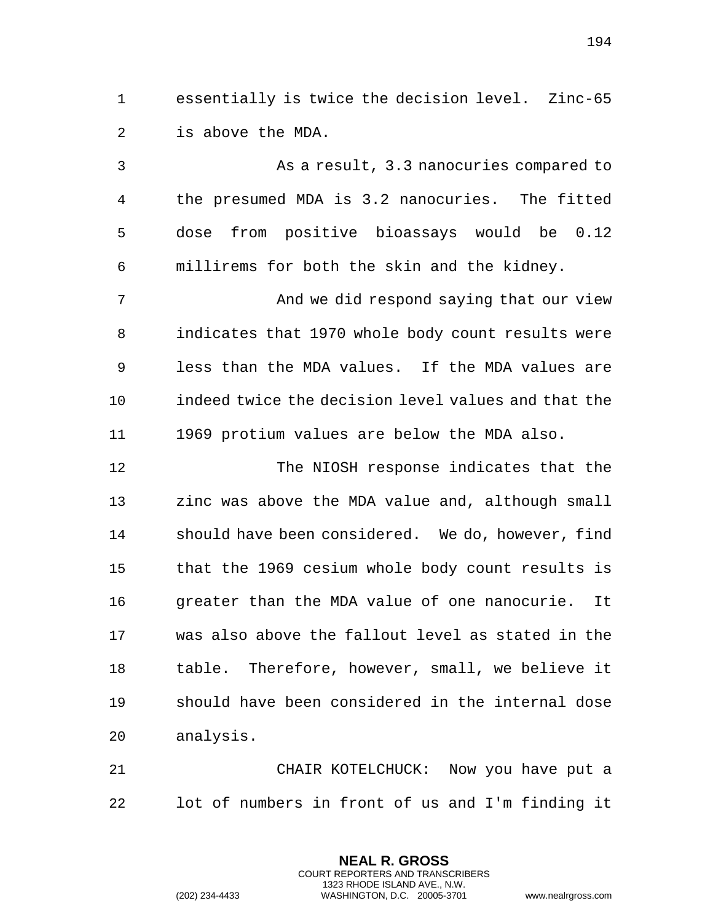essentially is twice the decision level. Zinc-65 is above the MDA.

 As a result, 3.3 nanocuries compared to the presumed MDA is 3.2 nanocuries. The fitted dose from positive bioassays would be 0.12 millirems for both the skin and the kidney. 7 And we did respond saying that our view indicates that 1970 whole body count results were less than the MDA values. If the MDA values are indeed twice the decision level values and that the 1969 protium values are below the MDA also. The NIOSH response indicates that the zinc was above the MDA value and, although small should have been considered. We do, however, find that the 1969 cesium whole body count results is greater than the MDA value of one nanocurie. It was also above the fallout level as stated in the table. Therefore, however, small, we believe it should have been considered in the internal dose

analysis.

 CHAIR KOTELCHUCK: Now you have put a lot of numbers in front of us and I'm finding it

> **NEAL R. GROSS** COURT REPORTERS AND TRANSCRIBERS 1323 RHODE ISLAND AVE., N.W.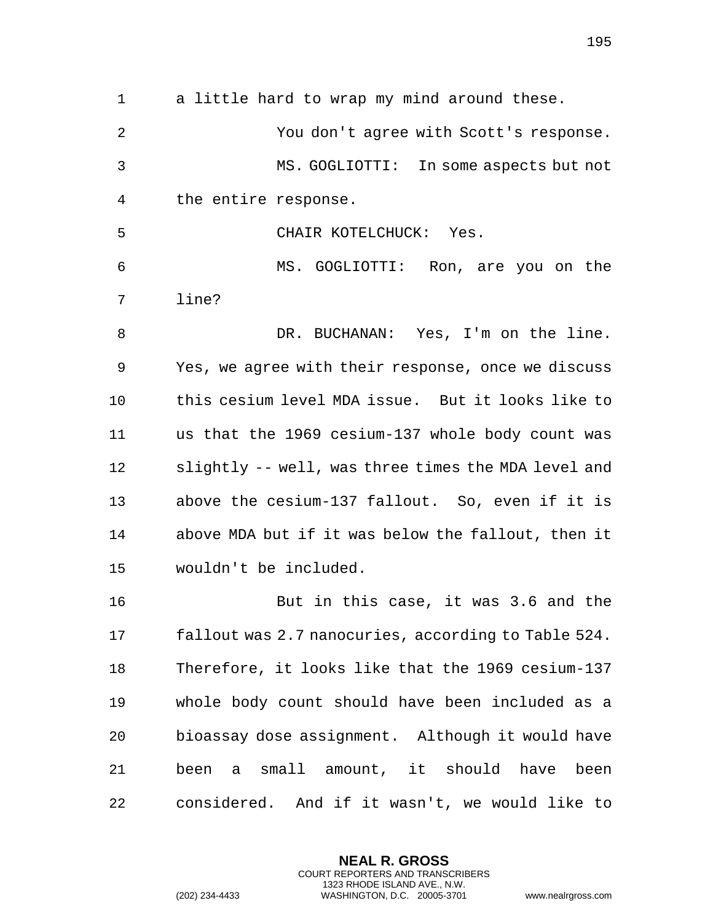a little hard to wrap my mind around these. You don't agree with Scott's response. MS. GOGLIOTTI: In some aspects but not the entire response. CHAIR KOTELCHUCK: Yes. MS. GOGLIOTTI: Ron, are you on the line? DR. BUCHANAN: Yes, I'm on the line. Yes, we agree with their response, once we discuss this cesium level MDA issue. But it looks like to us that the 1969 cesium-137 whole body count was slightly -- well, was three times the MDA level and above the cesium-137 fallout. So, even if it is above MDA but if it was below the fallout, then it wouldn't be included. But in this case, it was 3.6 and the fallout was 2.7 nanocuries, according to Table 524. Therefore, it looks like that the 1969 cesium-137 whole body count should have been included as a bioassay dose assignment. Although it would have been a small amount, it should have been

considered. And if it wasn't, we would like to

**NEAL R. GROSS** COURT REPORTERS AND TRANSCRIBERS 1323 RHODE ISLAND AVE., N.W.

(202) 234-4433 WASHINGTON, D.C. 20005-3701 www.nealrgross.com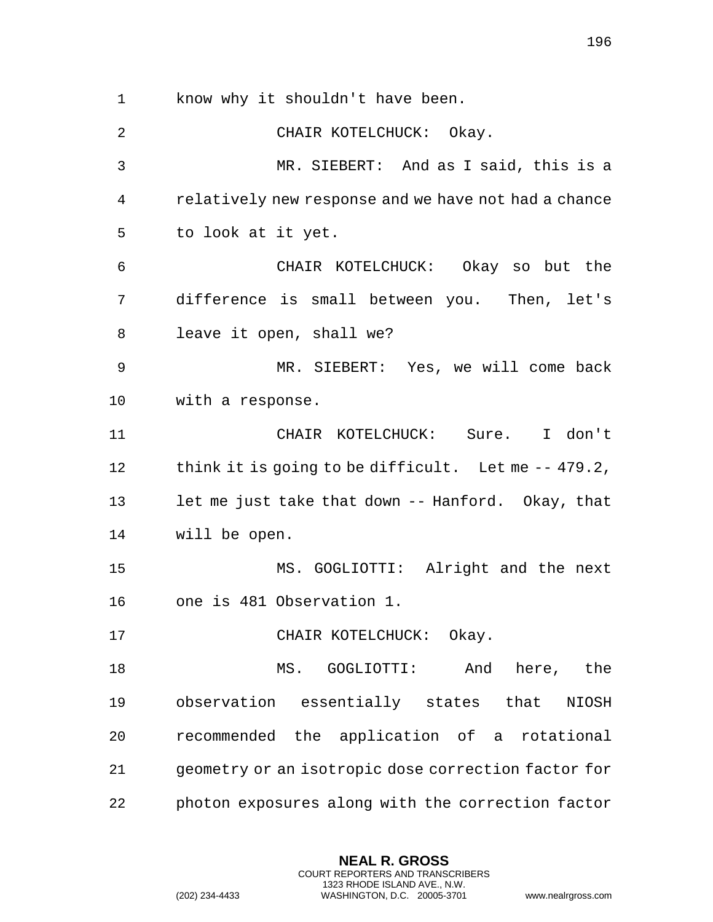know why it shouldn't have been. CHAIR KOTELCHUCK: Okay. MR. SIEBERT: And as I said, this is a relatively new response and we have not had a chance to look at it yet. CHAIR KOTELCHUCK: Okay so but the difference is small between you. Then, let's leave it open, shall we? MR. SIEBERT: Yes, we will come back with a response. CHAIR KOTELCHUCK: Sure. I don't 12 think it is going to be difficult. Let me -- 479.2, let me just take that down -- Hanford. Okay, that will be open. MS. GOGLIOTTI: Alright and the next one is 481 Observation 1. 17 CHAIR KOTELCHUCK: Okay. MS. GOGLIOTTI: And here, the observation essentially states that NIOSH recommended the application of a rotational geometry or an isotropic dose correction factor for photon exposures along with the correction factor

> **NEAL R. GROSS** COURT REPORTERS AND TRANSCRIBERS 1323 RHODE ISLAND AVE., N.W.

(202) 234-4433 WASHINGTON, D.C. 20005-3701 www.nealrgross.com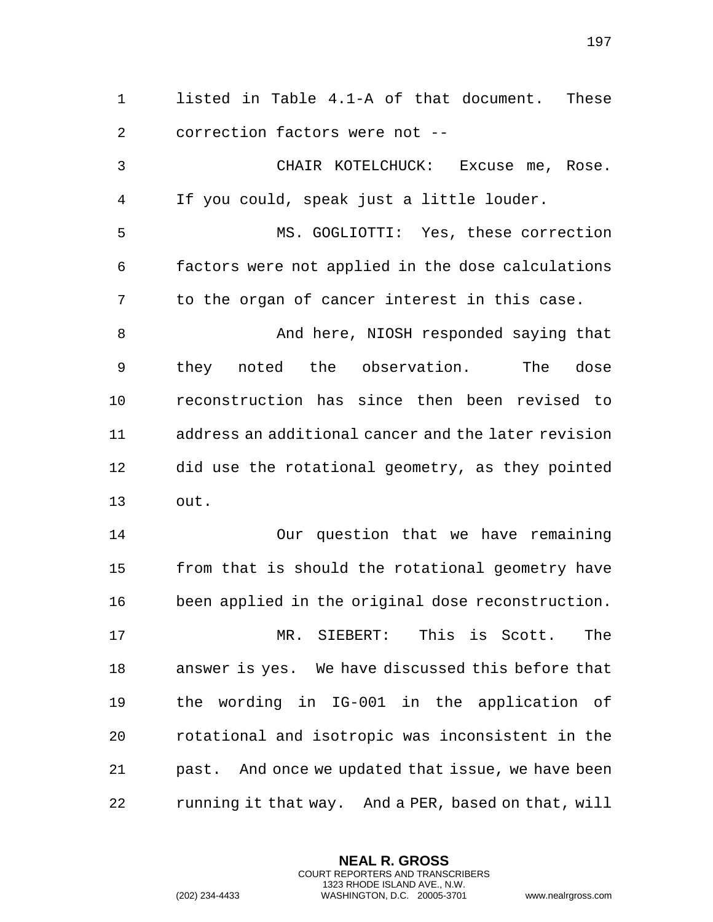listed in Table 4.1-A of that document. These correction factors were not -- CHAIR KOTELCHUCK: Excuse me, Rose. If you could, speak just a little louder. MS. GOGLIOTTI: Yes, these correction factors were not applied in the dose calculations to the organ of cancer interest in this case. And here, NIOSH responded saying that they noted the observation. The dose reconstruction has since then been revised to address an additional cancer and the later revision did use the rotational geometry, as they pointed out. Our question that we have remaining from that is should the rotational geometry have been applied in the original dose reconstruction. MR. SIEBERT: This is Scott. The answer is yes. We have discussed this before that the wording in IG-001 in the application of rotational and isotropic was inconsistent in the past. And once we updated that issue, we have been running it that way. And a PER, based on that, will

> **NEAL R. GROSS** COURT REPORTERS AND TRANSCRIBERS 1323 RHODE ISLAND AVE., N.W.

(202) 234-4433 WASHINGTON, D.C. 20005-3701 www.nealrgross.com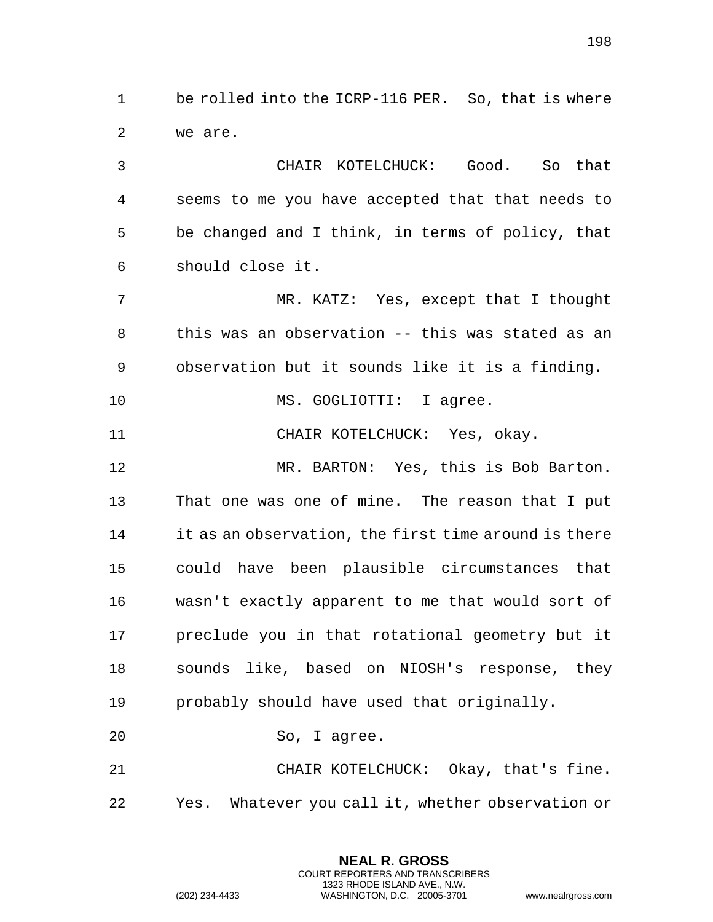be rolled into the ICRP-116 PER. So, that is where we are.

 CHAIR KOTELCHUCK: Good. So that seems to me you have accepted that that needs to be changed and I think, in terms of policy, that should close it.

 MR. KATZ: Yes, except that I thought this was an observation -- this was stated as an observation but it sounds like it is a finding.

10 MS. GOGLIOTTI: I agree.

CHAIR KOTELCHUCK: Yes, okay.

 MR. BARTON: Yes, this is Bob Barton. That one was one of mine. The reason that I put it as an observation, the first time around is there could have been plausible circumstances that wasn't exactly apparent to me that would sort of preclude you in that rotational geometry but it sounds like, based on NIOSH's response, they probably should have used that originally.

So, I agree.

 CHAIR KOTELCHUCK: Okay, that's fine. Yes. Whatever you call it, whether observation or

> **NEAL R. GROSS** COURT REPORTERS AND TRANSCRIBERS 1323 RHODE ISLAND AVE., N.W.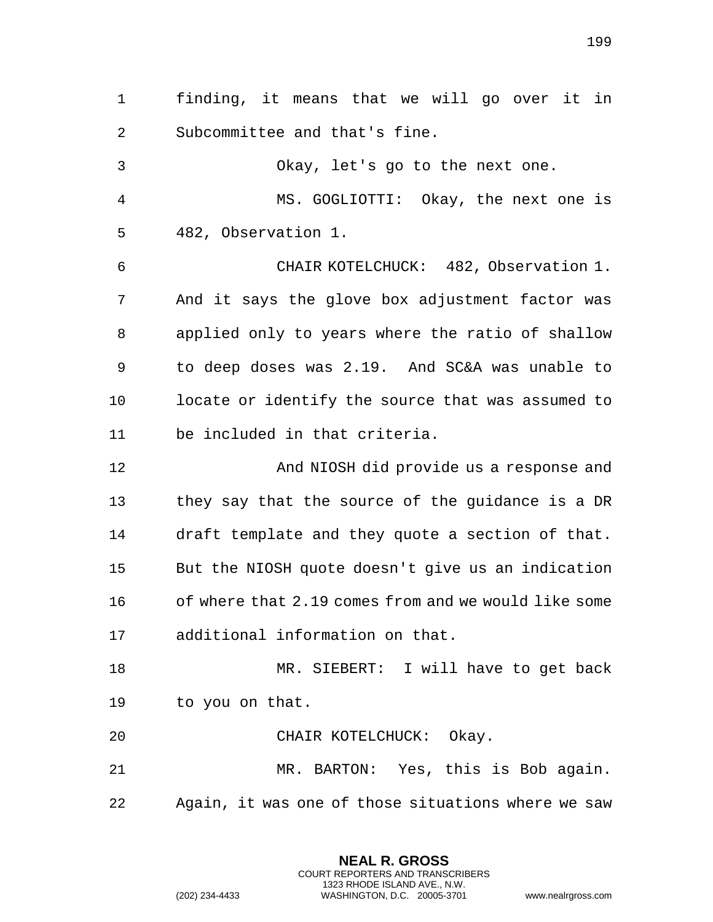finding, it means that we will go over it in Subcommittee and that's fine.

 Okay, let's go to the next one. MS. GOGLIOTTI: Okay, the next one is 482, Observation 1. CHAIR KOTELCHUCK: 482, Observation 1. And it says the glove box adjustment factor was applied only to years where the ratio of shallow to deep doses was 2.19. And SC&A was unable to locate or identify the source that was assumed to be included in that criteria.

 And NIOSH did provide us a response and they say that the source of the guidance is a DR draft template and they quote a section of that. But the NIOSH quote doesn't give us an indication of where that 2.19 comes from and we would like some additional information on that.

 MR. SIEBERT: I will have to get back to you on that.

CHAIR KOTELCHUCK: Okay.

 MR. BARTON: Yes, this is Bob again. Again, it was one of those situations where we saw

> **NEAL R. GROSS** COURT REPORTERS AND TRANSCRIBERS 1323 RHODE ISLAND AVE., N.W.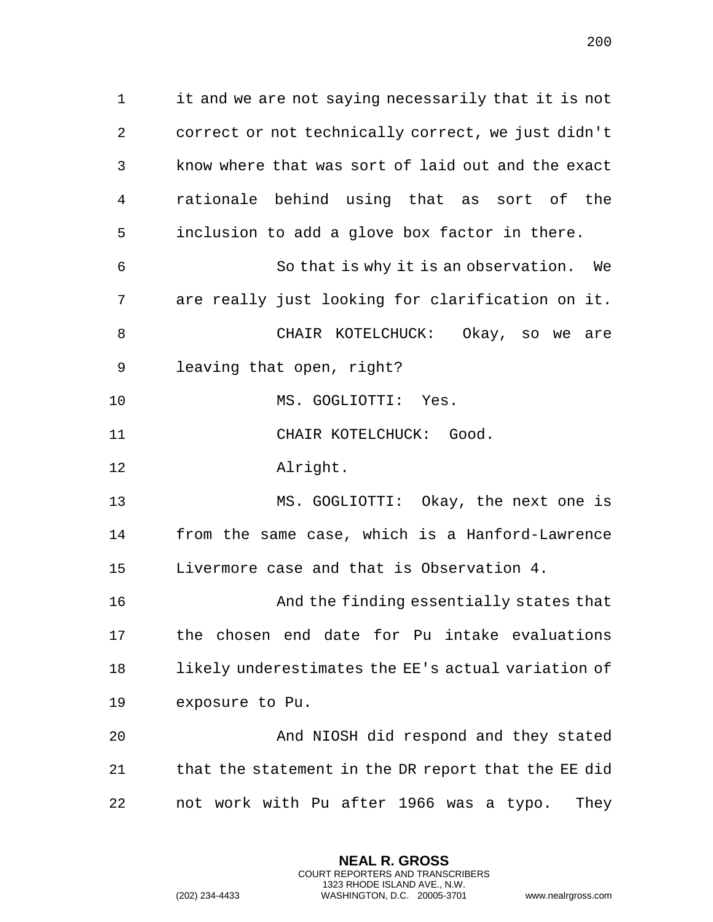it and we are not saying necessarily that it is not correct or not technically correct, we just didn't know where that was sort of laid out and the exact rationale behind using that as sort of the inclusion to add a glove box factor in there.

 So that is why it is an observation. We are really just looking for clarification on it. CHAIR KOTELCHUCK: Okay, so we are

leaving that open, right?

MS. GOGLIOTTI: Yes.

11 CHAIR KOTELCHUCK: Good.

Alright.

 MS. GOGLIOTTI: Okay, the next one is from the same case, which is a Hanford-Lawrence Livermore case and that is Observation 4.

 And the finding essentially states that the chosen end date for Pu intake evaluations likely underestimates the EE's actual variation of exposure to Pu.

 And NIOSH did respond and they stated that the statement in the DR report that the EE did not work with Pu after 1966 was a typo. They

> **NEAL R. GROSS** COURT REPORTERS AND TRANSCRIBERS 1323 RHODE ISLAND AVE., N.W.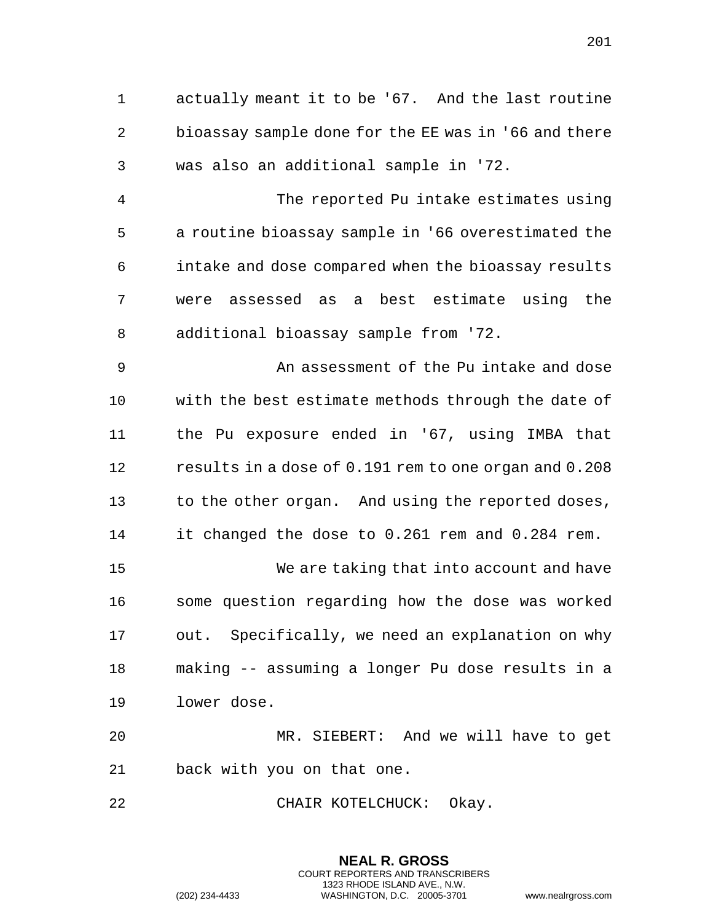actually meant it to be '67. And the last routine bioassay sample done for the EE was in '66 and there was also an additional sample in '72. The reported Pu intake estimates using a routine bioassay sample in '66 overestimated the

 intake and dose compared when the bioassay results were assessed as a best estimate using the additional bioassay sample from '72.

 An assessment of the Pu intake and dose with the best estimate methods through the date of the Pu exposure ended in '67, using IMBA that results in a dose of 0.191 rem to one organ and 0.208 13 to the other organ. And using the reported doses, it changed the dose to 0.261 rem and 0.284 rem. We are taking that into account and have some question regarding how the dose was worked out. Specifically, we need an explanation on why making -- assuming a longer Pu dose results in a lower dose.

 MR. SIEBERT: And we will have to get back with you on that one.

CHAIR KOTELCHUCK: Okay.

**NEAL R. GROSS** COURT REPORTERS AND TRANSCRIBERS 1323 RHODE ISLAND AVE., N.W. (202) 234-4433 WASHINGTON, D.C. 20005-3701 www.nealrgross.com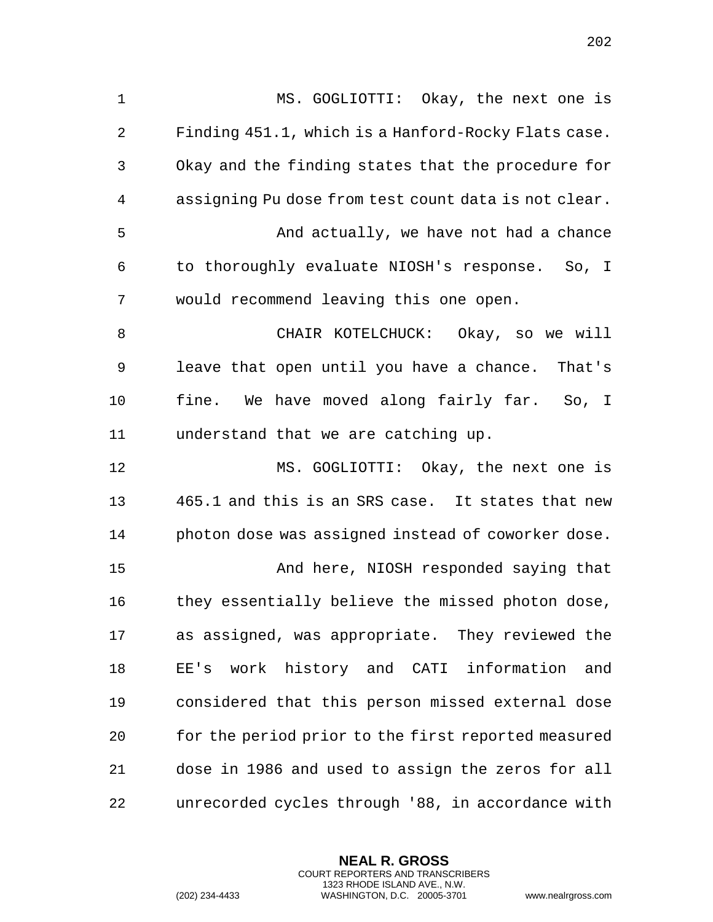MS. GOGLIOTTI: Okay, the next one is Finding 451.1, which is a Hanford-Rocky Flats case. Okay and the finding states that the procedure for assigning Pu dose from test count data is not clear. And actually, we have not had a chance to thoroughly evaluate NIOSH's response. So, I would recommend leaving this one open. CHAIR KOTELCHUCK: Okay, so we will leave that open until you have a chance. That's fine. We have moved along fairly far. So, I understand that we are catching up. MS. GOGLIOTTI: Okay, the next one is 465.1 and this is an SRS case. It states that new photon dose was assigned instead of coworker dose. And here, NIOSH responded saying that they essentially believe the missed photon dose, as assigned, was appropriate. They reviewed the EE's work history and CATI information and considered that this person missed external dose for the period prior to the first reported measured dose in 1986 and used to assign the zeros for all unrecorded cycles through '88, in accordance with

> **NEAL R. GROSS** COURT REPORTERS AND TRANSCRIBERS 1323 RHODE ISLAND AVE., N.W.

(202) 234-4433 WASHINGTON, D.C. 20005-3701 www.nealrgross.com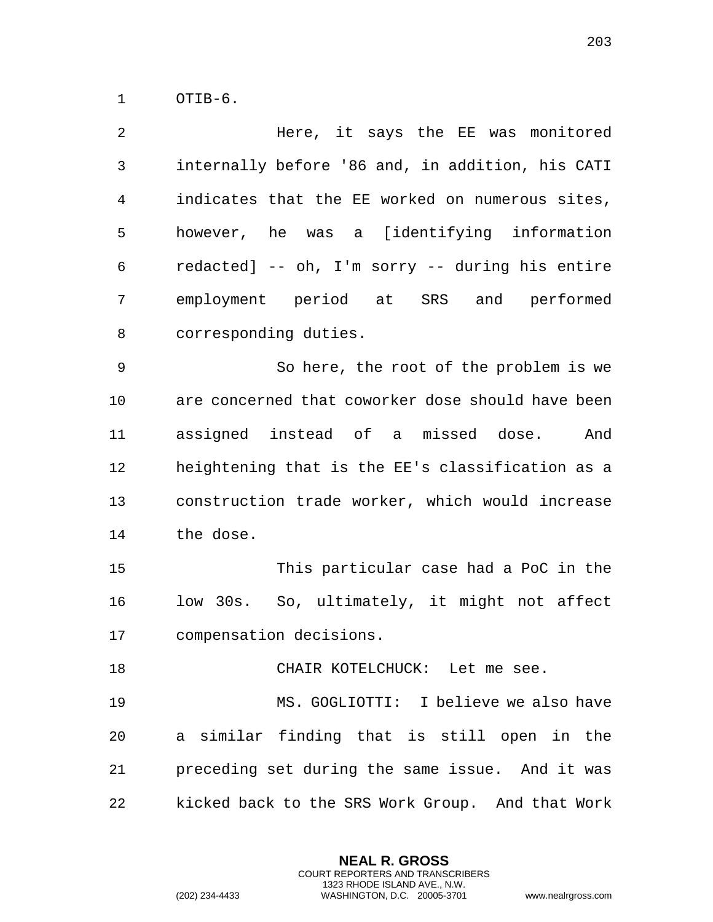OTIB-6.

 Here, it says the EE was monitored internally before '86 and, in addition, his CATI indicates that the EE worked on numerous sites, however, he was a [identifying information redacted] -- oh, I'm sorry -- during his entire employment period at SRS and performed corresponding duties.

 So here, the root of the problem is we are concerned that coworker dose should have been assigned instead of a missed dose. And heightening that is the EE's classification as a construction trade worker, which would increase the dose.

 This particular case had a PoC in the low 30s. So, ultimately, it might not affect compensation decisions.

CHAIR KOTELCHUCK: Let me see.

 MS. GOGLIOTTI: I believe we also have a similar finding that is still open in the preceding set during the same issue. And it was kicked back to the SRS Work Group. And that Work

> **NEAL R. GROSS** COURT REPORTERS AND TRANSCRIBERS 1323 RHODE ISLAND AVE., N.W.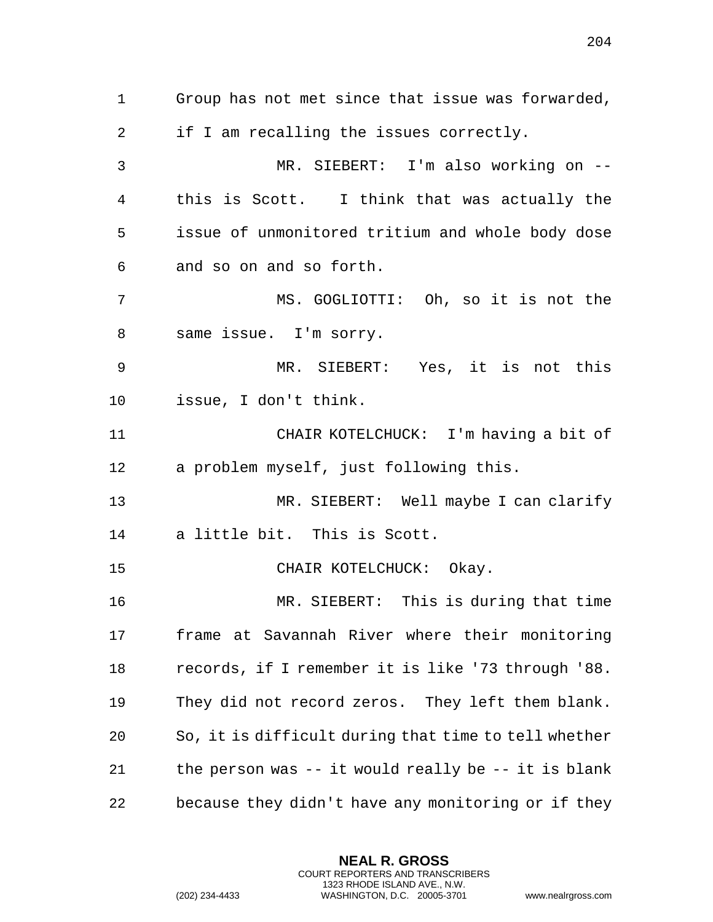Group has not met since that issue was forwarded, if I am recalling the issues correctly. MR. SIEBERT: I'm also working on -- this is Scott. I think that was actually the issue of unmonitored tritium and whole body dose and so on and so forth. MS. GOGLIOTTI: Oh, so it is not the same issue. I'm sorry. MR. SIEBERT: Yes, it is not this issue, I don't think. CHAIR KOTELCHUCK: I'm having a bit of a problem myself, just following this. MR. SIEBERT: Well maybe I can clarify a little bit. This is Scott. 15 CHAIR KOTELCHUCK: Okay. MR. SIEBERT: This is during that time frame at Savannah River where their monitoring records, if I remember it is like '73 through '88. They did not record zeros. They left them blank. So, it is difficult during that time to tell whether the person was -- it would really be -- it is blank because they didn't have any monitoring or if they

> **NEAL R. GROSS** COURT REPORTERS AND TRANSCRIBERS 1323 RHODE ISLAND AVE., N.W.

(202) 234-4433 WASHINGTON, D.C. 20005-3701 www.nealrgross.com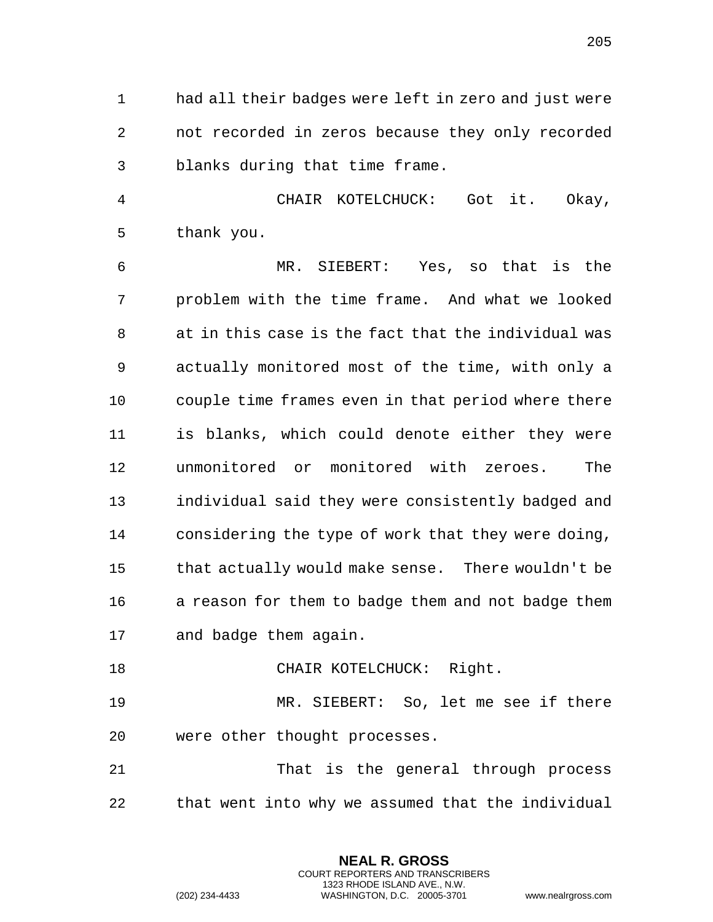had all their badges were left in zero and just were not recorded in zeros because they only recorded blanks during that time frame.

 CHAIR KOTELCHUCK: Got it. Okay, thank you.

 MR. SIEBERT: Yes, so that is the problem with the time frame. And what we looked at in this case is the fact that the individual was actually monitored most of the time, with only a couple time frames even in that period where there is blanks, which could denote either they were unmonitored or monitored with zeroes. The individual said they were consistently badged and considering the type of work that they were doing, that actually would make sense. There wouldn't be a reason for them to badge them and not badge them and badge them again.

18 CHAIR KOTELCHUCK: Right.

 MR. SIEBERT: So, let me see if there were other thought processes.

 That is the general through process that went into why we assumed that the individual

> **NEAL R. GROSS** COURT REPORTERS AND TRANSCRIBERS 1323 RHODE ISLAND AVE., N.W.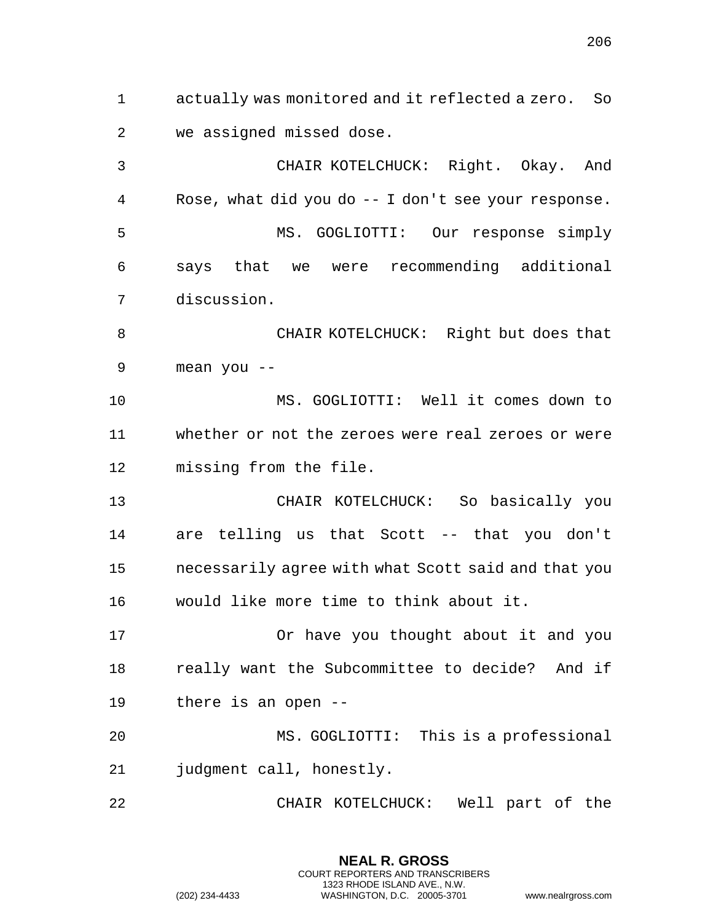actually was monitored and it reflected a zero. So we assigned missed dose.

 CHAIR KOTELCHUCK: Right. Okay. And Rose, what did you do -- I don't see your response. MS. GOGLIOTTI: Our response simply says that we were recommending additional discussion.

 CHAIR KOTELCHUCK: Right but does that mean you --

 MS. GOGLIOTTI: Well it comes down to whether or not the zeroes were real zeroes or were missing from the file.

 CHAIR KOTELCHUCK: So basically you are telling us that Scott -- that you don't necessarily agree with what Scott said and that you would like more time to think about it.

 Or have you thought about it and you really want the Subcommittee to decide? And if there is an open --

 MS. GOGLIOTTI: This is a professional judgment call, honestly.

CHAIR KOTELCHUCK: Well part of the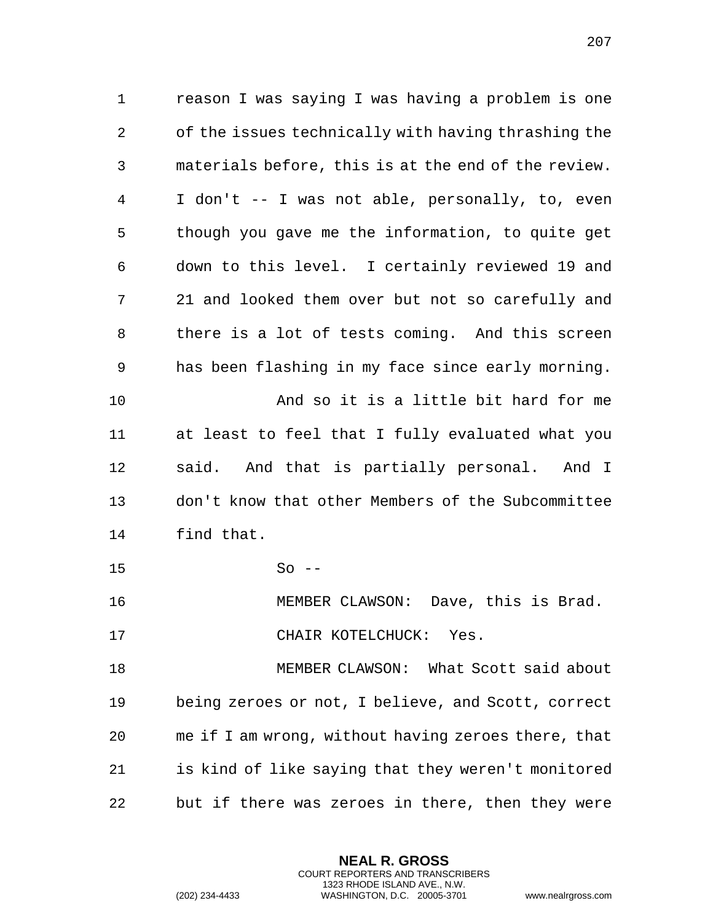reason I was saying I was having a problem is one of the issues technically with having thrashing the materials before, this is at the end of the review. I don't -- I was not able, personally, to, even though you gave me the information, to quite get down to this level. I certainly reviewed 19 and 21 and looked them over but not so carefully and there is a lot of tests coming. And this screen has been flashing in my face since early morning. And so it is a little bit hard for me at least to feel that I fully evaluated what you said. And that is partially personal. And I don't know that other Members of the Subcommittee find that. So  $-$  MEMBER CLAWSON: Dave, this is Brad. 17 CHAIR KOTELCHUCK: Yes. MEMBER CLAWSON: What Scott said about being zeroes or not, I believe, and Scott, correct me if I am wrong, without having zeroes there, that is kind of like saying that they weren't monitored but if there was zeroes in there, then they were

> **NEAL R. GROSS** COURT REPORTERS AND TRANSCRIBERS 1323 RHODE ISLAND AVE., N.W.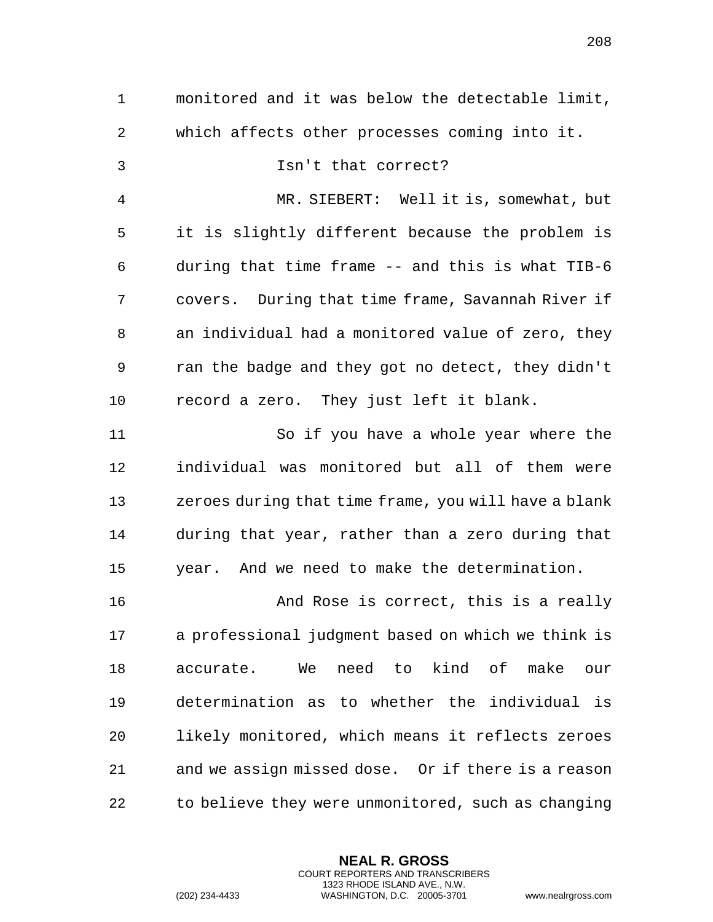monitored and it was below the detectable limit, which affects other processes coming into it. Isn't that correct? MR. SIEBERT: Well it is, somewhat, but it is slightly different because the problem is during that time frame -- and this is what TIB-6 covers. During that time frame, Savannah River if an individual had a monitored value of zero, they ran the badge and they got no detect, they didn't record a zero. They just left it blank. So if you have a whole year where the individual was monitored but all of them were zeroes during that time frame, you will have a blank during that year, rather than a zero during that year. And we need to make the determination. And Rose is correct, this is a really a professional judgment based on which we think is accurate. We need to kind of make our determination as to whether the individual is likely monitored, which means it reflects zeroes and we assign missed dose. Or if there is a reason to believe they were unmonitored, such as changing

> **NEAL R. GROSS** COURT REPORTERS AND TRANSCRIBERS 1323 RHODE ISLAND AVE., N.W.

(202) 234-4433 WASHINGTON, D.C. 20005-3701 www.nealrgross.com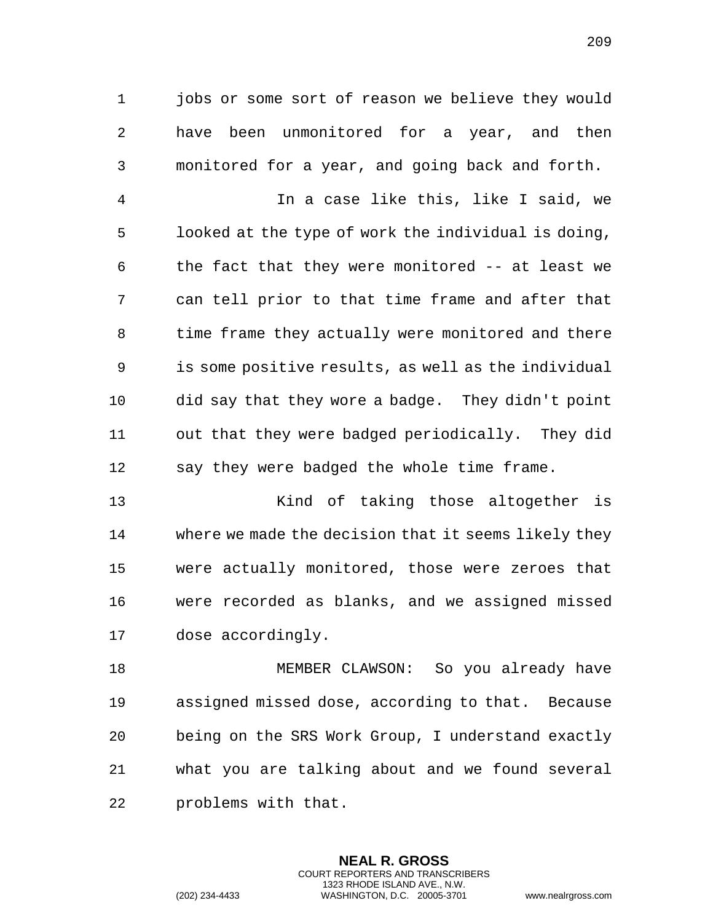jobs or some sort of reason we believe they would have been unmonitored for a year, and then monitored for a year, and going back and forth.

 In a case like this, like I said, we looked at the type of work the individual is doing, the fact that they were monitored -- at least we can tell prior to that time frame and after that time frame they actually were monitored and there is some positive results, as well as the individual did say that they wore a badge. They didn't point out that they were badged periodically. They did say they were badged the whole time frame.

 Kind of taking those altogether is where we made the decision that it seems likely they were actually monitored, those were zeroes that were recorded as blanks, and we assigned missed dose accordingly.

 MEMBER CLAWSON: So you already have assigned missed dose, according to that. Because being on the SRS Work Group, I understand exactly what you are talking about and we found several problems with that.

> **NEAL R. GROSS** COURT REPORTERS AND TRANSCRIBERS 1323 RHODE ISLAND AVE., N.W.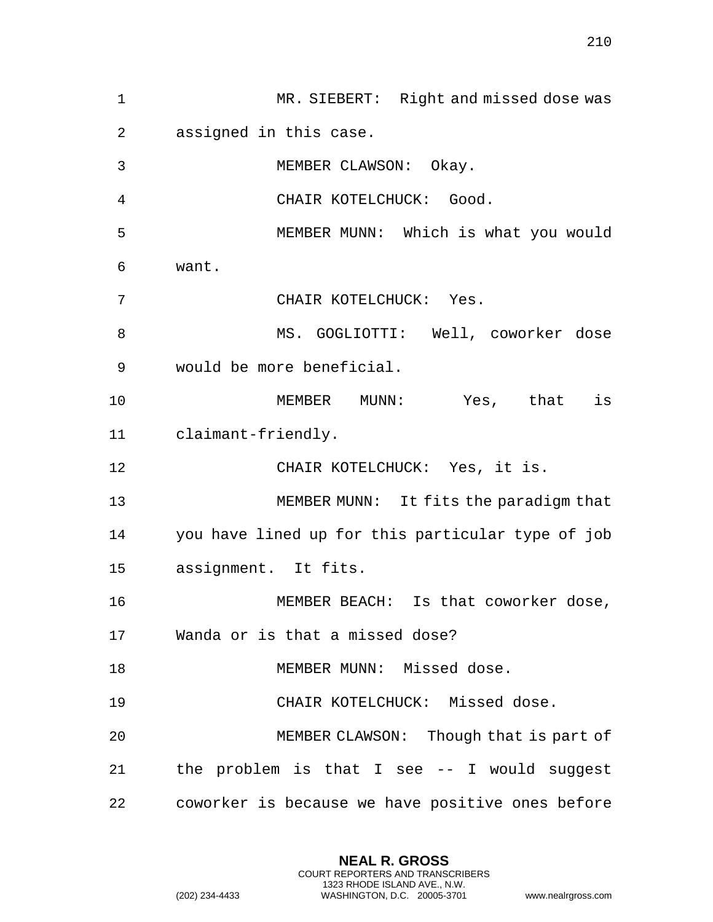MR. SIEBERT: Right and missed dose was assigned in this case. MEMBER CLAWSON: Okay. CHAIR KOTELCHUCK: Good. MEMBER MUNN: Which is what you would want. CHAIR KOTELCHUCK: Yes. 8 MS. GOGLIOTTI: Well, coworker dose would be more beneficial. MEMBER MUNN: Yes, that is claimant-friendly. CHAIR KOTELCHUCK: Yes, it is. MEMBER MUNN: It fits the paradigm that you have lined up for this particular type of job assignment. It fits. MEMBER BEACH: Is that coworker dose, Wanda or is that a missed dose? MEMBER MUNN: Missed dose. CHAIR KOTELCHUCK: Missed dose. MEMBER CLAWSON: Though that is part of the problem is that I see -- I would suggest coworker is because we have positive ones before

> **NEAL R. GROSS** COURT REPORTERS AND TRANSCRIBERS 1323 RHODE ISLAND AVE., N.W.

(202) 234-4433 WASHINGTON, D.C. 20005-3701 www.nealrgross.com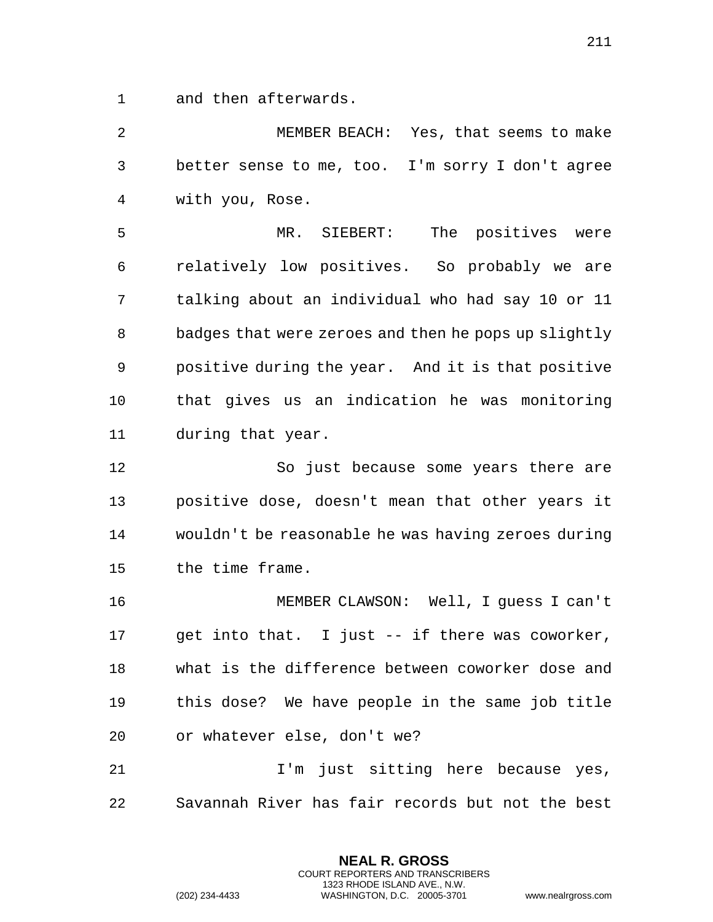and then afterwards.

 MEMBER BEACH: Yes, that seems to make better sense to me, too. I'm sorry I don't agree with you, Rose.

 MR. SIEBERT: The positives were relatively low positives. So probably we are talking about an individual who had say 10 or 11 badges that were zeroes and then he pops up slightly positive during the year. And it is that positive that gives us an indication he was monitoring during that year.

 So just because some years there are positive dose, doesn't mean that other years it wouldn't be reasonable he was having zeroes during the time frame.

 MEMBER CLAWSON: Well, I guess I can't get into that. I just -- if there was coworker, what is the difference between coworker dose and this dose? We have people in the same job title or whatever else, don't we?

 I'm just sitting here because yes, Savannah River has fair records but not the best

> **NEAL R. GROSS** COURT REPORTERS AND TRANSCRIBERS 1323 RHODE ISLAND AVE., N.W.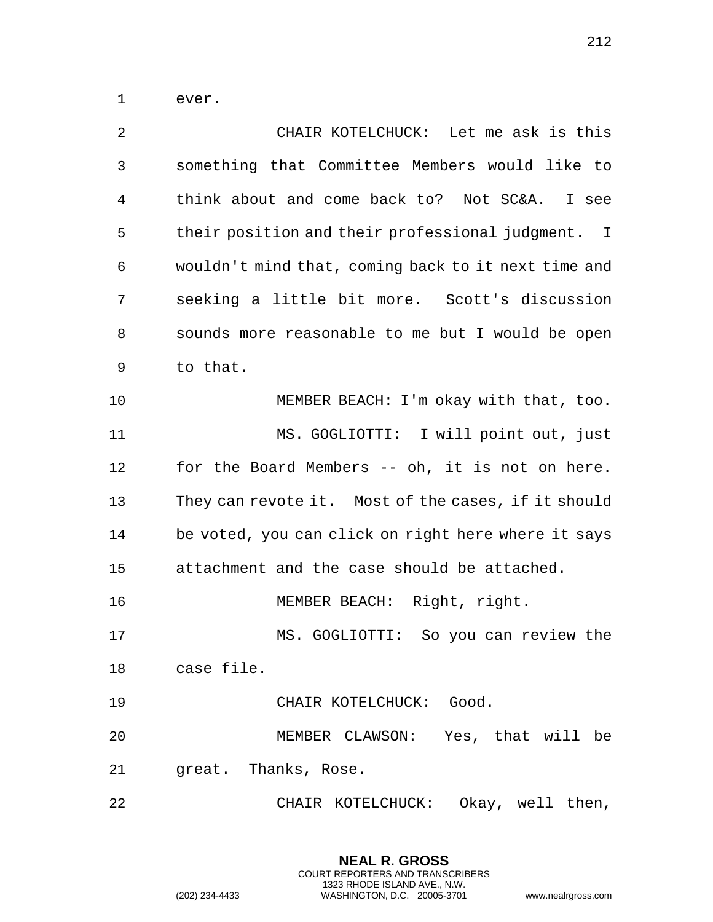ever.

| 2  | CHAIR KOTELCHUCK: Let me ask is this                |
|----|-----------------------------------------------------|
| 3  | something that Committee Members would like to      |
| 4  | think about and come back to? Not SC&A. I see       |
| 5  | their position and their professional judgment. I   |
| 6  | wouldn't mind that, coming back to it next time and |
| 7  | seeking a little bit more. Scott's discussion       |
| 8  | sounds more reasonable to me but I would be open    |
| 9  | to that.                                            |
| 10 | MEMBER BEACH: I'm okay with that, too.              |
| 11 | MS. GOGLIOTTI: I will point out, just               |
| 12 | for the Board Members -- oh, it is not on here.     |
| 13 | They can revote it. Most of the cases, if it should |
| 14 | be voted, you can click on right here where it says |
| 15 | attachment and the case should be attached.         |
| 16 | MEMBER BEACH: Right, right.                         |
| 17 | MS. GOGLIOTTI: So you can review the                |
| 18 | case file.                                          |
| 19 | CHAIR KOTELCHUCK: Good.                             |
| 20 | MEMBER CLAWSON: Yes, that will be                   |
| 21 | great. Thanks, Rose.                                |
| 22 | CHAIR KOTELCHUCK: Okay, well then,                  |

**NEAL R. GROSS** COURT REPORTERS AND TRANSCRIBERS 1323 RHODE ISLAND AVE., N.W.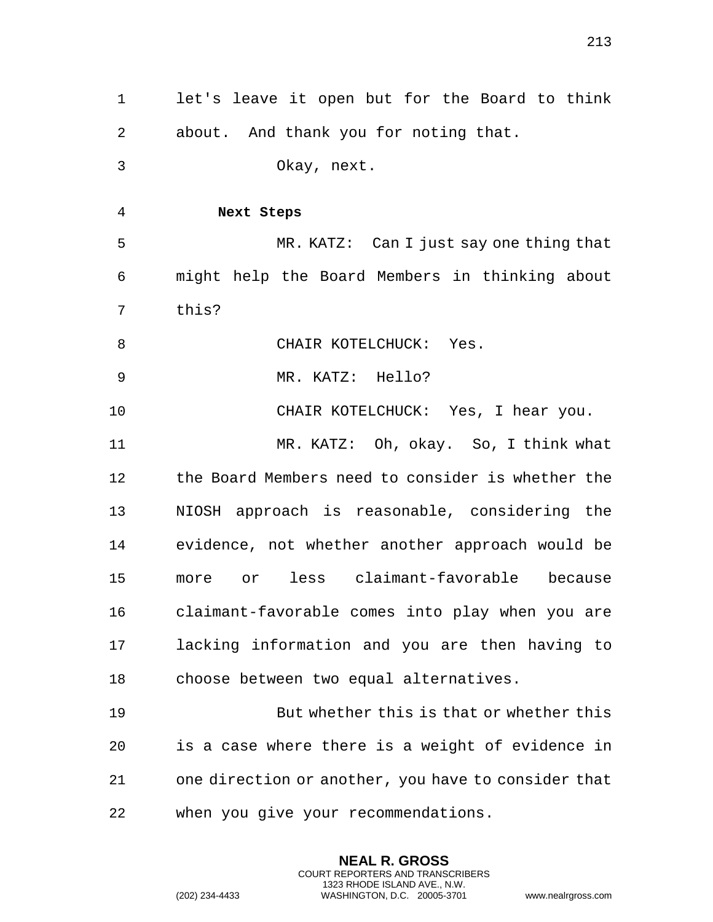| 1  | let's leave it open but for the Board to think      |
|----|-----------------------------------------------------|
| 2  | about. And thank you for noting that.               |
| 3  | Okay, next.                                         |
| 4  | Next Steps                                          |
| 5  | MR. KATZ: Can I just say one thing that             |
| 6  | might help the Board Members in thinking about      |
| 7  | this?                                               |
| 8  | CHAIR KOTELCHUCK: Yes.                              |
| 9  | MR. KATZ: Hello?                                    |
| 10 | CHAIR KOTELCHUCK: Yes, I hear you.                  |
| 11 | MR. KATZ: Oh, okay. So, I think what                |
| 12 | the Board Members need to consider is whether the   |
| 13 | NIOSH approach is reasonable, considering the       |
| 14 | evidence, not whether another approach would be     |
| 15 | more or less claimant-favorable because             |
| 16 | claimant-favorable comes into play when you are     |
| 17 | lacking information and you are then having to      |
| 18 | choose between two equal alternatives.              |
| 19 | But whether this is that or whether this            |
| 20 | is a case where there is a weight of evidence in    |
| 21 | one direction or another, you have to consider that |
| 22 | when you give your recommendations.                 |

**NEAL R. GROSS** COURT REPORTERS AND TRANSCRIBERS 1323 RHODE ISLAND AVE., N.W.

(202) 234-4433 WASHINGTON, D.C. 20005-3701 www.nealrgross.com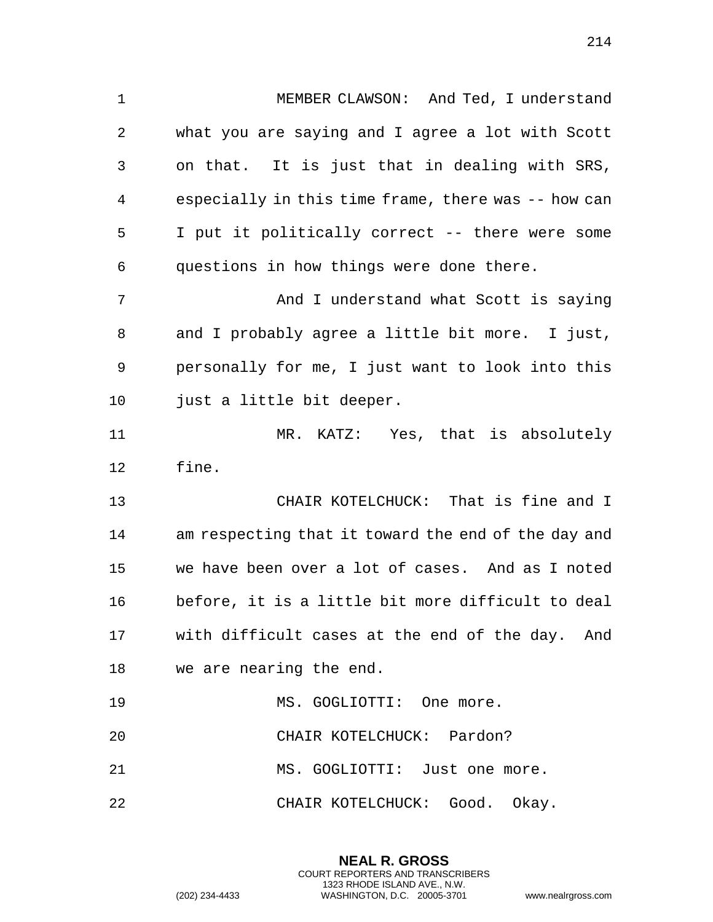MEMBER CLAWSON: And Ted, I understand what you are saying and I agree a lot with Scott on that. It is just that in dealing with SRS, especially in this time frame, there was -- how can I put it politically correct -- there were some questions in how things were done there. 7 And I understand what Scott is saying and I probably agree a little bit more. I just, personally for me, I just want to look into this just a little bit deeper. MR. KATZ: Yes, that is absolutely fine. CHAIR KOTELCHUCK: That is fine and I am respecting that it toward the end of the day and we have been over a lot of cases. And as I noted before, it is a little bit more difficult to deal with difficult cases at the end of the day. And we are nearing the end. 19 MS. GOGLIOTTI: One more. CHAIR KOTELCHUCK: Pardon?

21 MS. GOGLIOTTI: Just one more.

CHAIR KOTELCHUCK: Good. Okay.

**NEAL R. GROSS** COURT REPORTERS AND TRANSCRIBERS 1323 RHODE ISLAND AVE., N.W.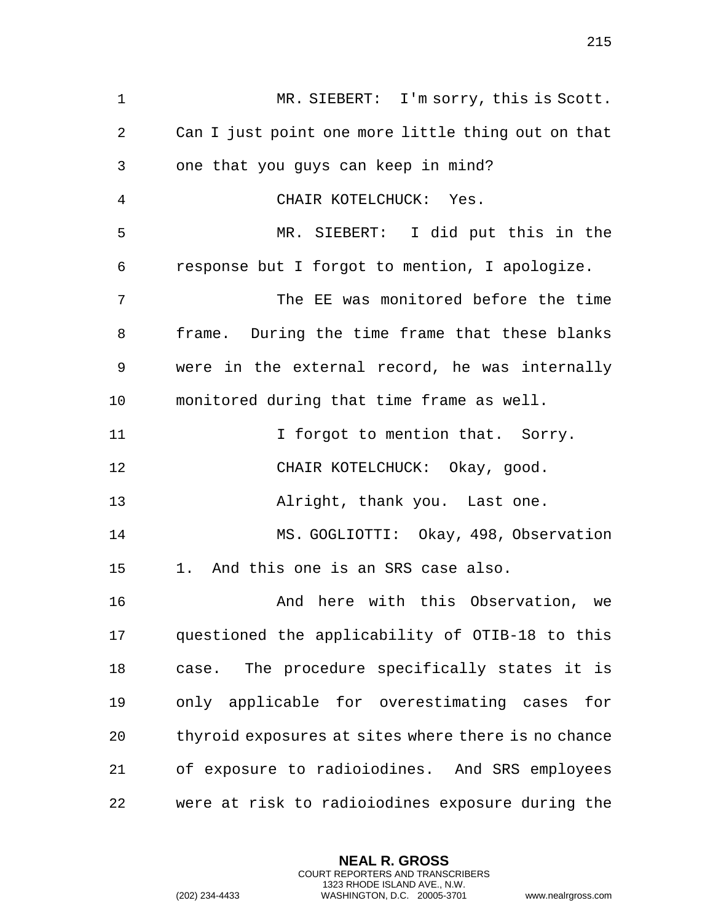MR. SIEBERT: I'm sorry, this is Scott. Can I just point one more little thing out on that one that you guys can keep in mind? CHAIR KOTELCHUCK: Yes. MR. SIEBERT: I did put this in the response but I forgot to mention, I apologize. The EE was monitored before the time frame. During the time frame that these blanks were in the external record, he was internally monitored during that time frame as well. 11 11 I forgot to mention that. Sorry. CHAIR KOTELCHUCK: Okay, good. 13 Alright, thank you. Last one. MS. GOGLIOTTI: Okay, 498, Observation 1. And this one is an SRS case also. And here with this Observation, we questioned the applicability of OTIB-18 to this case. The procedure specifically states it is only applicable for overestimating cases for thyroid exposures at sites where there is no chance of exposure to radioiodines. And SRS employees were at risk to radioiodines exposure during the

> **NEAL R. GROSS** COURT REPORTERS AND TRANSCRIBERS 1323 RHODE ISLAND AVE., N.W.

(202) 234-4433 WASHINGTON, D.C. 20005-3701 www.nealrgross.com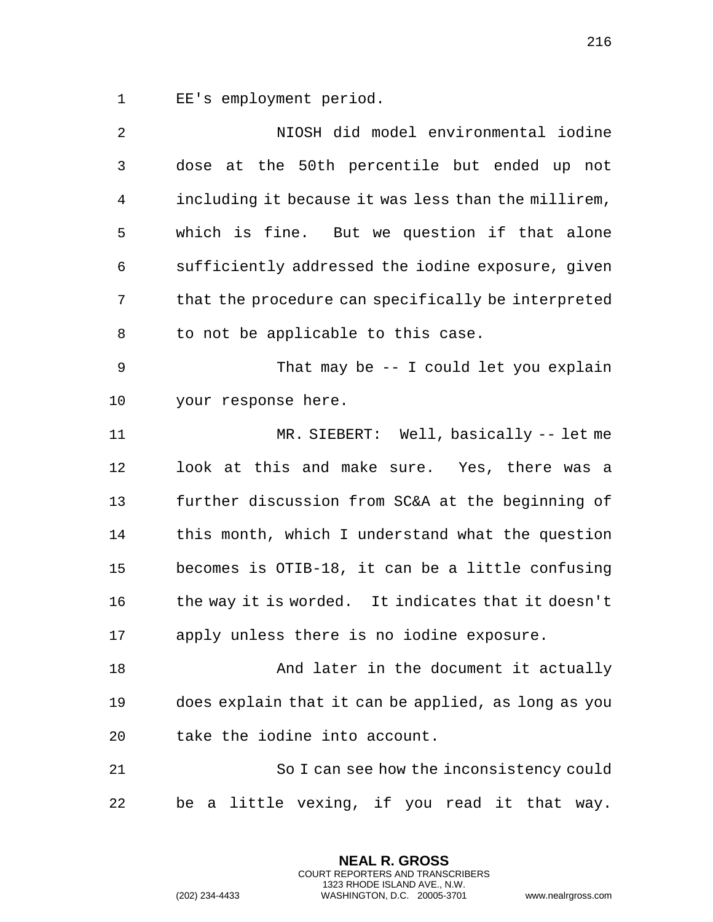EE's employment period.

| $\overline{2}$ | NIOSH did model environmental iodine                |
|----------------|-----------------------------------------------------|
| 3              | dose at the 50th percentile but ended up not        |
| 4              | including it because it was less than the millirem, |
| 5              | which is fine. But we question if that alone        |
| 6              | sufficiently addressed the iodine exposure, given   |
| 7              | that the procedure can specifically be interpreted  |
| 8              | to not be applicable to this case.                  |
| 9              | That may be $-$ - I could let you explain           |
| 10             | your response here.                                 |
| 11             | MR. SIEBERT: Well, basically -- let me              |
| 12             | look at this and make sure. Yes, there was a        |
| 13             | further discussion from SC&A at the beginning of    |
| 14             | this month, which I understand what the question    |
| 15             | becomes is OTIB-18, it can be a little confusing    |
| 16             | the way it is worded. It indicates that it doesn't  |
| 17             | apply unless there is no iodine exposure.           |
| 18             | And later in the document it actually               |
| 19             | does explain that it can be applied, as long as you |
| 20             | take the iodine into account.                       |
| 21             | So I can see how the inconsistency could            |
| 22             | be a little vexing, if you read it that way.        |

**NEAL R. GROSS** COURT REPORTERS AND TRANSCRIBERS 1323 RHODE ISLAND AVE., N.W.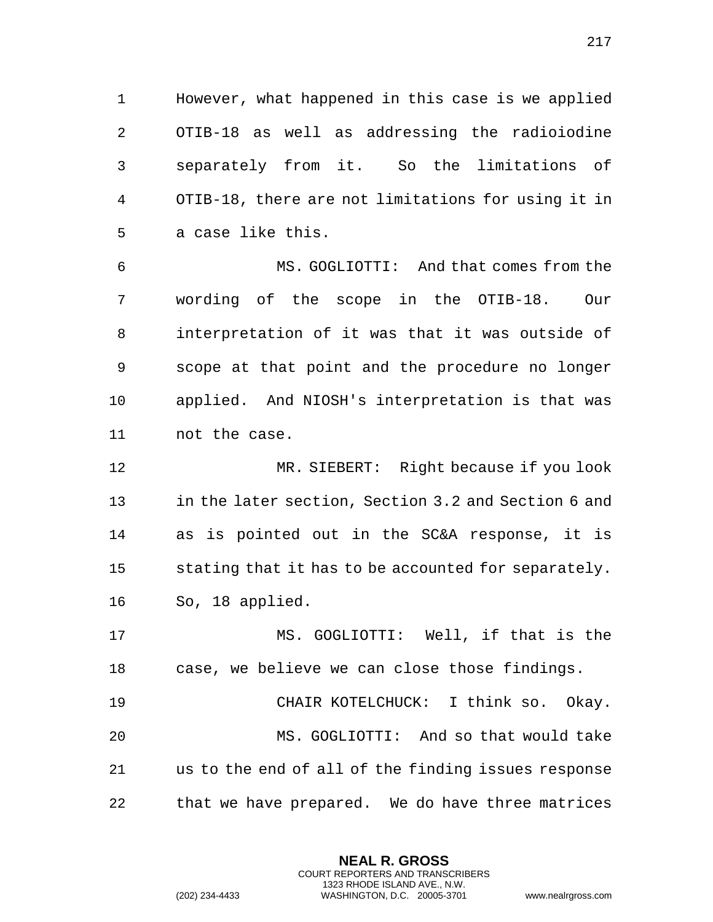However, what happened in this case is we applied OTIB-18 as well as addressing the radioiodine separately from it. So the limitations of OTIB-18, there are not limitations for using it in a case like this.

 MS. GOGLIOTTI: And that comes from the wording of the scope in the OTIB-18. Our interpretation of it was that it was outside of scope at that point and the procedure no longer applied. And NIOSH's interpretation is that was not the case.

 MR. SIEBERT: Right because if you look in the later section, Section 3.2 and Section 6 and as is pointed out in the SC&A response, it is stating that it has to be accounted for separately. So, 18 applied.

 MS. GOGLIOTTI: Well, if that is the case, we believe we can close those findings.

 CHAIR KOTELCHUCK: I think so. Okay. MS. GOGLIOTTI: And so that would take us to the end of all of the finding issues response that we have prepared. We do have three matrices

> **NEAL R. GROSS** COURT REPORTERS AND TRANSCRIBERS 1323 RHODE ISLAND AVE., N.W.

(202) 234-4433 WASHINGTON, D.C. 20005-3701 www.nealrgross.com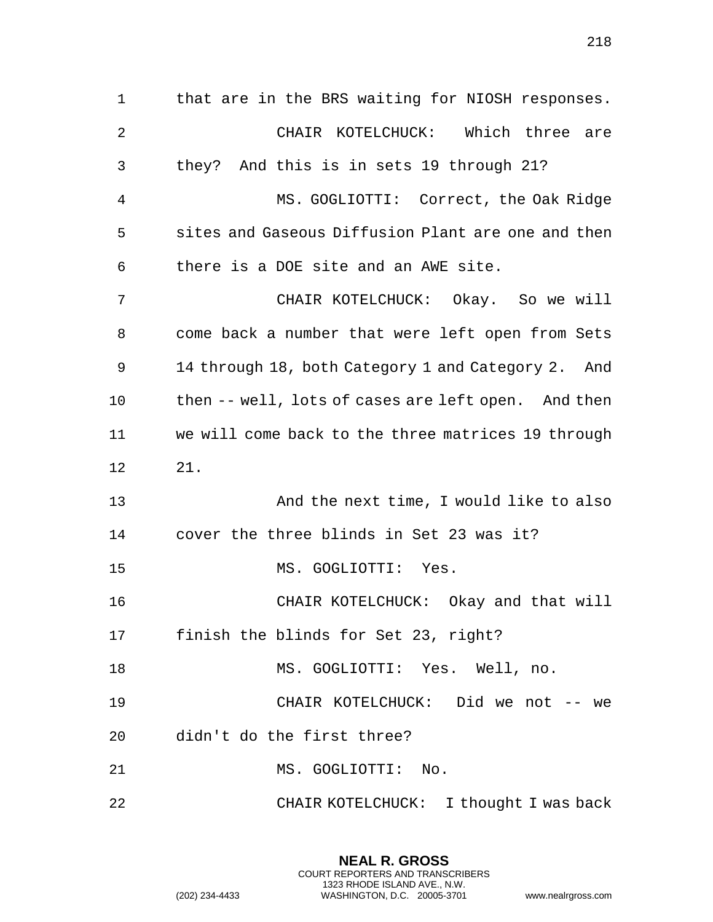that are in the BRS waiting for NIOSH responses. CHAIR KOTELCHUCK: Which three are they? And this is in sets 19 through 21? MS. GOGLIOTTI: Correct, the Oak Ridge sites and Gaseous Diffusion Plant are one and then there is a DOE site and an AWE site. CHAIR KOTELCHUCK: Okay. So we will come back a number that were left open from Sets 14 through 18, both Category 1 and Category 2. And then -- well, lots of cases are left open. And then we will come back to the three matrices 19 through 21. And the next time, I would like to also cover the three blinds in Set 23 was it? MS. GOGLIOTTI: Yes. CHAIR KOTELCHUCK: Okay and that will finish the blinds for Set 23, right? MS. GOGLIOTTI: Yes. Well, no. CHAIR KOTELCHUCK: Did we not -- we didn't do the first three? 21 MS. GOGLIOTTI: No. CHAIR KOTELCHUCK: I thought I was back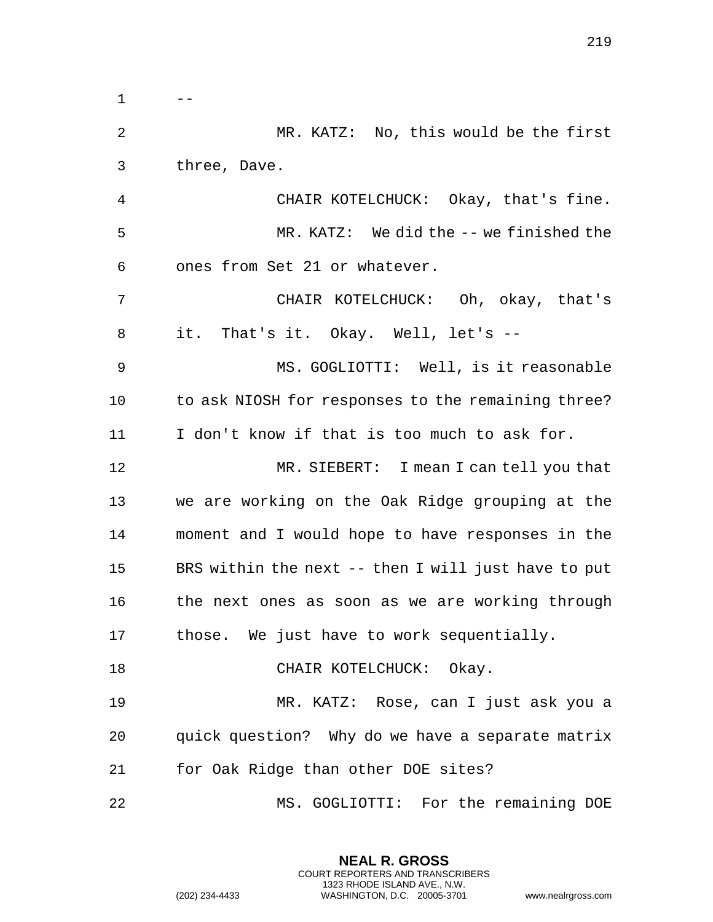$1 \qquad -$  MR. KATZ: No, this would be the first three, Dave. CHAIR KOTELCHUCK: Okay, that's fine. MR. KATZ: We did the -- we finished the ones from Set 21 or whatever. CHAIR KOTELCHUCK: Oh, okay, that's it. That's it. Okay. Well, let's -- MS. GOGLIOTTI: Well, is it reasonable to ask NIOSH for responses to the remaining three? I don't know if that is too much to ask for. MR. SIEBERT: I mean I can tell you that we are working on the Oak Ridge grouping at the moment and I would hope to have responses in the BRS within the next -- then I will just have to put the next ones as soon as we are working through those. We just have to work sequentially. 18 CHAIR KOTELCHUCK: Okay. MR. KATZ: Rose, can I just ask you a quick question? Why do we have a separate matrix for Oak Ridge than other DOE sites? MS. GOGLIOTTI: For the remaining DOE

> **NEAL R. GROSS** COURT REPORTERS AND TRANSCRIBERS 1323 RHODE ISLAND AVE., N.W.

(202) 234-4433 WASHINGTON, D.C. 20005-3701 www.nealrgross.com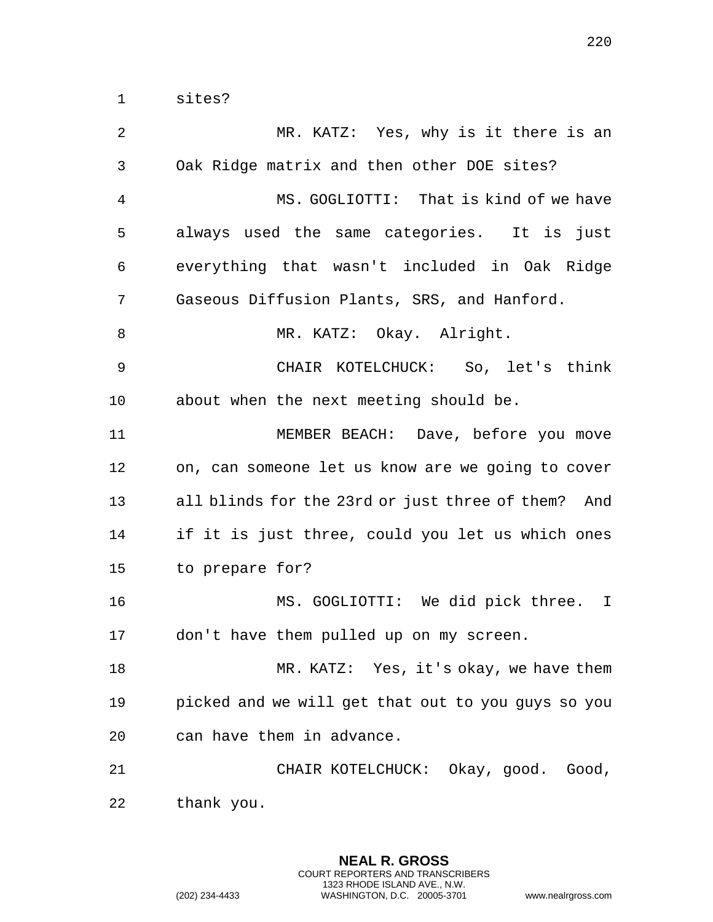| 2              | MR. KATZ: Yes, why is it there is an               |
|----------------|----------------------------------------------------|
| $\mathfrak{Z}$ | Oak Ridge matrix and then other DOE sites?         |
| 4              | MS. GOGLIOTTI: That is kind of we have             |
| 5              | always used the same categories. It is just        |
| 6              | everything that wasn't included in Oak Ridge       |
| 7              | Gaseous Diffusion Plants, SRS, and Hanford.        |
| 8              | MR. KATZ: Okay. Alright.                           |
| 9              | CHAIR KOTELCHUCK: So, let's think                  |
| 10             | about when the next meeting should be.             |
| 11             | MEMBER BEACH: Dave, before you move                |
| 12             | on, can someone let us know are we going to cover  |
| 13             | all blinds for the 23rd or just three of them? And |
| 14             | if it is just three, could you let us which ones   |
| 15             | to prepare for?                                    |
| 16             | MS. GOGLIOTTI: We did pick three. I                |
| 17             | don't have them pulled up on my screen.            |
| 18             | MR. KATZ: Yes, it's okay, we have them             |
| 19             | picked and we will get that out to you guys so you |
| 20             | can have them in advance.                          |
| 21             | CHAIR KOTELCHUCK: Okay, good. Good,                |
| 22             | thank you.                                         |

**NEAL R. GROSS** COURT REPORTERS AND TRANSCRIBERS 1323 RHODE ISLAND AVE., N.W.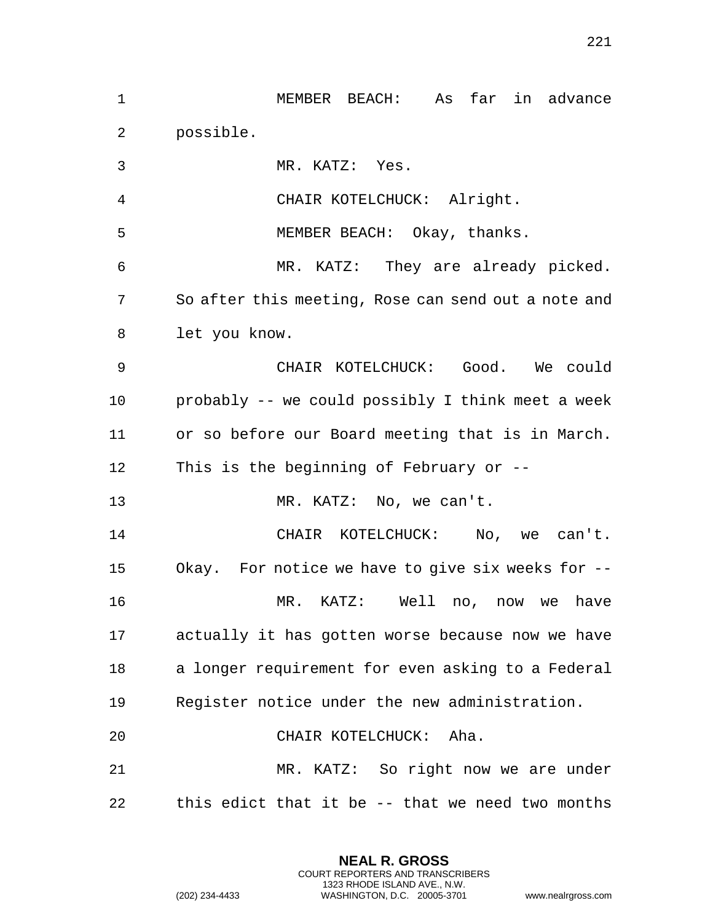| $\mathbf 1$ | As far in advance<br>MEMBER BEACH:                  |
|-------------|-----------------------------------------------------|
| 2           | possible.                                           |
| 3           | MR. KATZ: Yes.                                      |
| 4           | CHAIR KOTELCHUCK: Alright.                          |
| 5           | MEMBER BEACH: Okay, thanks.                         |
| 6           | MR. KATZ: They are already picked.                  |
| 7           | So after this meeting, Rose can send out a note and |
| 8           | let you know.                                       |
| 9           | CHAIR KOTELCHUCK: Good. We could                    |
| 10          | probably -- we could possibly I think meet a week   |
| 11          | or so before our Board meeting that is in March.    |
| 12          | This is the beginning of February or $-$ -          |
| 13          | MR. KATZ: No, we can't.                             |
| 14          | CHAIR KOTELCHUCK: No, we can't.                     |
| 15          | Okay. For notice we have to give six weeks for --   |
| 16          | MR. KATZ:<br>Well<br>have<br>no, now we             |
| 17          | actually it has gotten worse because now we have    |
| 18          | a longer requirement for even asking to a Federal   |
| 19          | Register notice under the new administration.       |
| 20          | CHAIR KOTELCHUCK: Aha.                              |
| 21          | MR. KATZ: So right now we are under                 |
| 22          | this edict that it be -- that we need two months    |

**NEAL R. GROSS** COURT REPORTERS AND TRANSCRIBERS 1323 RHODE ISLAND AVE., N.W.

(202) 234-4433 WASHINGTON, D.C. 20005-3701 www.nealrgross.com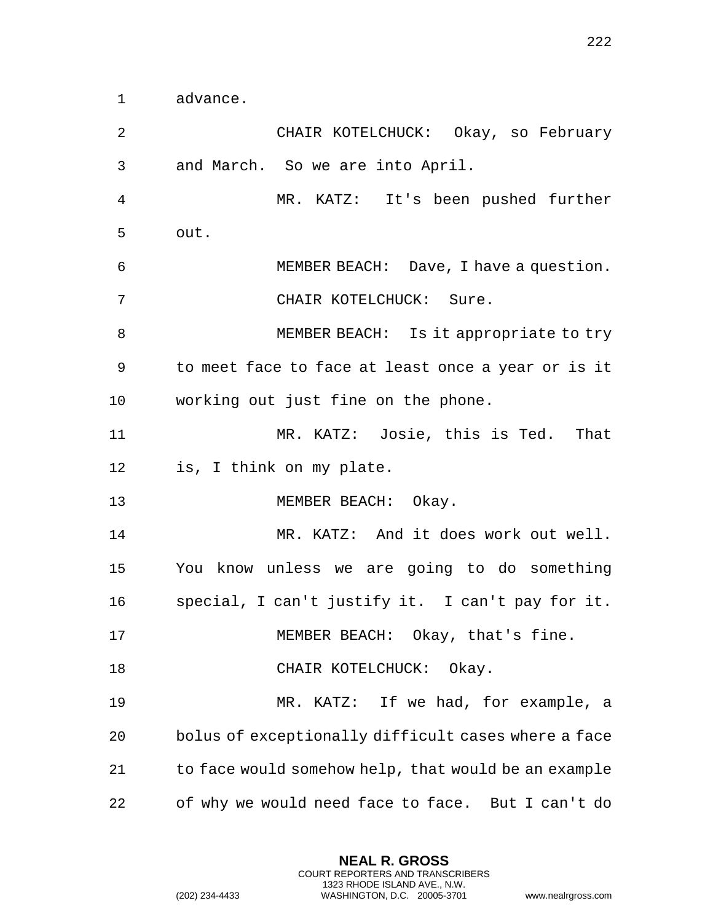advance.

| 2              | CHAIR KOTELCHUCK: Okay, so February                  |
|----------------|------------------------------------------------------|
| 3              | and March. So we are into April.                     |
| $\overline{4}$ | MR. KATZ: It's been pushed further                   |
| 5              | out.                                                 |
| 6              | MEMBER BEACH: Dave, I have a question.               |
| 7              | CHAIR KOTELCHUCK: Sure.                              |
| 8              | MEMBER BEACH: Is it appropriate to try               |
| 9              | to meet face to face at least once a year or is it   |
| 10             | working out just fine on the phone.                  |
| 11             | MR. KATZ: Josie, this is Ted. That                   |
| 12             | is, I think on my plate.                             |
| 13             | MEMBER BEACH: Okay.                                  |
| 14             | MR. KATZ: And it does work out well.                 |
| 15             | You know unless we are going to do something         |
| 16             | special, I can't justify it. I can't pay for it.     |
| 17             | MEMBER BEACH: Okay, that's fine.                     |
| 18             | CHAIR KOTELCHUCK: Okay.                              |
| 19             | MR. KATZ: If we had, for example, a                  |
| 20             | bolus of exceptionally difficult cases where a face  |
| 21             | to face would somehow help, that would be an example |
| 22             | of why we would need face to face. But I can't do    |

**NEAL R. GROSS** COURT REPORTERS AND TRANSCRIBERS 1323 RHODE ISLAND AVE., N.W.

(202) 234-4433 WASHINGTON, D.C. 20005-3701 www.nealrgross.com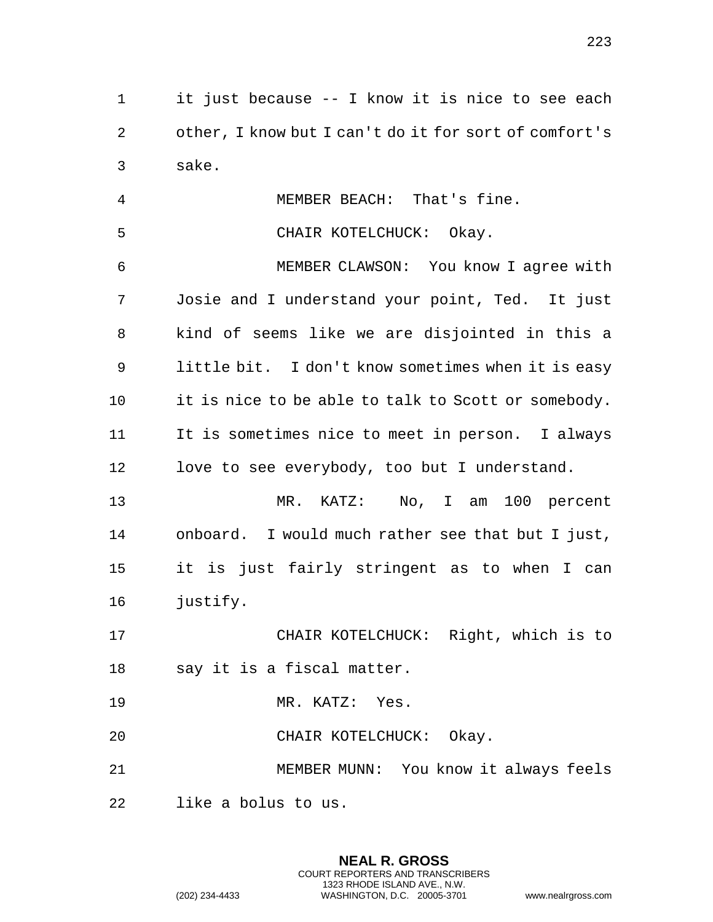it just because -- I know it is nice to see each other, I know but I can't do it for sort of comfort's sake.

 MEMBER BEACH: That's fine. CHAIR KOTELCHUCK: Okay. MEMBER CLAWSON: You know I agree with Josie and I understand your point, Ted. It just kind of seems like we are disjointed in this a little bit. I don't know sometimes when it is easy it is nice to be able to talk to Scott or somebody. It is sometimes nice to meet in person. I always love to see everybody, too but I understand. MR. KATZ: No, I am 100 percent

 onboard. I would much rather see that but I just, it is just fairly stringent as to when I can justify.

 CHAIR KOTELCHUCK: Right, which is to say it is a fiscal matter.

MR. KATZ: Yes.

CHAIR KOTELCHUCK: Okay.

MEMBER MUNN: You know it always feels

**NEAL R. GROSS** COURT REPORTERS AND TRANSCRIBERS 1323 RHODE ISLAND AVE., N.W.

like a bolus to us.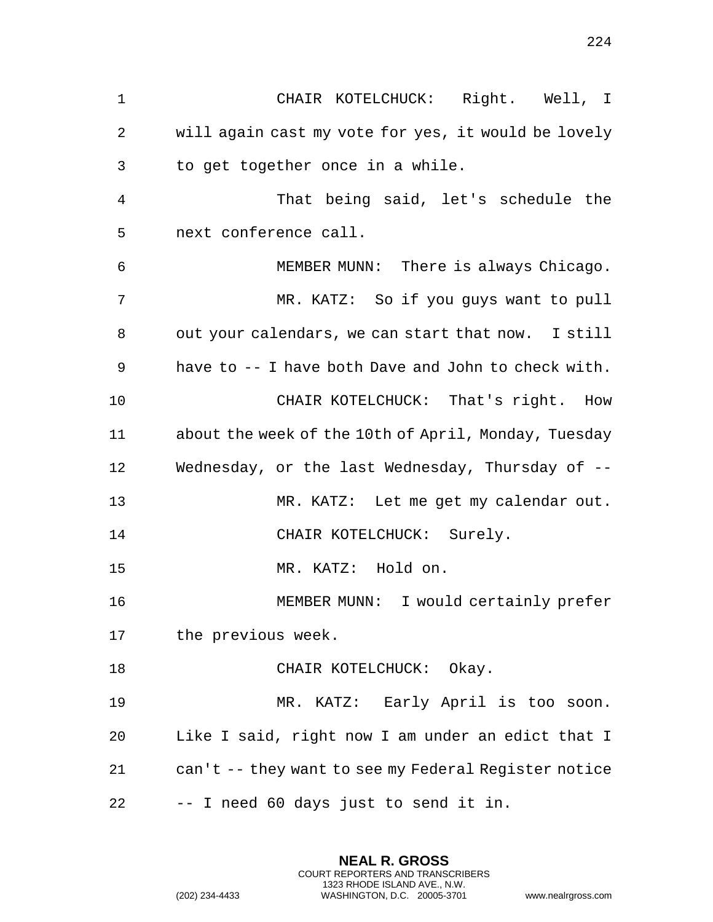CHAIR KOTELCHUCK: Right. Well, I will again cast my vote for yes, it would be lovely to get together once in a while. That being said, let's schedule the next conference call. MEMBER MUNN: There is always Chicago. MR. KATZ: So if you guys want to pull out your calendars, we can start that now. I still have to -- I have both Dave and John to check with. CHAIR KOTELCHUCK: That's right. How about the week of the 10th of April, Monday, Tuesday Wednesday, or the last Wednesday, Thursday of -- MR. KATZ: Let me get my calendar out. 14 CHAIR KOTELCHUCK: Surely. MR. KATZ: Hold on. MEMBER MUNN: I would certainly prefer the previous week. 18 CHAIR KOTELCHUCK: Okay. MR. KATZ: Early April is too soon. Like I said, right now I am under an edict that I can't -- they want to see my Federal Register notice -- I need 60 days just to send it in.

> **NEAL R. GROSS** COURT REPORTERS AND TRANSCRIBERS 1323 RHODE ISLAND AVE., N.W.

(202) 234-4433 WASHINGTON, D.C. 20005-3701 www.nealrgross.com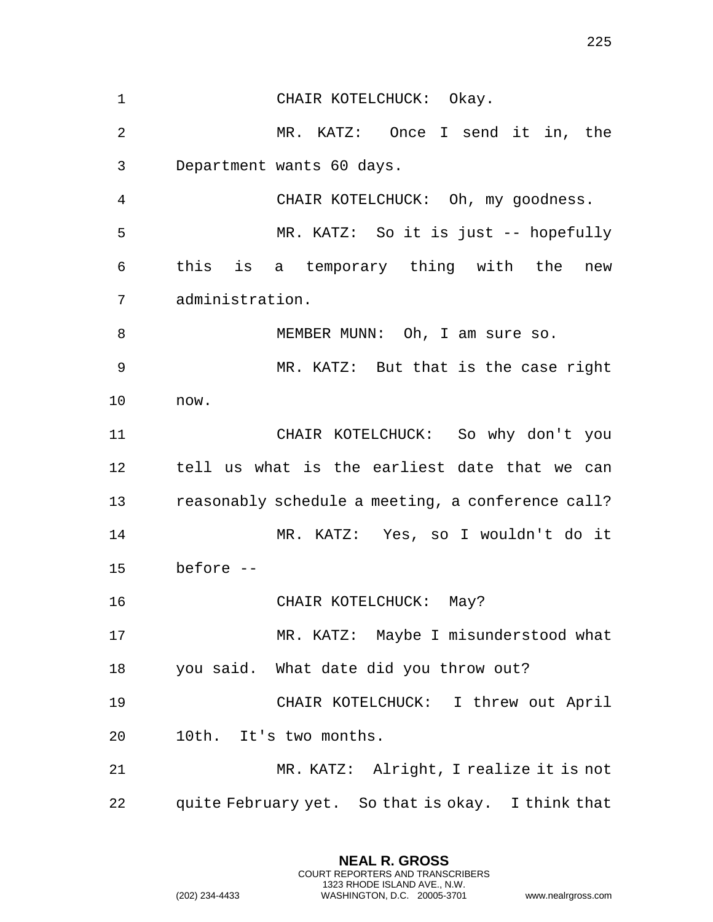CHAIR KOTELCHUCK: Okay. MR. KATZ: Once I send it in, the Department wants 60 days. CHAIR KOTELCHUCK: Oh, my goodness. MR. KATZ: So it is just -- hopefully this is a temporary thing with the new administration. 8 MEMBER MUNN: Oh, I am sure so. MR. KATZ: But that is the case right now. CHAIR KOTELCHUCK: So why don't you tell us what is the earliest date that we can reasonably schedule a meeting, a conference call? MR. KATZ: Yes, so I wouldn't do it before -- 16 CHAIR KOTELCHUCK: May? MR. KATZ: Maybe I misunderstood what you said. What date did you throw out? CHAIR KOTELCHUCK: I threw out April 10th. It's two months. MR. KATZ: Alright, I realize it is not quite February yet. So that is okay. I think that

> **NEAL R. GROSS** COURT REPORTERS AND TRANSCRIBERS 1323 RHODE ISLAND AVE., N.W.

(202) 234-4433 WASHINGTON, D.C. 20005-3701 www.nealrgross.com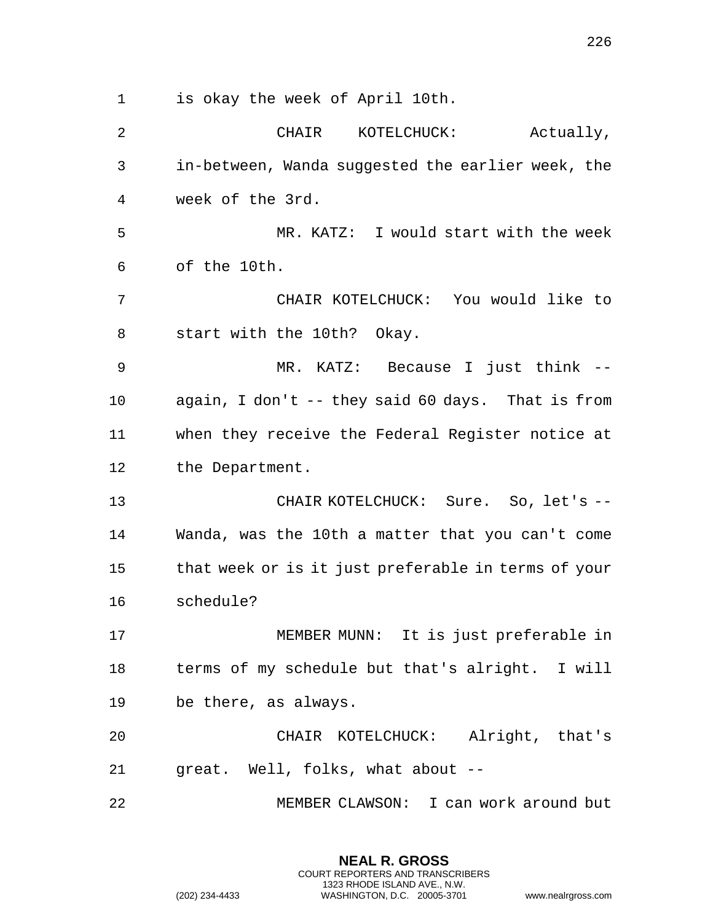is okay the week of April 10th. CHAIR KOTELCHUCK: Actually, in-between, Wanda suggested the earlier week, the week of the 3rd. MR. KATZ: I would start with the week of the 10th. CHAIR KOTELCHUCK: You would like to start with the 10th? Okay. MR. KATZ: Because I just think -- again, I don't -- they said 60 days. That is from when they receive the Federal Register notice at 12 the Department. 13 CHAIR KOTELCHUCK: Sure. So, let's -- Wanda, was the 10th a matter that you can't come that week or is it just preferable in terms of your schedule? MEMBER MUNN: It is just preferable in terms of my schedule but that's alright. I will be there, as always. CHAIR KOTELCHUCK: Alright, that's great. Well, folks, what about -- MEMBER CLAWSON: I can work around but

> **NEAL R. GROSS** COURT REPORTERS AND TRANSCRIBERS 1323 RHODE ISLAND AVE., N.W.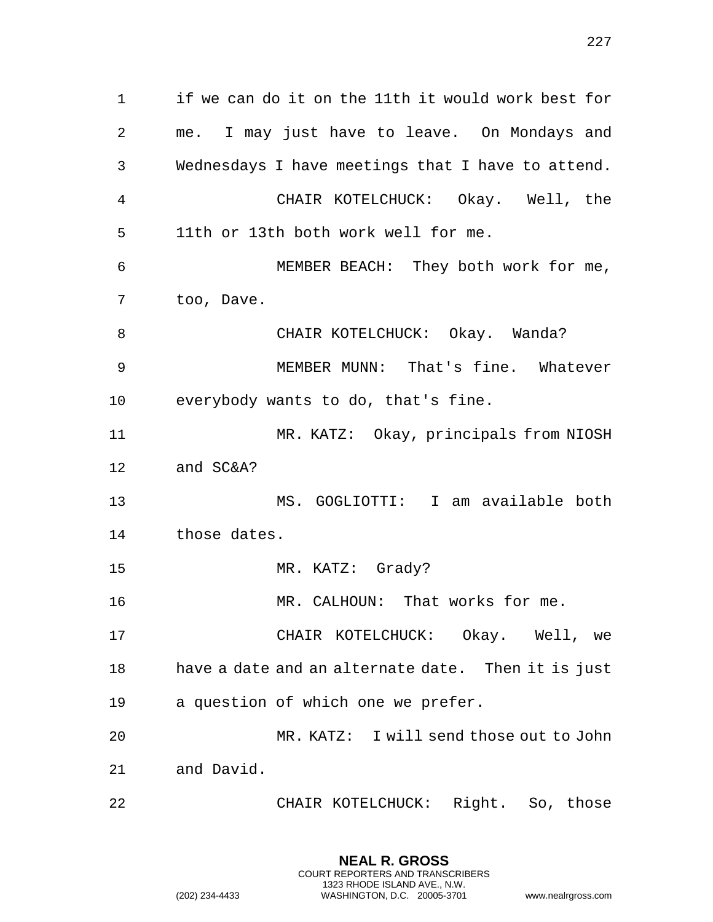| 1  | if we can do it on the 11th it would work best for |
|----|----------------------------------------------------|
| 2  | me. I may just have to leave. On Mondays and       |
| 3  | Wednesdays I have meetings that I have to attend.  |
| 4  | CHAIR KOTELCHUCK: Okay. Well, the                  |
| 5  | 11th or 13th both work well for me.                |
| 6  | MEMBER BEACH: They both work for me,               |
| 7  | too, Dave.                                         |
| 8  | CHAIR KOTELCHUCK: Okay. Wanda?                     |
| 9  | MEMBER MUNN: That's fine. Whatever                 |
| 10 | everybody wants to do, that's fine.                |
| 11 | MR. KATZ: Okay, principals from NIOSH              |
| 12 | and SC&A?                                          |
| 13 | MS. GOGLIOTTI: I am available both                 |
| 14 | those dates.                                       |
| 15 | MR. KATZ: Grady?                                   |
| 16 | MR. CALHOUN: That works for me.                    |
| 17 | CHAIR KOTELCHUCK: Okay. Well, we                   |
| 18 | have a date and an alternate date. Then it is just |
| 19 | a question of which one we prefer.                 |
| 20 | MR. KATZ: I will send those out to John            |
| 21 | and David.                                         |
| 22 | Right. So, those<br>CHAIR KOTELCHUCK:              |

**NEAL R. GROSS** COURT REPORTERS AND TRANSCRIBERS 1323 RHODE ISLAND AVE., N.W.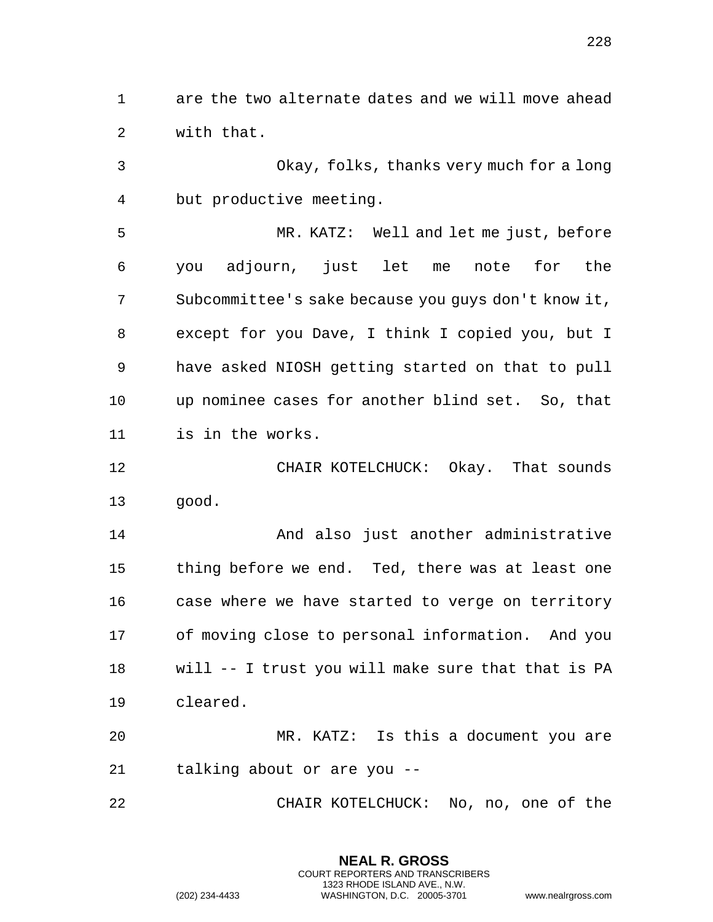are the two alternate dates and we will move ahead with that.

 Okay, folks, thanks very much for a long but productive meeting.

 MR. KATZ: Well and let me just, before you adjourn, just let me note for the Subcommittee's sake because you guys don't know it, except for you Dave, I think I copied you, but I have asked NIOSH getting started on that to pull up nominee cases for another blind set. So, that is in the works.

 CHAIR KOTELCHUCK: Okay. That sounds good.

 And also just another administrative thing before we end. Ted, there was at least one case where we have started to verge on territory of moving close to personal information. And you will -- I trust you will make sure that that is PA cleared.

 MR. KATZ: Is this a document you are talking about or are you --

CHAIR KOTELCHUCK: No, no, one of the

**NEAL R. GROSS** COURT REPORTERS AND TRANSCRIBERS 1323 RHODE ISLAND AVE., N.W.

(202) 234-4433 WASHINGTON, D.C. 20005-3701 www.nealrgross.com